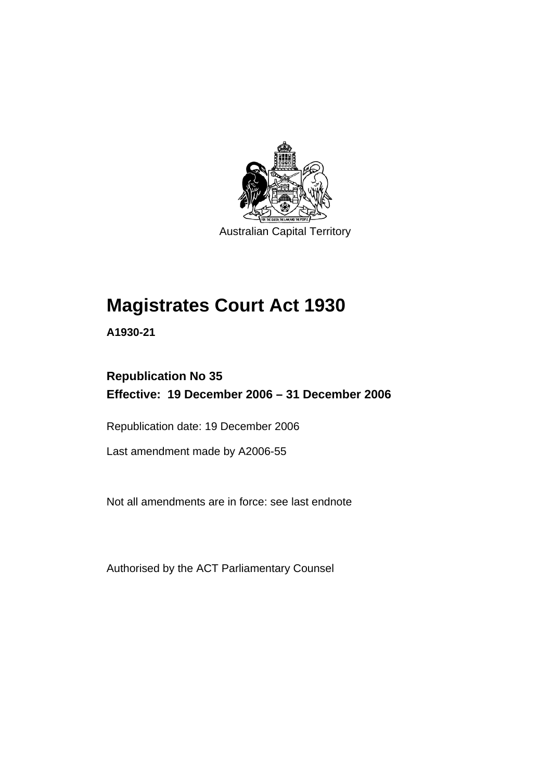

Australian Capital Territory

# **Magistrates Court Act 1930**

**A1930-21** 

## **Republication No 35 Effective: 19 December 2006 – 31 December 2006**

Republication date: 19 December 2006

Last amendment made by A2006-55

Not all amendments are in force: see last endnote

Authorised by the ACT Parliamentary Counsel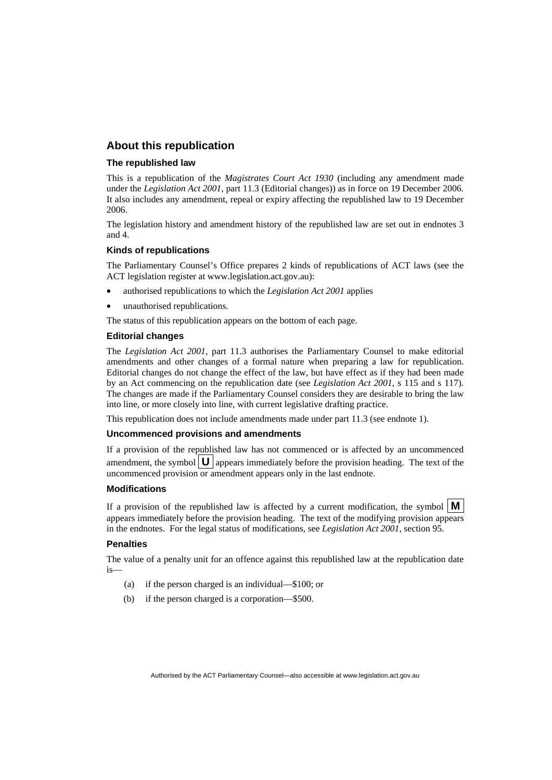#### **About this republication**

#### **The republished law**

This is a republication of the *Magistrates Court Act 1930* (including any amendment made under the *Legislation Act 2001*, part 11.3 (Editorial changes)) as in force on 19 December 2006*.*  It also includes any amendment, repeal or expiry affecting the republished law to 19 December 2006.

The legislation history and amendment history of the republished law are set out in endnotes 3 and 4.

#### **Kinds of republications**

The Parliamentary Counsel's Office prepares 2 kinds of republications of ACT laws (see the ACT legislation register at www.legislation.act.gov.au):

- authorised republications to which the *Legislation Act 2001* applies
- unauthorised republications.

The status of this republication appears on the bottom of each page.

#### **Editorial changes**

The *Legislation Act 2001*, part 11.3 authorises the Parliamentary Counsel to make editorial amendments and other changes of a formal nature when preparing a law for republication. Editorial changes do not change the effect of the law, but have effect as if they had been made by an Act commencing on the republication date (see *Legislation Act 2001*, s 115 and s 117). The changes are made if the Parliamentary Counsel considers they are desirable to bring the law into line, or more closely into line, with current legislative drafting practice.

This republication does not include amendments made under part 11.3 (see endnote 1).

#### **Uncommenced provisions and amendments**

If a provision of the republished law has not commenced or is affected by an uncommenced amendment, the symbol  $\mathbf{U}$  appears immediately before the provision heading. The text of the uncommenced provision or amendment appears only in the last endnote.

#### **Modifications**

If a provision of the republished law is affected by a current modification, the symbol  $\mathbf{M}$ appears immediately before the provision heading. The text of the modifying provision appears in the endnotes. For the legal status of modifications, see *Legislation Act 2001*, section 95.

#### **Penalties**

The value of a penalty unit for an offence against this republished law at the republication date is—

- (a) if the person charged is an individual—\$100; or
- (b) if the person charged is a corporation—\$500.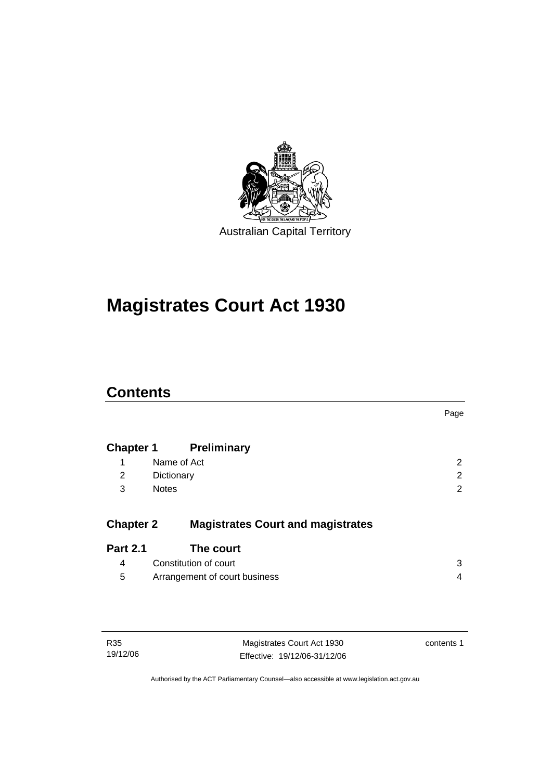

# **Magistrates Court Act 1930**

## **Contents**

|                  |                                          | Page           |
|------------------|------------------------------------------|----------------|
| <b>Chapter 1</b> | <b>Preliminary</b>                       |                |
| 1                | Name of Act                              | 2              |
| 2                | Dictionary                               | $\overline{2}$ |
| 3                | <b>Notes</b>                             | 2              |
| <b>Chapter 2</b> | <b>Magistrates Court and magistrates</b> |                |
| <b>Part 2.1</b>  | The court                                |                |
| 4                | Constitution of court                    | 3              |
| 5                | Arrangement of court business            | 4              |

| R35      |  |
|----------|--|
| 19/12/06 |  |

Magistrates Court Act 1930 Effective: 19/12/06-31/12/06 contents 1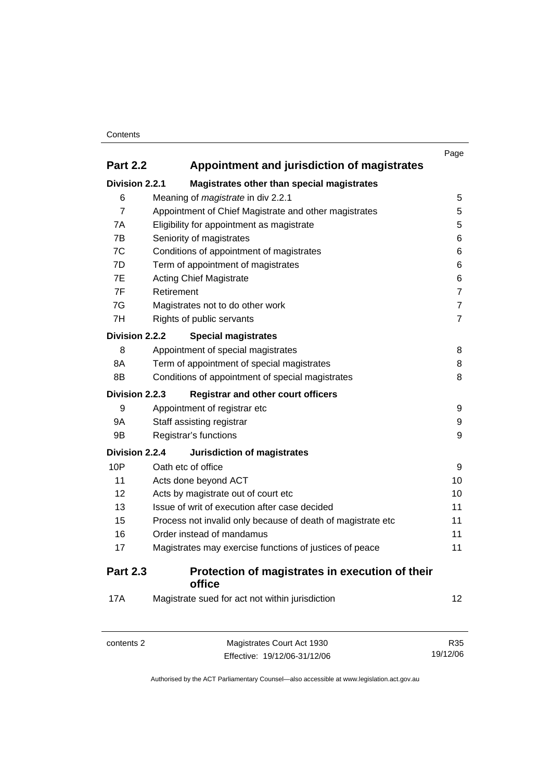#### **Contents**

|                                                                |                                                             | Page           |
|----------------------------------------------------------------|-------------------------------------------------------------|----------------|
| <b>Part 2.2</b><br>Appointment and jurisdiction of magistrates |                                                             |                |
| Division 2.2.1                                                 | Magistrates other than special magistrates                  |                |
| 6                                                              | Meaning of <i>magistrate</i> in div 2.2.1                   | 5              |
| $\overline{7}$                                                 | Appointment of Chief Magistrate and other magistrates       | 5              |
| 7A                                                             | Eligibility for appointment as magistrate                   | 5              |
| 7B                                                             | Seniority of magistrates                                    | 6              |
| 7C                                                             | Conditions of appointment of magistrates                    | 6              |
| 7D                                                             | Term of appointment of magistrates                          | 6              |
| 7E                                                             | <b>Acting Chief Magistrate</b>                              | 6              |
| 7F                                                             | Retirement                                                  | $\overline{7}$ |
| 7G                                                             | Magistrates not to do other work                            | $\overline{7}$ |
| 7H                                                             | Rights of public servants                                   | $\overline{7}$ |
| Division 2.2.2                                                 | <b>Special magistrates</b>                                  |                |
| 8                                                              | Appointment of special magistrates                          | 8              |
| 8A                                                             | Term of appointment of special magistrates                  | 8              |
| 8B                                                             | Conditions of appointment of special magistrates            | 8              |
| Division 2.2.3                                                 | <b>Registrar and other court officers</b>                   |                |
| 9                                                              | Appointment of registrar etc                                | 9              |
| <b>9A</b>                                                      | Staff assisting registrar                                   | 9              |
| 9B                                                             | Registrar's functions                                       | 9              |
| <b>Division 2.2.4</b>                                          | <b>Jurisdiction of magistrates</b>                          |                |
| 10P                                                            | Oath etc of office                                          | 9              |
| 11                                                             | Acts done beyond ACT                                        | 10             |
| 12                                                             | Acts by magistrate out of court etc                         | 10             |
| 13                                                             | Issue of writ of execution after case decided               | 11             |
| 15                                                             | Process not invalid only because of death of magistrate etc | 11             |
| 16                                                             | Order instead of mandamus                                   | 11             |
| 17                                                             | Magistrates may exercise functions of justices of peace     | 11             |
| <b>Part 2.3</b>                                                | Protection of magistrates in execution of their<br>office   |                |
| 17A                                                            | Magistrate sued for act not within jurisdiction             | 12             |

| contents 2 | Magistrates Court Act 1930   | R35      |
|------------|------------------------------|----------|
|            | Effective: 19/12/06-31/12/06 | 19/12/06 |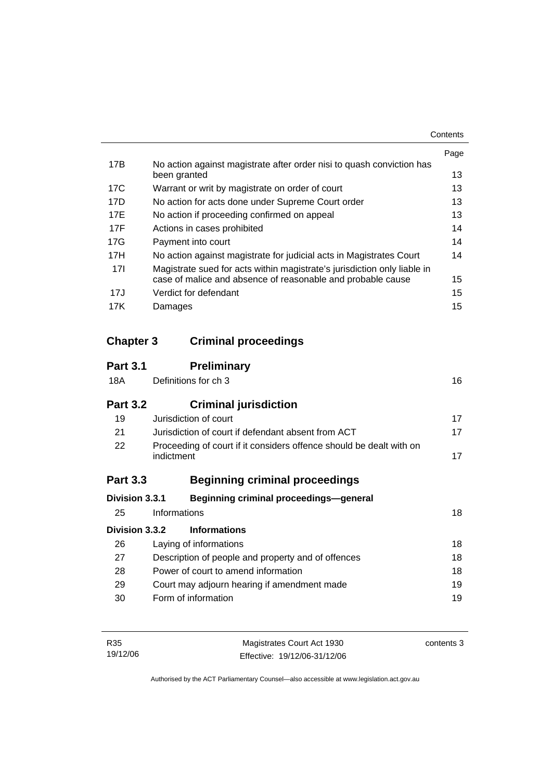|                 |                                                                                       | Page |
|-----------------|---------------------------------------------------------------------------------------|------|
| 17B             | No action against magistrate after order nisi to quash conviction has<br>been granted | 13   |
|                 |                                                                                       |      |
| 17C             | Warrant or writ by magistrate on order of court                                       | 13   |
| 17D             | No action for acts done under Supreme Court order                                     | 13   |
| 17E             | No action if proceeding confirmed on appeal                                           | 13   |
| 17F             | Actions in cases prohibited                                                           | 14   |
| 17G             | Payment into court                                                                    | 14   |
| 17H             | No action against magistrate for judicial acts in Magistrates Court                   | 14   |
| 17 <sup>1</sup> | Magistrate sued for acts within magistrate's jurisdiction only liable in              |      |
|                 | case of malice and absence of reasonable and probable cause                           | 15   |
| 17J             | Verdict for defendant                                                                 | 15   |
| 17K             | Damages                                                                               | 15   |

## **Chapter 3 Criminal proceedings**

| <b>Part 3.1</b> | <b>Preliminary</b>                                                                |    |
|-----------------|-----------------------------------------------------------------------------------|----|
| 18A             | Definitions for ch 3                                                              | 16 |
| <b>Part 3.2</b> | <b>Criminal jurisdiction</b>                                                      |    |
| 19              | Jurisdiction of court                                                             | 17 |
| 21              | Jurisdiction of court if defendant absent from ACT                                | 17 |
| 22              | Proceeding of court if it considers offence should be dealt with on<br>indictment | 17 |
| <b>Part 3.3</b> | <b>Beginning criminal proceedings</b>                                             |    |
| Division 3.3.1  | <b>Beginning criminal proceedings-general</b>                                     |    |
| 25              | Informations                                                                      | 18 |
| Division 3.3.2  | <b>Informations</b>                                                               |    |
| 26              | Laying of informations                                                            | 18 |
| 27              | Description of people and property and of offences                                | 18 |
| 28              | Power of court to amend information                                               | 18 |
| 29              | Court may adjourn hearing if amendment made                                       | 19 |
| 30              | Form of information                                                               | 19 |

| R35      | Magistrates Court Act 1930   | contents 3 |
|----------|------------------------------|------------|
| 19/12/06 | Effective: 19/12/06-31/12/06 |            |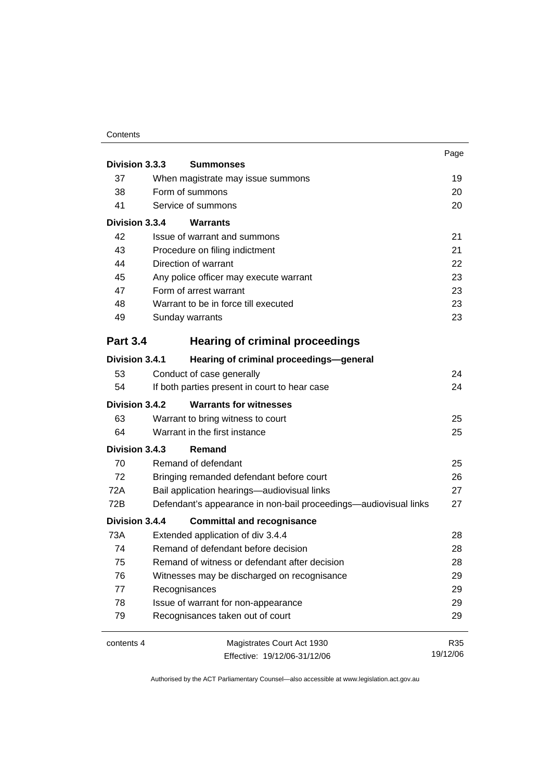#### **Contents**

|                 |                                                                  | Page     |
|-----------------|------------------------------------------------------------------|----------|
| Division 3.3.3  | <b>Summonses</b>                                                 |          |
| 37              | When magistrate may issue summons                                | 19       |
| 38              | Form of summons                                                  | 20       |
| 41              | Service of summons                                               | 20       |
| Division 3.3.4  | Warrants                                                         |          |
| 42              | Issue of warrant and summons                                     | 21       |
| 43              | Procedure on filing indictment                                   | 21       |
| 44              | Direction of warrant                                             | 22       |
| 45              | Any police officer may execute warrant                           | 23       |
| 47              | Form of arrest warrant                                           | 23       |
| 48              | Warrant to be in force till executed                             | 23       |
| 49              | Sunday warrants                                                  | 23       |
| <b>Part 3.4</b> | <b>Hearing of criminal proceedings</b>                           |          |
| Division 3.4.1  | Hearing of criminal proceedings-general                          |          |
| 53              | Conduct of case generally                                        | 24       |
| 54              | If both parties present in court to hear case                    | 24       |
| Division 3.4.2  | <b>Warrants for witnesses</b>                                    |          |
| 63              | Warrant to bring witness to court                                | 25       |
| 64              | Warrant in the first instance                                    | 25       |
| Division 3.4.3  | Remand                                                           |          |
| 70              | Remand of defendant                                              | 25       |
| 72              | Bringing remanded defendant before court                         | 26       |
| 72A             | Bail application hearings-audiovisual links                      | 27       |
| 72B             | Defendant's appearance in non-bail proceedings—audiovisual links | 27       |
| Division 3.4.4  | <b>Committal and recognisance</b>                                |          |
| 73A             | Extended application of div 3.4.4                                | 28       |
| 74              | Remand of defendant before decision                              | 28       |
| 75              | Remand of witness or defendant after decision                    | 28       |
| 76              | Witnesses may be discharged on recognisance                      | 29       |
| 77              | Recognisances                                                    | 29       |
| 78              | Issue of warrant for non-appearance                              | 29       |
| 79              | Recognisances taken out of court                                 | 29       |
| contents 4      | Magistrates Court Act 1930                                       | R35      |
|                 | Effective: 19/12/06-31/12/06                                     | 19/12/06 |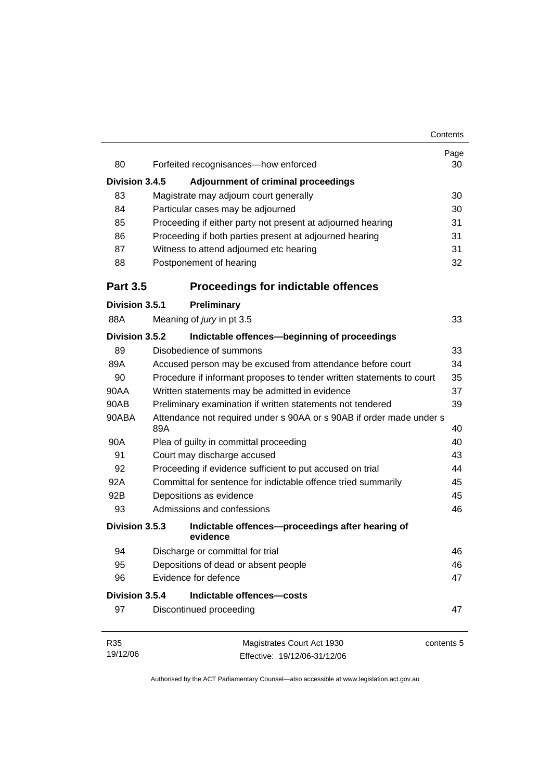|                 |                                                                             | Contents   |
|-----------------|-----------------------------------------------------------------------------|------------|
| 80              | Forfeited recognisances-how enforced                                        | Page<br>30 |
|                 |                                                                             |            |
| Division 3.4.5  | <b>Adjournment of criminal proceedings</b>                                  |            |
| 83              | Magistrate may adjourn court generally                                      | 30         |
| 84              | Particular cases may be adjourned                                           | 30         |
| 85              | Proceeding if either party not present at adjourned hearing                 | 31         |
| 86              | Proceeding if both parties present at adjourned hearing                     | 31         |
| 87              | Witness to attend adjourned etc hearing                                     | 31         |
| 88              | Postponement of hearing                                                     | 32         |
| <b>Part 3.5</b> | <b>Proceedings for indictable offences</b>                                  |            |
| Division 3.5.1  | <b>Preliminary</b>                                                          |            |
| 88A             | Meaning of jury in pt 3.5                                                   | 33         |
| Division 3.5.2  | Indictable offences-beginning of proceedings                                |            |
| 89              | Disobedience of summons                                                     | 33         |
| 89A             | Accused person may be excused from attendance before court                  | 34         |
| 90              | Procedure if informant proposes to tender written statements to court       | 35         |
| 90AA            | Written statements may be admitted in evidence                              | 37         |
| 90AB            | Preliminary examination if written statements not tendered                  | 39         |
| 90ABA           | Attendance not required under s 90AA or s 90AB if order made under s<br>89A | 40         |
| 90A             | Plea of guilty in committal proceeding                                      | 40         |
| 91              | Court may discharge accused                                                 | 43         |
| 92              | Proceeding if evidence sufficient to put accused on trial                   | 44         |
| 92A             | Committal for sentence for indictable offence tried summarily               | 45         |
| 92B             | Depositions as evidence                                                     | 45         |
| 93              | Admissions and confessions                                                  | 46         |
| Division 3.5.3  | Indictable offences-proceedings after hearing of<br>evidence                |            |
| 94              | Discharge or committal for trial                                            | 46         |
| 95              | Depositions of dead or absent people                                        | 46         |
| 96              | Evidence for defence                                                        | 47         |
| Division 3.5.4  | Indictable offences-costs                                                   |            |
| 97              | Discontinued proceeding                                                     | 47         |
| R35             | Magistrates Court Act 1930                                                  | contents 5 |
| 19/12/06        | Effective: 19/12/06-31/12/06                                                |            |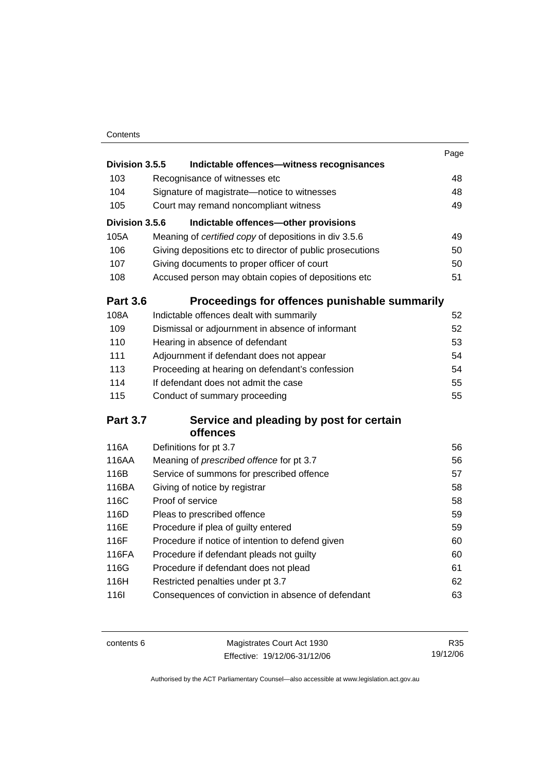### **Contents**

|                 |                                     |                                                           | Page |
|-----------------|-------------------------------------|-----------------------------------------------------------|------|
| Division 3.5.5  |                                     | Indictable offences-witness recognisances                 |      |
| 103             | Recognisance of witnesses etc       |                                                           | 48   |
| 104             |                                     | Signature of magistrate-notice to witnesses               | 48   |
| 105             |                                     | Court may remand noncompliant witness                     | 49   |
| Division 3.5.6  |                                     | Indictable offences-other provisions                      |      |
| 105A            |                                     | Meaning of certified copy of depositions in div 3.5.6     | 49   |
| 106             |                                     | Giving depositions etc to director of public prosecutions | 50   |
| 107             |                                     | Giving documents to proper officer of court               | 50   |
| 108             |                                     | Accused person may obtain copies of depositions etc       | 51   |
| <b>Part 3.6</b> |                                     | Proceedings for offences punishable summarily             |      |
| 108A            |                                     | Indictable offences dealt with summarily                  | 52   |
| 109             |                                     | Dismissal or adjournment in absence of informant          | 52   |
| 110             | Hearing in absence of defendant     |                                                           | 53   |
| 111             |                                     | Adjournment if defendant does not appear                  | 54   |
| 113             |                                     | Proceeding at hearing on defendant's confession           | 54   |
| 114             |                                     | If defendant does not admit the case                      | 55   |
| 115             | Conduct of summary proceeding       |                                                           | 55   |
| <b>Part 3.7</b> |                                     | Service and pleading by post for certain                  |      |
|                 | offences                            |                                                           |      |
| 116A            | Definitions for pt 3.7              |                                                           | 56   |
| 116AA           |                                     | Meaning of prescribed offence for pt 3.7                  | 56   |
| 116B            |                                     | Service of summons for prescribed offence                 | 57   |
| 116BA           | Giving of notice by registrar       |                                                           | 58   |
| 116C            | Proof of service                    |                                                           | 58   |
| 116D            | Pleas to prescribed offence         |                                                           | 59   |
| 116E            | Procedure if plea of guilty entered |                                                           | 59   |
| 116F            |                                     | Procedure if notice of intention to defend given          | 60   |
| 116FA           |                                     | Procedure if defendant pleads not guilty                  | 60   |
| 116G            |                                     | Procedure if defendant does not plead                     | 61   |
| 116H            | Restricted penalties under pt 3.7   |                                                           | 62   |
| <b>116l</b>     |                                     | Consequences of conviction in absence of defendant        | 63   |
|                 |                                     |                                                           |      |

| contents 6 | Magistrates Court Act 1930   | R35      |
|------------|------------------------------|----------|
|            | Effective: 19/12/06-31/12/06 | 19/12/06 |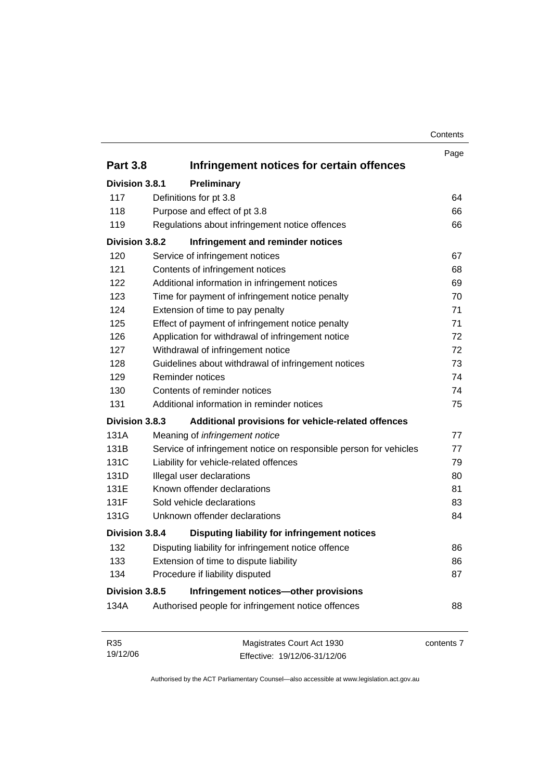| Contents |
|----------|
|----------|

|                 |                                                                   | Page       |
|-----------------|-------------------------------------------------------------------|------------|
| <b>Part 3.8</b> | Infringement notices for certain offences                         |            |
| Division 3.8.1  | Preliminary                                                       |            |
| 117             | Definitions for pt 3.8                                            | 64         |
| 118             | Purpose and effect of pt 3.8                                      | 66         |
| 119             | Regulations about infringement notice offences                    | 66         |
| Division 3.8.2  | Infringement and reminder notices                                 |            |
| 120             | Service of infringement notices                                   | 67         |
| 121             | Contents of infringement notices                                  | 68         |
| 122             | Additional information in infringement notices                    | 69         |
| 123             | Time for payment of infringement notice penalty                   | 70         |
| 124             | Extension of time to pay penalty                                  | 71         |
| 125             | Effect of payment of infringement notice penalty                  | 71         |
| 126             | Application for withdrawal of infringement notice                 | 72         |
| 127             | Withdrawal of infringement notice                                 | 72         |
| 128             | Guidelines about withdrawal of infringement notices               | 73         |
| 129             | Reminder notices                                                  | 74         |
| 130             | Contents of reminder notices                                      | 74         |
| 131             | Additional information in reminder notices                        | 75         |
| Division 3.8.3  | Additional provisions for vehicle-related offences                |            |
| 131A            | Meaning of infringement notice                                    | 77         |
| 131B            | Service of infringement notice on responsible person for vehicles | 77         |
| 131C            | Liability for vehicle-related offences                            | 79         |
| 131D            | Illegal user declarations                                         | 80         |
| 131E            | Known offender declarations                                       | 81         |
| 131F            | Sold vehicle declarations                                         | 83         |
| 131G            | Unknown offender declarations                                     | 84         |
| Division 3.8.4  | Disputing liability for infringement notices                      |            |
| 132             | Disputing liability for infringement notice offence               | 86         |
| 133             | Extension of time to dispute liability                            | 86         |
| 134             | Procedure if liability disputed                                   | 87         |
| Division 3.8.5  | Infringement notices-other provisions                             |            |
| 134A            | Authorised people for infringement notice offences                | 88         |
| R35             | Magistrates Court Act 1930                                        | contents 7 |
| 19/12/06        | Effective: 19/12/06-31/12/06                                      |            |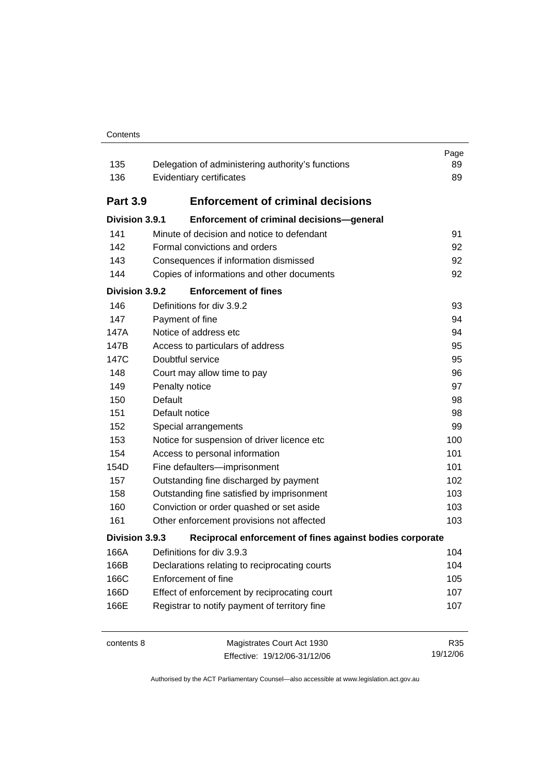#### **Contents**

| 135<br>136      | Delegation of administering authority's functions<br>Evidentiary certificates | Page<br>89<br>89 |
|-----------------|-------------------------------------------------------------------------------|------------------|
| <b>Part 3.9</b> | <b>Enforcement of criminal decisions</b>                                      |                  |
| Division 3.9.1  | Enforcement of criminal decisions-general                                     |                  |
| 141             | Minute of decision and notice to defendant                                    | 91               |
| 142             | Formal convictions and orders                                                 | 92               |
| 143             | Consequences if information dismissed                                         | 92               |
| 144             | Copies of informations and other documents                                    | 92               |
| Division 3.9.2  | <b>Enforcement of fines</b>                                                   |                  |
| 146             | Definitions for div 3.9.2                                                     | 93               |
| 147             | Payment of fine                                                               | 94               |
| 147A            | Notice of address etc                                                         | 94               |
| 147B            | Access to particulars of address                                              | 95               |
| 147C            | Doubtful service                                                              | 95               |
| 148             | Court may allow time to pay                                                   | 96               |
| 149             | Penalty notice                                                                | 97               |
| 150             | Default                                                                       | 98               |
| 151             | Default notice                                                                | 98               |
| 152             | Special arrangements                                                          | 99               |
| 153             | Notice for suspension of driver licence etc                                   | 100              |
| 154             | Access to personal information                                                | 101              |
| 154D            | Fine defaulters-imprisonment                                                  | 101              |
| 157             | Outstanding fine discharged by payment                                        | 102              |
| 158             | Outstanding fine satisfied by imprisonment                                    | 103              |
| 160             | Conviction or order quashed or set aside                                      | 103              |
| 161             | Other enforcement provisions not affected                                     | 103              |
| Division 3.9.3  | Reciprocal enforcement of fines against bodies corporate                      |                  |
| 166A            | Definitions for div 3.9.3                                                     | 104              |
| 166B            | Declarations relating to reciprocating courts                                 | 104              |
| 166C            | Enforcement of fine                                                           | 105              |
| 166D            | Effect of enforcement by reciprocating court                                  | 107              |
| 166E            | Registrar to notify payment of territory fine                                 | 107              |
| contents 8      | Magistrates Court Act 1930<br>Effective: 19/12/06-31/12/06                    | R35<br>19/12/06  |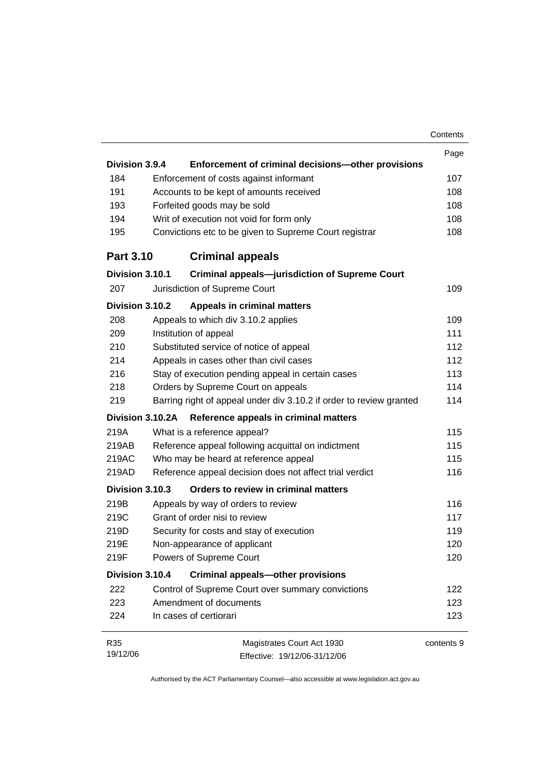|                  |                                                                     | Contents   |
|------------------|---------------------------------------------------------------------|------------|
|                  |                                                                     | Page       |
| Division 3.9.4   | Enforcement of criminal decisions-other provisions                  |            |
| 184              | Enforcement of costs against informant                              | 107        |
| 191              | Accounts to be kept of amounts received                             | 108        |
| 193              | Forfeited goods may be sold                                         | 108        |
| 194              | Writ of execution not void for form only                            | 108        |
| 195              | Convictions etc to be given to Supreme Court registrar              | 108        |
| <b>Part 3.10</b> | <b>Criminal appeals</b>                                             |            |
| Division 3.10.1  | <b>Criminal appeals-jurisdiction of Supreme Court</b>               |            |
| 207              | Jurisdiction of Supreme Court                                       | 109        |
| Division 3.10.2  | <b>Appeals in criminal matters</b>                                  |            |
| 208              | Appeals to which div 3.10.2 applies                                 | 109        |
| 209              | Institution of appeal                                               | 111        |
| 210              | Substituted service of notice of appeal                             | 112        |
| 214              | Appeals in cases other than civil cases                             | 112        |
| 216              | Stay of execution pending appeal in certain cases                   | 113        |
| 218              | Orders by Supreme Court on appeals                                  | 114        |
| 219              | Barring right of appeal under div 3.10.2 if order to review granted | 114        |
| Division 3.10.2A | Reference appeals in criminal matters                               |            |
| 219A             | What is a reference appeal?                                         | 115        |
| 219AB            | Reference appeal following acquittal on indictment                  | 115        |
| 219AC            | Who may be heard at reference appeal                                | 115        |
| 219AD            | Reference appeal decision does not affect trial verdict             | 116        |
| Division 3.10.3  | Orders to review in criminal matters                                |            |
| 219B             | Appeals by way of orders to review                                  | 116        |
| 219C             | Grant of order nisi to review                                       | 117        |
| 219D             | Security for costs and stay of execution                            | 119        |
| 219E             | Non-appearance of applicant                                         | 120        |
| 219F             | Powers of Supreme Court                                             | 120        |
| Division 3.10.4  | <b>Criminal appeals-other provisions</b>                            |            |
| 222              | Control of Supreme Court over summary convictions                   | 122        |
| 223              | Amendment of documents                                              | 123        |
| 224              | In cases of certiorari                                              | 123        |
| R35              | Magistrates Court Act 1930                                          | contents 9 |
| 19/12/06         | Effective: 19/12/06-31/12/06                                        |            |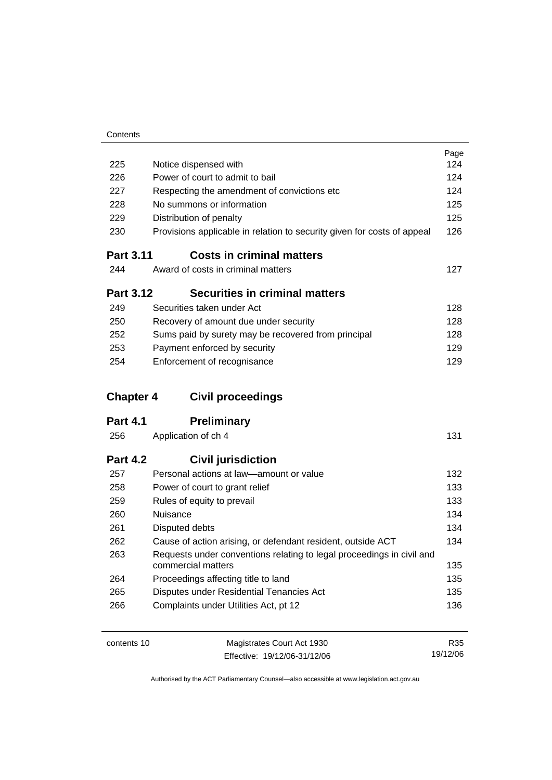|                  |                                                                                             | Page |
|------------------|---------------------------------------------------------------------------------------------|------|
| 225              | Notice dispensed with                                                                       | 124  |
| 226              | Power of court to admit to bail                                                             | 124  |
| 227              | Respecting the amendment of convictions etc                                                 | 124  |
| 228              | No summons or information                                                                   | 125  |
| 229              | Distribution of penalty                                                                     | 125  |
| 230              | Provisions applicable in relation to security given for costs of appeal                     | 126  |
| <b>Part 3.11</b> | <b>Costs in criminal matters</b>                                                            |      |
| 244              | Award of costs in criminal matters                                                          | 127  |
| <b>Part 3.12</b> | <b>Securities in criminal matters</b>                                                       |      |
| 249              | Securities taken under Act                                                                  | 128  |
| 250              | Recovery of amount due under security                                                       | 128  |
| 252              | Sums paid by surety may be recovered from principal                                         | 128  |
| 253              | Payment enforced by security                                                                | 129  |
| 254              | Enforcement of recognisance                                                                 | 129  |
|                  |                                                                                             |      |
| <b>Chapter 4</b> | <b>Civil proceedings</b>                                                                    |      |
| <b>Part 4.1</b>  | <b>Preliminary</b>                                                                          |      |
| 256              | Application of ch 4                                                                         | 131  |
| <b>Part 4.2</b>  | <b>Civil jurisdiction</b>                                                                   |      |
| 257              | Personal actions at law-amount or value                                                     | 132  |
| 258              | Power of court to grant relief                                                              | 133  |
| 259              | Rules of equity to prevail                                                                  | 133  |
| 260              | Nuisance                                                                                    | 134  |
| 261              | Disputed debts                                                                              | 134  |
| 262              | Cause of action arising, or defendant resident, outside ACT                                 | 134  |
| 263              | Requests under conventions relating to legal proceedings in civil and<br>commercial matters | 135  |
| 264              | Proceedings affecting title to land                                                         | 135  |
| 265              | Disputes under Residential Tenancies Act                                                    | 135  |
| 266              | Complaints under Utilities Act, pt 12                                                       | 136  |

contents 10 Magistrates Court Act 1930 Effective: 19/12/06-31/12/06

R35 19/12/06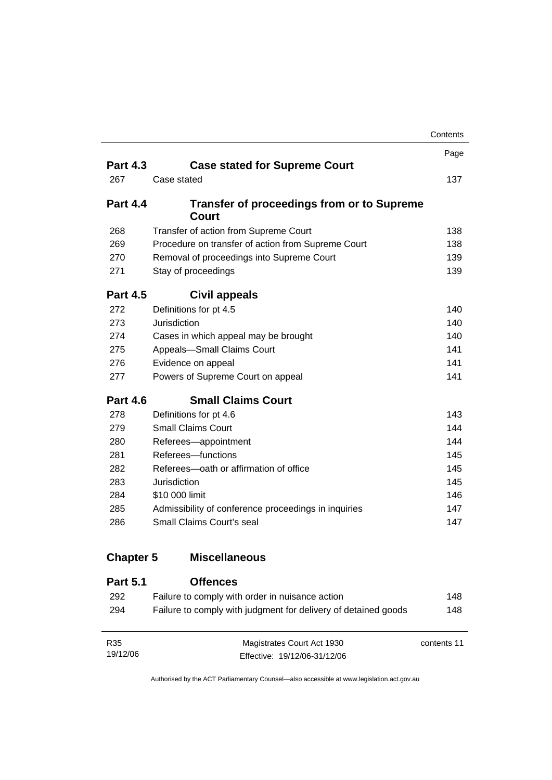|                  |                                                                | Contents |
|------------------|----------------------------------------------------------------|----------|
|                  |                                                                | Page     |
| <b>Part 4.3</b>  | <b>Case stated for Supreme Court</b>                           |          |
| 267              | Case stated                                                    | 137      |
| <b>Part 4.4</b>  | <b>Transfer of proceedings from or to Supreme</b><br>Court     |          |
| 268              | Transfer of action from Supreme Court                          | 138      |
| 269              | Procedure on transfer of action from Supreme Court             | 138      |
| 270              | Removal of proceedings into Supreme Court                      | 139      |
| 271              | Stay of proceedings                                            | 139      |
| <b>Part 4.5</b>  | Civil appeals                                                  |          |
| 272              | Definitions for pt 4.5                                         | 140      |
| 273              | Jurisdiction                                                   | 140      |
| 274              | Cases in which appeal may be brought                           | 140      |
| 275              | Appeals-Small Claims Court                                     | 141      |
| 276              | Evidence on appeal                                             | 141      |
| 277              | Powers of Supreme Court on appeal                              | 141      |
| <b>Part 4.6</b>  | <b>Small Claims Court</b>                                      |          |
| 278              | Definitions for pt 4.6                                         | 143      |
| 279              | <b>Small Claims Court</b>                                      | 144      |
| 280              | Referees-appointment                                           | 144      |
| 281              | Referees-functions                                             | 145      |
| 282              | Referees-oath or affirmation of office                         | 145      |
| 283              | Jurisdiction                                                   | 145      |
| 284              | \$10 000 limit                                                 | 146      |
| 285              | Admissibility of conference proceedings in inquiries           | 147      |
| 286              | Small Claims Court's seal                                      | 147      |
| <b>Chapter 5</b> | <b>Miscellaneous</b>                                           |          |
| <b>Part 5.1</b>  | <b>Offences</b>                                                |          |
| 292              | Failure to comply with order in nuisance action                | 148      |
| 294              | Failure to comply with judgment for delivery of detained goods | 148      |

| R35      | Magistrates Court Act 1930   | contents 11 |
|----------|------------------------------|-------------|
| 19/12/06 | Effective: 19/12/06-31/12/06 |             |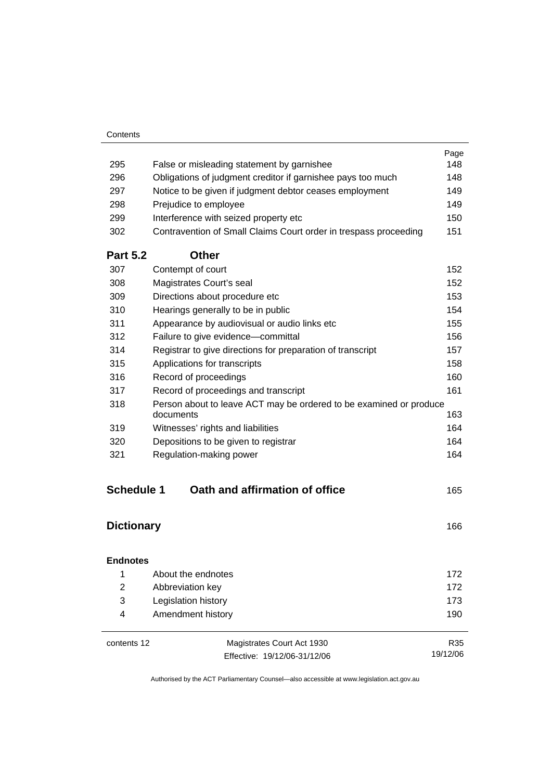| Contents |
|----------|
|----------|

|                   |                                                                                 | Page |
|-------------------|---------------------------------------------------------------------------------|------|
| 295               | False or misleading statement by garnishee                                      | 148  |
| 296               | Obligations of judgment creditor if garnishee pays too much                     | 148  |
| 297               | Notice to be given if judgment debtor ceases employment                         | 149  |
| 298               | Prejudice to employee                                                           | 149  |
| 299               | Interference with seized property etc                                           | 150  |
| 302               | Contravention of Small Claims Court order in trespass proceeding                | 151  |
| <b>Part 5.2</b>   | <b>Other</b>                                                                    |      |
| 307               | Contempt of court                                                               | 152  |
| 308               | Magistrates Court's seal                                                        | 152  |
| 309               | Directions about procedure etc                                                  | 153  |
| 310               | Hearings generally to be in public                                              | 154  |
| 311               | Appearance by audiovisual or audio links etc                                    | 155  |
| 312               | Failure to give evidence-committal                                              | 156  |
| 314               | Registrar to give directions for preparation of transcript                      | 157  |
| 315               | Applications for transcripts                                                    | 158  |
| 316               | Record of proceedings                                                           | 160  |
| 317               | Record of proceedings and transcript                                            | 161  |
| 318               | Person about to leave ACT may be ordered to be examined or produce<br>documents | 163  |
| 319               | Witnesses' rights and liabilities                                               | 164  |
| 320               | Depositions to be given to registrar                                            | 164  |
| 321               | Regulation-making power                                                         | 164  |
| <b>Schedule 1</b> | Oath and affirmation of office                                                  | 165  |
| <b>Dictionary</b> |                                                                                 | 166  |
| <b>Endnotes</b>   |                                                                                 |      |
| 1                 | About the endnotes                                                              | 172  |
| $\overline{c}$    | Abbreviation key                                                                | 172  |
| 3                 | Legislation history                                                             | 173  |

| contents 12 | Magistrates Court Act 1930   | R35      |
|-------------|------------------------------|----------|
|             | Effective: 19/12/06-31/12/06 | 19/12/06 |

4 Amendment history 190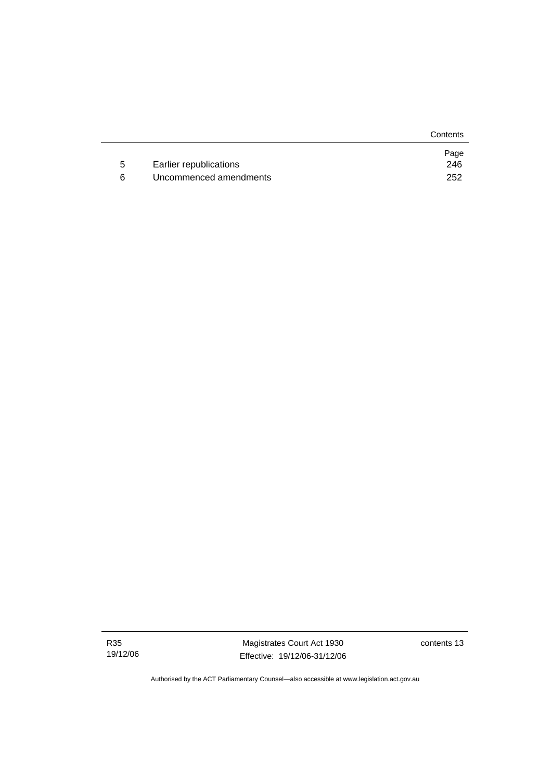**Contents** 

|                        | Page |
|------------------------|------|
| Earlier republications | 246  |
| Uncommenced amendments | 252  |

contents 13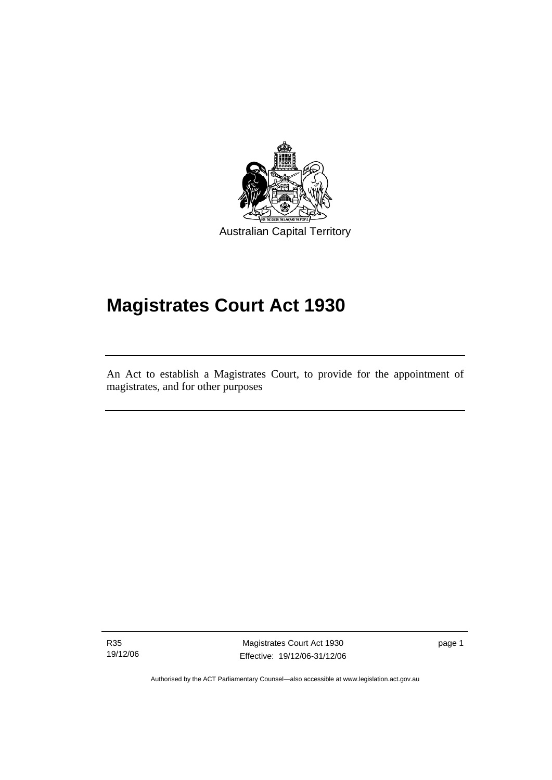

Australian Capital Territory

# **Magistrates Court Act 1930**

An Act to establish a Magistrates Court, to provide for the appointment of magistrates, and for other purposes

R35 19/12/06

l

Magistrates Court Act 1930 Effective: 19/12/06-31/12/06 page 1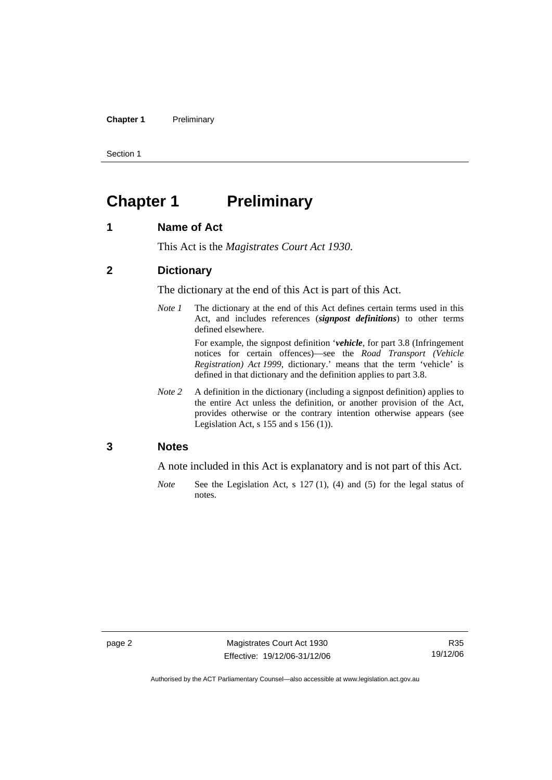#### **Chapter 1** Preliminary

Section 1

## **Chapter 1 Preliminary**

#### **1 Name of Act**

This Act is the *Magistrates Court Act 1930*.

#### **2 Dictionary**

The dictionary at the end of this Act is part of this Act.

*Note 1* The dictionary at the end of this Act defines certain terms used in this Act, and includes references (*signpost definitions*) to other terms defined elsewhere.

> For example, the signpost definition '*vehicle*, for part 3.8 (Infringement notices for certain offences)—see the *Road Transport (Vehicle Registration) Act 1999*, dictionary.' means that the term 'vehicle' is defined in that dictionary and the definition applies to part 3.8.

*Note* 2 A definition in the dictionary (including a signpost definition) applies to the entire Act unless the definition, or another provision of the Act, provides otherwise or the contrary intention otherwise appears (see Legislation Act,  $s$  155 and  $s$  156 (1)).

#### **3 Notes**

A note included in this Act is explanatory and is not part of this Act.

*Note* See the Legislation Act, s 127 (1), (4) and (5) for the legal status of notes.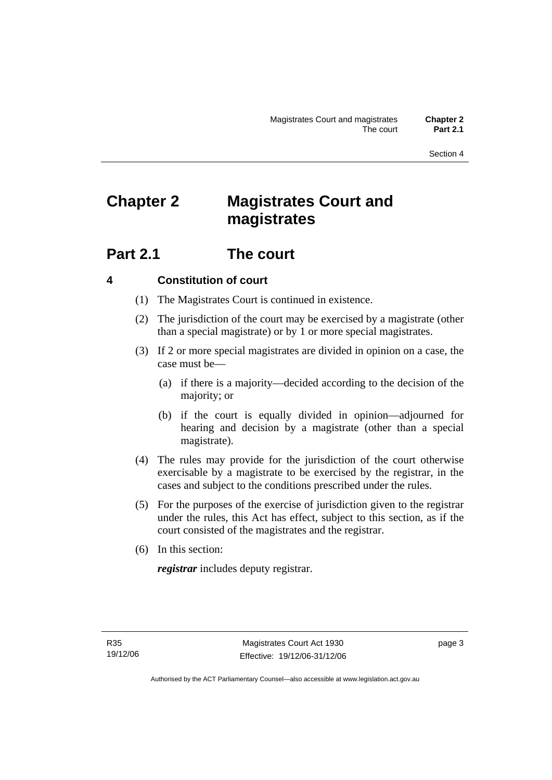Section 4

## **Chapter 2 Magistrates Court and magistrates**

## **Part 2.1 The court**

## **4 Constitution of court**

- (1) The Magistrates Court is continued in existence.
- (2) The jurisdiction of the court may be exercised by a magistrate (other than a special magistrate) or by 1 or more special magistrates.
- (3) If 2 or more special magistrates are divided in opinion on a case, the case must be—
	- (a) if there is a majority—decided according to the decision of the majority; or
	- (b) if the court is equally divided in opinion—adjourned for hearing and decision by a magistrate (other than a special magistrate).
- (4) The rules may provide for the jurisdiction of the court otherwise exercisable by a magistrate to be exercised by the registrar, in the cases and subject to the conditions prescribed under the rules.
- (5) For the purposes of the exercise of jurisdiction given to the registrar under the rules, this Act has effect, subject to this section, as if the court consisted of the magistrates and the registrar.
- (6) In this section:

*registrar* includes deputy registrar.

page 3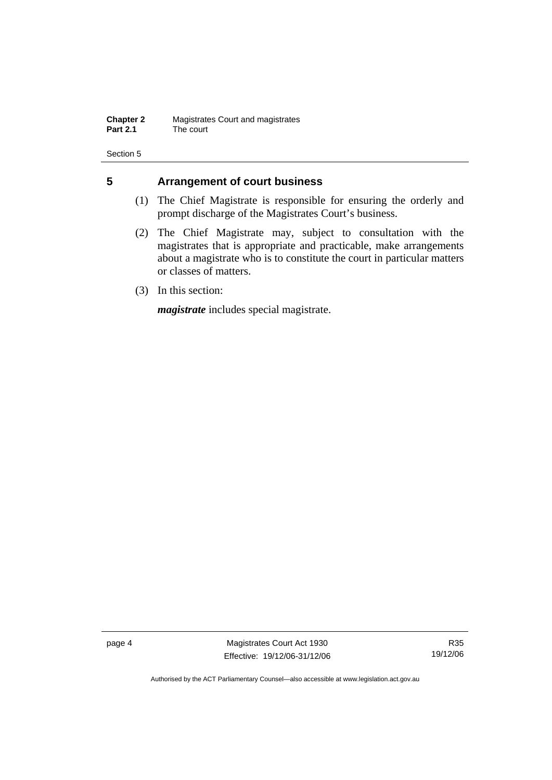**Chapter 2** Magistrates Court and magistrates<br>**Part 2.1** The court The court

Section 5

## **5 Arrangement of court business**

- (1) The Chief Magistrate is responsible for ensuring the orderly and prompt discharge of the Magistrates Court's business.
- (2) The Chief Magistrate may, subject to consultation with the magistrates that is appropriate and practicable, make arrangements about a magistrate who is to constitute the court in particular matters or classes of matters.
- (3) In this section:

*magistrate* includes special magistrate.

page 4 Magistrates Court Act 1930 Effective: 19/12/06-31/12/06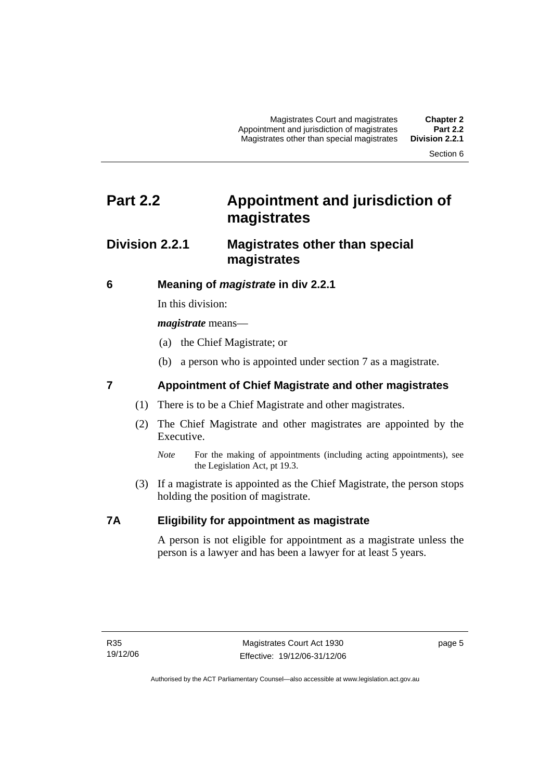Magistrates Court and magistrates **Chapter 2**  Appointment and jurisdiction of magistrates **Part 2.2**  Magistrates other than special magistrates

Section 6

## **Part 2.2 Appointment and jurisdiction of magistrates**

## **Division 2.2.1 Magistrates other than special magistrates**

## **6 Meaning of** *magistrate* **in div 2.2.1**

In this division:

*magistrate* means—

- (a) the Chief Magistrate; or
- (b) a person who is appointed under section 7 as a magistrate.

## **7 Appointment of Chief Magistrate and other magistrates**

- (1) There is to be a Chief Magistrate and other magistrates.
- (2) The Chief Magistrate and other magistrates are appointed by the Executive.
	- *Note* For the making of appointments (including acting appointments), see the Legislation Act, pt 19.3.
- (3) If a magistrate is appointed as the Chief Magistrate, the person stops holding the position of magistrate.

## **7A Eligibility for appointment as magistrate**

A person is not eligible for appointment as a magistrate unless the person is a lawyer and has been a lawyer for at least 5 years.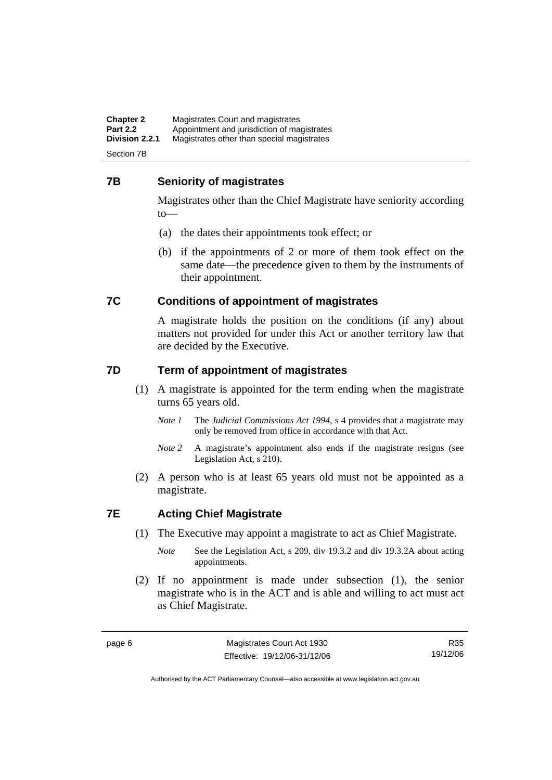**Chapter 2** Magistrates Court and magistrates<br>**Part 2.2** Appointment and jurisdiction of magi **Part 2.2** Appointment and jurisdiction of magistrates<br>**Division 2.2.1** Magistrates other than special magistrates **Division 2.2.1** Magistrates other than special magistrates

Section 7B

### **7B Seniority of magistrates**

Magistrates other than the Chief Magistrate have seniority according to—

- (a) the dates their appointments took effect; or
- (b) if the appointments of 2 or more of them took effect on the same date—the precedence given to them by the instruments of their appointment.

## **7C Conditions of appointment of magistrates**

A magistrate holds the position on the conditions (if any) about matters not provided for under this Act or another territory law that are decided by the Executive.

### **7D Term of appointment of magistrates**

- (1) A magistrate is appointed for the term ending when the magistrate turns 65 years old.
	- *Note 1* The *Judicial Commissions Act 1994*, s 4 provides that a magistrate may only be removed from office in accordance with that Act.
	- *Note 2* A magistrate's appointment also ends if the magistrate resigns (see Legislation Act, s 210).
- (2) A person who is at least 65 years old must not be appointed as a magistrate.

## **7E Acting Chief Magistrate**

- (1) The Executive may appoint a magistrate to act as Chief Magistrate.
	- *Note* See the Legislation Act, s 209, div 19.3.2 and div 19.3.2A about acting appointments.
- (2) If no appointment is made under subsection (1), the senior magistrate who is in the ACT and is able and willing to act must act as Chief Magistrate.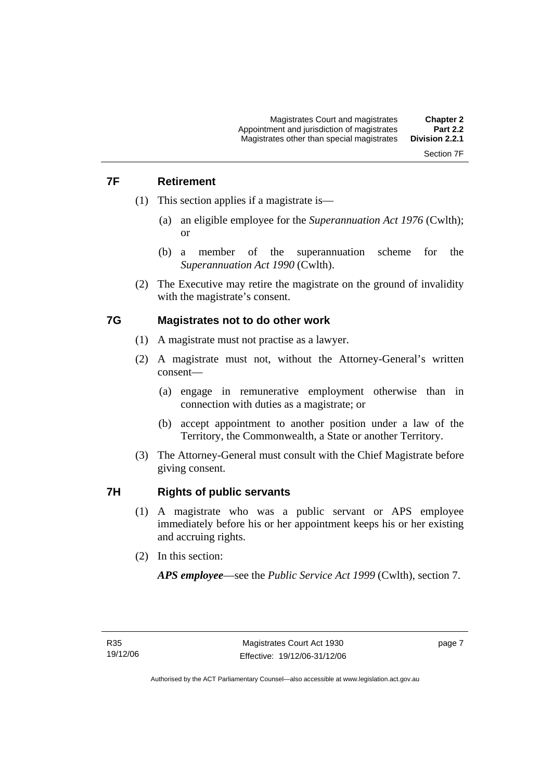## Section 7F

## **7F Retirement**

- (1) This section applies if a magistrate is—
	- (a) an eligible employee for the *Superannuation Act 1976* (Cwlth); or
	- (b) a member of the superannuation scheme for the *Superannuation Act 1990* (Cwlth).
- (2) The Executive may retire the magistrate on the ground of invalidity with the magistrate's consent.

### **7G Magistrates not to do other work**

- (1) A magistrate must not practise as a lawyer.
- (2) A magistrate must not, without the Attorney-General's written consent—
	- (a) engage in remunerative employment otherwise than in connection with duties as a magistrate; or
	- (b) accept appointment to another position under a law of the Territory, the Commonwealth, a State or another Territory.
- (3) The Attorney-General must consult with the Chief Magistrate before giving consent.

### **7H Rights of public servants**

- (1) A magistrate who was a public servant or APS employee immediately before his or her appointment keeps his or her existing and accruing rights.
- (2) In this section:

*APS employee*—see the *Public Service Act 1999* (Cwlth), section 7.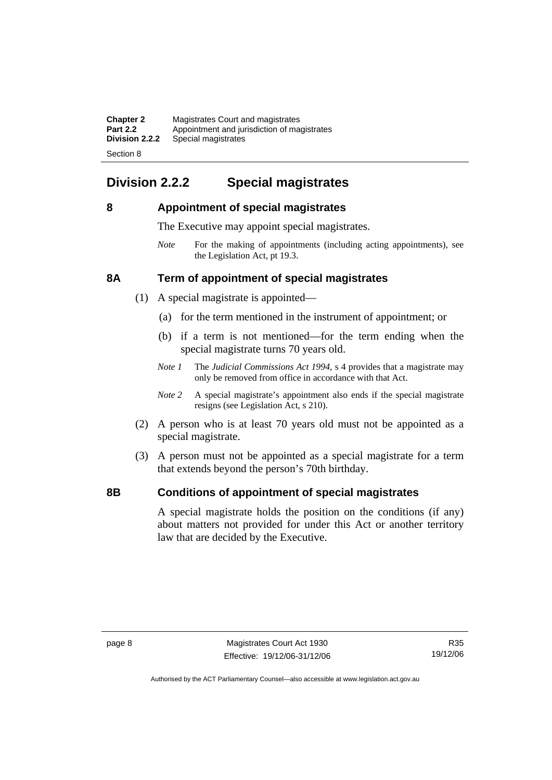| <b>Chapter 2</b> | Magistrates Court and magistrates           |
|------------------|---------------------------------------------|
| <b>Part 2.2</b>  | Appointment and jurisdiction of magistrates |
| Division 2.2.2   | Special magistrates                         |
|                  |                                             |

Section 8

## **Division 2.2.2 Special magistrates**

## **8 Appointment of special magistrates**

The Executive may appoint special magistrates.

*Note* For the making of appointments (including acting appointments), see the Legislation Act, pt 19.3.

## **8A Term of appointment of special magistrates**

- (1) A special magistrate is appointed—
	- (a) for the term mentioned in the instrument of appointment; or
	- (b) if a term is not mentioned—for the term ending when the special magistrate turns 70 years old.
	- *Note 1* The *Judicial Commissions Act 1994*, s 4 provides that a magistrate may only be removed from office in accordance with that Act.
	- *Note* 2 A special magistrate's appointment also ends if the special magistrate resigns (see Legislation Act, s 210).
- (2) A person who is at least 70 years old must not be appointed as a special magistrate.
- (3) A person must not be appointed as a special magistrate for a term that extends beyond the person's 70th birthday.

## **8B Conditions of appointment of special magistrates**

A special magistrate holds the position on the conditions (if any) about matters not provided for under this Act or another territory law that are decided by the Executive.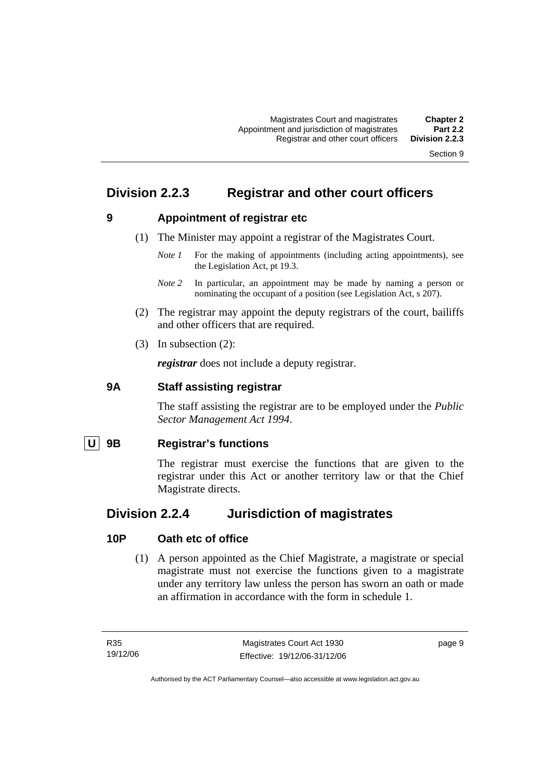Section 9

## **Division 2.2.3 Registrar and other court officers**

## **9 Appointment of registrar etc**

- (1) The Minister may appoint a registrar of the Magistrates Court.
	- *Note 1* For the making of appointments (including acting appointments), see the Legislation Act, pt 19.3.
	- *Note* 2 In particular, an appointment may be made by naming a person or nominating the occupant of a position (see Legislation Act, s 207).
- (2) The registrar may appoint the deputy registrars of the court, bailiffs and other officers that are required.
- (3) In subsection (2):

*registrar* does not include a deputy registrar.

#### **9A Staff assisting registrar**

The staff assisting the registrar are to be employed under the *Public Sector Management Act 1994*.

## **U 9B Registrar's functions**

The registrar must exercise the functions that are given to the registrar under this Act or another territory law or that the Chief Magistrate directs.

## **Division 2.2.4 Jurisdiction of magistrates**

### **10P Oath etc of office**

 (1) A person appointed as the Chief Magistrate, a magistrate or special magistrate must not exercise the functions given to a magistrate under any territory law unless the person has sworn an oath or made an affirmation in accordance with the form in schedule 1.

page 9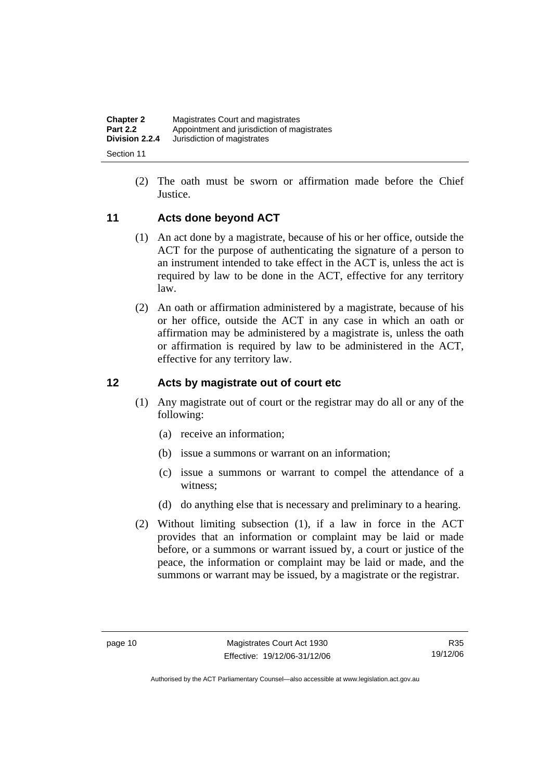| <b>Chapter 2</b> | Magistrates Court and magistrates           |
|------------------|---------------------------------------------|
| <b>Part 2.2</b>  | Appointment and jurisdiction of magistrates |
| Division 2.2.4   | Jurisdiction of magistrates                 |
| Section 11       |                                             |

 (2) The oath must be sworn or affirmation made before the Chief Justice.

### **11 Acts done beyond ACT**

- (1) An act done by a magistrate, because of his or her office, outside the ACT for the purpose of authenticating the signature of a person to an instrument intended to take effect in the ACT is, unless the act is required by law to be done in the ACT, effective for any territory law.
- (2) An oath or affirmation administered by a magistrate, because of his or her office, outside the ACT in any case in which an oath or affirmation may be administered by a magistrate is, unless the oath or affirmation is required by law to be administered in the ACT, effective for any territory law.

### **12 Acts by magistrate out of court etc**

- (1) Any magistrate out of court or the registrar may do all or any of the following:
	- (a) receive an information;
	- (b) issue a summons or warrant on an information;
	- (c) issue a summons or warrant to compel the attendance of a witness;
	- (d) do anything else that is necessary and preliminary to a hearing.
- (2) Without limiting subsection (1), if a law in force in the ACT provides that an information or complaint may be laid or made before, or a summons or warrant issued by, a court or justice of the peace, the information or complaint may be laid or made, and the summons or warrant may be issued, by a magistrate or the registrar.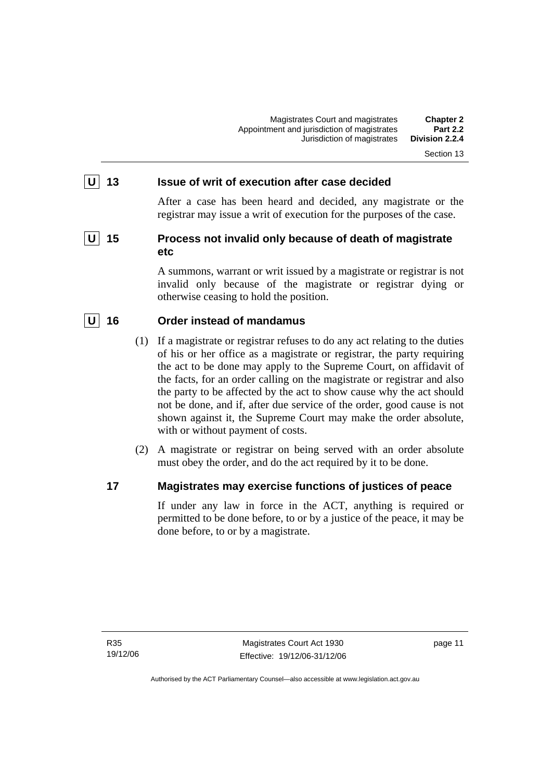#### Section 13

#### **U** 13 **ISSUE OF Writ of execution after case decided**

After a case has been heard and decided, any magistrate or the registrar may issue a writ of execution for the purposes of the case.

## **U** 15 Process not invalid only because of death of magistrate **etc**

A summons, warrant or writ issued by a magistrate or registrar is not invalid only because of the magistrate or registrar dying or otherwise ceasing to hold the position.

### **U 16 Order instead of mandamus**

- (1) If a magistrate or registrar refuses to do any act relating to the duties of his or her office as a magistrate or registrar, the party requiring the act to be done may apply to the Supreme Court, on affidavit of the facts, for an order calling on the magistrate or registrar and also the party to be affected by the act to show cause why the act should not be done, and if, after due service of the order, good cause is not shown against it, the Supreme Court may make the order absolute, with or without payment of costs.
- (2) A magistrate or registrar on being served with an order absolute must obey the order, and do the act required by it to be done.

#### **17 Magistrates may exercise functions of justices of peace**

If under any law in force in the ACT, anything is required or permitted to be done before, to or by a justice of the peace, it may be done before, to or by a magistrate.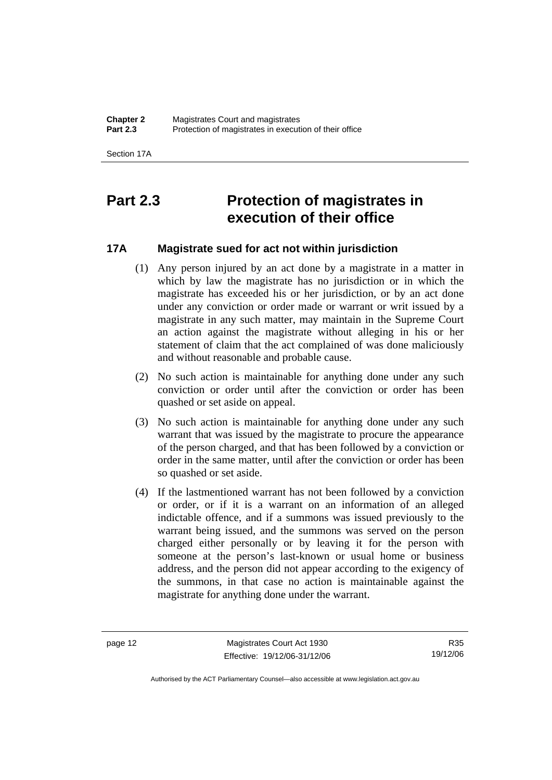Section 17A

## **Part 2.3 Protection of magistrates in execution of their office**

## **17A Magistrate sued for act not within jurisdiction**

- (1) Any person injured by an act done by a magistrate in a matter in which by law the magistrate has no jurisdiction or in which the magistrate has exceeded his or her jurisdiction, or by an act done under any conviction or order made or warrant or writ issued by a magistrate in any such matter, may maintain in the Supreme Court an action against the magistrate without alleging in his or her statement of claim that the act complained of was done maliciously and without reasonable and probable cause.
- (2) No such action is maintainable for anything done under any such conviction or order until after the conviction or order has been quashed or set aside on appeal.
- (3) No such action is maintainable for anything done under any such warrant that was issued by the magistrate to procure the appearance of the person charged, and that has been followed by a conviction or order in the same matter, until after the conviction or order has been so quashed or set aside.
- (4) If the lastmentioned warrant has not been followed by a conviction or order, or if it is a warrant on an information of an alleged indictable offence, and if a summons was issued previously to the warrant being issued, and the summons was served on the person charged either personally or by leaving it for the person with someone at the person's last-known or usual home or business address, and the person did not appear according to the exigency of the summons, in that case no action is maintainable against the magistrate for anything done under the warrant.

page 12 Magistrates Court Act 1930 Effective: 19/12/06-31/12/06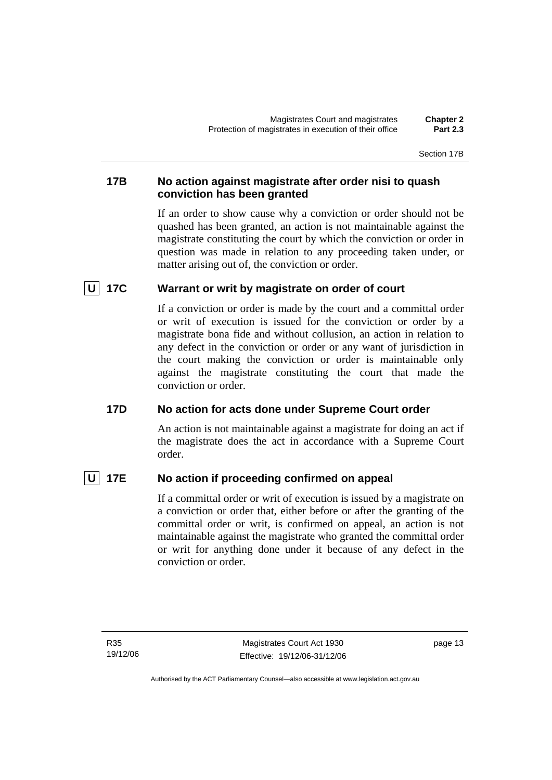## **17B No action against magistrate after order nisi to quash conviction has been granted**

If an order to show cause why a conviction or order should not be quashed has been granted, an action is not maintainable against the magistrate constituting the court by which the conviction or order in question was made in relation to any proceeding taken under, or matter arising out of, the conviction or order.

## **U 17C Warrant or writ by magistrate on order of court**

If a conviction or order is made by the court and a committal order or writ of execution is issued for the conviction or order by a magistrate bona fide and without collusion, an action in relation to any defect in the conviction or order or any want of jurisdiction in the court making the conviction or order is maintainable only against the magistrate constituting the court that made the conviction or order.

## **17D No action for acts done under Supreme Court order**

An action is not maintainable against a magistrate for doing an act if the magistrate does the act in accordance with a Supreme Court order.

## **U** 17E No action if proceeding confirmed on appeal

If a committal order or writ of execution is issued by a magistrate on a conviction or order that, either before or after the granting of the committal order or writ, is confirmed on appeal, an action is not maintainable against the magistrate who granted the committal order or writ for anything done under it because of any defect in the conviction or order.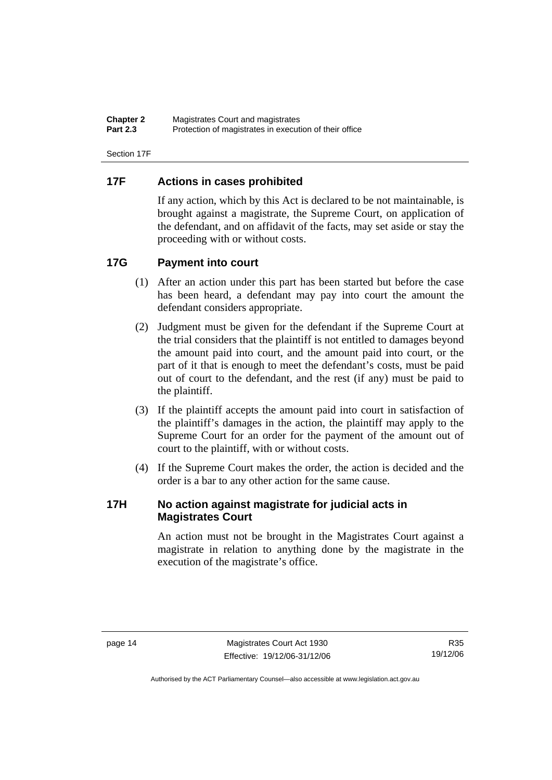| <b>Chapter 2</b> | Magistrates Court and magistrates                      |
|------------------|--------------------------------------------------------|
| <b>Part 2.3</b>  | Protection of magistrates in execution of their office |

Section 17F

### **17F Actions in cases prohibited**

If any action, which by this Act is declared to be not maintainable, is brought against a magistrate, the Supreme Court, on application of the defendant, and on affidavit of the facts, may set aside or stay the proceeding with or without costs.

### **17G Payment into court**

- (1) After an action under this part has been started but before the case has been heard, a defendant may pay into court the amount the defendant considers appropriate.
- (2) Judgment must be given for the defendant if the Supreme Court at the trial considers that the plaintiff is not entitled to damages beyond the amount paid into court, and the amount paid into court, or the part of it that is enough to meet the defendant's costs, must be paid out of court to the defendant, and the rest (if any) must be paid to the plaintiff.
- (3) If the plaintiff accepts the amount paid into court in satisfaction of the plaintiff's damages in the action, the plaintiff may apply to the Supreme Court for an order for the payment of the amount out of court to the plaintiff, with or without costs.
- (4) If the Supreme Court makes the order, the action is decided and the order is a bar to any other action for the same cause.

### **17H No action against magistrate for judicial acts in Magistrates Court**

An action must not be brought in the Magistrates Court against a magistrate in relation to anything done by the magistrate in the execution of the magistrate's office.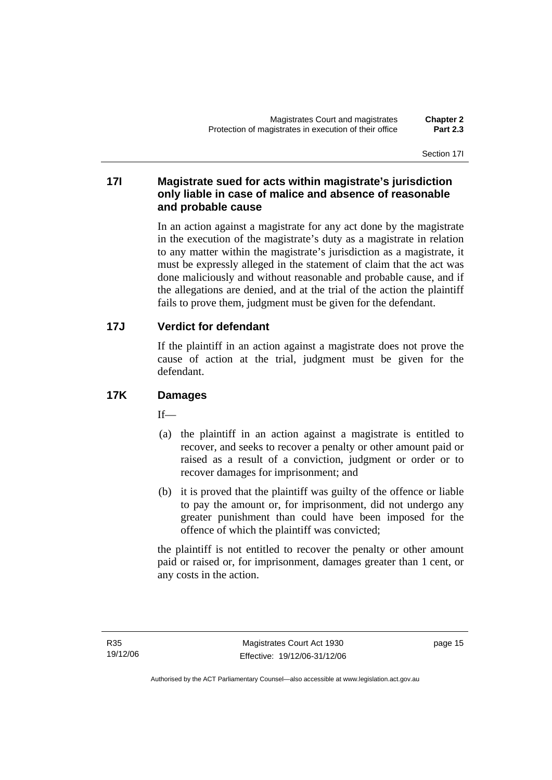### **17I Magistrate sued for acts within magistrate's jurisdiction only liable in case of malice and absence of reasonable and probable cause**

In an action against a magistrate for any act done by the magistrate in the execution of the magistrate's duty as a magistrate in relation to any matter within the magistrate's jurisdiction as a magistrate, it must be expressly alleged in the statement of claim that the act was done maliciously and without reasonable and probable cause, and if the allegations are denied, and at the trial of the action the plaintiff fails to prove them, judgment must be given for the defendant.

## **17J Verdict for defendant**

If the plaintiff in an action against a magistrate does not prove the cause of action at the trial, judgment must be given for the defendant.

## **17K Damages**

 $If$ <sub> $\equiv$ </sub>

- (a) the plaintiff in an action against a magistrate is entitled to recover, and seeks to recover a penalty or other amount paid or raised as a result of a conviction, judgment or order or to recover damages for imprisonment; and
- (b) it is proved that the plaintiff was guilty of the offence or liable to pay the amount or, for imprisonment, did not undergo any greater punishment than could have been imposed for the offence of which the plaintiff was convicted;

the plaintiff is not entitled to recover the penalty or other amount paid or raised or, for imprisonment, damages greater than 1 cent, or any costs in the action.

page 15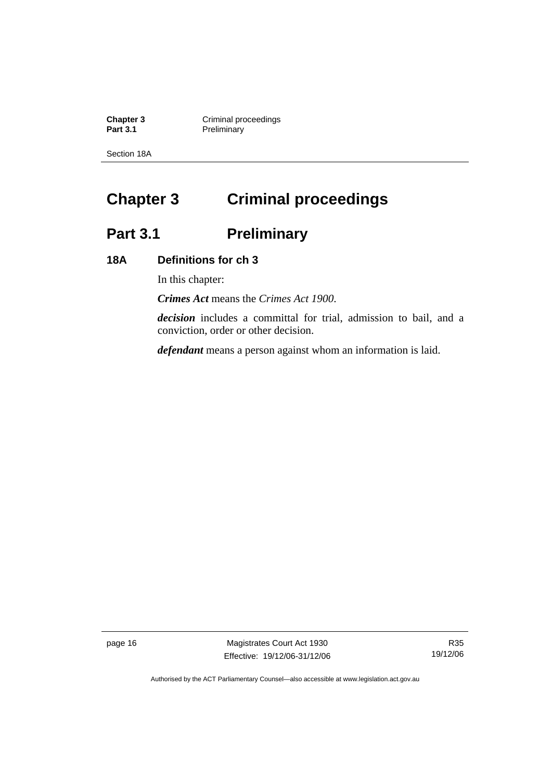**Chapter 3 Criminal proceedings Part 3.1** Preliminary

Section 18A

## **Chapter 3 Criminal proceedings**

## Part 3.1 **Preliminary**

## **18A Definitions for ch 3**

In this chapter:

*Crimes Act* means the *Crimes Act 1900*.

*decision* includes a committal for trial, admission to bail, and a conviction, order or other decision.

*defendant* means a person against whom an information is laid.

page 16 Magistrates Court Act 1930 Effective: 19/12/06-31/12/06

R35 19/12/06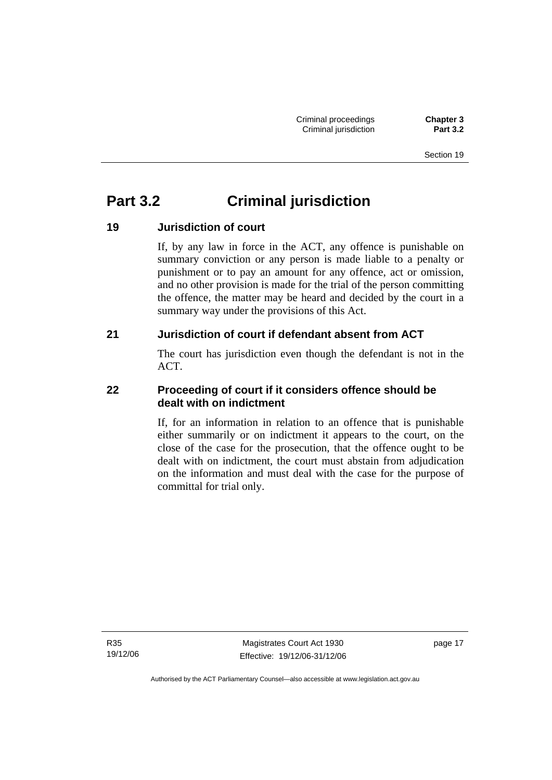Section 19

## **Part 3.2 Criminal jurisdiction**

## **19 Jurisdiction of court**

If, by any law in force in the ACT, any offence is punishable on summary conviction or any person is made liable to a penalty or punishment or to pay an amount for any offence, act or omission, and no other provision is made for the trial of the person committing the offence, the matter may be heard and decided by the court in a summary way under the provisions of this Act.

## **21 Jurisdiction of court if defendant absent from ACT**

The court has jurisdiction even though the defendant is not in the ACT.

## **22 Proceeding of court if it considers offence should be dealt with on indictment**

If, for an information in relation to an offence that is punishable either summarily or on indictment it appears to the court, on the close of the case for the prosecution, that the offence ought to be dealt with on indictment, the court must abstain from adjudication on the information and must deal with the case for the purpose of committal for trial only.

R35 19/12/06

Magistrates Court Act 1930 Effective: 19/12/06-31/12/06 page 17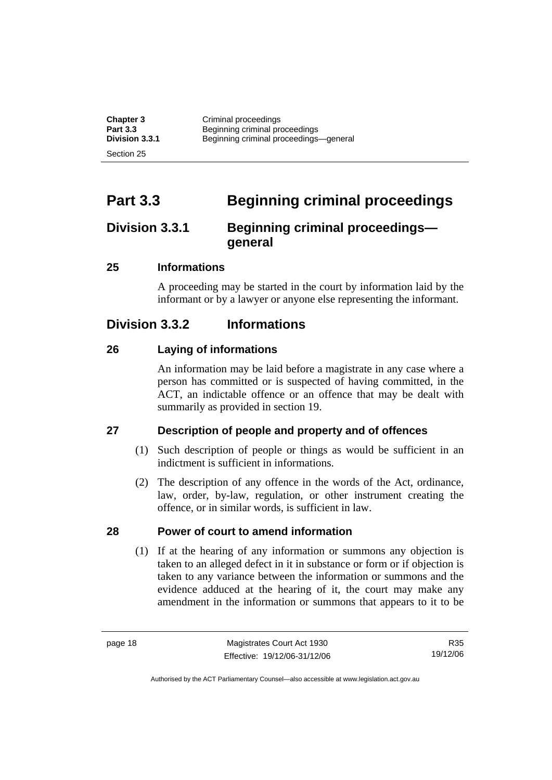| <b>Chapter 3</b> | Criminal proceedings                   |
|------------------|----------------------------------------|
| <b>Part 3.3</b>  | Beginning criminal proceedings         |
| Division 3.3.1   | Beginning criminal proceedings-general |
| Section 25       |                                        |

## **Part 3.3 Beginning criminal proceedings**

## **Division 3.3.1 Beginning criminal proceedings general**

### **25 Informations**

A proceeding may be started in the court by information laid by the informant or by a lawyer or anyone else representing the informant.

## **Division 3.3.2 Informations**

### **26 Laying of informations**

An information may be laid before a magistrate in any case where a person has committed or is suspected of having committed, in the ACT, an indictable offence or an offence that may be dealt with summarily as provided in section 19.

## **27 Description of people and property and of offences**

- (1) Such description of people or things as would be sufficient in an indictment is sufficient in informations.
- (2) The description of any offence in the words of the Act, ordinance, law, order, by-law, regulation, or other instrument creating the offence, or in similar words, is sufficient in law.

### **28 Power of court to amend information**

 (1) If at the hearing of any information or summons any objection is taken to an alleged defect in it in substance or form or if objection is taken to any variance between the information or summons and the evidence adduced at the hearing of it, the court may make any amendment in the information or summons that appears to it to be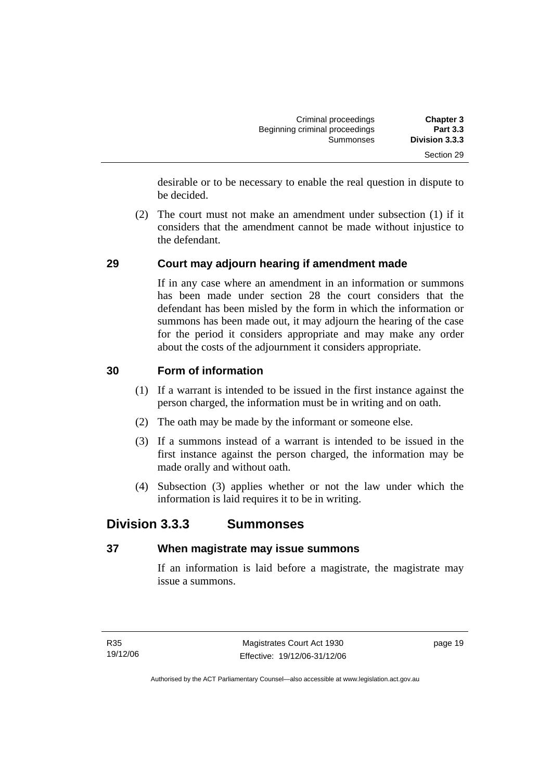| <b>Chapter 3</b> | Criminal proceedings<br>Beginning criminal proceedings<br>Summonses |  |
|------------------|---------------------------------------------------------------------|--|
| <b>Part 3.3</b>  |                                                                     |  |
| Division 3.3.3   |                                                                     |  |
| Section 29       |                                                                     |  |

desirable or to be necessary to enable the real question in dispute to be decided.

 (2) The court must not make an amendment under subsection (1) if it considers that the amendment cannot be made without injustice to the defendant.

## **29 Court may adjourn hearing if amendment made**

If in any case where an amendment in an information or summons has been made under section 28 the court considers that the defendant has been misled by the form in which the information or summons has been made out, it may adjourn the hearing of the case for the period it considers appropriate and may make any order about the costs of the adjournment it considers appropriate.

### **30 Form of information**

- (1) If a warrant is intended to be issued in the first instance against the person charged, the information must be in writing and on oath.
- (2) The oath may be made by the informant or someone else.
- (3) If a summons instead of a warrant is intended to be issued in the first instance against the person charged, the information may be made orally and without oath.
- (4) Subsection (3) applies whether or not the law under which the information is laid requires it to be in writing.

## **Division 3.3.3 Summonses**

## **37 When magistrate may issue summons**

If an information is laid before a magistrate, the magistrate may issue a summons.

page 19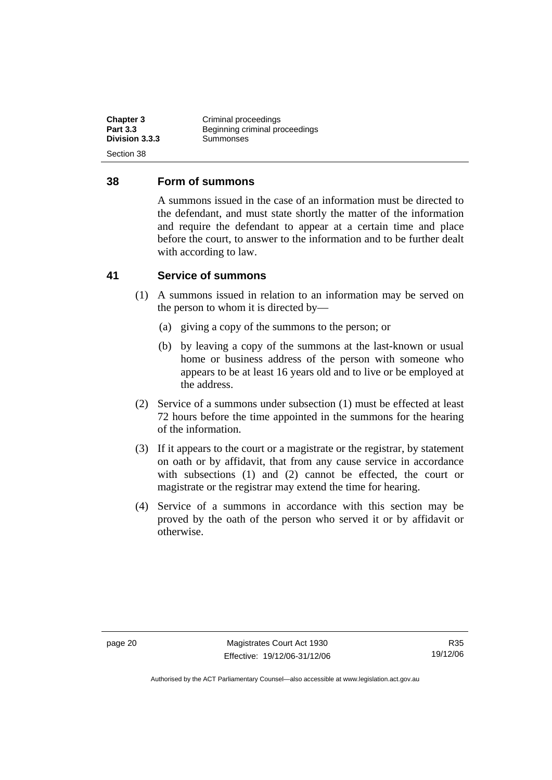| <b>Chapter 3</b><br><b>Part 3.3</b> | Criminal proceedings<br>Beginning criminal proceedings |
|-------------------------------------|--------------------------------------------------------|
| Division 3.3.3                      | Summonses                                              |
| Section 38                          |                                                        |

#### **38 Form of summons**

A summons issued in the case of an information must be directed to the defendant, and must state shortly the matter of the information and require the defendant to appear at a certain time and place before the court, to answer to the information and to be further dealt with according to law.

### **41 Service of summons**

- (1) A summons issued in relation to an information may be served on the person to whom it is directed by—
	- (a) giving a copy of the summons to the person; or
	- (b) by leaving a copy of the summons at the last-known or usual home or business address of the person with someone who appears to be at least 16 years old and to live or be employed at the address.
- (2) Service of a summons under subsection (1) must be effected at least 72 hours before the time appointed in the summons for the hearing of the information.
- (3) If it appears to the court or a magistrate or the registrar, by statement on oath or by affidavit, that from any cause service in accordance with subsections (1) and (2) cannot be effected, the court or magistrate or the registrar may extend the time for hearing.
- (4) Service of a summons in accordance with this section may be proved by the oath of the person who served it or by affidavit or otherwise.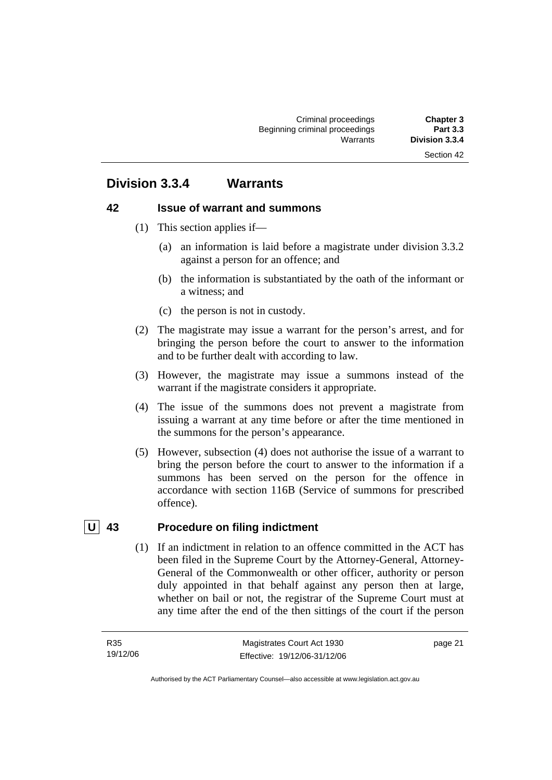## **Division 3.3.4 Warrants**

#### **42 Issue of warrant and summons**

- (1) This section applies if—
	- (a) an information is laid before a magistrate under division 3.3.2 against a person for an offence; and
	- (b) the information is substantiated by the oath of the informant or a witness; and
	- (c) the person is not in custody.
- (2) The magistrate may issue a warrant for the person's arrest, and for bringing the person before the court to answer to the information and to be further dealt with according to law.
- (3) However, the magistrate may issue a summons instead of the warrant if the magistrate considers it appropriate.
- (4) The issue of the summons does not prevent a magistrate from issuing a warrant at any time before or after the time mentioned in the summons for the person's appearance.
- (5) However, subsection (4) does not authorise the issue of a warrant to bring the person before the court to answer to the information if a summons has been served on the person for the offence in accordance with section 116B (Service of summons for prescribed offence).

## **U 43 Procedure on filing indictment**

 (1) If an indictment in relation to an offence committed in the ACT has been filed in the Supreme Court by the Attorney-General, Attorney-General of the Commonwealth or other officer, authority or person duly appointed in that behalf against any person then at large, whether on bail or not, the registrar of the Supreme Court must at any time after the end of the then sittings of the court if the person

page 21

Authorised by the ACT Parliamentary Counsel—also accessible at www.legislation.act.gov.au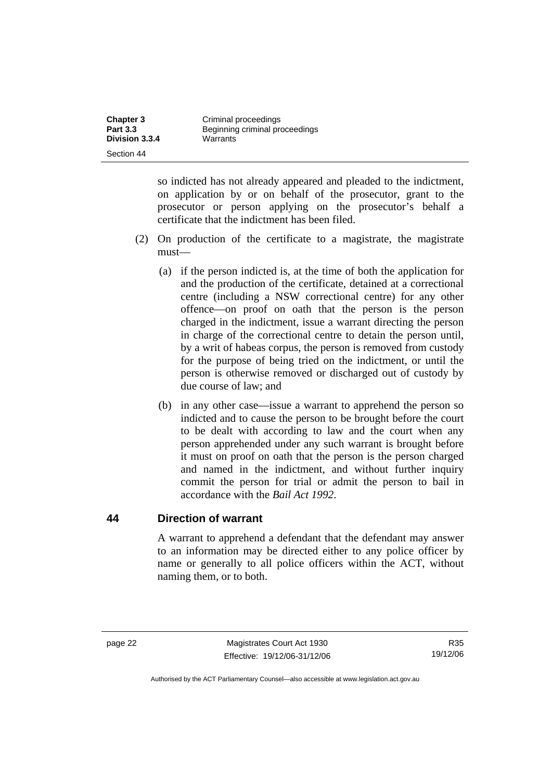| <b>Chapter 3</b><br><b>Part 3.3</b> | Criminal proceedings<br>Beginning criminal proceedings |
|-------------------------------------|--------------------------------------------------------|
| Division 3.3.4                      | Warrants                                               |
| Section 44                          |                                                        |

so indicted has not already appeared and pleaded to the indictment, on application by or on behalf of the prosecutor, grant to the prosecutor or person applying on the prosecutor's behalf a certificate that the indictment has been filed.

- (2) On production of the certificate to a magistrate, the magistrate must—
	- (a) if the person indicted is, at the time of both the application for and the production of the certificate, detained at a correctional centre (including a NSW correctional centre) for any other offence—on proof on oath that the person is the person charged in the indictment, issue a warrant directing the person in charge of the correctional centre to detain the person until, by a writ of habeas corpus, the person is removed from custody for the purpose of being tried on the indictment, or until the person is otherwise removed or discharged out of custody by due course of law; and
	- (b) in any other case—issue a warrant to apprehend the person so indicted and to cause the person to be brought before the court to be dealt with according to law and the court when any person apprehended under any such warrant is brought before it must on proof on oath that the person is the person charged and named in the indictment, and without further inquiry commit the person for trial or admit the person to bail in accordance with the *Bail Act 1992*.

#### **44 Direction of warrant**

A warrant to apprehend a defendant that the defendant may answer to an information may be directed either to any police officer by name or generally to all police officers within the ACT, without naming them, or to both.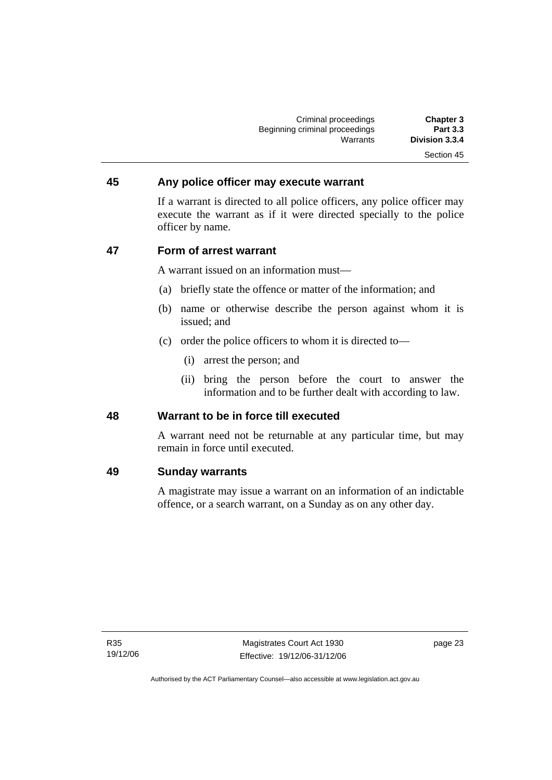| <b>Chapter 3</b> | Criminal proceedings           |
|------------------|--------------------------------|
| <b>Part 3.3</b>  | Beginning criminal proceedings |
| Division 3.3.4   | Warrants                       |
| Section 45       |                                |

#### **45 Any police officer may execute warrant**

If a warrant is directed to all police officers, any police officer may execute the warrant as if it were directed specially to the police officer by name.

#### **47 Form of arrest warrant**

A warrant issued on an information must—

- (a) briefly state the offence or matter of the information; and
- (b) name or otherwise describe the person against whom it is issued; and
- (c) order the police officers to whom it is directed to—
	- (i) arrest the person; and
	- (ii) bring the person before the court to answer the information and to be further dealt with according to law.

#### **48 Warrant to be in force till executed**

A warrant need not be returnable at any particular time, but may remain in force until executed.

#### **49 Sunday warrants**

A magistrate may issue a warrant on an information of an indictable offence, or a search warrant, on a Sunday as on any other day.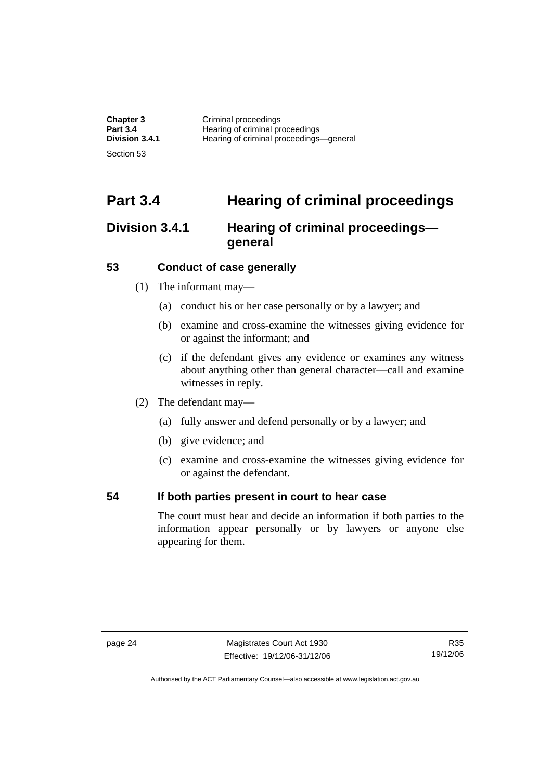| <b>Chapter 3</b>      | Criminal proceedings                    |
|-----------------------|-----------------------------------------|
| <b>Part 3.4</b>       | Hearing of criminal proceedings         |
| <b>Division 3.4.1</b> | Hearing of criminal proceedings-general |
| Section 53            |                                         |

# **Part 3.4 Hearing of criminal proceedings**

## **Division 3.4.1 Hearing of criminal proceedings general**

#### **53 Conduct of case generally**

- (1) The informant may—
	- (a) conduct his or her case personally or by a lawyer; and
	- (b) examine and cross-examine the witnesses giving evidence for or against the informant; and
	- (c) if the defendant gives any evidence or examines any witness about anything other than general character—call and examine witnesses in reply.
- (2) The defendant may—
	- (a) fully answer and defend personally or by a lawyer; and
	- (b) give evidence; and
	- (c) examine and cross-examine the witnesses giving evidence for or against the defendant.

#### **54 If both parties present in court to hear case**

The court must hear and decide an information if both parties to the information appear personally or by lawyers or anyone else appearing for them.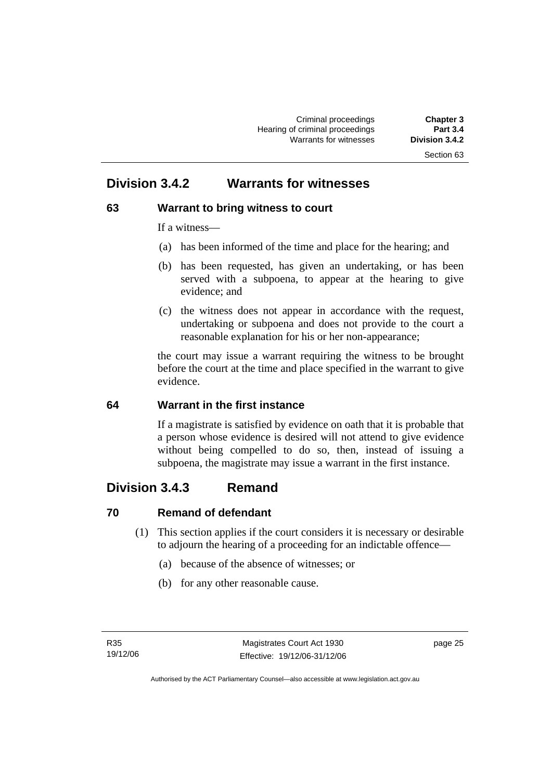## **Division 3.4.2 Warrants for witnesses**

## **63 Warrant to bring witness to court**

If a witness—

- (a) has been informed of the time and place for the hearing; and
- (b) has been requested, has given an undertaking, or has been served with a subpoena, to appear at the hearing to give evidence; and
- (c) the witness does not appear in accordance with the request, undertaking or subpoena and does not provide to the court a reasonable explanation for his or her non-appearance;

the court may issue a warrant requiring the witness to be brought before the court at the time and place specified in the warrant to give evidence.

## **64 Warrant in the first instance**

If a magistrate is satisfied by evidence on oath that it is probable that a person whose evidence is desired will not attend to give evidence without being compelled to do so, then, instead of issuing a subpoena, the magistrate may issue a warrant in the first instance.

# **Division 3.4.3 Remand**

## **70 Remand of defendant**

- (1) This section applies if the court considers it is necessary or desirable to adjourn the hearing of a proceeding for an indictable offence—
	- (a) because of the absence of witnesses; or
	- (b) for any other reasonable cause.

page 25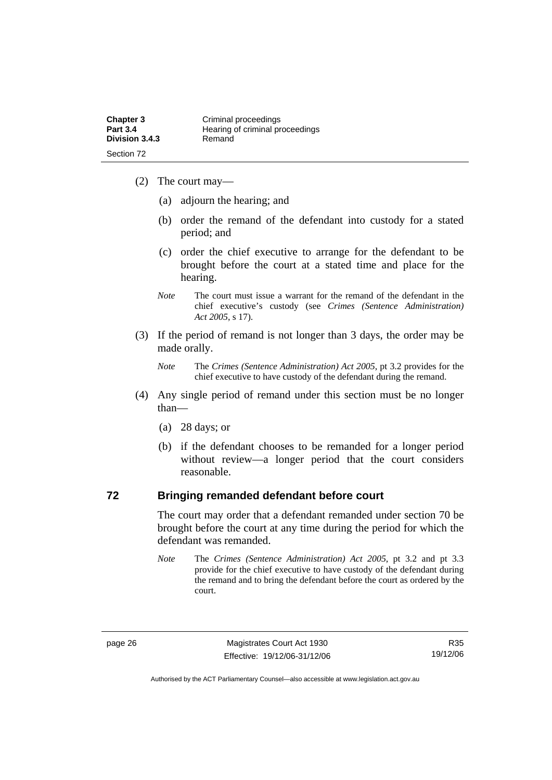- (2) The court may—
	- (a) adjourn the hearing; and
	- (b) order the remand of the defendant into custody for a stated period; and
	- (c) order the chief executive to arrange for the defendant to be brought before the court at a stated time and place for the hearing.
	- *Note* The court must issue a warrant for the remand of the defendant in the chief executive's custody (see *Crimes (Sentence Administration) Act 2005*, s 17).
- (3) If the period of remand is not longer than 3 days, the order may be made orally.
	- *Note* The *Crimes (Sentence Administration) Act 2005*, pt 3.2 provides for the chief executive to have custody of the defendant during the remand.
- (4) Any single period of remand under this section must be no longer than—
	- (a) 28 days; or
	- (b) if the defendant chooses to be remanded for a longer period without review—a longer period that the court considers reasonable.

#### **72 Bringing remanded defendant before court**

The court may order that a defendant remanded under section 70 be brought before the court at any time during the period for which the defendant was remanded.

*Note* The *Crimes (Sentence Administration) Act 2005*, pt 3.2 and pt 3.3 provide for the chief executive to have custody of the defendant during the remand and to bring the defendant before the court as ordered by the court.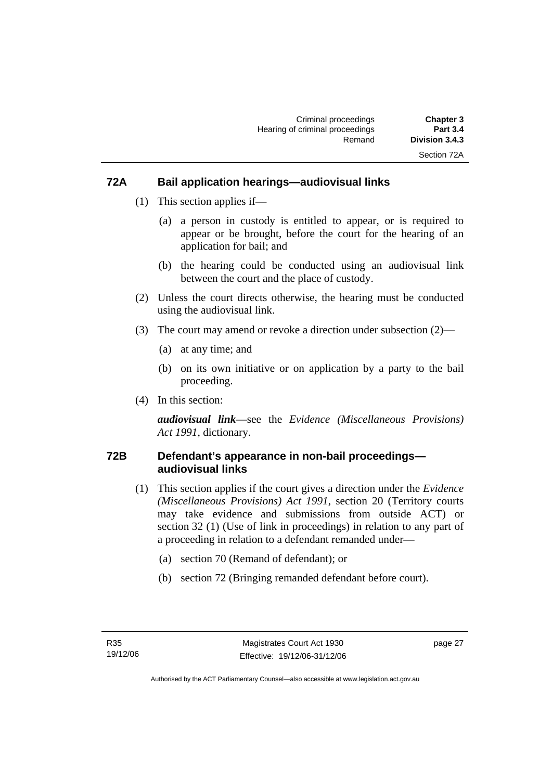#### **72A Bail application hearings—audiovisual links**

- (1) This section applies if—
	- (a) a person in custody is entitled to appear, or is required to appear or be brought, before the court for the hearing of an application for bail; and
	- (b) the hearing could be conducted using an audiovisual link between the court and the place of custody.
- (2) Unless the court directs otherwise, the hearing must be conducted using the audiovisual link.
- (3) The court may amend or revoke a direction under subsection (2)—
	- (a) at any time; and
	- (b) on its own initiative or on application by a party to the bail proceeding.
- (4) In this section:

*audiovisual link*—see the *Evidence (Miscellaneous Provisions) Act 1991*, dictionary.

#### **72B Defendant's appearance in non-bail proceedings audiovisual links**

- (1) This section applies if the court gives a direction under the *Evidence (Miscellaneous Provisions) Act 1991*, section 20 (Territory courts may take evidence and submissions from outside ACT) or section 32 (1) (Use of link in proceedings) in relation to any part of a proceeding in relation to a defendant remanded under—
	- (a) section 70 (Remand of defendant); or
	- (b) section 72 (Bringing remanded defendant before court).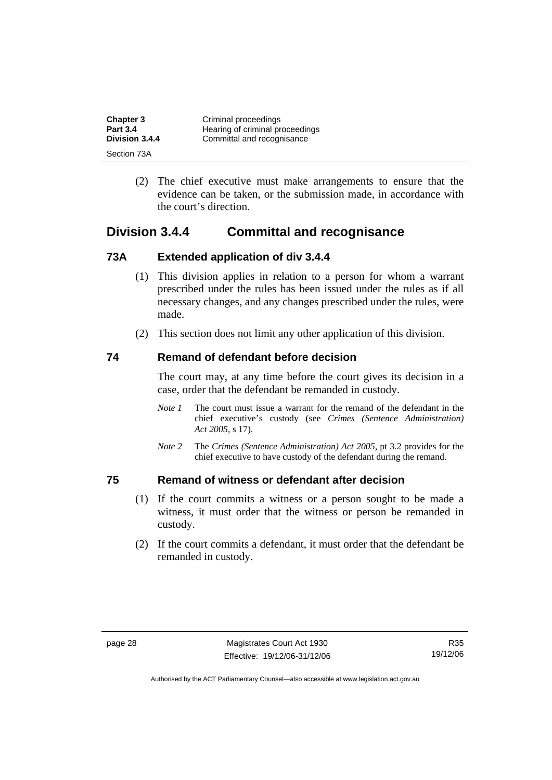| <b>Chapter 3</b> | Criminal proceedings            |
|------------------|---------------------------------|
| <b>Part 3.4</b>  | Hearing of criminal proceedings |
| Division 3.4.4   | Committal and recognisance      |
| Section 73A      |                                 |

 (2) The chief executive must make arrangements to ensure that the evidence can be taken, or the submission made, in accordance with the court's direction.

## **Division 3.4.4 Committal and recognisance**

#### **73A Extended application of div 3.4.4**

- (1) This division applies in relation to a person for whom a warrant prescribed under the rules has been issued under the rules as if all necessary changes, and any changes prescribed under the rules, were made.
- (2) This section does not limit any other application of this division.

#### **74 Remand of defendant before decision**

The court may, at any time before the court gives its decision in a case, order that the defendant be remanded in custody.

- *Note 1* The court must issue a warrant for the remand of the defendant in the chief executive's custody (see *Crimes (Sentence Administration) Act 2005*, s 17).
- *Note 2* The *Crimes (Sentence Administration) Act 2005*, pt 3.2 provides for the chief executive to have custody of the defendant during the remand.

#### **75 Remand of witness or defendant after decision**

- (1) If the court commits a witness or a person sought to be made a witness, it must order that the witness or person be remanded in custody.
- (2) If the court commits a defendant, it must order that the defendant be remanded in custody.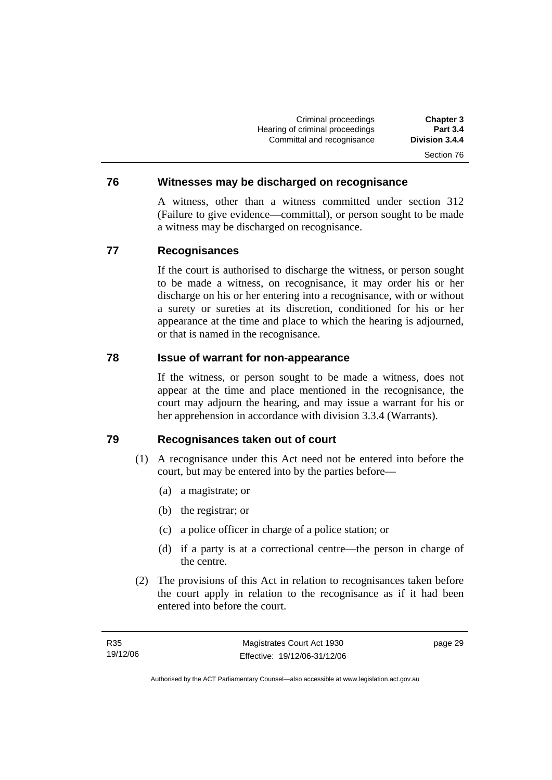Criminal proceedings **Chapter 3 Hearing of criminal proceedings** Committal and recognisance **Division 3.4.4**  Section 76

#### **76 Witnesses may be discharged on recognisance**

A witness, other than a witness committed under section 312 (Failure to give evidence—committal), or person sought to be made a witness may be discharged on recognisance.

#### **77 Recognisances**

If the court is authorised to discharge the witness, or person sought to be made a witness, on recognisance, it may order his or her discharge on his or her entering into a recognisance, with or without a surety or sureties at its discretion, conditioned for his or her appearance at the time and place to which the hearing is adjourned, or that is named in the recognisance.

#### **78 Issue of warrant for non-appearance**

If the witness, or person sought to be made a witness, does not appear at the time and place mentioned in the recognisance, the court may adjourn the hearing, and may issue a warrant for his or her apprehension in accordance with division 3.3.4 (Warrants).

#### **79 Recognisances taken out of court**

- (1) A recognisance under this Act need not be entered into before the court, but may be entered into by the parties before—
	- (a) a magistrate; or
	- (b) the registrar; or
	- (c) a police officer in charge of a police station; or
	- (d) if a party is at a correctional centre—the person in charge of the centre.
- (2) The provisions of this Act in relation to recognisances taken before the court apply in relation to the recognisance as if it had been entered into before the court.

page 29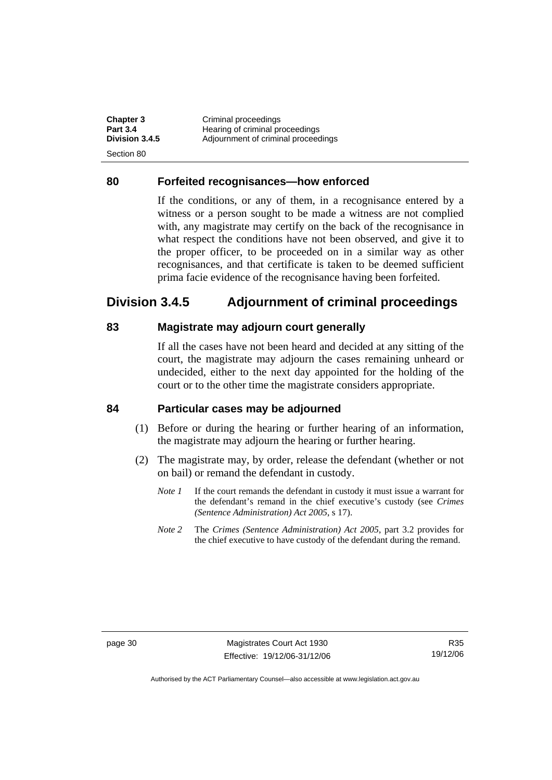| <b>Chapter 3</b> | Criminal proceedings                |
|------------------|-------------------------------------|
| <b>Part 3.4</b>  | Hearing of criminal proceedings     |
| Division 3.4.5   | Adjournment of criminal proceedings |
| -Section 80      |                                     |

#### **80 Forfeited recognisances—how enforced**

If the conditions, or any of them, in a recognisance entered by a witness or a person sought to be made a witness are not complied with, any magistrate may certify on the back of the recognisance in what respect the conditions have not been observed, and give it to the proper officer, to be proceeded on in a similar way as other recognisances, and that certificate is taken to be deemed sufficient prima facie evidence of the recognisance having been forfeited.

## **Division 3.4.5 Adjournment of criminal proceedings**

#### **83 Magistrate may adjourn court generally**

If all the cases have not been heard and decided at any sitting of the court, the magistrate may adjourn the cases remaining unheard or undecided, either to the next day appointed for the holding of the court or to the other time the magistrate considers appropriate.

#### **84 Particular cases may be adjourned**

- (1) Before or during the hearing or further hearing of an information, the magistrate may adjourn the hearing or further hearing.
- (2) The magistrate may, by order, release the defendant (whether or not on bail) or remand the defendant in custody.
	- *Note 1* If the court remands the defendant in custody it must issue a warrant for the defendant's remand in the chief executive's custody (see *Crimes (Sentence Administration) Act 2005*, s 17).
	- *Note 2* The *Crimes (Sentence Administration) Act 2005*, part 3.2 provides for the chief executive to have custody of the defendant during the remand.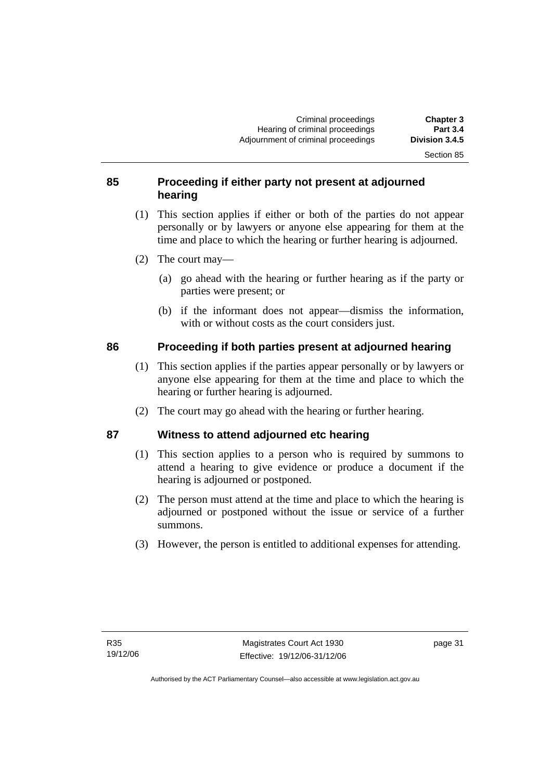Section 85

#### **85 Proceeding if either party not present at adjourned hearing**

- (1) This section applies if either or both of the parties do not appear personally or by lawyers or anyone else appearing for them at the time and place to which the hearing or further hearing is adjourned.
- (2) The court may—
	- (a) go ahead with the hearing or further hearing as if the party or parties were present; or
	- (b) if the informant does not appear—dismiss the information, with or without costs as the court considers just.

#### **86 Proceeding if both parties present at adjourned hearing**

- (1) This section applies if the parties appear personally or by lawyers or anyone else appearing for them at the time and place to which the hearing or further hearing is adjourned.
- (2) The court may go ahead with the hearing or further hearing.

## **87 Witness to attend adjourned etc hearing**

- (1) This section applies to a person who is required by summons to attend a hearing to give evidence or produce a document if the hearing is adjourned or postponed.
- (2) The person must attend at the time and place to which the hearing is adjourned or postponed without the issue or service of a further summons.
- (3) However, the person is entitled to additional expenses for attending.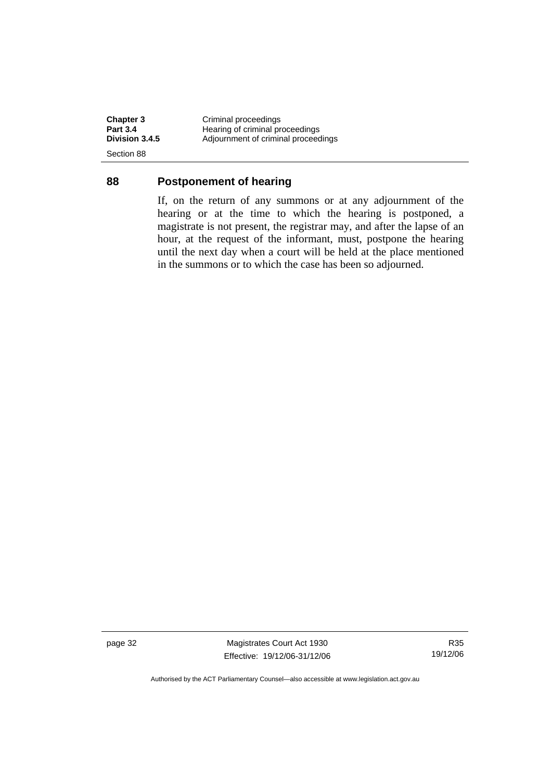**Chapter 3 Criminal proceedings**<br> **Part 3.4 Hearing of criminal proceedings Part 3.4 Hearing of criminal proceedings**<br> **Division 3.4.5** Adjournment of criminal proceedings **Division 3.4.5** Adjournment of criminal proceedings Section 88

#### **88 Postponement of hearing**

If, on the return of any summons or at any adjournment of the hearing or at the time to which the hearing is postponed, a magistrate is not present, the registrar may, and after the lapse of an hour, at the request of the informant, must, postpone the hearing until the next day when a court will be held at the place mentioned in the summons or to which the case has been so adjourned.

page 32 Magistrates Court Act 1930 Effective: 19/12/06-31/12/06

R35 19/12/06

Authorised by the ACT Parliamentary Counsel—also accessible at www.legislation.act.gov.au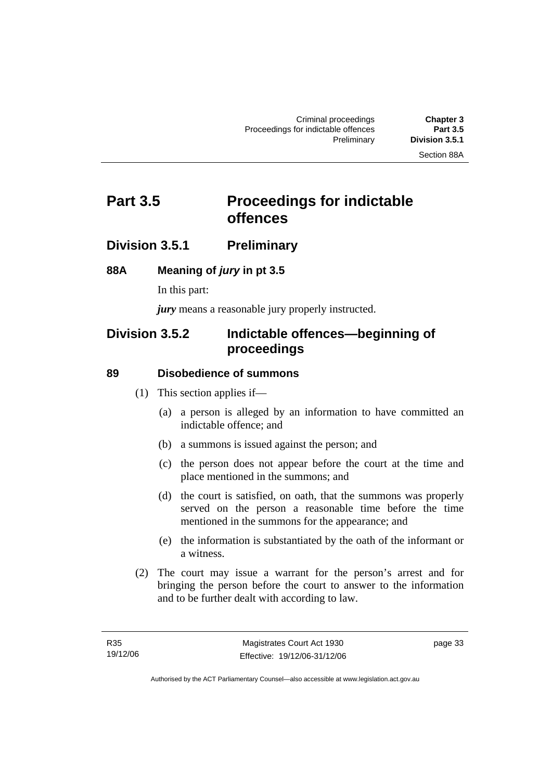# **Part 3.5** Proceedings for indictable **offences**

## **Division 3.5.1 Preliminary**

#### **88A Meaning of** *jury* **in pt 3.5**

In this part:

*jury* means a reasonable jury properly instructed.

## **Division 3.5.2 Indictable offences—beginning of proceedings**

#### **89 Disobedience of summons**

- (1) This section applies if—
	- (a) a person is alleged by an information to have committed an indictable offence; and
	- (b) a summons is issued against the person; and
	- (c) the person does not appear before the court at the time and place mentioned in the summons; and
	- (d) the court is satisfied, on oath, that the summons was properly served on the person a reasonable time before the time mentioned in the summons for the appearance; and
	- (e) the information is substantiated by the oath of the informant or a witness.
- (2) The court may issue a warrant for the person's arrest and for bringing the person before the court to answer to the information and to be further dealt with according to law.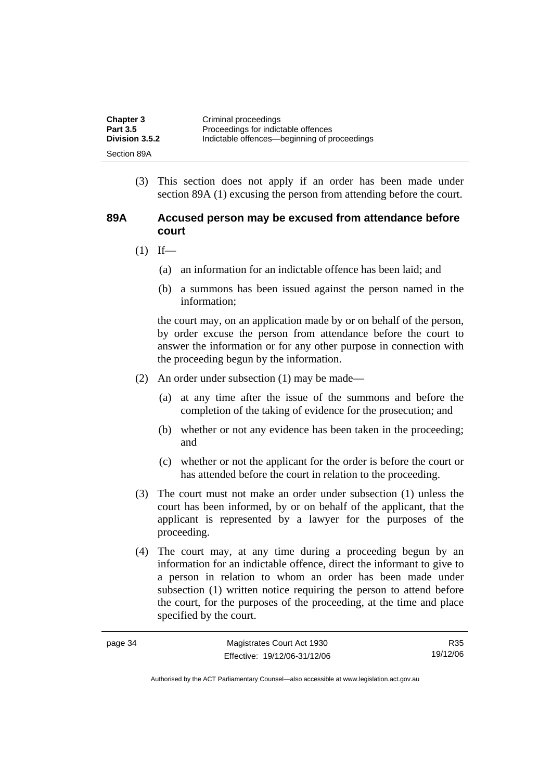| <b>Chapter 3</b>      | Criminal proceedings                         |
|-----------------------|----------------------------------------------|
| <b>Part 3.5</b>       | Proceedings for indictable offences          |
| <b>Division 3.5.2</b> | Indictable offences—beginning of proceedings |
| Section 89A           |                                              |

 (3) This section does not apply if an order has been made under section 89A (1) excusing the person from attending before the court.

#### **89A Accused person may be excused from attendance before court**

- $(1)$  If—
	- (a) an information for an indictable offence has been laid; and
	- (b) a summons has been issued against the person named in the information;

the court may, on an application made by or on behalf of the person, by order excuse the person from attendance before the court to answer the information or for any other purpose in connection with the proceeding begun by the information.

- (2) An order under subsection (1) may be made—
	- (a) at any time after the issue of the summons and before the completion of the taking of evidence for the prosecution; and
	- (b) whether or not any evidence has been taken in the proceeding; and
	- (c) whether or not the applicant for the order is before the court or has attended before the court in relation to the proceeding.
- (3) The court must not make an order under subsection (1) unless the court has been informed, by or on behalf of the applicant, that the applicant is represented by a lawyer for the purposes of the proceeding.
- (4) The court may, at any time during a proceeding begun by an information for an indictable offence, direct the informant to give to a person in relation to whom an order has been made under subsection (1) written notice requiring the person to attend before the court, for the purposes of the proceeding, at the time and place specified by the court.

| page 34 | Magistrates Court Act 1930   | R35      |
|---------|------------------------------|----------|
|         | Effective: 19/12/06-31/12/06 | 19/12/06 |

Authorised by the ACT Parliamentary Counsel—also accessible at www.legislation.act.gov.au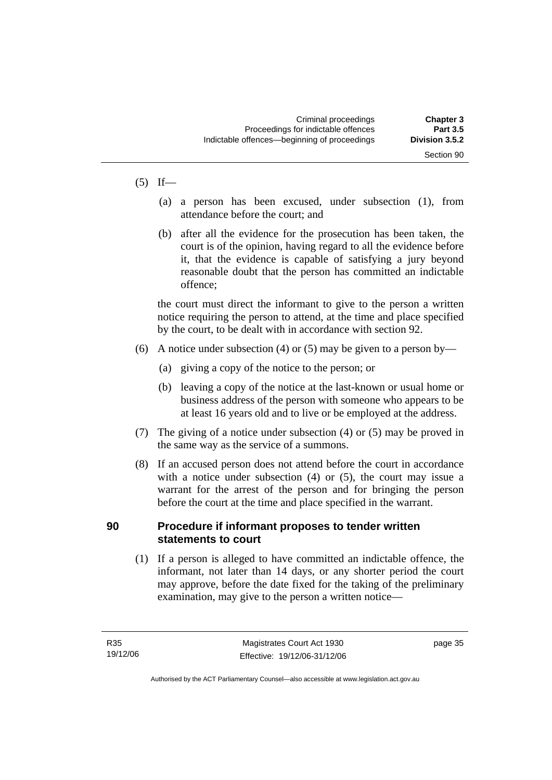#### $(5)$  If—

- (a) a person has been excused, under subsection (1), from attendance before the court; and
- (b) after all the evidence for the prosecution has been taken, the court is of the opinion, having regard to all the evidence before it, that the evidence is capable of satisfying a jury beyond reasonable doubt that the person has committed an indictable offence;

the court must direct the informant to give to the person a written notice requiring the person to attend, at the time and place specified by the court, to be dealt with in accordance with section 92.

- (6) A notice under subsection (4) or (5) may be given to a person by—
	- (a) giving a copy of the notice to the person; or
	- (b) leaving a copy of the notice at the last-known or usual home or business address of the person with someone who appears to be at least 16 years old and to live or be employed at the address.
- (7) The giving of a notice under subsection (4) or (5) may be proved in the same way as the service of a summons.
- (8) If an accused person does not attend before the court in accordance with a notice under subsection (4) or (5), the court may issue a warrant for the arrest of the person and for bringing the person before the court at the time and place specified in the warrant.

#### **90 Procedure if informant proposes to tender written statements to court**

 (1) If a person is alleged to have committed an indictable offence, the informant, not later than 14 days, or any shorter period the court may approve, before the date fixed for the taking of the preliminary examination, may give to the person a written notice—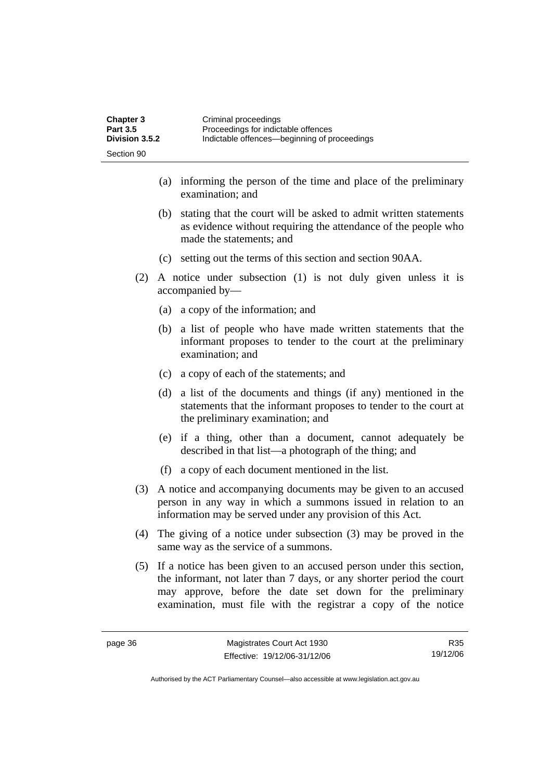| <b>Chapter 3</b> | Criminal proceedings                         |
|------------------|----------------------------------------------|
| <b>Part 3.5</b>  | Proceedings for indictable offences          |
| Division 3.5.2   | Indictable offences—beginning of proceedings |
| Section 90       |                                              |

- (a) informing the person of the time and place of the preliminary examination; and
- (b) stating that the court will be asked to admit written statements as evidence without requiring the attendance of the people who made the statements; and
- (c) setting out the terms of this section and section 90AA.
- (2) A notice under subsection (1) is not duly given unless it is accompanied by—
	- (a) a copy of the information; and
	- (b) a list of people who have made written statements that the informant proposes to tender to the court at the preliminary examination; and
	- (c) a copy of each of the statements; and
	- (d) a list of the documents and things (if any) mentioned in the statements that the informant proposes to tender to the court at the preliminary examination; and
	- (e) if a thing, other than a document, cannot adequately be described in that list—a photograph of the thing; and
	- (f) a copy of each document mentioned in the list.
- (3) A notice and accompanying documents may be given to an accused person in any way in which a summons issued in relation to an information may be served under any provision of this Act.
- (4) The giving of a notice under subsection (3) may be proved in the same way as the service of a summons.
- (5) If a notice has been given to an accused person under this section, the informant, not later than 7 days, or any shorter period the court may approve, before the date set down for the preliminary examination, must file with the registrar a copy of the notice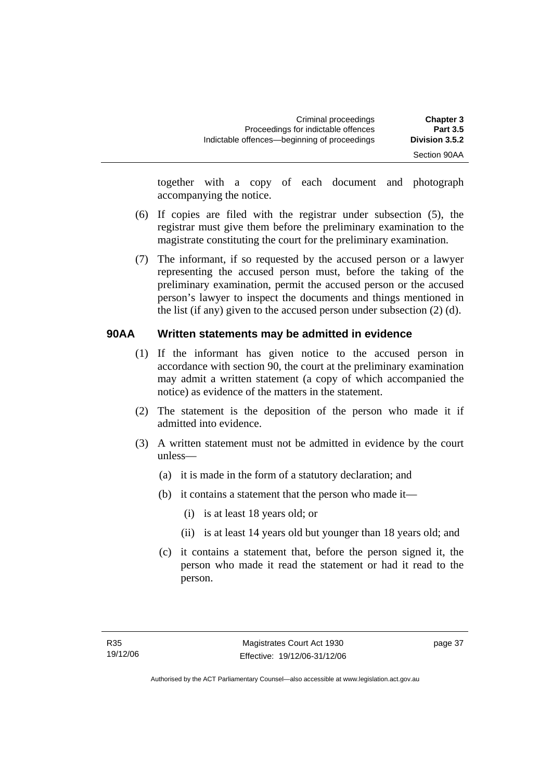Section 90AA

together with a copy of each document and photograph accompanying the notice.

- (6) If copies are filed with the registrar under subsection (5), the registrar must give them before the preliminary examination to the magistrate constituting the court for the preliminary examination.
- (7) The informant, if so requested by the accused person or a lawyer representing the accused person must, before the taking of the preliminary examination, permit the accused person or the accused person's lawyer to inspect the documents and things mentioned in the list (if any) given to the accused person under subsection (2) (d).

#### **90AA Written statements may be admitted in evidence**

- (1) If the informant has given notice to the accused person in accordance with section 90, the court at the preliminary examination may admit a written statement (a copy of which accompanied the notice) as evidence of the matters in the statement.
- (2) The statement is the deposition of the person who made it if admitted into evidence.
- (3) A written statement must not be admitted in evidence by the court unless—
	- (a) it is made in the form of a statutory declaration; and
	- (b) it contains a statement that the person who made it—
		- (i) is at least 18 years old; or
		- (ii) is at least 14 years old but younger than 18 years old; and
	- (c) it contains a statement that, before the person signed it, the person who made it read the statement or had it read to the person.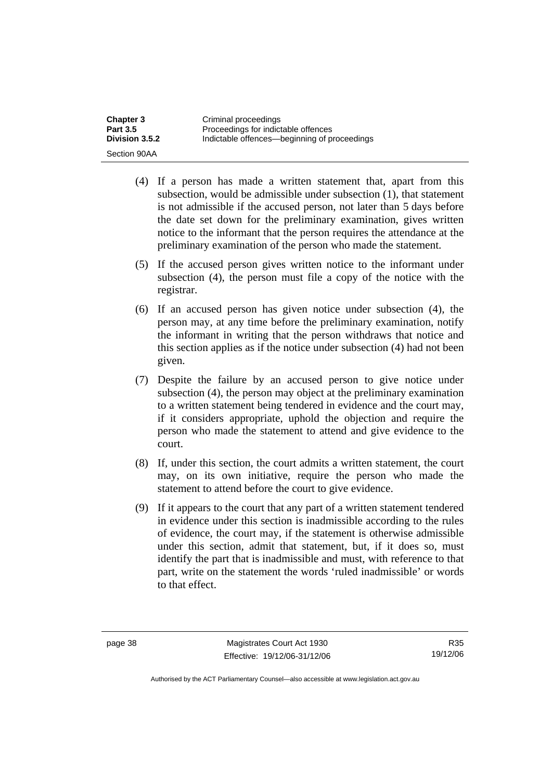| <b>Chapter 3</b> | Criminal proceedings                         |
|------------------|----------------------------------------------|
| <b>Part 3.5</b>  | Proceedings for indictable offences          |
| Division 3.5.2   | Indictable offences—beginning of proceedings |
| Section 90AA     |                                              |

- (4) If a person has made a written statement that, apart from this subsection, would be admissible under subsection (1), that statement is not admissible if the accused person, not later than 5 days before the date set down for the preliminary examination, gives written notice to the informant that the person requires the attendance at the preliminary examination of the person who made the statement.
- (5) If the accused person gives written notice to the informant under subsection (4), the person must file a copy of the notice with the registrar.
- (6) If an accused person has given notice under subsection (4), the person may, at any time before the preliminary examination, notify the informant in writing that the person withdraws that notice and this section applies as if the notice under subsection (4) had not been given.
- (7) Despite the failure by an accused person to give notice under subsection (4), the person may object at the preliminary examination to a written statement being tendered in evidence and the court may, if it considers appropriate, uphold the objection and require the person who made the statement to attend and give evidence to the court.
- (8) If, under this section, the court admits a written statement, the court may, on its own initiative, require the person who made the statement to attend before the court to give evidence.
- (9) If it appears to the court that any part of a written statement tendered in evidence under this section is inadmissible according to the rules of evidence, the court may, if the statement is otherwise admissible under this section, admit that statement, but, if it does so, must identify the part that is inadmissible and must, with reference to that part, write on the statement the words 'ruled inadmissible' or words to that effect.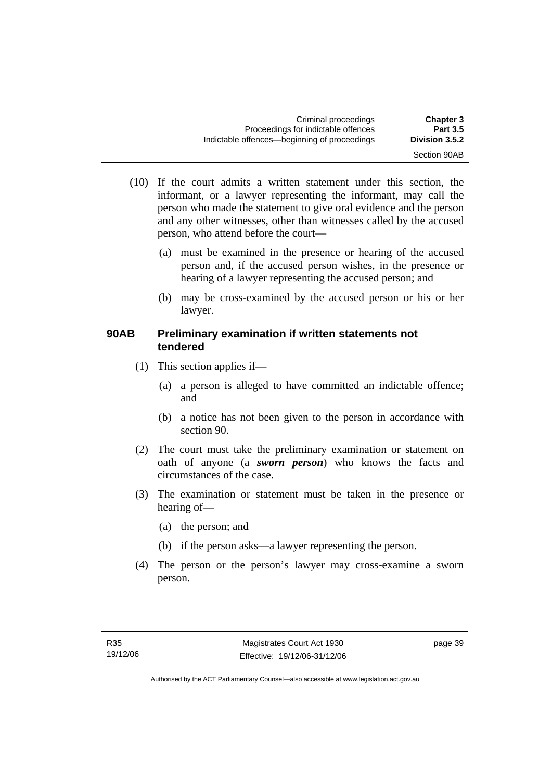| Criminal proceedings                         | <b>Chapter 3</b> |
|----------------------------------------------|------------------|
| Proceedings for indictable offences          | <b>Part 3.5</b>  |
| Indictable offences—beginning of proceedings | Division 3.5.2   |
|                                              | Section 90AB     |

- (10) If the court admits a written statement under this section, the informant, or a lawyer representing the informant, may call the person who made the statement to give oral evidence and the person and any other witnesses, other than witnesses called by the accused person, who attend before the court—
	- (a) must be examined in the presence or hearing of the accused person and, if the accused person wishes, in the presence or hearing of a lawyer representing the accused person; and
	- (b) may be cross-examined by the accused person or his or her lawyer.

#### **90AB Preliminary examination if written statements not tendered**

- (1) This section applies if—
	- (a) a person is alleged to have committed an indictable offence; and
	- (b) a notice has not been given to the person in accordance with section 90.
- (2) The court must take the preliminary examination or statement on oath of anyone (a *sworn person*) who knows the facts and circumstances of the case.
- (3) The examination or statement must be taken in the presence or hearing of—
	- (a) the person; and
	- (b) if the person asks—a lawyer representing the person.
- (4) The person or the person's lawyer may cross-examine a sworn person.

page 39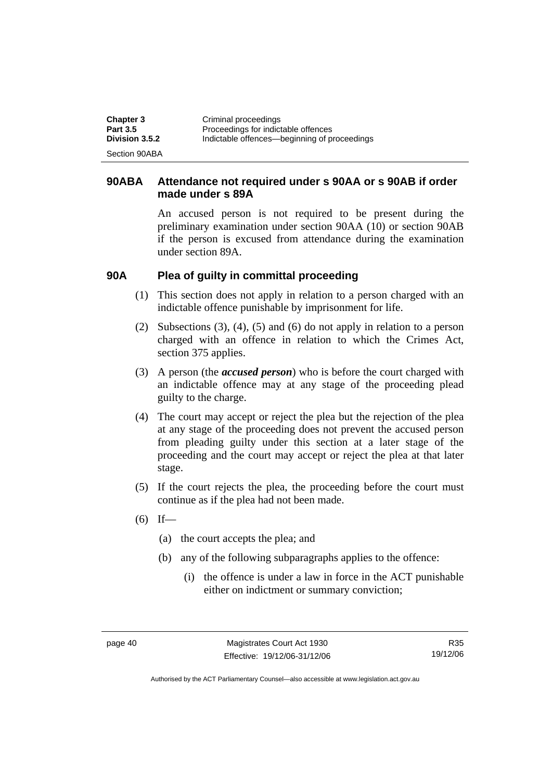| <b>Chapter 3</b> | Criminal proceedings                         |
|------------------|----------------------------------------------|
| <b>Part 3.5</b>  | Proceedings for indictable offences          |
| Division 3.5.2   | Indictable offences—beginning of proceedings |
| Section 90ABA    |                                              |

#### **90ABA Attendance not required under s 90AA or s 90AB if order made under s 89A**

An accused person is not required to be present during the preliminary examination under section 90AA (10) or section 90AB if the person is excused from attendance during the examination under section 89A.

#### **90A Plea of guilty in committal proceeding**

- (1) This section does not apply in relation to a person charged with an indictable offence punishable by imprisonment for life.
- (2) Subsections (3), (4), (5) and (6) do not apply in relation to a person charged with an offence in relation to which the Crimes Act, section 375 applies.
- (3) A person (the *accused person*) who is before the court charged with an indictable offence may at any stage of the proceeding plead guilty to the charge.
- (4) The court may accept or reject the plea but the rejection of the plea at any stage of the proceeding does not prevent the accused person from pleading guilty under this section at a later stage of the proceeding and the court may accept or reject the plea at that later stage.
- (5) If the court rejects the plea, the proceeding before the court must continue as if the plea had not been made.
- $(6)$  If—
	- (a) the court accepts the plea; and
	- (b) any of the following subparagraphs applies to the offence:
		- (i) the offence is under a law in force in the ACT punishable either on indictment or summary conviction;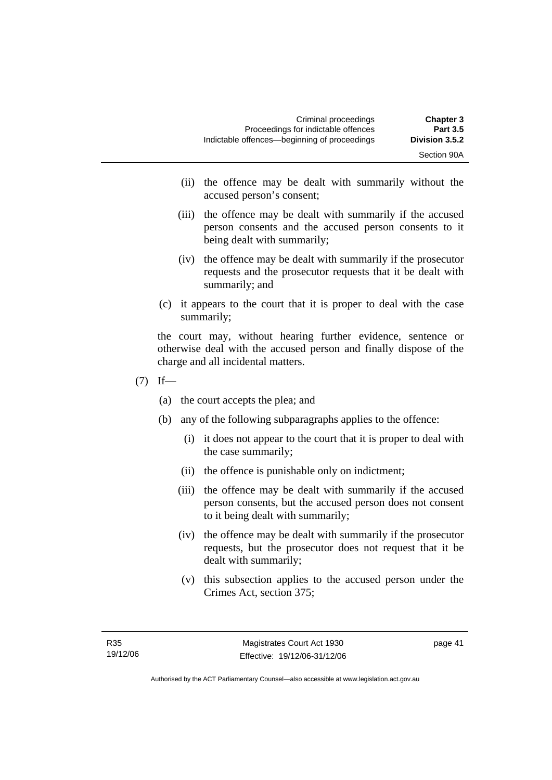- (ii) the offence may be dealt with summarily without the accused person's consent;
- (iii) the offence may be dealt with summarily if the accused person consents and the accused person consents to it being dealt with summarily;
- (iv) the offence may be dealt with summarily if the prosecutor requests and the prosecutor requests that it be dealt with summarily; and
- (c) it appears to the court that it is proper to deal with the case summarily;

the court may, without hearing further evidence, sentence or otherwise deal with the accused person and finally dispose of the charge and all incidental matters.

- $(7)$  If—
	- (a) the court accepts the plea; and
	- (b) any of the following subparagraphs applies to the offence:
		- (i) it does not appear to the court that it is proper to deal with the case summarily;
		- (ii) the offence is punishable only on indictment;
		- (iii) the offence may be dealt with summarily if the accused person consents, but the accused person does not consent to it being dealt with summarily;
		- (iv) the offence may be dealt with summarily if the prosecutor requests, but the prosecutor does not request that it be dealt with summarily;
		- (v) this subsection applies to the accused person under the Crimes Act, section 375;

page 41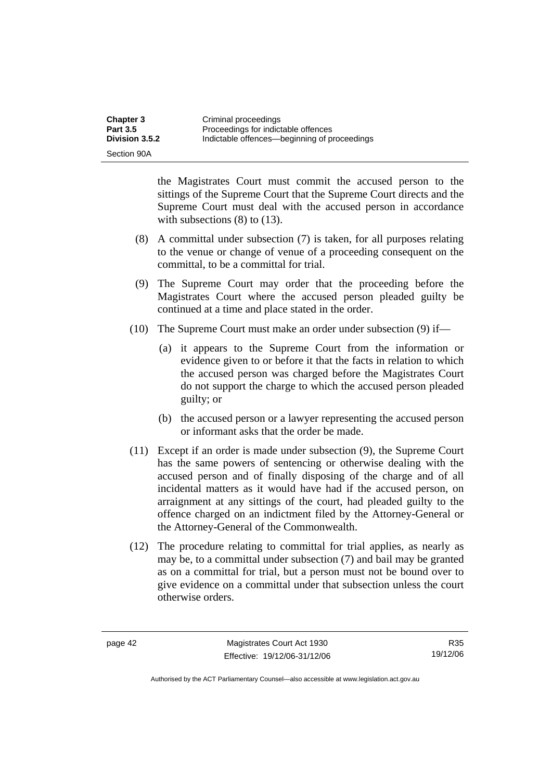| <b>Chapter 3</b> | Criminal proceedings                         |
|------------------|----------------------------------------------|
| <b>Part 3.5</b>  | Proceedings for indictable offences          |
| Division 3.5.2   | Indictable offences—beginning of proceedings |
| Section 90A      |                                              |

the Magistrates Court must commit the accused person to the sittings of the Supreme Court that the Supreme Court directs and the Supreme Court must deal with the accused person in accordance with subsections (8) to (13).

- (8) A committal under subsection (7) is taken, for all purposes relating to the venue or change of venue of a proceeding consequent on the committal, to be a committal for trial.
- (9) The Supreme Court may order that the proceeding before the Magistrates Court where the accused person pleaded guilty be continued at a time and place stated in the order.
- (10) The Supreme Court must make an order under subsection (9) if—
	- (a) it appears to the Supreme Court from the information or evidence given to or before it that the facts in relation to which the accused person was charged before the Magistrates Court do not support the charge to which the accused person pleaded guilty; or
	- (b) the accused person or a lawyer representing the accused person or informant asks that the order be made.
- (11) Except if an order is made under subsection (9), the Supreme Court has the same powers of sentencing or otherwise dealing with the accused person and of finally disposing of the charge and of all incidental matters as it would have had if the accused person, on arraignment at any sittings of the court, had pleaded guilty to the offence charged on an indictment filed by the Attorney-General or the Attorney-General of the Commonwealth.
- (12) The procedure relating to committal for trial applies, as nearly as may be, to a committal under subsection (7) and bail may be granted as on a committal for trial, but a person must not be bound over to give evidence on a committal under that subsection unless the court otherwise orders.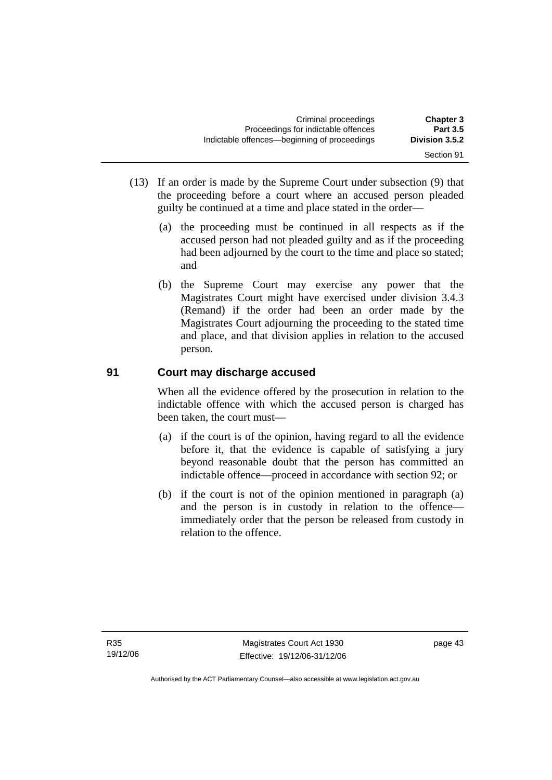| <b>Chapter 3</b><br><b>Part 3.5</b> | Criminal proceedings<br>Proceedings for indictable offences |
|-------------------------------------|-------------------------------------------------------------|
| Division 3.5.2                      | Indictable offences—beginning of proceedings                |
| Section 91                          |                                                             |

- (13) If an order is made by the Supreme Court under subsection (9) that the proceeding before a court where an accused person pleaded guilty be continued at a time and place stated in the order—
	- (a) the proceeding must be continued in all respects as if the accused person had not pleaded guilty and as if the proceeding had been adjourned by the court to the time and place so stated; and
	- (b) the Supreme Court may exercise any power that the Magistrates Court might have exercised under division 3.4.3 (Remand) if the order had been an order made by the Magistrates Court adjourning the proceeding to the stated time and place, and that division applies in relation to the accused person.

## **91 Court may discharge accused**

When all the evidence offered by the prosecution in relation to the indictable offence with which the accused person is charged has been taken, the court must—

- (a) if the court is of the opinion, having regard to all the evidence before it, that the evidence is capable of satisfying a jury beyond reasonable doubt that the person has committed an indictable offence—proceed in accordance with section 92; or
- (b) if the court is not of the opinion mentioned in paragraph (a) and the person is in custody in relation to the offence immediately order that the person be released from custody in relation to the offence.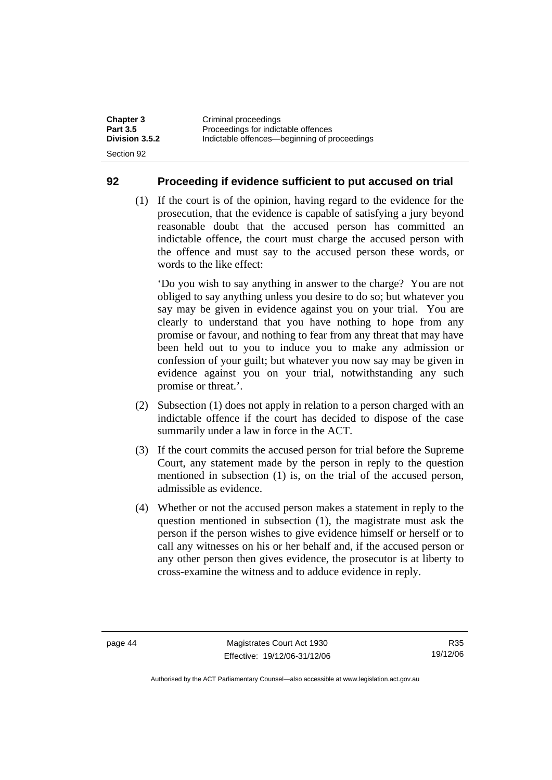| <b>Chapter 3</b> | Criminal proceedings                         |
|------------------|----------------------------------------------|
| <b>Part 3.5</b>  | Proceedings for indictable offences          |
| Division 3.5.2   | Indictable offences—beginning of proceedings |
| Section 92       |                                              |

#### **92 Proceeding if evidence sufficient to put accused on trial**

 (1) If the court is of the opinion, having regard to the evidence for the prosecution, that the evidence is capable of satisfying a jury beyond reasonable doubt that the accused person has committed an indictable offence, the court must charge the accused person with the offence and must say to the accused person these words, or words to the like effect:

'Do you wish to say anything in answer to the charge? You are not obliged to say anything unless you desire to do so; but whatever you say may be given in evidence against you on your trial. You are clearly to understand that you have nothing to hope from any promise or favour, and nothing to fear from any threat that may have been held out to you to induce you to make any admission or confession of your guilt; but whatever you now say may be given in evidence against you on your trial, notwithstanding any such promise or threat.'.

- (2) Subsection (1) does not apply in relation to a person charged with an indictable offence if the court has decided to dispose of the case summarily under a law in force in the ACT.
- (3) If the court commits the accused person for trial before the Supreme Court, any statement made by the person in reply to the question mentioned in subsection (1) is, on the trial of the accused person, admissible as evidence.
- (4) Whether or not the accused person makes a statement in reply to the question mentioned in subsection (1), the magistrate must ask the person if the person wishes to give evidence himself or herself or to call any witnesses on his or her behalf and, if the accused person or any other person then gives evidence, the prosecutor is at liberty to cross-examine the witness and to adduce evidence in reply.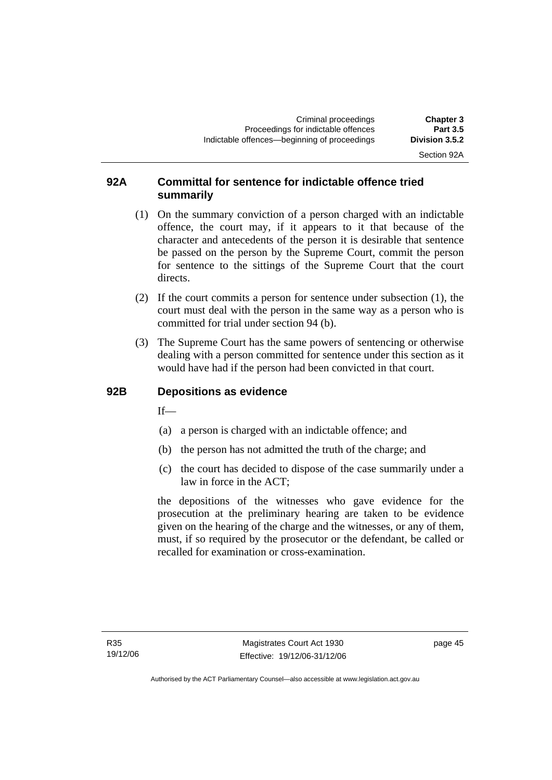Section 92A

#### **92A Committal for sentence for indictable offence tried summarily**

- (1) On the summary conviction of a person charged with an indictable offence, the court may, if it appears to it that because of the character and antecedents of the person it is desirable that sentence be passed on the person by the Supreme Court, commit the person for sentence to the sittings of the Supreme Court that the court directs.
- (2) If the court commits a person for sentence under subsection (1), the court must deal with the person in the same way as a person who is committed for trial under section 94 (b).
- (3) The Supreme Court has the same powers of sentencing or otherwise dealing with a person committed for sentence under this section as it would have had if the person had been convicted in that court.

#### **92B Depositions as evidence**

If—

- (a) a person is charged with an indictable offence; and
- (b) the person has not admitted the truth of the charge; and
- (c) the court has decided to dispose of the case summarily under a law in force in the ACT;

the depositions of the witnesses who gave evidence for the prosecution at the preliminary hearing are taken to be evidence given on the hearing of the charge and the witnesses, or any of them, must, if so required by the prosecutor or the defendant, be called or recalled for examination or cross-examination.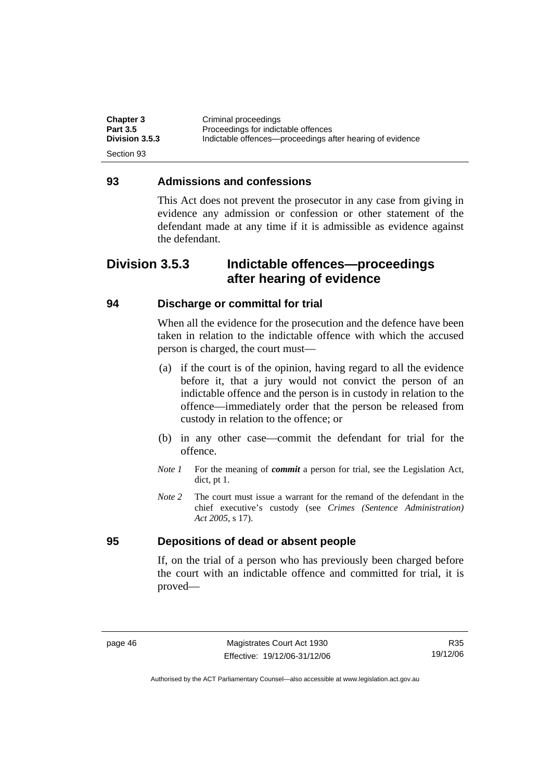| <b>Chapter 3</b> | Criminal proceedings                                      |
|------------------|-----------------------------------------------------------|
| <b>Part 3.5</b>  | Proceedings for indictable offences                       |
| Division 3.5.3   | Indictable offences—proceedings after hearing of evidence |
| Section 93       |                                                           |

#### **93 Admissions and confessions**

This Act does not prevent the prosecutor in any case from giving in evidence any admission or confession or other statement of the defendant made at any time if it is admissible as evidence against the defendant.

## **Division 3.5.3 Indictable offences—proceedings after hearing of evidence**

#### **94 Discharge or committal for trial**

When all the evidence for the prosecution and the defence have been taken in relation to the indictable offence with which the accused person is charged, the court must—

- (a) if the court is of the opinion, having regard to all the evidence before it, that a jury would not convict the person of an indictable offence and the person is in custody in relation to the offence—immediately order that the person be released from custody in relation to the offence; or
- (b) in any other case—commit the defendant for trial for the offence.
- *Note 1* For the meaning of *commit* a person for trial, see the Legislation Act, dict, pt 1.
- *Note 2* The court must issue a warrant for the remand of the defendant in the chief executive's custody (see *Crimes (Sentence Administration) Act 2005*, s 17).

#### **95 Depositions of dead or absent people**

If, on the trial of a person who has previously been charged before the court with an indictable offence and committed for trial, it is proved—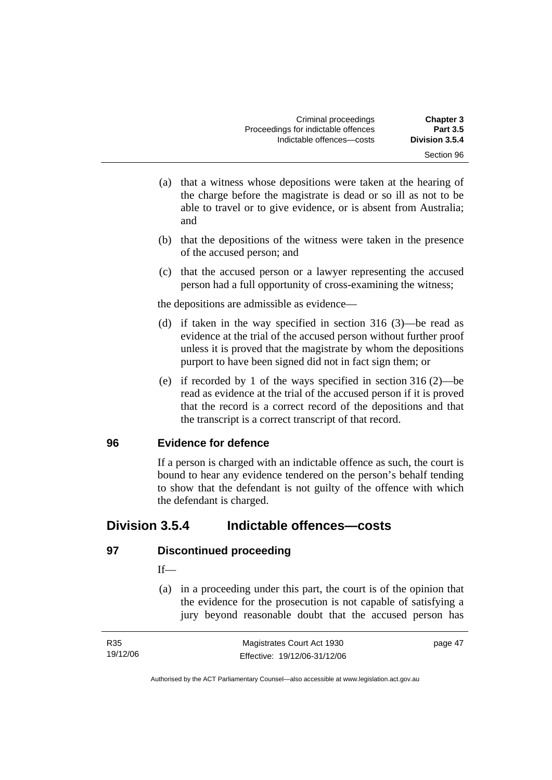- (a) that a witness whose depositions were taken at the hearing of the charge before the magistrate is dead or so ill as not to be able to travel or to give evidence, or is absent from Australia; and
- (b) that the depositions of the witness were taken in the presence of the accused person; and
- (c) that the accused person or a lawyer representing the accused person had a full opportunity of cross-examining the witness;

the depositions are admissible as evidence—

- (d) if taken in the way specified in section 316 (3)—be read as evidence at the trial of the accused person without further proof unless it is proved that the magistrate by whom the depositions purport to have been signed did not in fact sign them; or
- (e) if recorded by 1 of the ways specified in section 316 (2)—be read as evidence at the trial of the accused person if it is proved that the record is a correct record of the depositions and that the transcript is a correct transcript of that record.

#### **96 Evidence for defence**

If a person is charged with an indictable offence as such, the court is bound to hear any evidence tendered on the person's behalf tending to show that the defendant is not guilty of the offence with which the defendant is charged.

## **Division 3.5.4 Indictable offences—costs**

#### **97 Discontinued proceeding**

#### $If$ —

 (a) in a proceeding under this part, the court is of the opinion that the evidence for the prosecution is not capable of satisfying a jury beyond reasonable doubt that the accused person has

| R35      | Magistrates Court Act 1930   | page 47 |
|----------|------------------------------|---------|
| 19/12/06 | Effective: 19/12/06-31/12/06 |         |

Authorised by the ACT Parliamentary Counsel—also accessible at www.legislation.act.gov.au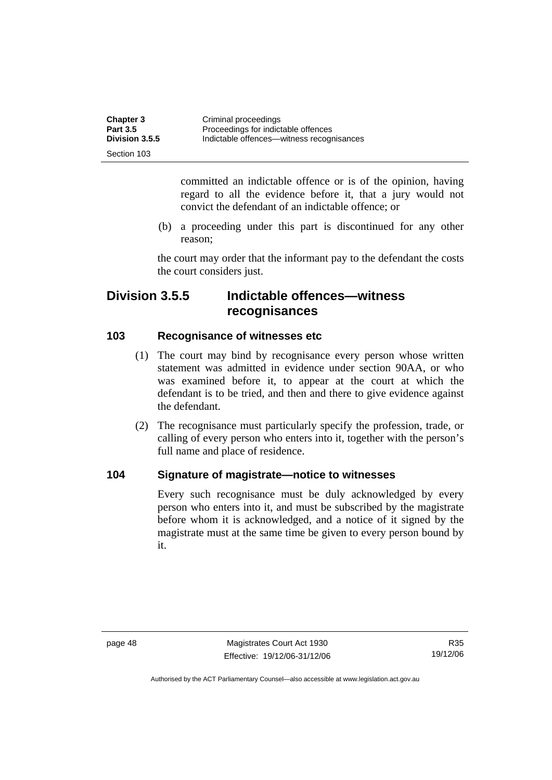| <b>Chapter 3</b> | Criminal proceedings                      |
|------------------|-------------------------------------------|
| <b>Part 3.5</b>  | Proceedings for indictable offences       |
| Division 3.5.5   | Indictable offences—witness recognisances |
| Section 103      |                                           |

committed an indictable offence or is of the opinion, having regard to all the evidence before it, that a jury would not convict the defendant of an indictable offence; or

 (b) a proceeding under this part is discontinued for any other reason;

the court may order that the informant pay to the defendant the costs the court considers just.

## **Division 3.5.5 Indictable offences—witness recognisances**

#### **103 Recognisance of witnesses etc**

- (1) The court may bind by recognisance every person whose written statement was admitted in evidence under section 90AA, or who was examined before it, to appear at the court at which the defendant is to be tried, and then and there to give evidence against the defendant.
- (2) The recognisance must particularly specify the profession, trade, or calling of every person who enters into it, together with the person's full name and place of residence.

#### **104 Signature of magistrate—notice to witnesses**

Every such recognisance must be duly acknowledged by every person who enters into it, and must be subscribed by the magistrate before whom it is acknowledged, and a notice of it signed by the magistrate must at the same time be given to every person bound by it.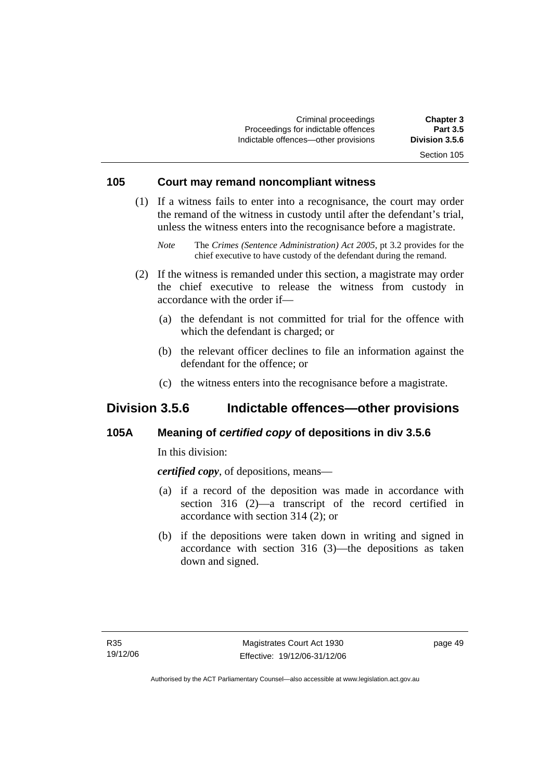Criminal proceedings **Chapter 3**  Proceedings for indictable offences **Part 3.5**<br> **Part 3.5 Part 3.5 6**<br> **Proceeding a contract of the contract of the Proceeding State Proceeding Contract Proceeding Contract Proceeding Contract Proceeding Contract Procee** Indictable offences-other provisions

## Section 105

#### **105 Court may remand noncompliant witness**

 (1) If a witness fails to enter into a recognisance, the court may order the remand of the witness in custody until after the defendant's trial, unless the witness enters into the recognisance before a magistrate.

- (2) If the witness is remanded under this section, a magistrate may order the chief executive to release the witness from custody in accordance with the order if—
	- (a) the defendant is not committed for trial for the offence with which the defendant is charged; or
	- (b) the relevant officer declines to file an information against the defendant for the offence; or
	- (c) the witness enters into the recognisance before a magistrate.

## **Division 3.5.6 Indictable offences—other provisions**

#### **105A Meaning of** *certified copy* **of depositions in div 3.5.6**

In this division:

*certified copy*, of depositions, means—

- (a) if a record of the deposition was made in accordance with section 316 (2)—a transcript of the record certified in accordance with section 314 (2); or
- (b) if the depositions were taken down in writing and signed in accordance with section 316 (3)—the depositions as taken down and signed.

*Note* The *Crimes (Sentence Administration) Act 2005*, pt 3.2 provides for the chief executive to have custody of the defendant during the remand.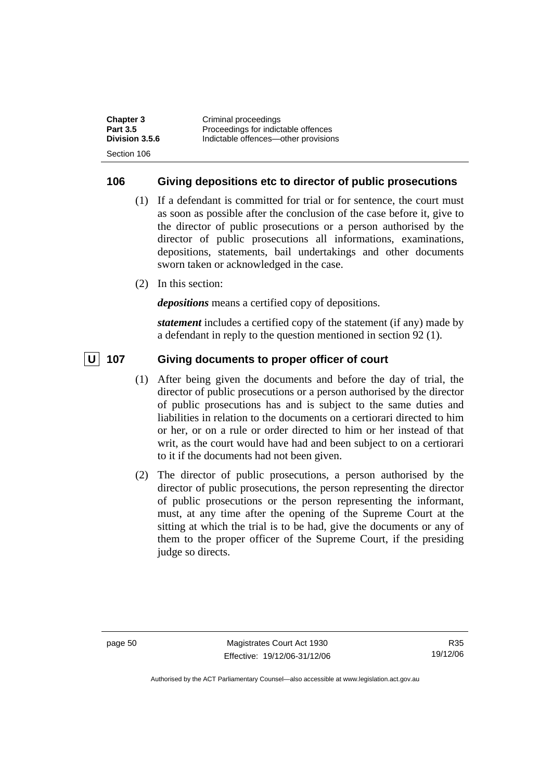| <b>Chapter 3</b> | Criminal proceedings                 |
|------------------|--------------------------------------|
| <b>Part 3.5</b>  | Proceedings for indictable offences  |
| Division 3.5.6   | Indictable offences—other provisions |
| Section 106      |                                      |

#### **106 Giving depositions etc to director of public prosecutions**

- (1) If a defendant is committed for trial or for sentence, the court must as soon as possible after the conclusion of the case before it, give to the director of public prosecutions or a person authorised by the director of public prosecutions all informations, examinations, depositions, statements, bail undertakings and other documents sworn taken or acknowledged in the case.
- (2) In this section:

*depositions* means a certified copy of depositions.

*statement* includes a certified copy of the statement (if any) made by a defendant in reply to the question mentioned in section 92 (1).

#### **U** 107 Giving documents to proper officer of court

- (1) After being given the documents and before the day of trial, the director of public prosecutions or a person authorised by the director of public prosecutions has and is subject to the same duties and liabilities in relation to the documents on a certiorari directed to him or her, or on a rule or order directed to him or her instead of that writ, as the court would have had and been subject to on a certiorari to it if the documents had not been given.
- (2) The director of public prosecutions, a person authorised by the director of public prosecutions, the person representing the director of public prosecutions or the person representing the informant, must, at any time after the opening of the Supreme Court at the sitting at which the trial is to be had, give the documents or any of them to the proper officer of the Supreme Court, if the presiding judge so directs.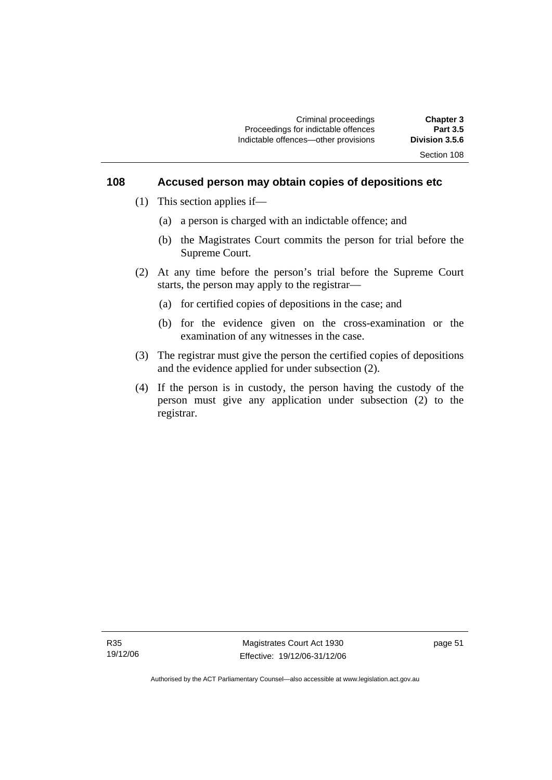#### **108 Accused person may obtain copies of depositions etc**

- (1) This section applies if—
	- (a) a person is charged with an indictable offence; and
	- (b) the Magistrates Court commits the person for trial before the Supreme Court.
- (2) At any time before the person's trial before the Supreme Court starts, the person may apply to the registrar—
	- (a) for certified copies of depositions in the case; and
	- (b) for the evidence given on the cross-examination or the examination of any witnesses in the case.
- (3) The registrar must give the person the certified copies of depositions and the evidence applied for under subsection (2).
- (4) If the person is in custody, the person having the custody of the person must give any application under subsection (2) to the registrar.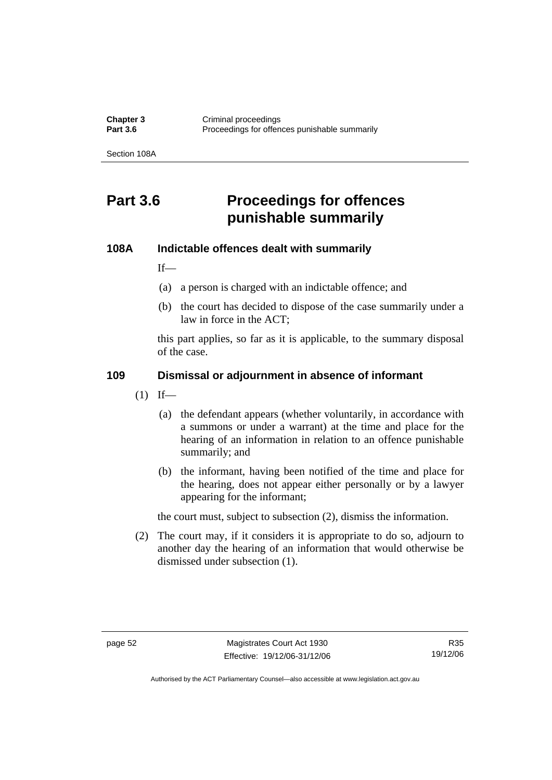**Chapter 3 Criminal proceedings**<br>**Part 3.6 Proceedings** for offen Proceedings for offences punishable summarily

Section 108A

# **Part 3.6 Proceedings for offences punishable summarily**

#### **108A Indictable offences dealt with summarily**

 $If$ —

- (a) a person is charged with an indictable offence; and
- (b) the court has decided to dispose of the case summarily under a law in force in the ACT;

this part applies, so far as it is applicable, to the summary disposal of the case.

#### **109 Dismissal or adjournment in absence of informant**

- $(1)$  If—
	- (a) the defendant appears (whether voluntarily, in accordance with a summons or under a warrant) at the time and place for the hearing of an information in relation to an offence punishable summarily; and
	- (b) the informant, having been notified of the time and place for the hearing, does not appear either personally or by a lawyer appearing for the informant;

the court must, subject to subsection (2), dismiss the information.

 (2) The court may, if it considers it is appropriate to do so, adjourn to another day the hearing of an information that would otherwise be dismissed under subsection (1).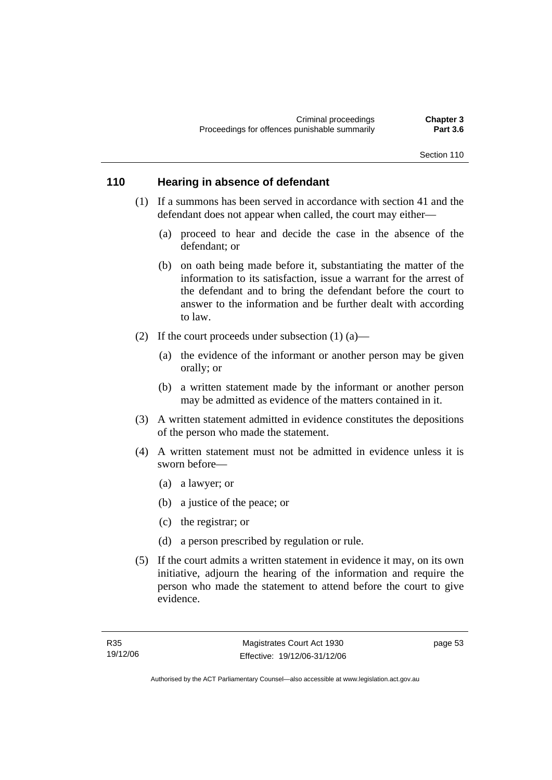#### Section 110

#### **110 Hearing in absence of defendant**

- (1) If a summons has been served in accordance with section 41 and the defendant does not appear when called, the court may either—
	- (a) proceed to hear and decide the case in the absence of the defendant; or
	- (b) on oath being made before it, substantiating the matter of the information to its satisfaction, issue a warrant for the arrest of the defendant and to bring the defendant before the court to answer to the information and be further dealt with according to law.
- (2) If the court proceeds under subsection  $(1)$  (a)—
	- (a) the evidence of the informant or another person may be given orally; or
	- (b) a written statement made by the informant or another person may be admitted as evidence of the matters contained in it.
- (3) A written statement admitted in evidence constitutes the depositions of the person who made the statement.
- (4) A written statement must not be admitted in evidence unless it is sworn before—
	- (a) a lawyer; or
	- (b) a justice of the peace; or
	- (c) the registrar; or
	- (d) a person prescribed by regulation or rule.
- (5) If the court admits a written statement in evidence it may, on its own initiative, adjourn the hearing of the information and require the person who made the statement to attend before the court to give evidence.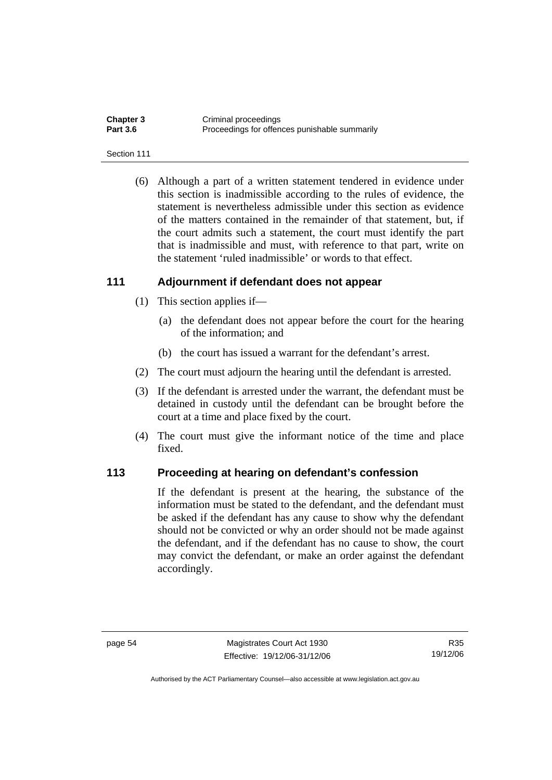| <b>Chapter 3</b> | Criminal proceedings                          |
|------------------|-----------------------------------------------|
| <b>Part 3.6</b>  | Proceedings for offences punishable summarily |

#### Section 111

 (6) Although a part of a written statement tendered in evidence under this section is inadmissible according to the rules of evidence, the statement is nevertheless admissible under this section as evidence of the matters contained in the remainder of that statement, but, if the court admits such a statement, the court must identify the part that is inadmissible and must, with reference to that part, write on the statement 'ruled inadmissible' or words to that effect.

#### **111 Adjournment if defendant does not appear**

- (1) This section applies if—
	- (a) the defendant does not appear before the court for the hearing of the information; and
	- (b) the court has issued a warrant for the defendant's arrest.
- (2) The court must adjourn the hearing until the defendant is arrested.
- (3) If the defendant is arrested under the warrant, the defendant must be detained in custody until the defendant can be brought before the court at a time and place fixed by the court.
- (4) The court must give the informant notice of the time and place fixed.

#### **113 Proceeding at hearing on defendant's confession**

If the defendant is present at the hearing, the substance of the information must be stated to the defendant, and the defendant must be asked if the defendant has any cause to show why the defendant should not be convicted or why an order should not be made against the defendant, and if the defendant has no cause to show, the court may convict the defendant, or make an order against the defendant accordingly.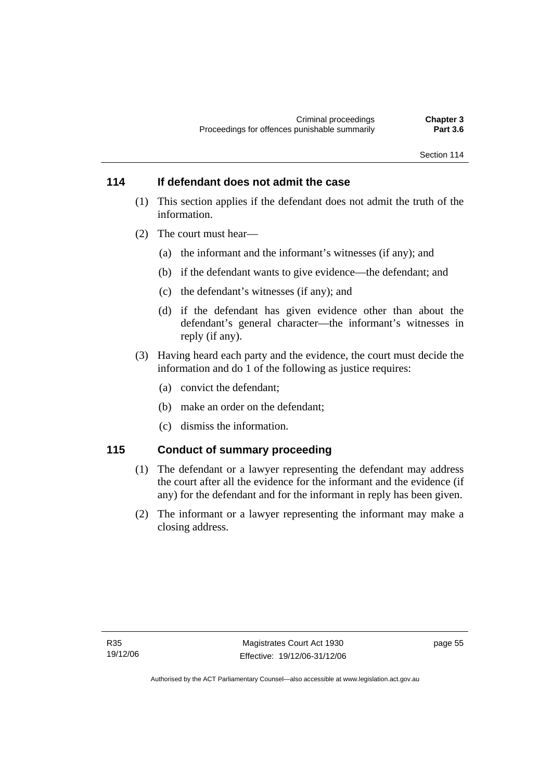#### **114 If defendant does not admit the case**

- (1) This section applies if the defendant does not admit the truth of the information.
- (2) The court must hear—
	- (a) the informant and the informant's witnesses (if any); and
	- (b) if the defendant wants to give evidence—the defendant; and
	- (c) the defendant's witnesses (if any); and
	- (d) if the defendant has given evidence other than about the defendant's general character—the informant's witnesses in reply (if any).
- (3) Having heard each party and the evidence, the court must decide the information and do 1 of the following as justice requires:
	- (a) convict the defendant;
	- (b) make an order on the defendant;
	- (c) dismiss the information.

#### **115 Conduct of summary proceeding**

- (1) The defendant or a lawyer representing the defendant may address the court after all the evidence for the informant and the evidence (if any) for the defendant and for the informant in reply has been given.
- (2) The informant or a lawyer representing the informant may make a closing address.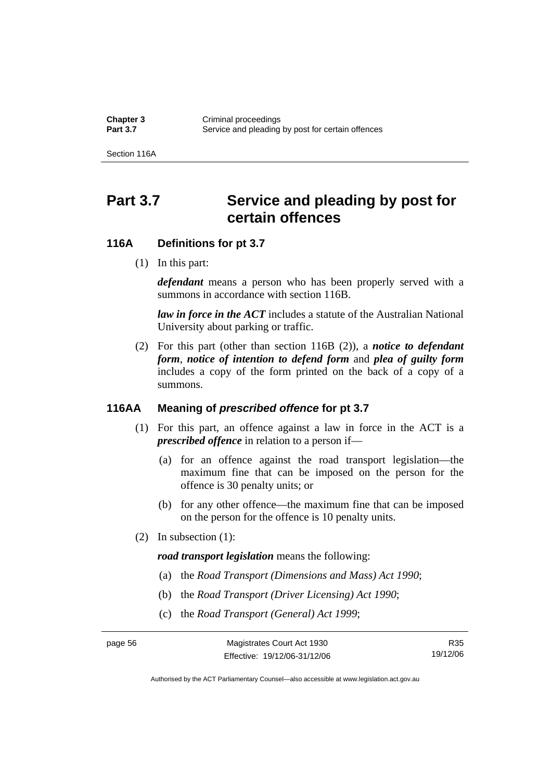**Chapter 3 Criminal proceedings**<br> **Part 3.7 Capacity** Service and pleading Service and pleading by post for certain offences

Section 116A

# Part 3.7 Service and pleading by post for **certain offences**

#### **116A Definitions for pt 3.7**

(1) In this part:

*defendant* means a person who has been properly served with a summons in accordance with section 116B.

*law in force in the ACT* includes a statute of the Australian National University about parking or traffic.

 (2) For this part (other than section 116B (2)), a *notice to defendant form*, *notice of intention to defend form* and *plea of guilty form* includes a copy of the form printed on the back of a copy of a summons.

#### **116AA Meaning of** *prescribed offence* **for pt 3.7**

- (1) For this part, an offence against a law in force in the ACT is a *prescribed offence* in relation to a person if—
	- (a) for an offence against the road transport legislation—the maximum fine that can be imposed on the person for the offence is 30 penalty units; or
	- (b) for any other offence—the maximum fine that can be imposed on the person for the offence is 10 penalty units.
- (2) In subsection (1):

*road transport legislation* means the following:

- (a) the *Road Transport (Dimensions and Mass) Act 1990*;
- (b) the *Road Transport (Driver Licensing) Act 1990*;
- (c) the *Road Transport (General) Act 1999*;

R35 19/12/06

Authorised by the ACT Parliamentary Counsel—also accessible at www.legislation.act.gov.au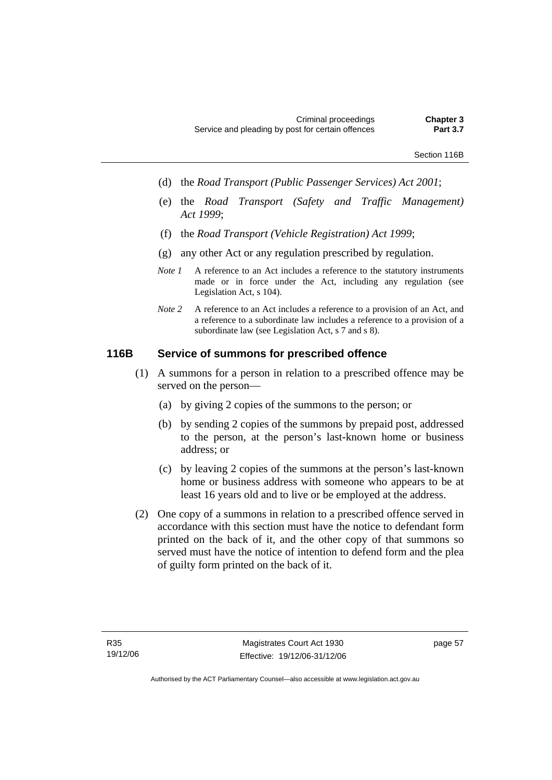- (d) the *Road Transport (Public Passenger Services) Act 2001*;
- (e) the *Road Transport (Safety and Traffic Management) Act 1999*;
- (f) the *Road Transport (Vehicle Registration) Act 1999*;
- (g) any other Act or any regulation prescribed by regulation.
- *Note 1* A reference to an Act includes a reference to the statutory instruments made or in force under the Act, including any regulation (see Legislation Act, s 104).
- *Note 2* A reference to an Act includes a reference to a provision of an Act, and a reference to a subordinate law includes a reference to a provision of a subordinate law (see Legislation Act, s 7 and s 8).

## **116B Service of summons for prescribed offence**

- (1) A summons for a person in relation to a prescribed offence may be served on the person—
	- (a) by giving 2 copies of the summons to the person; or
	- (b) by sending 2 copies of the summons by prepaid post, addressed to the person, at the person's last-known home or business address; or
	- (c) by leaving 2 copies of the summons at the person's last-known home or business address with someone who appears to be at least 16 years old and to live or be employed at the address.
- (2) One copy of a summons in relation to a prescribed offence served in accordance with this section must have the notice to defendant form printed on the back of it, and the other copy of that summons so served must have the notice of intention to defend form and the plea of guilty form printed on the back of it.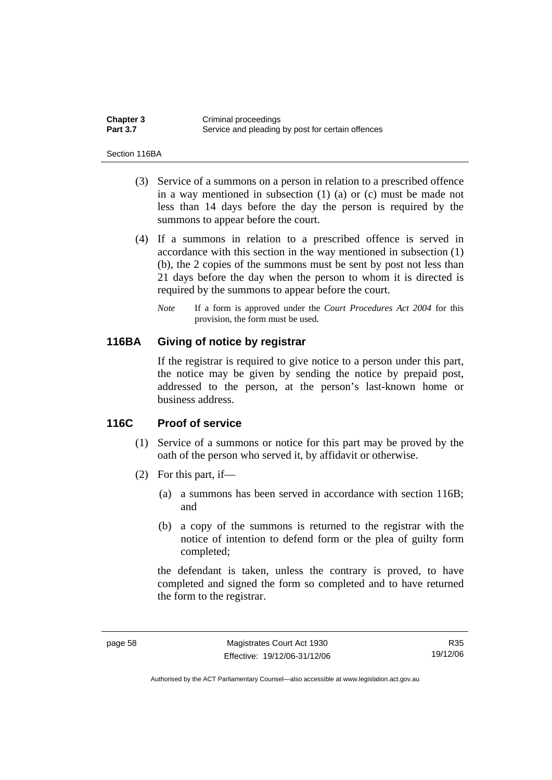| <b>Chapter 3</b> | Criminal proceedings                              |
|------------------|---------------------------------------------------|
| <b>Part 3.7</b>  | Service and pleading by post for certain offences |

Section 116BA

- (3) Service of a summons on a person in relation to a prescribed offence in a way mentioned in subsection (1) (a) or (c) must be made not less than 14 days before the day the person is required by the summons to appear before the court.
- (4) If a summons in relation to a prescribed offence is served in accordance with this section in the way mentioned in subsection (1) (b), the 2 copies of the summons must be sent by post not less than 21 days before the day when the person to whom it is directed is required by the summons to appear before the court.
	- *Note* If a form is approved under the *Court Procedures Act 2004* for this provision, the form must be used.

## **116BA Giving of notice by registrar**

If the registrar is required to give notice to a person under this part, the notice may be given by sending the notice by prepaid post, addressed to the person, at the person's last-known home or business address.

## **116C Proof of service**

- (1) Service of a summons or notice for this part may be proved by the oath of the person who served it, by affidavit or otherwise.
- (2) For this part, if—
	- (a) a summons has been served in accordance with section 116B; and
	- (b) a copy of the summons is returned to the registrar with the notice of intention to defend form or the plea of guilty form completed;

the defendant is taken, unless the contrary is proved, to have completed and signed the form so completed and to have returned the form to the registrar.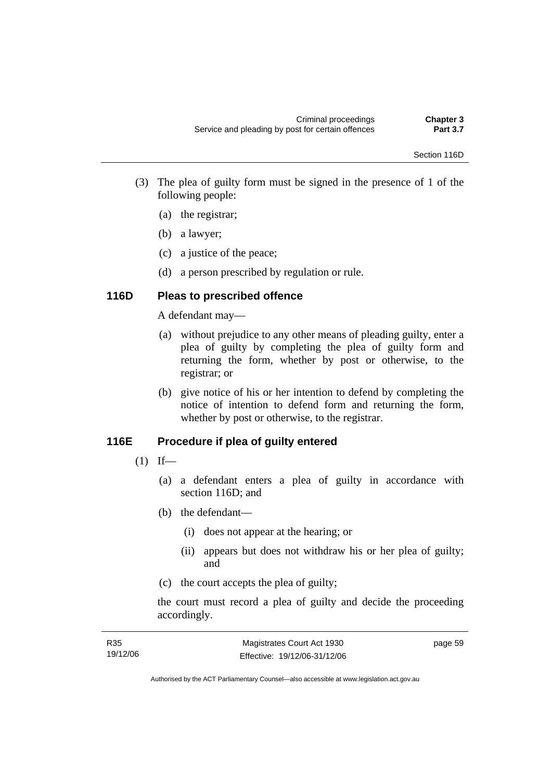- (3) The plea of guilty form must be signed in the presence of 1 of the following people:
	- (a) the registrar;
	- (b) a lawyer;
	- (c) a justice of the peace;
	- (d) a person prescribed by regulation or rule.

# **116D Pleas to prescribed offence**

A defendant may—

- (a) without prejudice to any other means of pleading guilty, enter a plea of guilty by completing the plea of guilty form and returning the form, whether by post or otherwise, to the registrar; or
- (b) give notice of his or her intention to defend by completing the notice of intention to defend form and returning the form, whether by post or otherwise, to the registrar.

# **116E Procedure if plea of guilty entered**

- $(1)$  If—
	- (a) a defendant enters a plea of guilty in accordance with section 116D; and
	- (b) the defendant—
		- (i) does not appear at the hearing; or
		- (ii) appears but does not withdraw his or her plea of guilty; and
	- (c) the court accepts the plea of guilty;

the court must record a plea of guilty and decide the proceeding accordingly.

| R35      | Magistrates Court Act 1930   | page 59 |
|----------|------------------------------|---------|
| 19/12/06 | Effective: 19/12/06-31/12/06 |         |

Authorised by the ACT Parliamentary Counsel—also accessible at www.legislation.act.gov.au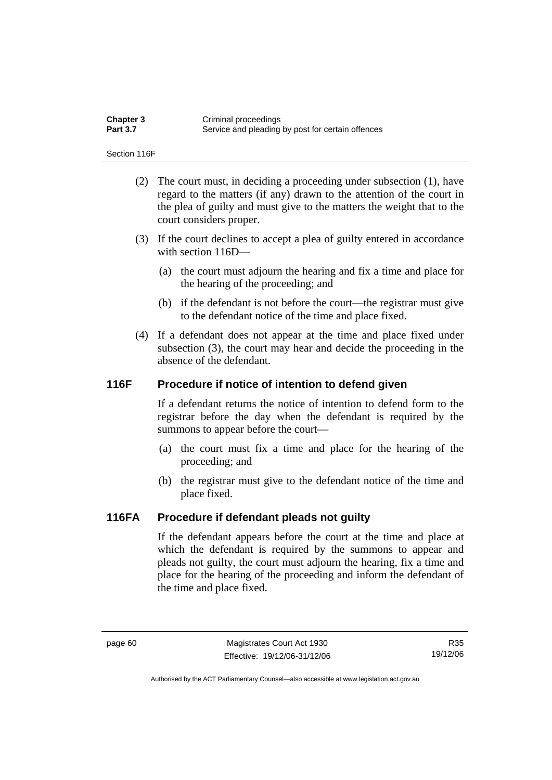| <b>Chapter 3</b> | Criminal proceedings                              |
|------------------|---------------------------------------------------|
| <b>Part 3.7</b>  | Service and pleading by post for certain offences |

Section 116F

- (2) The court must, in deciding a proceeding under subsection (1), have regard to the matters (if any) drawn to the attention of the court in the plea of guilty and must give to the matters the weight that to the court considers proper.
- (3) If the court declines to accept a plea of guilty entered in accordance with section 116D—
	- (a) the court must adjourn the hearing and fix a time and place for the hearing of the proceeding; and
	- (b) if the defendant is not before the court—the registrar must give to the defendant notice of the time and place fixed.
- (4) If a defendant does not appear at the time and place fixed under subsection (3), the court may hear and decide the proceeding in the absence of the defendant.

## **116F Procedure if notice of intention to defend given**

If a defendant returns the notice of intention to defend form to the registrar before the day when the defendant is required by the summons to appear before the court—

- (a) the court must fix a time and place for the hearing of the proceeding; and
- (b) the registrar must give to the defendant notice of the time and place fixed.

## **116FA Procedure if defendant pleads not guilty**

If the defendant appears before the court at the time and place at which the defendant is required by the summons to appear and pleads not guilty, the court must adjourn the hearing, fix a time and place for the hearing of the proceeding and inform the defendant of the time and place fixed.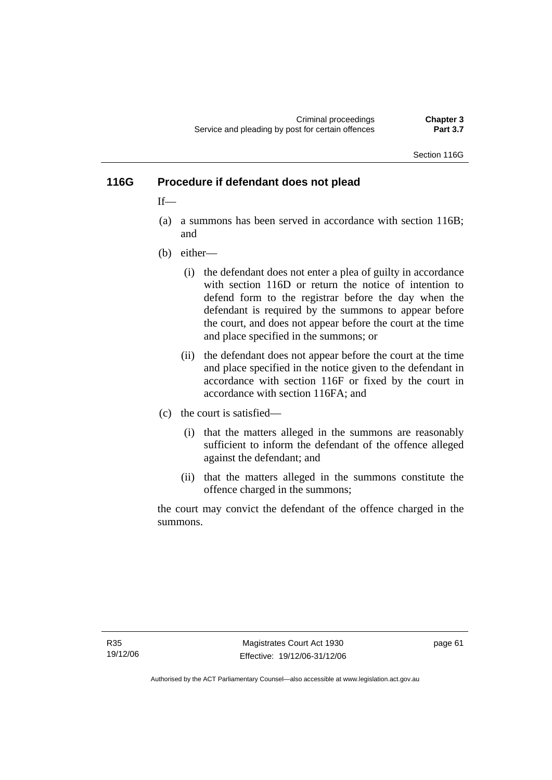Criminal proceedings **Chapter 3**  Service and pleading by post for certain offences

Section 116G

## **116G Procedure if defendant does not plead**

 $If$ <sub>—</sub>

- (a) a summons has been served in accordance with section 116B; and
- (b) either—
	- (i) the defendant does not enter a plea of guilty in accordance with section 116D or return the notice of intention to defend form to the registrar before the day when the defendant is required by the summons to appear before the court, and does not appear before the court at the time and place specified in the summons; or
	- (ii) the defendant does not appear before the court at the time and place specified in the notice given to the defendant in accordance with section 116F or fixed by the court in accordance with section 116FA; and
- (c) the court is satisfied—
	- (i) that the matters alleged in the summons are reasonably sufficient to inform the defendant of the offence alleged against the defendant; and
	- (ii) that the matters alleged in the summons constitute the offence charged in the summons;

the court may convict the defendant of the offence charged in the summons.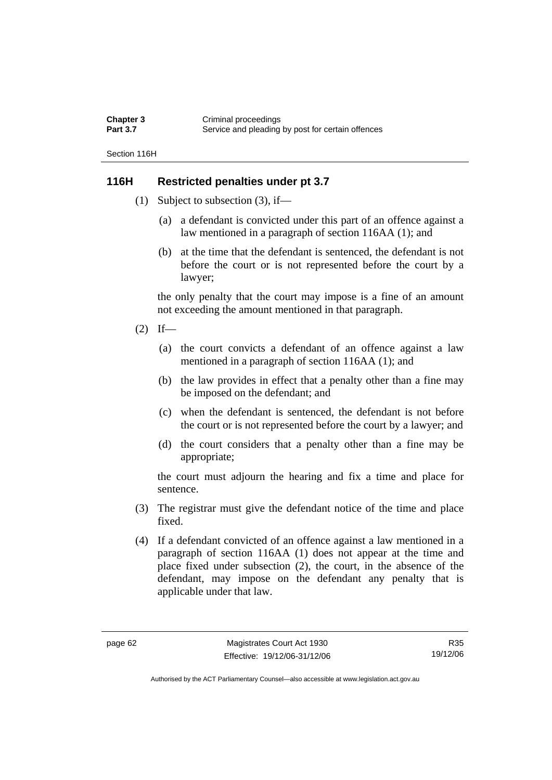| Chapter 3       | Criminal proceedings                              |
|-----------------|---------------------------------------------------|
| <b>Part 3.7</b> | Service and pleading by post for certain offences |

Section 116H

## **116H Restricted penalties under pt 3.7**

- (1) Subject to subsection (3), if—
	- (a) a defendant is convicted under this part of an offence against a law mentioned in a paragraph of section 116AA (1); and
	- (b) at the time that the defendant is sentenced, the defendant is not before the court or is not represented before the court by a lawyer;

the only penalty that the court may impose is a fine of an amount not exceeding the amount mentioned in that paragraph.

- $(2)$  If—
	- (a) the court convicts a defendant of an offence against a law mentioned in a paragraph of section 116AA (1); and
	- (b) the law provides in effect that a penalty other than a fine may be imposed on the defendant; and
	- (c) when the defendant is sentenced, the defendant is not before the court or is not represented before the court by a lawyer; and
	- (d) the court considers that a penalty other than a fine may be appropriate;

the court must adjourn the hearing and fix a time and place for sentence.

- (3) The registrar must give the defendant notice of the time and place fixed.
- (4) If a defendant convicted of an offence against a law mentioned in a paragraph of section 116AA (1) does not appear at the time and place fixed under subsection (2), the court, in the absence of the defendant, may impose on the defendant any penalty that is applicable under that law.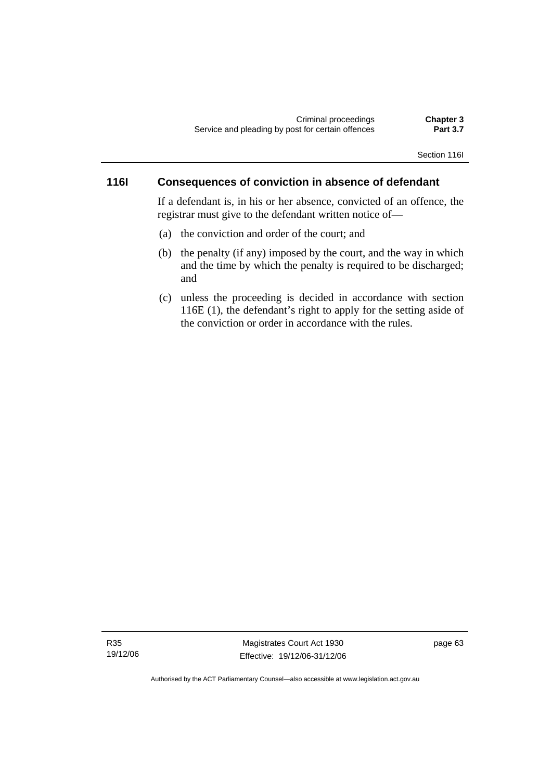#### Section 116I

## **116I Consequences of conviction in absence of defendant**

If a defendant is, in his or her absence, convicted of an offence, the registrar must give to the defendant written notice of—

- (a) the conviction and order of the court; and
- (b) the penalty (if any) imposed by the court, and the way in which and the time by which the penalty is required to be discharged; and
- (c) unless the proceeding is decided in accordance with section 116E (1), the defendant's right to apply for the setting aside of the conviction or order in accordance with the rules.

R35 19/12/06

Magistrates Court Act 1930 Effective: 19/12/06-31/12/06 page 63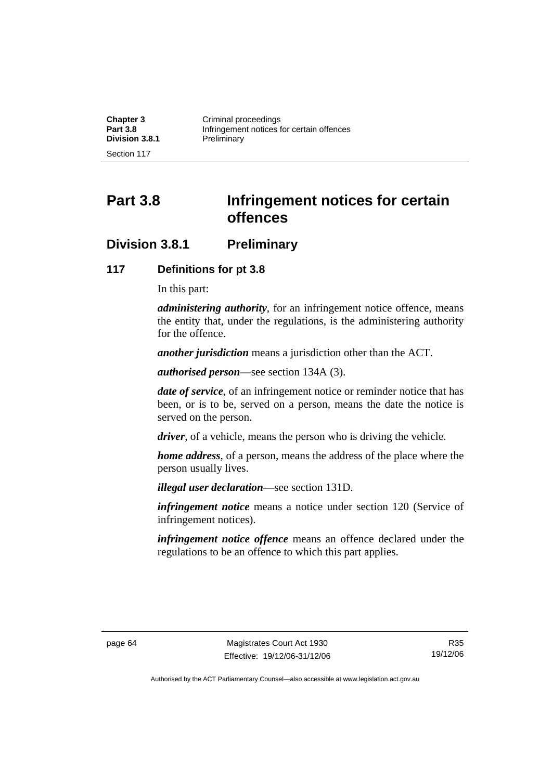| <b>Chapter 3</b>      | Criminal proceedings                      |
|-----------------------|-------------------------------------------|
| <b>Part 3.8</b>       | Infringement notices for certain offences |
| <b>Division 3.8.1</b> | Preliminary                               |
| Section 117           |                                           |

**Part 3.8 Infringement notices for certain offences** 

# **Division 3.8.1 Preliminary**

## **117 Definitions for pt 3.8**

In this part:

*administering authority*, for an infringement notice offence, means the entity that, under the regulations, is the administering authority for the offence.

*another jurisdiction* means a jurisdiction other than the ACT.

*authorised person*—see section 134A (3).

*date of service*, of an infringement notice or reminder notice that has been, or is to be, served on a person, means the date the notice is served on the person.

*driver*, of a vehicle, means the person who is driving the vehicle.

*home address*, of a person, means the address of the place where the person usually lives.

*illegal user declaration*—see section 131D.

*infringement notice* means a notice under section 120 (Service of infringement notices).

*infringement notice offence* means an offence declared under the regulations to be an offence to which this part applies.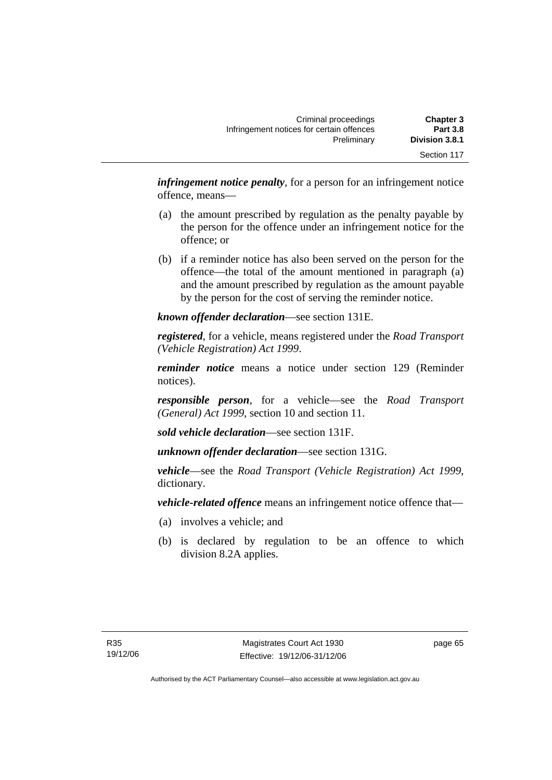| <b>Chapter 3</b> | Criminal proceedings                      |
|------------------|-------------------------------------------|
| <b>Part 3.8</b>  | Infringement notices for certain offences |
| Division 3.8.1   | Preliminary                               |
| Section 117      |                                           |

*infringement notice penalty*, for a person for an infringement notice offence, means—

- (a) the amount prescribed by regulation as the penalty payable by the person for the offence under an infringement notice for the offence; or
- (b) if a reminder notice has also been served on the person for the offence—the total of the amount mentioned in paragraph (a) and the amount prescribed by regulation as the amount payable by the person for the cost of serving the reminder notice.

*known offender declaration*—see section 131E.

*registered*, for a vehicle, means registered under the *Road Transport (Vehicle Registration) Act 1999*.

*reminder notice* means a notice under section 129 (Reminder notices).

*responsible person*, for a vehicle—see the *Road Transport (General) Act 1999*, section 10 and section 11.

*sold vehicle declaration*—see section 131F.

*unknown offender declaration*—see section 131G.

*vehicle*—see the *Road Transport (Vehicle Registration) Act 1999*, dictionary.

*vehicle-related offence* means an infringement notice offence that—

- (a) involves a vehicle; and
- (b) is declared by regulation to be an offence to which division 8.2A applies.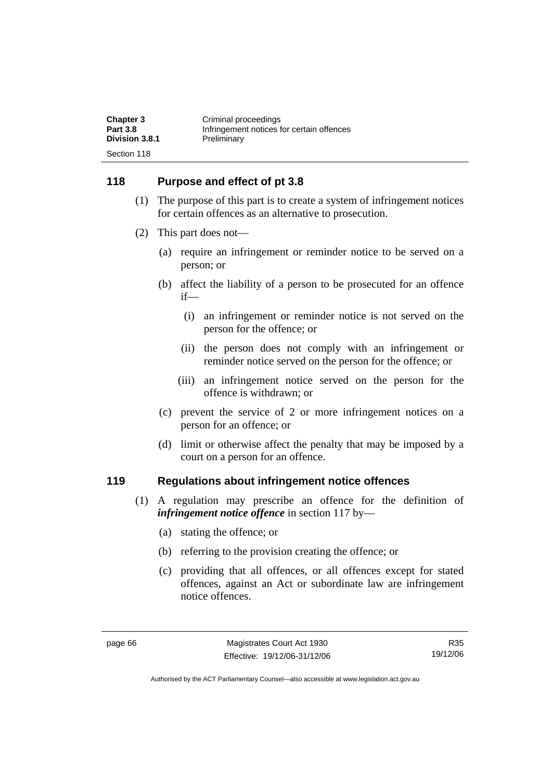| <b>Chapter 3</b>              | Criminal proceedings                      |
|-------------------------------|-------------------------------------------|
| <b>Part 3.8</b>               | Infringement notices for certain offences |
| Division 3.8.1<br>Section 118 | Preliminary                               |

## **118 Purpose and effect of pt 3.8**

- (1) The purpose of this part is to create a system of infringement notices for certain offences as an alternative to prosecution.
- (2) This part does not—
	- (a) require an infringement or reminder notice to be served on a person; or
	- (b) affect the liability of a person to be prosecuted for an offence if—
		- (i) an infringement or reminder notice is not served on the person for the offence; or
		- (ii) the person does not comply with an infringement or reminder notice served on the person for the offence; or
		- (iii) an infringement notice served on the person for the offence is withdrawn; or
	- (c) prevent the service of 2 or more infringement notices on a person for an offence; or
	- (d) limit or otherwise affect the penalty that may be imposed by a court on a person for an offence.

## **119 Regulations about infringement notice offences**

- (1) A regulation may prescribe an offence for the definition of *infringement notice offence* in section 117 by—
	- (a) stating the offence; or
	- (b) referring to the provision creating the offence; or
	- (c) providing that all offences, or all offences except for stated offences, against an Act or subordinate law are infringement notice offences.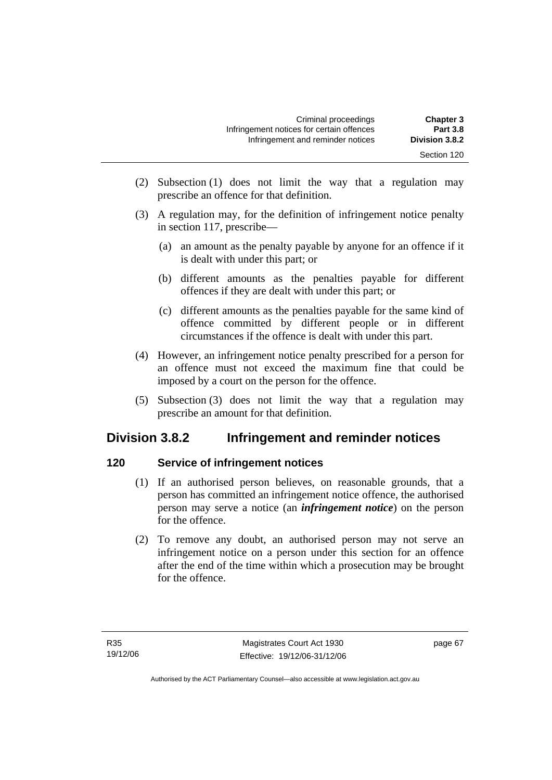- (2) Subsection (1) does not limit the way that a regulation may prescribe an offence for that definition.
- (3) A regulation may, for the definition of infringement notice penalty in section 117, prescribe—
	- (a) an amount as the penalty payable by anyone for an offence if it is dealt with under this part; or
	- (b) different amounts as the penalties payable for different offences if they are dealt with under this part; or
	- (c) different amounts as the penalties payable for the same kind of offence committed by different people or in different circumstances if the offence is dealt with under this part.
- (4) However, an infringement notice penalty prescribed for a person for an offence must not exceed the maximum fine that could be imposed by a court on the person for the offence.
- (5) Subsection (3) does not limit the way that a regulation may prescribe an amount for that definition.

# **Division 3.8.2 Infringement and reminder notices**

# **120 Service of infringement notices**

- (1) If an authorised person believes, on reasonable grounds, that a person has committed an infringement notice offence, the authorised person may serve a notice (an *infringement notice*) on the person for the offence.
- (2) To remove any doubt, an authorised person may not serve an infringement notice on a person under this section for an offence after the end of the time within which a prosecution may be brought for the offence.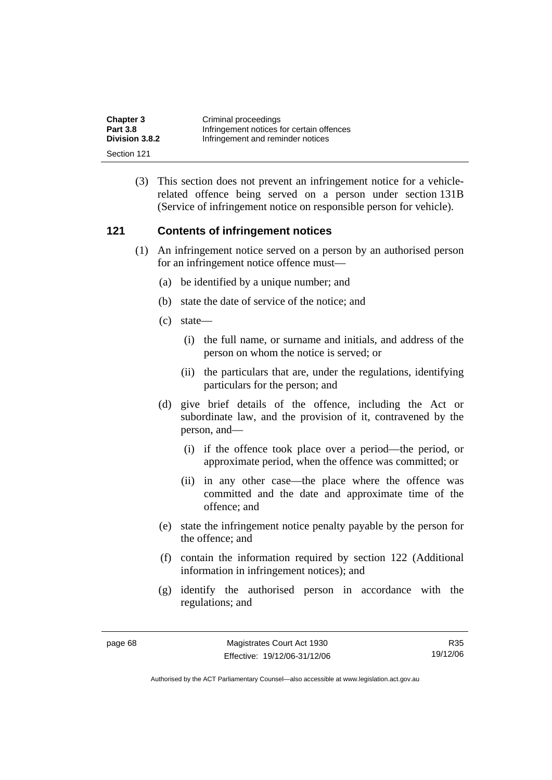| <b>Chapter 3</b> | Criminal proceedings                      |
|------------------|-------------------------------------------|
| <b>Part 3.8</b>  | Infringement notices for certain offences |
| Division 3.8.2   | Infringement and reminder notices         |
| Section 121      |                                           |

 (3) This section does not prevent an infringement notice for a vehiclerelated offence being served on a person under section 131B (Service of infringement notice on responsible person for vehicle).

## **121 Contents of infringement notices**

- (1) An infringement notice served on a person by an authorised person for an infringement notice offence must—
	- (a) be identified by a unique number; and
	- (b) state the date of service of the notice; and
	- (c) state—
		- (i) the full name, or surname and initials, and address of the person on whom the notice is served; or
		- (ii) the particulars that are, under the regulations, identifying particulars for the person; and
	- (d) give brief details of the offence, including the Act or subordinate law, and the provision of it, contravened by the person, and—
		- (i) if the offence took place over a period—the period, or approximate period, when the offence was committed; or
		- (ii) in any other case—the place where the offence was committed and the date and approximate time of the offence; and
	- (e) state the infringement notice penalty payable by the person for the offence; and
	- (f) contain the information required by section 122 (Additional information in infringement notices); and
	- (g) identify the authorised person in accordance with the regulations; and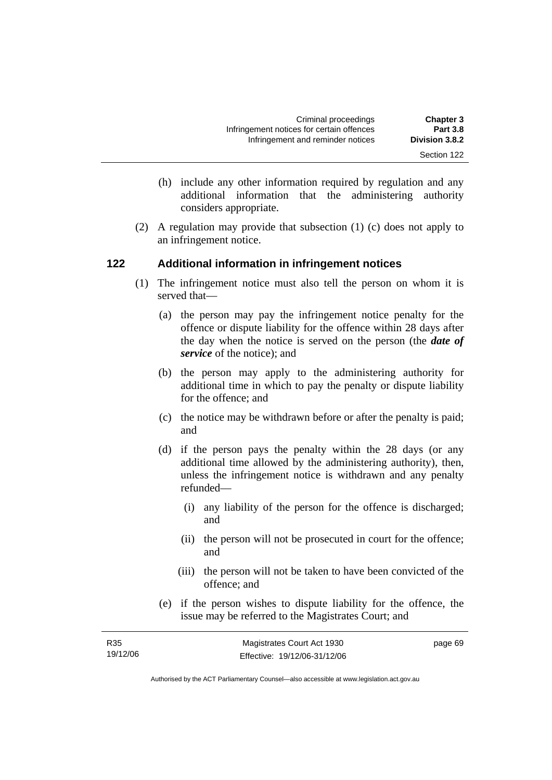- (h) include any other information required by regulation and any additional information that the administering authority considers appropriate.
- (2) A regulation may provide that subsection (1) (c) does not apply to an infringement notice.

# **122 Additional information in infringement notices**

- (1) The infringement notice must also tell the person on whom it is served that—
	- (a) the person may pay the infringement notice penalty for the offence or dispute liability for the offence within 28 days after the day when the notice is served on the person (the *date of service* of the notice); and
	- (b) the person may apply to the administering authority for additional time in which to pay the penalty or dispute liability for the offence; and
	- (c) the notice may be withdrawn before or after the penalty is paid; and
	- (d) if the person pays the penalty within the 28 days (or any additional time allowed by the administering authority), then, unless the infringement notice is withdrawn and any penalty refunded—
		- (i) any liability of the person for the offence is discharged; and
		- (ii) the person will not be prosecuted in court for the offence; and
		- (iii) the person will not be taken to have been convicted of the offence; and
	- (e) if the person wishes to dispute liability for the offence, the issue may be referred to the Magistrates Court; and

| R <sub>35</sub> | Magistrates Court Act 1930   | page 69 |
|-----------------|------------------------------|---------|
| 19/12/06        | Effective: 19/12/06-31/12/06 |         |

Authorised by the ACT Parliamentary Counsel—also accessible at www.legislation.act.gov.au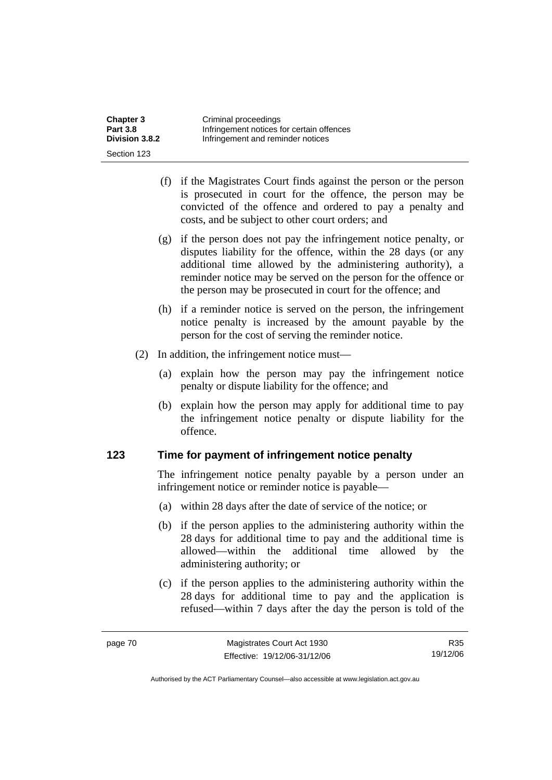| <b>Chapter 3</b> | Criminal proceedings                      |
|------------------|-------------------------------------------|
| <b>Part 3.8</b>  | Infringement notices for certain offences |
| Division 3.8.2   | Infringement and reminder notices         |
| Section 123      |                                           |

- (f) if the Magistrates Court finds against the person or the person is prosecuted in court for the offence, the person may be convicted of the offence and ordered to pay a penalty and costs, and be subject to other court orders; and
- (g) if the person does not pay the infringement notice penalty, or disputes liability for the offence, within the 28 days (or any additional time allowed by the administering authority), a reminder notice may be served on the person for the offence or the person may be prosecuted in court for the offence; and
- (h) if a reminder notice is served on the person, the infringement notice penalty is increased by the amount payable by the person for the cost of serving the reminder notice.
- (2) In addition, the infringement notice must—
	- (a) explain how the person may pay the infringement notice penalty or dispute liability for the offence; and
	- (b) explain how the person may apply for additional time to pay the infringement notice penalty or dispute liability for the offence.

## **123 Time for payment of infringement notice penalty**

The infringement notice penalty payable by a person under an infringement notice or reminder notice is payable—

- (a) within 28 days after the date of service of the notice; or
- (b) if the person applies to the administering authority within the 28 days for additional time to pay and the additional time is allowed—within the additional time allowed by the administering authority; or
- (c) if the person applies to the administering authority within the 28 days for additional time to pay and the application is refused—within 7 days after the day the person is told of the

R35 19/12/06

Authorised by the ACT Parliamentary Counsel—also accessible at www.legislation.act.gov.au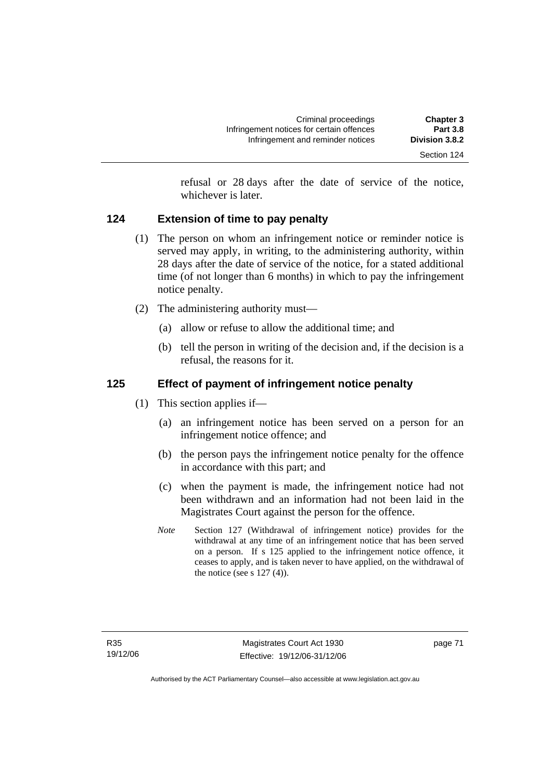refusal or 28 days after the date of service of the notice, whichever is later.

# **124 Extension of time to pay penalty**

- (1) The person on whom an infringement notice or reminder notice is served may apply, in writing, to the administering authority, within 28 days after the date of service of the notice, for a stated additional time (of not longer than 6 months) in which to pay the infringement notice penalty.
- (2) The administering authority must—
	- (a) allow or refuse to allow the additional time; and
	- (b) tell the person in writing of the decision and, if the decision is a refusal, the reasons for it.

# **125 Effect of payment of infringement notice penalty**

- (1) This section applies if—
	- (a) an infringement notice has been served on a person for an infringement notice offence; and
	- (b) the person pays the infringement notice penalty for the offence in accordance with this part; and
	- (c) when the payment is made, the infringement notice had not been withdrawn and an information had not been laid in the Magistrates Court against the person for the offence.
	- *Note* Section 127 (Withdrawal of infringement notice) provides for the withdrawal at any time of an infringement notice that has been served on a person. If s 125 applied to the infringement notice offence, it ceases to apply, and is taken never to have applied, on the withdrawal of the notice (see s  $127(4)$ ).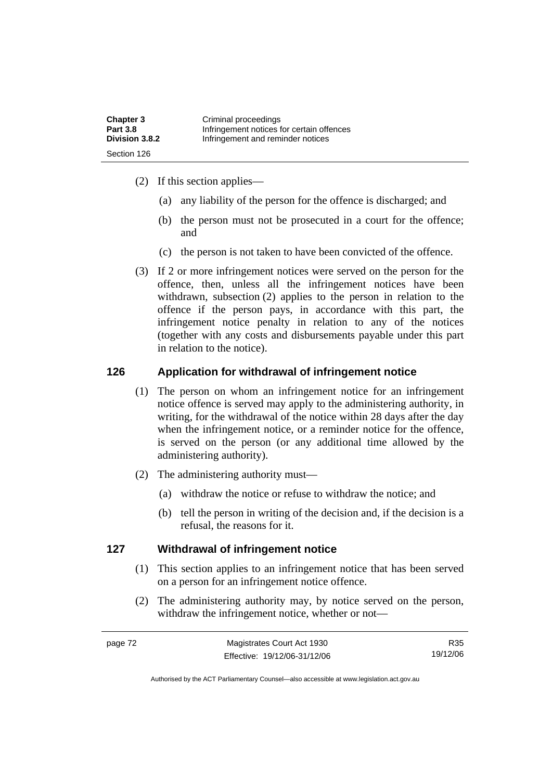| <b>Chapter 3</b> | Criminal proceedings                      |
|------------------|-------------------------------------------|
| <b>Part 3.8</b>  | Infringement notices for certain offences |
| Division 3.8.2   | Infringement and reminder notices         |
| Section 126      |                                           |

- (2) If this section applies—
	- (a) any liability of the person for the offence is discharged; and
	- (b) the person must not be prosecuted in a court for the offence; and
	- (c) the person is not taken to have been convicted of the offence.
- (3) If 2 or more infringement notices were served on the person for the offence, then, unless all the infringement notices have been withdrawn, subsection (2) applies to the person in relation to the offence if the person pays, in accordance with this part, the infringement notice penalty in relation to any of the notices (together with any costs and disbursements payable under this part in relation to the notice).

## **126 Application for withdrawal of infringement notice**

- (1) The person on whom an infringement notice for an infringement notice offence is served may apply to the administering authority, in writing, for the withdrawal of the notice within 28 days after the day when the infringement notice, or a reminder notice for the offence, is served on the person (or any additional time allowed by the administering authority).
- (2) The administering authority must—
	- (a) withdraw the notice or refuse to withdraw the notice; and
	- (b) tell the person in writing of the decision and, if the decision is a refusal, the reasons for it.

#### **127 Withdrawal of infringement notice**

- (1) This section applies to an infringement notice that has been served on a person for an infringement notice offence.
- (2) The administering authority may, by notice served on the person, withdraw the infringement notice, whether or not—

R35 19/12/06

Authorised by the ACT Parliamentary Counsel—also accessible at www.legislation.act.gov.au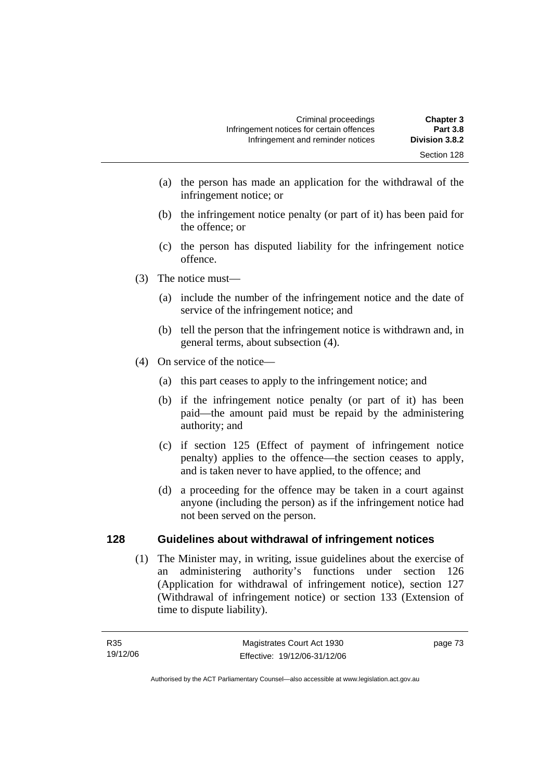- (a) the person has made an application for the withdrawal of the infringement notice; or
- (b) the infringement notice penalty (or part of it) has been paid for the offence; or
- (c) the person has disputed liability for the infringement notice offence.
- (3) The notice must—
	- (a) include the number of the infringement notice and the date of service of the infringement notice; and
	- (b) tell the person that the infringement notice is withdrawn and, in general terms, about subsection (4).
- (4) On service of the notice—
	- (a) this part ceases to apply to the infringement notice; and
	- (b) if the infringement notice penalty (or part of it) has been paid—the amount paid must be repaid by the administering authority; and
	- (c) if section 125 (Effect of payment of infringement notice penalty) applies to the offence—the section ceases to apply, and is taken never to have applied, to the offence; and
	- (d) a proceeding for the offence may be taken in a court against anyone (including the person) as if the infringement notice had not been served on the person.

# **128 Guidelines about withdrawal of infringement notices**

 (1) The Minister may, in writing, issue guidelines about the exercise of an administering authority's functions under section 126 (Application for withdrawal of infringement notice), section 127 (Withdrawal of infringement notice) or section 133 (Extension of time to dispute liability).

page 73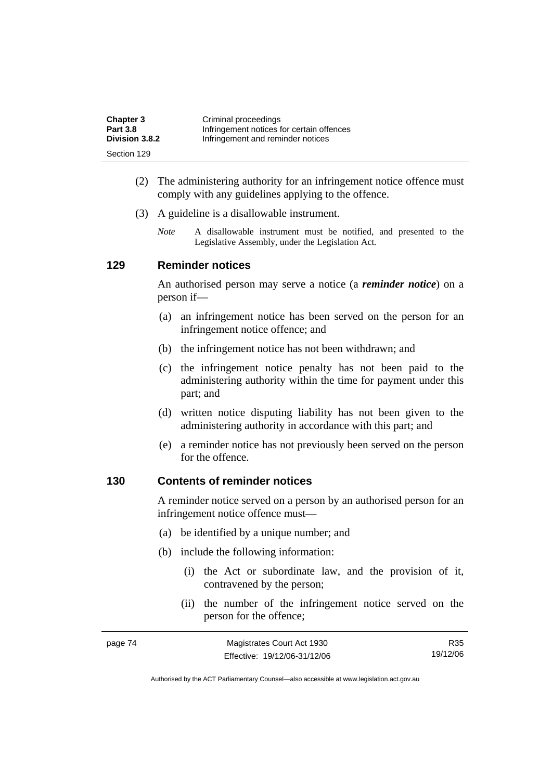| <b>Chapter 3</b> | Criminal proceedings                      |
|------------------|-------------------------------------------|
| <b>Part 3.8</b>  | Infringement notices for certain offences |
| Division 3.8.2   | Infringement and reminder notices         |
| Section 129      |                                           |

- (2) The administering authority for an infringement notice offence must comply with any guidelines applying to the offence.
- (3) A guideline is a disallowable instrument.
	- *Note* A disallowable instrument must be notified, and presented to the Legislative Assembly, under the Legislation Act*.*

## **129 Reminder notices**

An authorised person may serve a notice (a *reminder notice*) on a person if—

- (a) an infringement notice has been served on the person for an infringement notice offence; and
- (b) the infringement notice has not been withdrawn; and
- (c) the infringement notice penalty has not been paid to the administering authority within the time for payment under this part; and
- (d) written notice disputing liability has not been given to the administering authority in accordance with this part; and
- (e) a reminder notice has not previously been served on the person for the offence.

## **130 Contents of reminder notices**

A reminder notice served on a person by an authorised person for an infringement notice offence must—

- (a) be identified by a unique number; and
- (b) include the following information:
	- (i) the Act or subordinate law, and the provision of it, contravened by the person;
	- (ii) the number of the infringement notice served on the person for the offence;

| page 74 | Magistrates Court Act 1930   | R35      |
|---------|------------------------------|----------|
|         | Effective: 19/12/06-31/12/06 | 19/12/06 |

Authorised by the ACT Parliamentary Counsel—also accessible at www.legislation.act.gov.au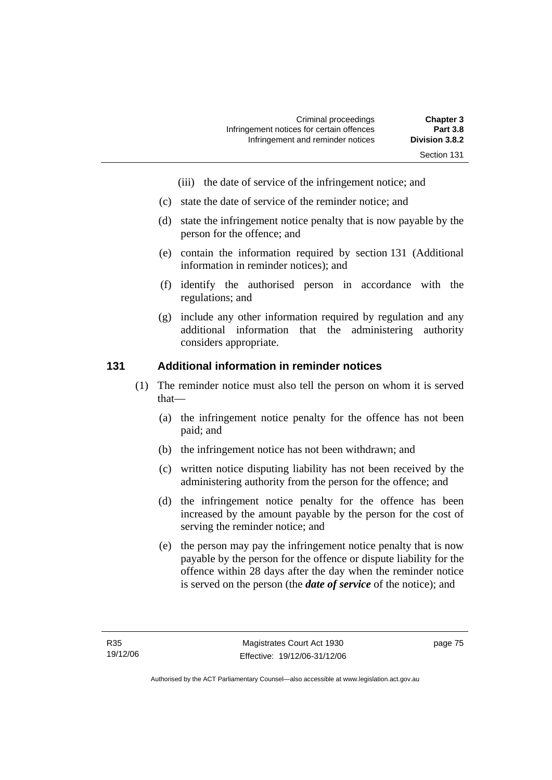- (iii) the date of service of the infringement notice; and
- (c) state the date of service of the reminder notice; and
- (d) state the infringement notice penalty that is now payable by the person for the offence; and
- (e) contain the information required by section 131 (Additional information in reminder notices); and
- (f) identify the authorised person in accordance with the regulations; and
- (g) include any other information required by regulation and any additional information that the administering authority considers appropriate.

## **131 Additional information in reminder notices**

- (1) The reminder notice must also tell the person on whom it is served that—
	- (a) the infringement notice penalty for the offence has not been paid; and
	- (b) the infringement notice has not been withdrawn; and
	- (c) written notice disputing liability has not been received by the administering authority from the person for the offence; and
	- (d) the infringement notice penalty for the offence has been increased by the amount payable by the person for the cost of serving the reminder notice; and
	- (e) the person may pay the infringement notice penalty that is now payable by the person for the offence or dispute liability for the offence within 28 days after the day when the reminder notice is served on the person (the *date of service* of the notice); and

page 75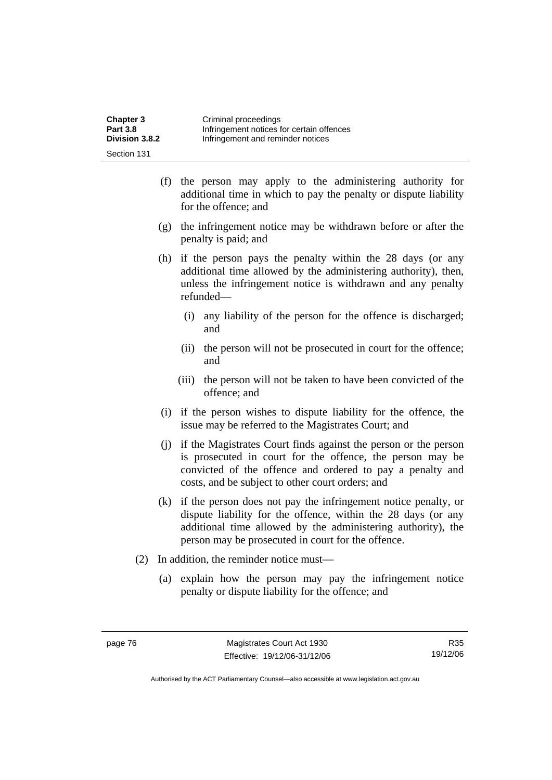| <b>Chapter 3</b> | Criminal proceedings                      |
|------------------|-------------------------------------------|
| <b>Part 3.8</b>  | Infringement notices for certain offences |
| Division 3.8.2   | Infringement and reminder notices         |
| Section 131      |                                           |

- (f) the person may apply to the administering authority for additional time in which to pay the penalty or dispute liability for the offence; and
- (g) the infringement notice may be withdrawn before or after the penalty is paid; and
- (h) if the person pays the penalty within the 28 days (or any additional time allowed by the administering authority), then, unless the infringement notice is withdrawn and any penalty refunded—
	- (i) any liability of the person for the offence is discharged; and
	- (ii) the person will not be prosecuted in court for the offence; and
	- (iii) the person will not be taken to have been convicted of the offence; and
- (i) if the person wishes to dispute liability for the offence, the issue may be referred to the Magistrates Court; and
- (j) if the Magistrates Court finds against the person or the person is prosecuted in court for the offence, the person may be convicted of the offence and ordered to pay a penalty and costs, and be subject to other court orders; and
- (k) if the person does not pay the infringement notice penalty, or dispute liability for the offence, within the 28 days (or any additional time allowed by the administering authority), the person may be prosecuted in court for the offence.
- (2) In addition, the reminder notice must—
	- (a) explain how the person may pay the infringement notice penalty or dispute liability for the offence; and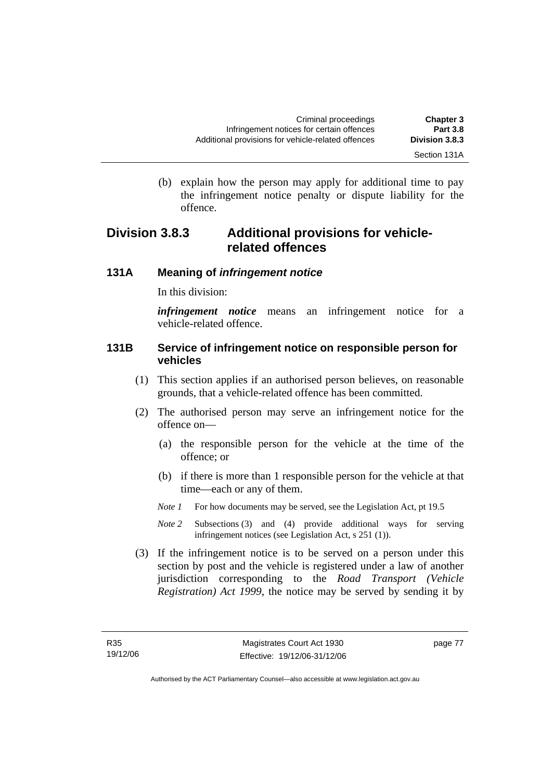(b) explain how the person may apply for additional time to pay the infringement notice penalty or dispute liability for the

# **Division 3.8.3 Additional provisions for vehiclerelated offences**

# **131A Meaning of** *infringement notice*

In this division:

offence.

*infringement notice* means an infringement notice for a vehicle-related offence.

# **131B Service of infringement notice on responsible person for vehicles**

- (1) This section applies if an authorised person believes, on reasonable grounds, that a vehicle-related offence has been committed.
- (2) The authorised person may serve an infringement notice for the offence on—
	- (a) the responsible person for the vehicle at the time of the offence; or
	- (b) if there is more than 1 responsible person for the vehicle at that time—each or any of them.
	- *Note 1* For how documents may be served, see the Legislation Act, pt 19.5
	- *Note 2* Subsections (3) and (4) provide additional ways for serving infringement notices (see Legislation Act, s 251 (1)).
- (3) If the infringement notice is to be served on a person under this section by post and the vehicle is registered under a law of another jurisdiction corresponding to the *Road Transport (Vehicle Registration) Act 1999*, the notice may be served by sending it by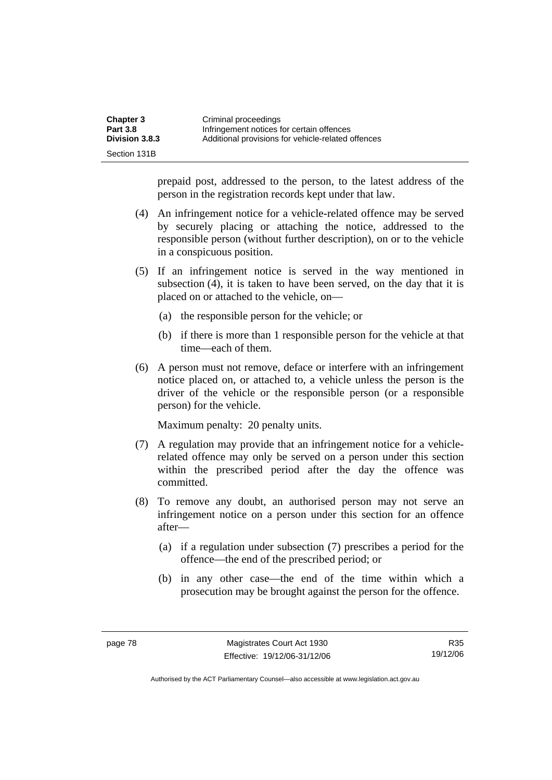| <b>Chapter 3</b> | Criminal proceedings                               |
|------------------|----------------------------------------------------|
| <b>Part 3.8</b>  | Infringement notices for certain offences          |
| Division 3.8.3   | Additional provisions for vehicle-related offences |
| Section 131B     |                                                    |

prepaid post, addressed to the person, to the latest address of the person in the registration records kept under that law.

- (4) An infringement notice for a vehicle-related offence may be served by securely placing or attaching the notice, addressed to the responsible person (without further description), on or to the vehicle in a conspicuous position.
- (5) If an infringement notice is served in the way mentioned in subsection (4), it is taken to have been served, on the day that it is placed on or attached to the vehicle, on—
	- (a) the responsible person for the vehicle; or
	- (b) if there is more than 1 responsible person for the vehicle at that time—each of them.
- (6) A person must not remove, deface or interfere with an infringement notice placed on, or attached to, a vehicle unless the person is the driver of the vehicle or the responsible person (or a responsible person) for the vehicle.

Maximum penalty: 20 penalty units.

- (7) A regulation may provide that an infringement notice for a vehiclerelated offence may only be served on a person under this section within the prescribed period after the day the offence was committed.
- (8) To remove any doubt, an authorised person may not serve an infringement notice on a person under this section for an offence after—
	- (a) if a regulation under subsection (7) prescribes a period for the offence—the end of the prescribed period; or
	- (b) in any other case—the end of the time within which a prosecution may be brought against the person for the offence.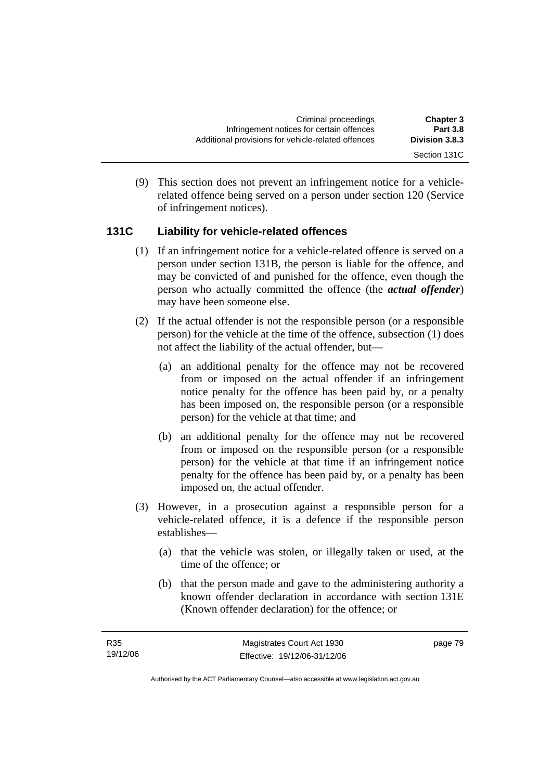(9) This section does not prevent an infringement notice for a vehiclerelated offence being served on a person under section 120 (Service of infringement notices).

# **131C Liability for vehicle-related offences**

- (1) If an infringement notice for a vehicle-related offence is served on a person under section 131B, the person is liable for the offence, and may be convicted of and punished for the offence, even though the person who actually committed the offence (the *actual offender*) may have been someone else.
- (2) If the actual offender is not the responsible person (or a responsible person) for the vehicle at the time of the offence, subsection (1) does not affect the liability of the actual offender, but—
	- (a) an additional penalty for the offence may not be recovered from or imposed on the actual offender if an infringement notice penalty for the offence has been paid by, or a penalty has been imposed on, the responsible person (or a responsible person) for the vehicle at that time; and
	- (b) an additional penalty for the offence may not be recovered from or imposed on the responsible person (or a responsible person) for the vehicle at that time if an infringement notice penalty for the offence has been paid by, or a penalty has been imposed on, the actual offender.
- (3) However, in a prosecution against a responsible person for a vehicle-related offence, it is a defence if the responsible person establishes—
	- (a) that the vehicle was stolen, or illegally taken or used, at the time of the offence; or
	- (b) that the person made and gave to the administering authority a known offender declaration in accordance with section 131E (Known offender declaration) for the offence; or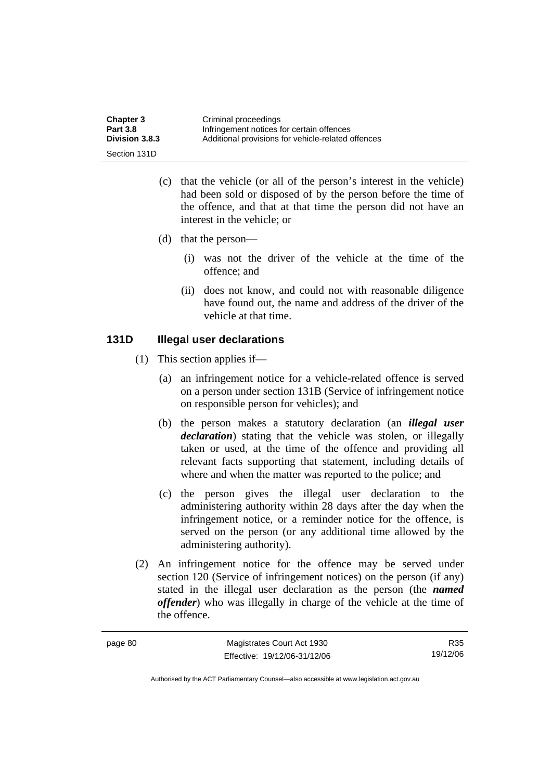| <b>Chapter 3</b> | Criminal proceedings                               |
|------------------|----------------------------------------------------|
| <b>Part 3.8</b>  | Infringement notices for certain offences          |
| Division 3.8.3   | Additional provisions for vehicle-related offences |
| Section 131D     |                                                    |

- (c) that the vehicle (or all of the person's interest in the vehicle) had been sold or disposed of by the person before the time of the offence, and that at that time the person did not have an interest in the vehicle; or
- (d) that the person—
	- (i) was not the driver of the vehicle at the time of the offence; and
	- (ii) does not know, and could not with reasonable diligence have found out, the name and address of the driver of the vehicle at that time.

# **131D Illegal user declarations**

- (1) This section applies if—
	- (a) an infringement notice for a vehicle-related offence is served on a person under section 131B (Service of infringement notice on responsible person for vehicles); and
	- (b) the person makes a statutory declaration (an *illegal user declaration*) stating that the vehicle was stolen, or illegally taken or used, at the time of the offence and providing all relevant facts supporting that statement, including details of where and when the matter was reported to the police; and
	- (c) the person gives the illegal user declaration to the administering authority within 28 days after the day when the infringement notice, or a reminder notice for the offence, is served on the person (or any additional time allowed by the administering authority).
- (2) An infringement notice for the offence may be served under section 120 (Service of infringement notices) on the person (if any) stated in the illegal user declaration as the person (the *named offender*) who was illegally in charge of the vehicle at the time of the offence.

| page 80 | Magistrates Court Act 1930   | R <sub>35</sub> |
|---------|------------------------------|-----------------|
|         | Effective: 19/12/06-31/12/06 | 19/12/06        |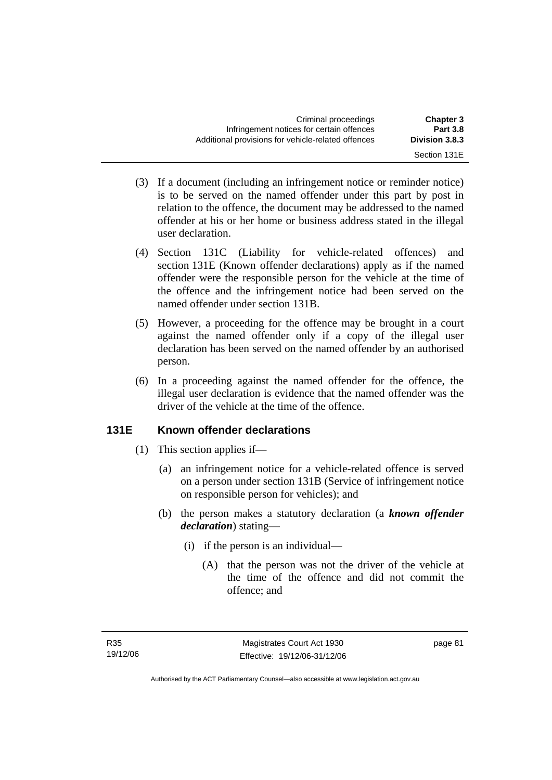- (3) If a document (including an infringement notice or reminder notice) is to be served on the named offender under this part by post in relation to the offence, the document may be addressed to the named offender at his or her home or business address stated in the illegal user declaration.
- (4) Section 131C (Liability for vehicle-related offences) and section 131E (Known offender declarations) apply as if the named offender were the responsible person for the vehicle at the time of the offence and the infringement notice had been served on the named offender under section 131B.
- (5) However, a proceeding for the offence may be brought in a court against the named offender only if a copy of the illegal user declaration has been served on the named offender by an authorised person.
- (6) In a proceeding against the named offender for the offence, the illegal user declaration is evidence that the named offender was the driver of the vehicle at the time of the offence.

# **131E Known offender declarations**

- (1) This section applies if—
	- (a) an infringement notice for a vehicle-related offence is served on a person under section 131B (Service of infringement notice on responsible person for vehicles); and
	- (b) the person makes a statutory declaration (a *known offender declaration*) stating—
		- (i) if the person is an individual—
			- (A) that the person was not the driver of the vehicle at the time of the offence and did not commit the offence; and

page 81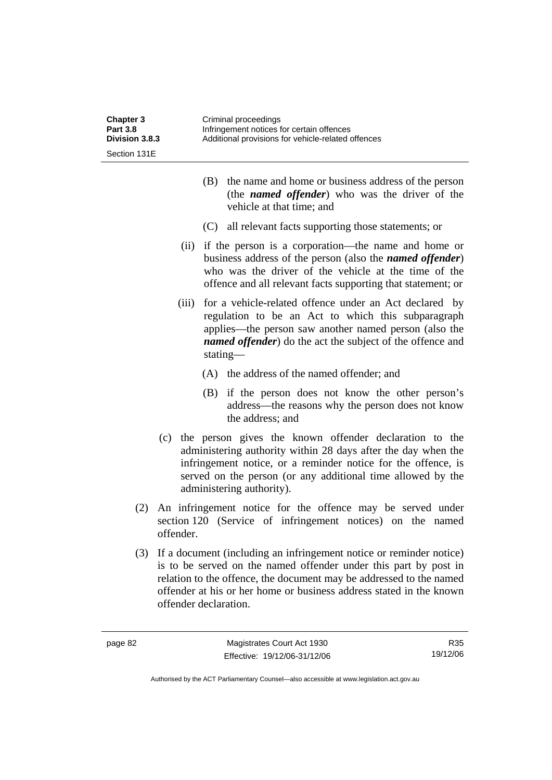| <b>Chapter 3</b><br><b>Part 3.8</b><br>Division 3.8.3 |           | Criminal proceedings<br>Infringement notices for certain offences<br>Additional provisions for vehicle-related offences                                                                                                                                                                                        |
|-------------------------------------------------------|-----------|----------------------------------------------------------------------------------------------------------------------------------------------------------------------------------------------------------------------------------------------------------------------------------------------------------------|
| Section 131E                                          |           |                                                                                                                                                                                                                                                                                                                |
|                                                       |           | the name and home or business address of the person<br>(B)<br>(the <i>named offender</i> ) who was the driver of the<br>vehicle at that time; and                                                                                                                                                              |
|                                                       |           | (C) all relevant facts supporting those statements; or                                                                                                                                                                                                                                                         |
|                                                       | (ii)      | if the person is a corporation—the name and home or<br>business address of the person (also the <i>named offender</i> )<br>who was the driver of the vehicle at the time of the<br>offence and all relevant facts supporting that statement; or                                                                |
|                                                       | (iii)     | for a vehicle-related offence under an Act declared by<br>regulation to be an Act to which this subparagraph<br>applies—the person saw another named person (also the<br><i>named offender</i> ) do the act the subject of the offence and<br>stating—                                                         |
|                                                       |           | (A) the address of the named offender; and                                                                                                                                                                                                                                                                     |
|                                                       |           | (B) if the person does not know the other person's<br>address—the reasons why the person does not know<br>the address; and                                                                                                                                                                                     |
|                                                       |           | (c) the person gives the known offender declaration to the<br>administering authority within 28 days after the day when the<br>infringement notice, or a reminder notice for the offence, is<br>served on the person (or any additional time allowed by the<br>administering authority).                       |
| (2)                                                   | offender. | An infringement notice for the offence may be served under<br>section 120 (Service of infringement notices) on the named                                                                                                                                                                                       |
| (3)                                                   |           | If a document (including an infringement notice or reminder notice)<br>is to be served on the named offender under this part by post in<br>relation to the offence, the document may be addressed to the named<br>offender at his or her home or business address stated in the known<br>offender declaration. |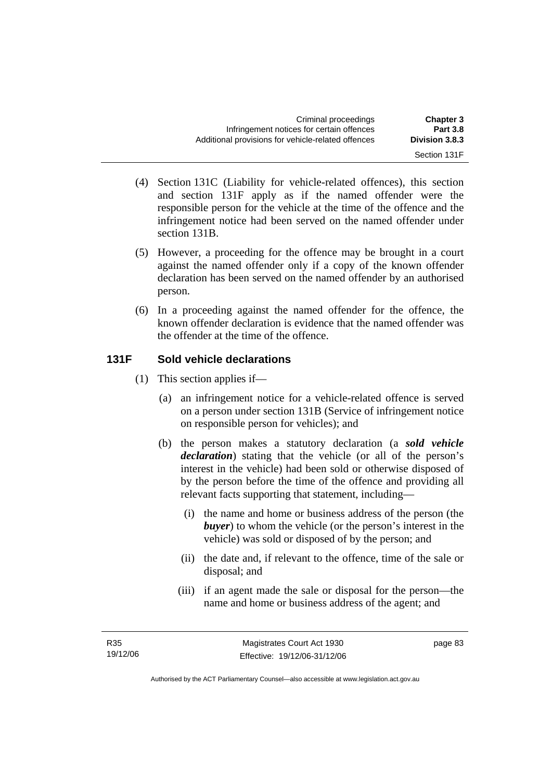- Section 131F
- (4) Section 131C (Liability for vehicle-related offences), this section and section 131F apply as if the named offender were the responsible person for the vehicle at the time of the offence and the infringement notice had been served on the named offender under section 131B.
- (5) However, a proceeding for the offence may be brought in a court against the named offender only if a copy of the known offender declaration has been served on the named offender by an authorised person.
- (6) In a proceeding against the named offender for the offence, the known offender declaration is evidence that the named offender was the offender at the time of the offence.

# **131F Sold vehicle declarations**

- (1) This section applies if—
	- (a) an infringement notice for a vehicle-related offence is served on a person under section 131B (Service of infringement notice on responsible person for vehicles); and
	- (b) the person makes a statutory declaration (a *sold vehicle declaration*) stating that the vehicle (or all of the person's interest in the vehicle) had been sold or otherwise disposed of by the person before the time of the offence and providing all relevant facts supporting that statement, including—
		- (i) the name and home or business address of the person (the *buyer*) to whom the vehicle (or the person's interest in the vehicle) was sold or disposed of by the person; and
		- (ii) the date and, if relevant to the offence, time of the sale or disposal; and
		- (iii) if an agent made the sale or disposal for the person—the name and home or business address of the agent; and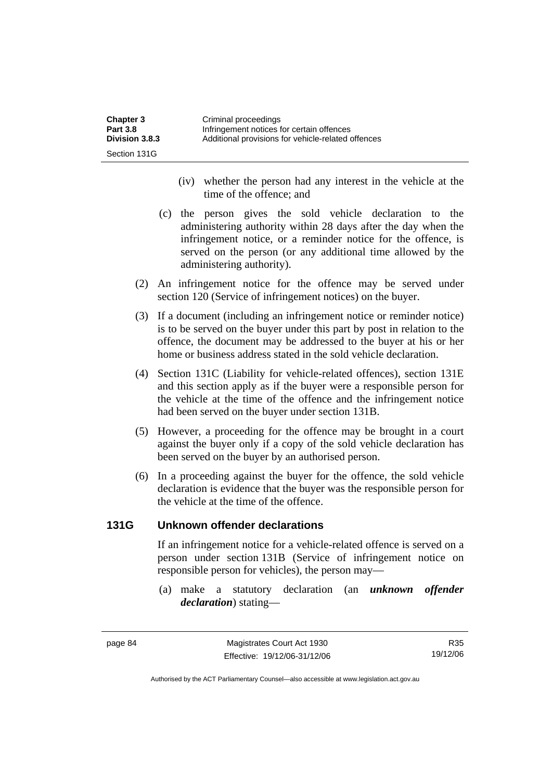| <b>Chapter 3</b> | Criminal proceedings                               |
|------------------|----------------------------------------------------|
| <b>Part 3.8</b>  | Infringement notices for certain offences          |
| Division 3.8.3   | Additional provisions for vehicle-related offences |
| Section 131G     |                                                    |

- (iv) whether the person had any interest in the vehicle at the time of the offence; and
- (c) the person gives the sold vehicle declaration to the administering authority within 28 days after the day when the infringement notice, or a reminder notice for the offence, is served on the person (or any additional time allowed by the administering authority).
- (2) An infringement notice for the offence may be served under section 120 (Service of infringement notices) on the buyer.
- (3) If a document (including an infringement notice or reminder notice) is to be served on the buyer under this part by post in relation to the offence, the document may be addressed to the buyer at his or her home or business address stated in the sold vehicle declaration.
- (4) Section 131C (Liability for vehicle-related offences), section 131E and this section apply as if the buyer were a responsible person for the vehicle at the time of the offence and the infringement notice had been served on the buyer under section 131B.
- (5) However, a proceeding for the offence may be brought in a court against the buyer only if a copy of the sold vehicle declaration has been served on the buyer by an authorised person.
- (6) In a proceeding against the buyer for the offence, the sold vehicle declaration is evidence that the buyer was the responsible person for the vehicle at the time of the offence.

## **131G Unknown offender declarations**

If an infringement notice for a vehicle-related offence is served on a person under section 131B (Service of infringement notice on responsible person for vehicles), the person may—

 (a) make a statutory declaration (an *unknown offender declaration*) stating—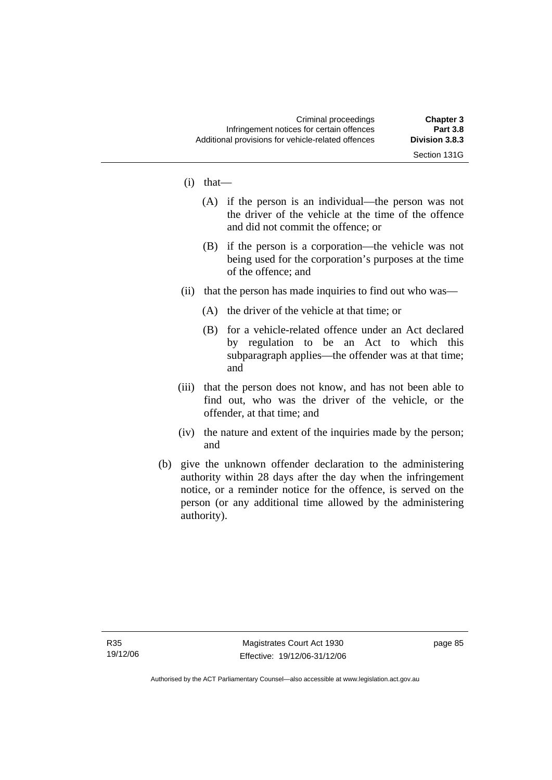Section 131G

- (i) that—
	- (A) if the person is an individual—the person was not the driver of the vehicle at the time of the offence and did not commit the offence; or
	- (B) if the person is a corporation—the vehicle was not being used for the corporation's purposes at the time of the offence; and
- (ii) that the person has made inquiries to find out who was—
	- (A) the driver of the vehicle at that time; or
	- (B) for a vehicle-related offence under an Act declared by regulation to be an Act to which this subparagraph applies—the offender was at that time; and
- (iii) that the person does not know, and has not been able to find out, who was the driver of the vehicle, or the offender, at that time; and
- (iv) the nature and extent of the inquiries made by the person; and
- (b) give the unknown offender declaration to the administering authority within 28 days after the day when the infringement notice, or a reminder notice for the offence, is served on the person (or any additional time allowed by the administering authority).

page 85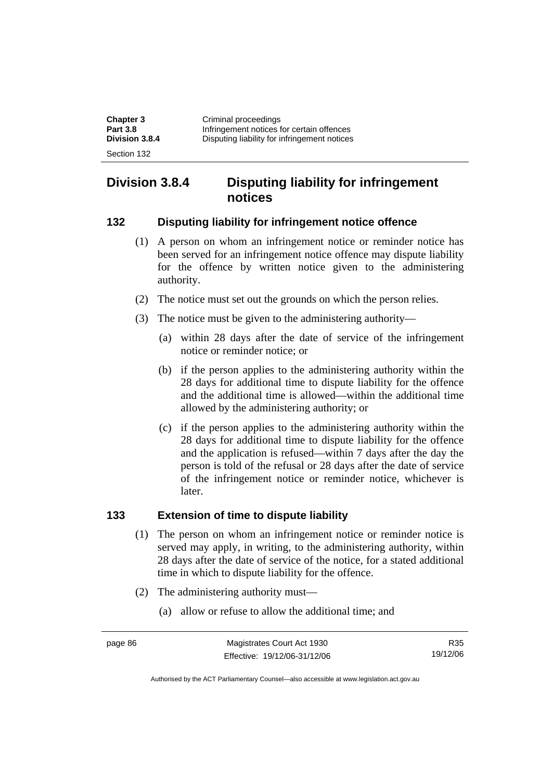| <b>Chapter 3</b> | Criminal proceedings                         |
|------------------|----------------------------------------------|
| <b>Part 3.8</b>  | Infringement notices for certain offences    |
| Division 3.8.4   | Disputing liability for infringement notices |
| Section 132      |                                              |

# **Division 3.8.4 Disputing liability for infringement notices**

## **132 Disputing liability for infringement notice offence**

- (1) A person on whom an infringement notice or reminder notice has been served for an infringement notice offence may dispute liability for the offence by written notice given to the administering authority.
- (2) The notice must set out the grounds on which the person relies.
- (3) The notice must be given to the administering authority—
	- (a) within 28 days after the date of service of the infringement notice or reminder notice; or
	- (b) if the person applies to the administering authority within the 28 days for additional time to dispute liability for the offence and the additional time is allowed—within the additional time allowed by the administering authority; or
	- (c) if the person applies to the administering authority within the 28 days for additional time to dispute liability for the offence and the application is refused—within 7 days after the day the person is told of the refusal or 28 days after the date of service of the infringement notice or reminder notice, whichever is later.

## **133 Extension of time to dispute liability**

- (1) The person on whom an infringement notice or reminder notice is served may apply, in writing, to the administering authority, within 28 days after the date of service of the notice, for a stated additional time in which to dispute liability for the offence.
- (2) The administering authority must—
	- (a) allow or refuse to allow the additional time; and

R35 19/12/06

Authorised by the ACT Parliamentary Counsel—also accessible at www.legislation.act.gov.au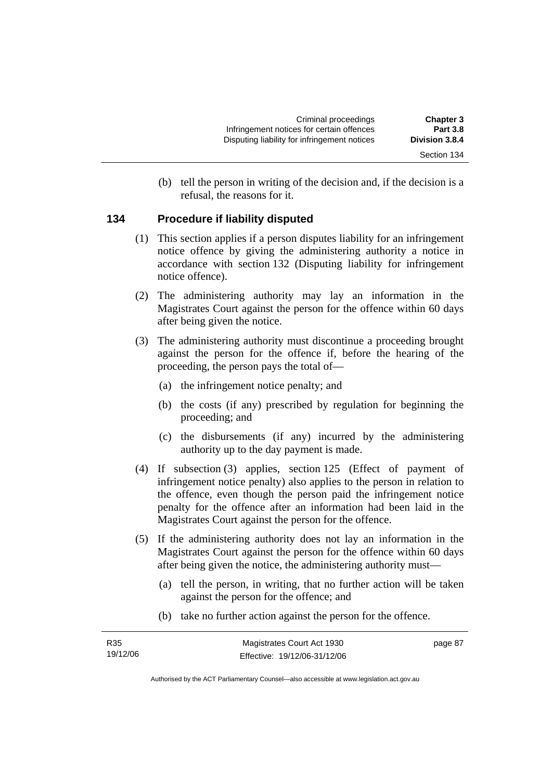(b) tell the person in writing of the decision and, if the decision is a refusal, the reasons for it.

# **134 Procedure if liability disputed**

- (1) This section applies if a person disputes liability for an infringement notice offence by giving the administering authority a notice in accordance with section 132 (Disputing liability for infringement notice offence).
- (2) The administering authority may lay an information in the Magistrates Court against the person for the offence within 60 days after being given the notice.
- (3) The administering authority must discontinue a proceeding brought against the person for the offence if, before the hearing of the proceeding, the person pays the total of—
	- (a) the infringement notice penalty; and
	- (b) the costs (if any) prescribed by regulation for beginning the proceeding; and
	- (c) the disbursements (if any) incurred by the administering authority up to the day payment is made.
- (4) If subsection (3) applies, section 125 (Effect of payment of infringement notice penalty) also applies to the person in relation to the offence, even though the person paid the infringement notice penalty for the offence after an information had been laid in the Magistrates Court against the person for the offence.
- (5) If the administering authority does not lay an information in the Magistrates Court against the person for the offence within 60 days after being given the notice, the administering authority must—
	- (a) tell the person, in writing, that no further action will be taken against the person for the offence; and
	- (b) take no further action against the person for the offence.

| R35      | Magistrates Court Act 1930   | page 87 |
|----------|------------------------------|---------|
| 19/12/06 | Effective: 19/12/06-31/12/06 |         |

Authorised by the ACT Parliamentary Counsel—also accessible at www.legislation.act.gov.au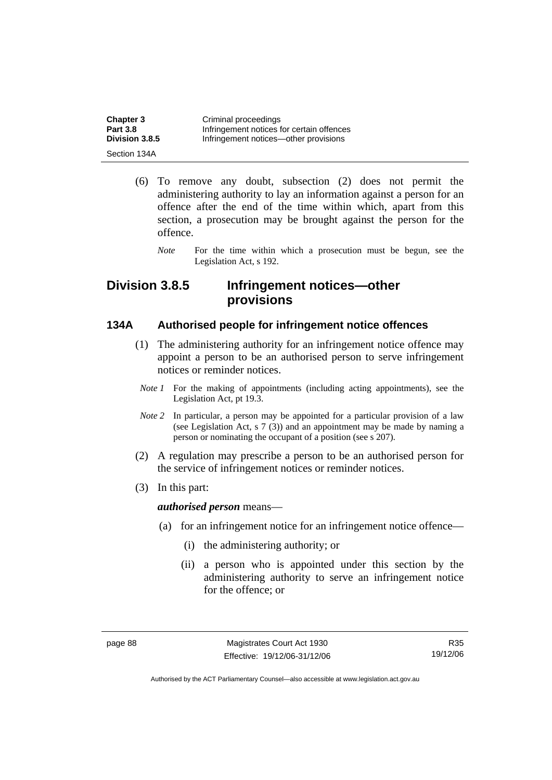| <b>Chapter 3</b> | Criminal proceedings                      |
|------------------|-------------------------------------------|
| <b>Part 3.8</b>  | Infringement notices for certain offences |
| Division 3.8.5   | Infringement notices—other provisions     |
| Section 134A     |                                           |

- (6) To remove any doubt, subsection (2) does not permit the administering authority to lay an information against a person for an offence after the end of the time within which, apart from this section, a prosecution may be brought against the person for the offence.
	- *Note* For the time within which a prosecution must be begun, see the Legislation Act, s 192.

# **Division 3.8.5 Infringement notices—other provisions**

## **134A Authorised people for infringement notice offences**

- (1) The administering authority for an infringement notice offence may appoint a person to be an authorised person to serve infringement notices or reminder notices.
- *Note 1* For the making of appointments (including acting appointments), see the Legislation Act, pt 19.3.
- *Note 2* In particular, a person may be appointed for a particular provision of a law (see Legislation Act, s 7 (3)) and an appointment may be made by naming a person or nominating the occupant of a position (see s 207).
- (2) A regulation may prescribe a person to be an authorised person for the service of infringement notices or reminder notices.
- (3) In this part:

#### *authorised person* means—

- (a) for an infringement notice for an infringement notice offence—
	- (i) the administering authority; or
	- (ii) a person who is appointed under this section by the administering authority to serve an infringement notice for the offence; or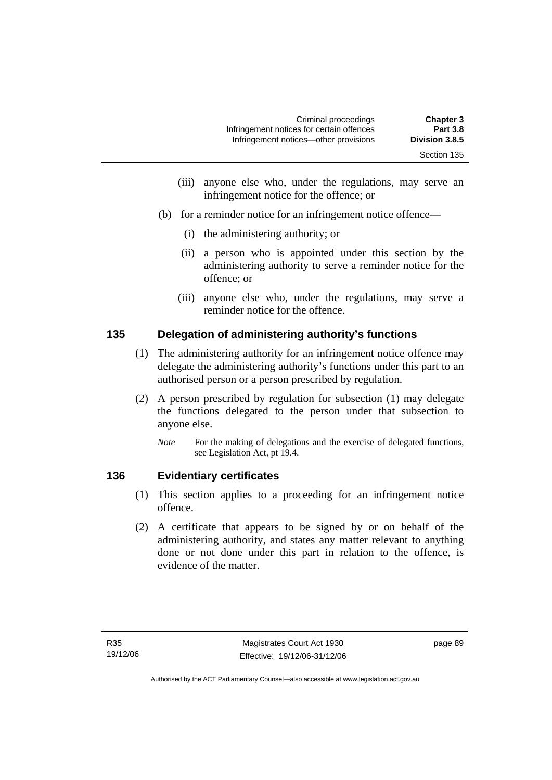- (iii) anyone else who, under the regulations, may serve an infringement notice for the offence; or
- (b) for a reminder notice for an infringement notice offence—
	- (i) the administering authority; or
	- (ii) a person who is appointed under this section by the administering authority to serve a reminder notice for the offence; or
	- (iii) anyone else who, under the regulations, may serve a reminder notice for the offence.

# **135 Delegation of administering authority's functions**

- (1) The administering authority for an infringement notice offence may delegate the administering authority's functions under this part to an authorised person or a person prescribed by regulation.
- (2) A person prescribed by regulation for subsection (1) may delegate the functions delegated to the person under that subsection to anyone else.
	- *Note* For the making of delegations and the exercise of delegated functions, see Legislation Act, pt 19.4.

# **136 Evidentiary certificates**

- (1) This section applies to a proceeding for an infringement notice offence.
- (2) A certificate that appears to be signed by or on behalf of the administering authority, and states any matter relevant to anything done or not done under this part in relation to the offence, is evidence of the matter.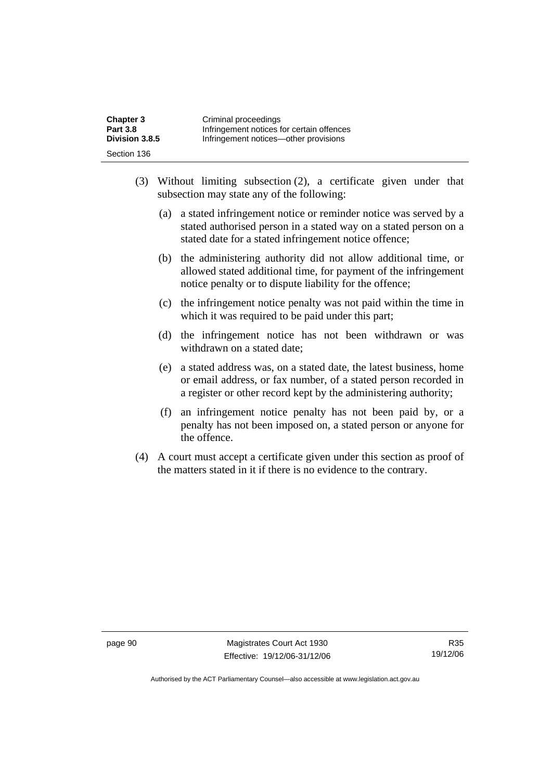| <b>Chapter 3</b> | Criminal proceedings                      |
|------------------|-------------------------------------------|
| <b>Part 3.8</b>  | Infringement notices for certain offences |
| Division 3.8.5   | Infringement notices—other provisions     |
| Section 136      |                                           |

- (3) Without limiting subsection (2), a certificate given under that subsection may state any of the following:
	- (a) a stated infringement notice or reminder notice was served by a stated authorised person in a stated way on a stated person on a stated date for a stated infringement notice offence;
	- (b) the administering authority did not allow additional time, or allowed stated additional time, for payment of the infringement notice penalty or to dispute liability for the offence;
	- (c) the infringement notice penalty was not paid within the time in which it was required to be paid under this part;
	- (d) the infringement notice has not been withdrawn or was withdrawn on a stated date;
	- (e) a stated address was, on a stated date, the latest business, home or email address, or fax number, of a stated person recorded in a register or other record kept by the administering authority;
	- (f) an infringement notice penalty has not been paid by, or a penalty has not been imposed on, a stated person or anyone for the offence.
- (4) A court must accept a certificate given under this section as proof of the matters stated in it if there is no evidence to the contrary.

page 90 Magistrates Court Act 1930 Effective: 19/12/06-31/12/06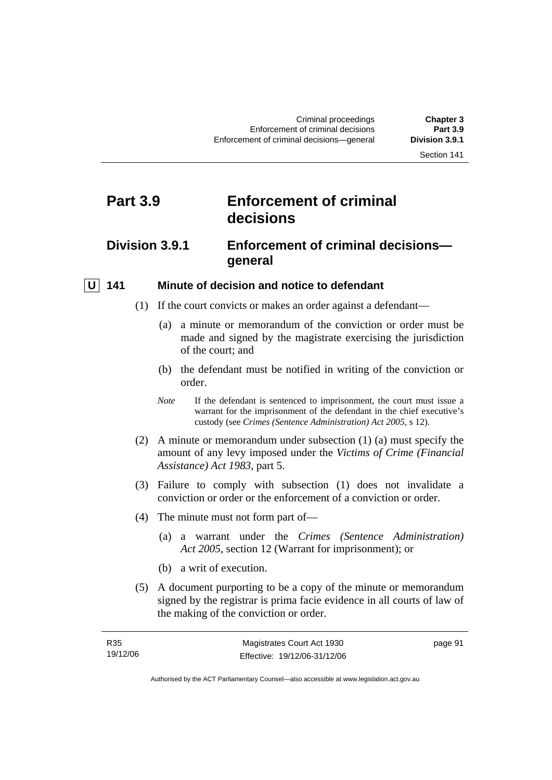# **Part 3.9 Enforcement of criminal decisions**

# **Division 3.9.1 Enforcement of criminal decisions general**

## **U** 141 Minute of decision and notice to defendant

- (1) If the court convicts or makes an order against a defendant—
	- (a) a minute or memorandum of the conviction or order must be made and signed by the magistrate exercising the jurisdiction of the court; and
	- (b) the defendant must be notified in writing of the conviction or order.
	- *Note* If the defendant is sentenced to imprisonment, the court must issue a warrant for the imprisonment of the defendant in the chief executive's custody (see *Crimes (Sentence Administration) Act 2005*, s 12).
- (2) A minute or memorandum under subsection (1) (a) must specify the amount of any levy imposed under the *Victims of Crime (Financial Assistance) Act 1983*, part 5.
- (3) Failure to comply with subsection (1) does not invalidate a conviction or order or the enforcement of a conviction or order.
- (4) The minute must not form part of—
	- (a) a warrant under the *Crimes (Sentence Administration) Act 2005*, section 12 (Warrant for imprisonment); or
	- (b) a writ of execution.
- (5) A document purporting to be a copy of the minute or memorandum signed by the registrar is prima facie evidence in all courts of law of the making of the conviction or order.

| R <sub>35</sub> | Magistrates Court Act 1930   | page 91 |
|-----------------|------------------------------|---------|
| 19/12/06        | Effective: 19/12/06-31/12/06 |         |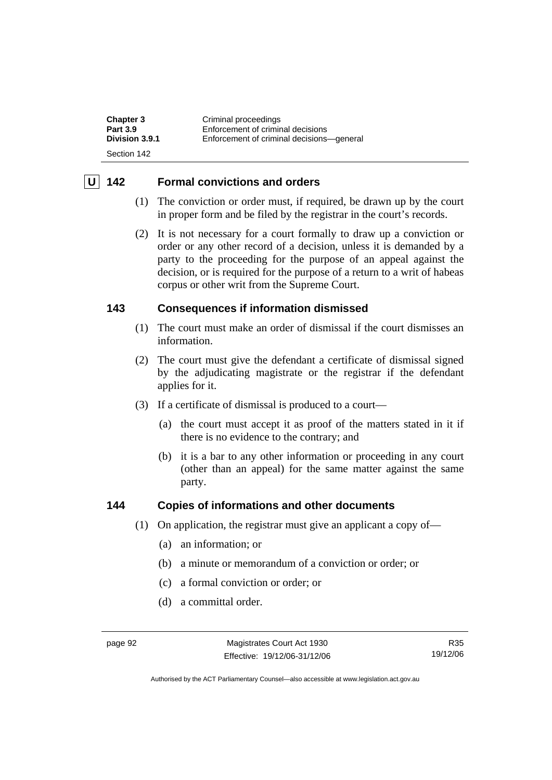| <b>Chapter 3</b> | Criminal proceedings                      |
|------------------|-------------------------------------------|
| <b>Part 3.9</b>  | Enforcement of criminal decisions         |
| Division 3.9.1   | Enforcement of criminal decisions-qeneral |
| Section 142      |                                           |

## **U 142 Formal convictions and orders**

- (1) The conviction or order must, if required, be drawn up by the court in proper form and be filed by the registrar in the court's records.
- (2) It is not necessary for a court formally to draw up a conviction or order or any other record of a decision, unless it is demanded by a party to the proceeding for the purpose of an appeal against the decision, or is required for the purpose of a return to a writ of habeas corpus or other writ from the Supreme Court.

## **143 Consequences if information dismissed**

- (1) The court must make an order of dismissal if the court dismisses an information.
- (2) The court must give the defendant a certificate of dismissal signed by the adjudicating magistrate or the registrar if the defendant applies for it.
- (3) If a certificate of dismissal is produced to a court—
	- (a) the court must accept it as proof of the matters stated in it if there is no evidence to the contrary; and
	- (b) it is a bar to any other information or proceeding in any court (other than an appeal) for the same matter against the same party.

## **144 Copies of informations and other documents**

- (1) On application, the registrar must give an applicant a copy of—
	- (a) an information; or
	- (b) a minute or memorandum of a conviction or order; or
	- (c) a formal conviction or order; or
	- (d) a committal order.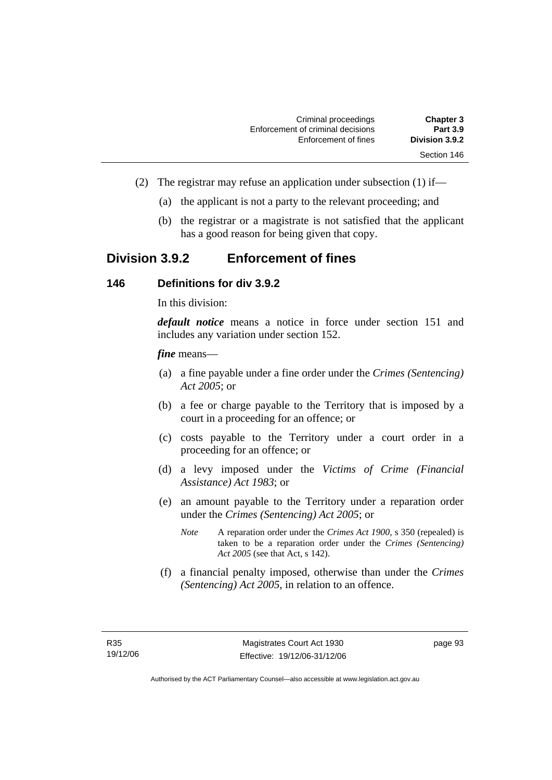| <b>Chapter 3</b> | Criminal proceedings              |
|------------------|-----------------------------------|
| <b>Part 3.9</b>  | Enforcement of criminal decisions |
| Division 3.9.2   | Enforcement of fines              |
| Section 146      |                                   |

- (2) The registrar may refuse an application under subsection (1) if—
	- (a) the applicant is not a party to the relevant proceeding; and
	- (b) the registrar or a magistrate is not satisfied that the applicant has a good reason for being given that copy.

# **Division 3.9.2 Enforcement of fines**

### **146 Definitions for div 3.9.2**

In this division:

*default notice* means a notice in force under section 151 and includes any variation under section 152.

#### *fine* means—

- (a) a fine payable under a fine order under the *Crimes (Sentencing) Act 2005*; or
- (b) a fee or charge payable to the Territory that is imposed by a court in a proceeding for an offence; or
- (c) costs payable to the Territory under a court order in a proceeding for an offence; or
- (d) a levy imposed under the *Victims of Crime (Financial Assistance) Act 1983*; or
- (e) an amount payable to the Territory under a reparation order under the *Crimes (Sentencing) Act 2005*; or
	- *Note* A reparation order under the *Crimes Act 1900*, s 350 (repealed) is taken to be a reparation order under the *Crimes (Sentencing) Act 2005* (see that Act, s 142).
- (f) a financial penalty imposed, otherwise than under the *Crimes (Sentencing) Act 2005*, in relation to an offence.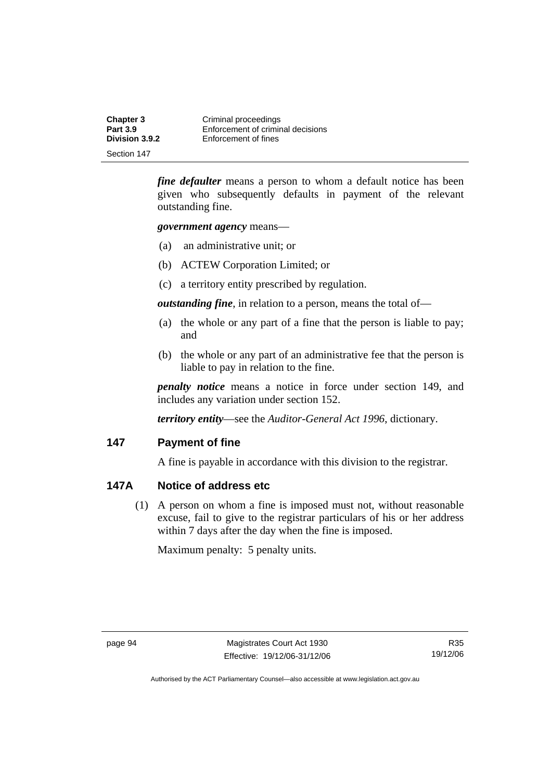| <b>Chapter 3</b> | Criminal proceedings              |
|------------------|-----------------------------------|
| <b>Part 3.9</b>  | Enforcement of criminal decisions |
| Division 3.9.2   | Enforcement of fines              |
| Section 147      |                                   |

*fine defaulter* means a person to whom a default notice has been given who subsequently defaults in payment of the relevant outstanding fine.

*government agency* means—

- (a) an administrative unit; or
- (b) ACTEW Corporation Limited; or
- (c) a territory entity prescribed by regulation.

*outstanding fine*, in relation to a person, means the total of—

- (a) the whole or any part of a fine that the person is liable to pay; and
- (b) the whole or any part of an administrative fee that the person is liable to pay in relation to the fine.

*penalty notice* means a notice in force under section 149, and includes any variation under section 152.

*territory entity*—see the *Auditor-General Act 1996*, dictionary.

### **147 Payment of fine**

A fine is payable in accordance with this division to the registrar.

## **147A Notice of address etc**

 (1) A person on whom a fine is imposed must not, without reasonable excuse, fail to give to the registrar particulars of his or her address within 7 days after the day when the fine is imposed.

Maximum penalty: 5 penalty units.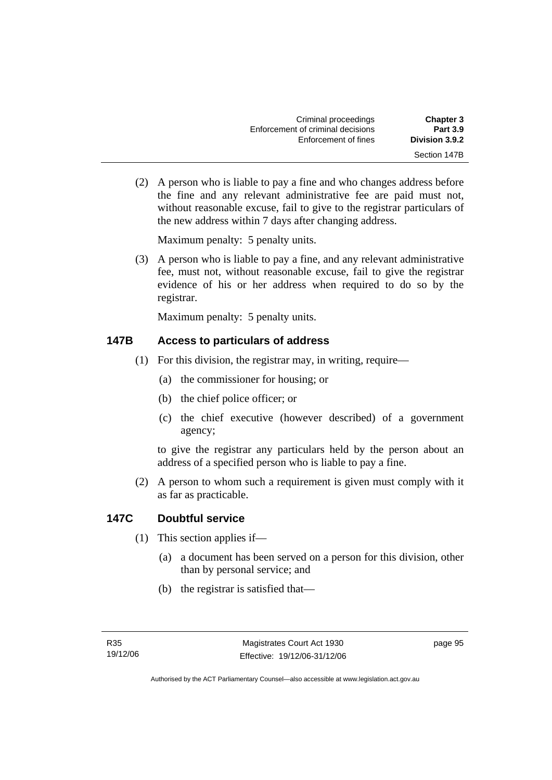| <b>Chapter 3</b> | Criminal proceedings              |
|------------------|-----------------------------------|
| <b>Part 3.9</b>  | Enforcement of criminal decisions |
| Division 3.9.2   | Enforcement of fines              |
| Section 147B     |                                   |

 (2) A person who is liable to pay a fine and who changes address before the fine and any relevant administrative fee are paid must not, without reasonable excuse, fail to give to the registrar particulars of the new address within 7 days after changing address.

Maximum penalty: 5 penalty units.

 (3) A person who is liable to pay a fine, and any relevant administrative fee, must not, without reasonable excuse, fail to give the registrar evidence of his or her address when required to do so by the registrar.

Maximum penalty: 5 penalty units.

# **147B Access to particulars of address**

- (1) For this division, the registrar may, in writing, require—
	- (a) the commissioner for housing; or
	- (b) the chief police officer; or
	- (c) the chief executive (however described) of a government agency;

to give the registrar any particulars held by the person about an address of a specified person who is liable to pay a fine.

 (2) A person to whom such a requirement is given must comply with it as far as practicable.

# **147C Doubtful service**

- (1) This section applies if—
	- (a) a document has been served on a person for this division, other than by personal service; and
	- (b) the registrar is satisfied that—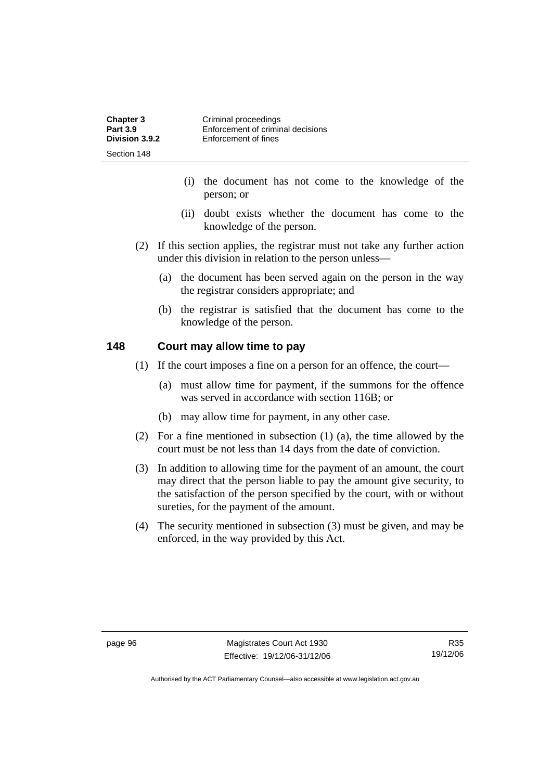| <b>Chapter 3</b> | Criminal proceedings              |
|------------------|-----------------------------------|
| <b>Part 3.9</b>  | Enforcement of criminal decisions |
| Division 3.9.2   | Enforcement of fines              |
| Section 148      |                                   |

- (i) the document has not come to the knowledge of the person; or
- (ii) doubt exists whether the document has come to the knowledge of the person.
- (2) If this section applies, the registrar must not take any further action under this division in relation to the person unless—
	- (a) the document has been served again on the person in the way the registrar considers appropriate; and
	- (b) the registrar is satisfied that the document has come to the knowledge of the person.

#### **148 Court may allow time to pay**

- (1) If the court imposes a fine on a person for an offence, the court—
	- (a) must allow time for payment, if the summons for the offence was served in accordance with section 116B; or
	- (b) may allow time for payment, in any other case.
- (2) For a fine mentioned in subsection (1) (a), the time allowed by the court must be not less than 14 days from the date of conviction.
- (3) In addition to allowing time for the payment of an amount, the court may direct that the person liable to pay the amount give security, to the satisfaction of the person specified by the court, with or without sureties, for the payment of the amount.
- (4) The security mentioned in subsection (3) must be given, and may be enforced, in the way provided by this Act.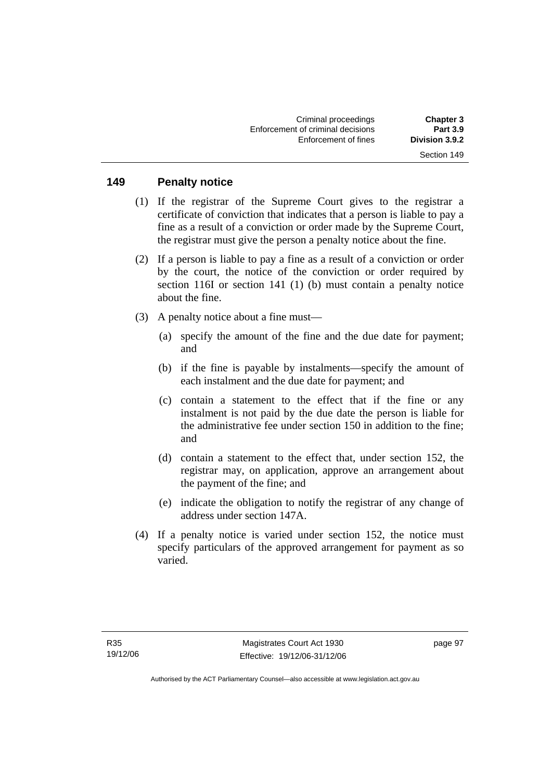#### **149 Penalty notice**

- (1) If the registrar of the Supreme Court gives to the registrar a certificate of conviction that indicates that a person is liable to pay a fine as a result of a conviction or order made by the Supreme Court, the registrar must give the person a penalty notice about the fine.
- (2) If a person is liable to pay a fine as a result of a conviction or order by the court, the notice of the conviction or order required by section 116I or section 141 (1) (b) must contain a penalty notice about the fine.
- (3) A penalty notice about a fine must—
	- (a) specify the amount of the fine and the due date for payment; and
	- (b) if the fine is payable by instalments—specify the amount of each instalment and the due date for payment; and
	- (c) contain a statement to the effect that if the fine or any instalment is not paid by the due date the person is liable for the administrative fee under section 150 in addition to the fine; and
	- (d) contain a statement to the effect that, under section 152, the registrar may, on application, approve an arrangement about the payment of the fine; and
	- (e) indicate the obligation to notify the registrar of any change of address under section 147A.
- (4) If a penalty notice is varied under section 152, the notice must specify particulars of the approved arrangement for payment as so varied.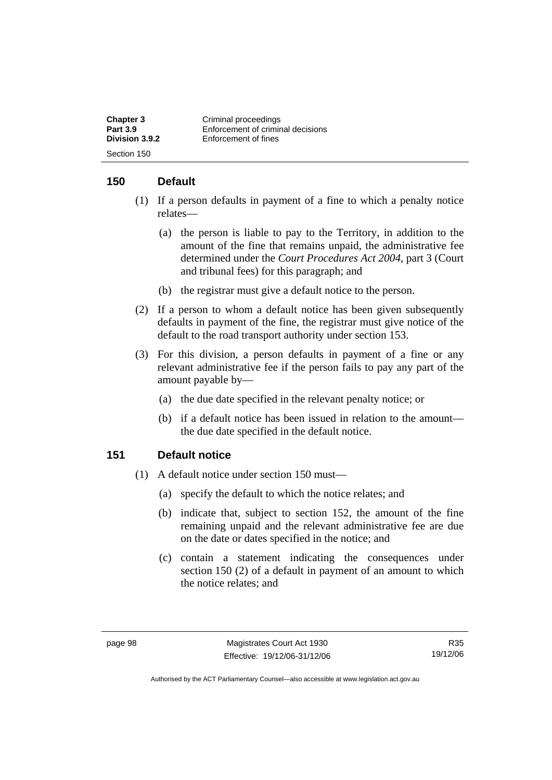| <b>Chapter 3</b> | Criminal proceedings              |
|------------------|-----------------------------------|
| <b>Part 3.9</b>  | Enforcement of criminal decisions |
| Division 3.9.2   | Enforcement of fines              |
| Section 150      |                                   |

# **150 Default**

- (1) If a person defaults in payment of a fine to which a penalty notice relates—
	- (a) the person is liable to pay to the Territory, in addition to the amount of the fine that remains unpaid, the administrative fee determined under the *Court Procedures Act 2004*, part 3 (Court and tribunal fees) for this paragraph; and
	- (b) the registrar must give a default notice to the person.
- (2) If a person to whom a default notice has been given subsequently defaults in payment of the fine, the registrar must give notice of the default to the road transport authority under section 153.
- (3) For this division, a person defaults in payment of a fine or any relevant administrative fee if the person fails to pay any part of the amount payable by—
	- (a) the due date specified in the relevant penalty notice; or
	- (b) if a default notice has been issued in relation to the amount the due date specified in the default notice.

### **151 Default notice**

- (1) A default notice under section 150 must—
	- (a) specify the default to which the notice relates; and
	- (b) indicate that, subject to section 152, the amount of the fine remaining unpaid and the relevant administrative fee are due on the date or dates specified in the notice; and
	- (c) contain a statement indicating the consequences under section 150 (2) of a default in payment of an amount to which the notice relates; and

R35 19/12/06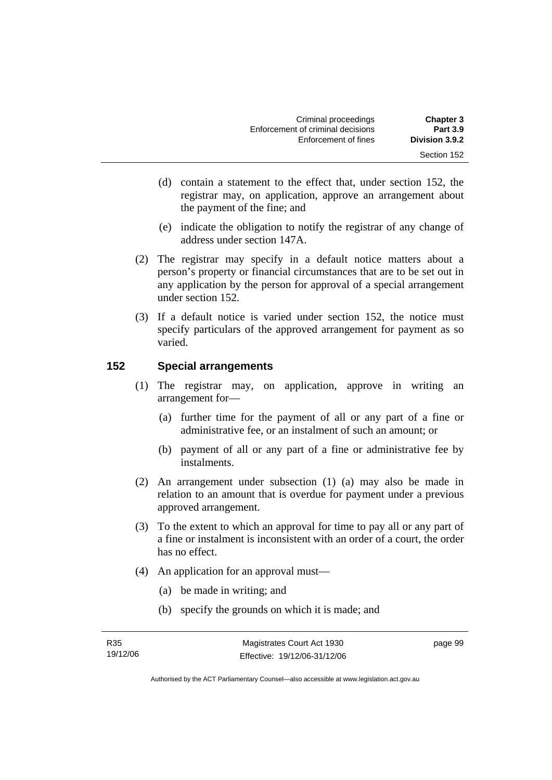- (d) contain a statement to the effect that, under section 152, the registrar may, on application, approve an arrangement about the payment of the fine; and
- (e) indicate the obligation to notify the registrar of any change of address under section 147A.
- (2) The registrar may specify in a default notice matters about a person's property or financial circumstances that are to be set out in any application by the person for approval of a special arrangement under section 152.
- (3) If a default notice is varied under section 152, the notice must specify particulars of the approved arrangement for payment as so varied.

# **152 Special arrangements**

- (1) The registrar may, on application, approve in writing an arrangement for—
	- (a) further time for the payment of all or any part of a fine or administrative fee, or an instalment of such an amount; or
	- (b) payment of all or any part of a fine or administrative fee by instalments.
- (2) An arrangement under subsection (1) (a) may also be made in relation to an amount that is overdue for payment under a previous approved arrangement.
- (3) To the extent to which an approval for time to pay all or any part of a fine or instalment is inconsistent with an order of a court, the order has no effect.
- (4) An application for an approval must—
	- (a) be made in writing; and
	- (b) specify the grounds on which it is made; and

page 99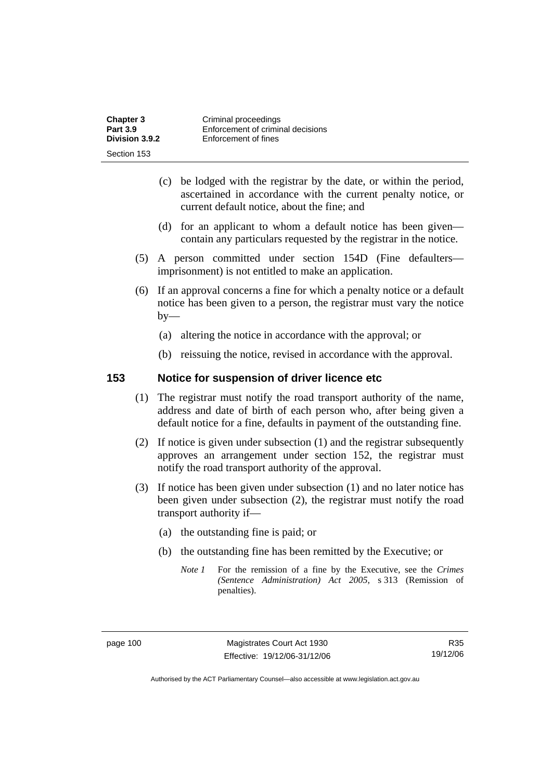| <b>Chapter 3</b> | Criminal proceedings              |
|------------------|-----------------------------------|
| <b>Part 3.9</b>  | Enforcement of criminal decisions |
| Division 3.9.2   | Enforcement of fines              |
| Section 153      |                                   |

- (c) be lodged with the registrar by the date, or within the period, ascertained in accordance with the current penalty notice, or current default notice, about the fine; and
- (d) for an applicant to whom a default notice has been given contain any particulars requested by the registrar in the notice.
- (5) A person committed under section 154D (Fine defaulters imprisonment) is not entitled to make an application.
- (6) If an approval concerns a fine for which a penalty notice or a default notice has been given to a person, the registrar must vary the notice  $by-$ 
	- (a) altering the notice in accordance with the approval; or
	- (b) reissuing the notice, revised in accordance with the approval.

#### **153 Notice for suspension of driver licence etc**

- (1) The registrar must notify the road transport authority of the name, address and date of birth of each person who, after being given a default notice for a fine, defaults in payment of the outstanding fine.
- (2) If notice is given under subsection (1) and the registrar subsequently approves an arrangement under section 152, the registrar must notify the road transport authority of the approval.
- (3) If notice has been given under subsection (1) and no later notice has been given under subsection (2), the registrar must notify the road transport authority if—
	- (a) the outstanding fine is paid; or
	- (b) the outstanding fine has been remitted by the Executive; or
		- *Note 1* For the remission of a fine by the Executive, see the *Crimes (Sentence Administration) Act 2005*, s 313 (Remission of penalties).

R35 19/12/06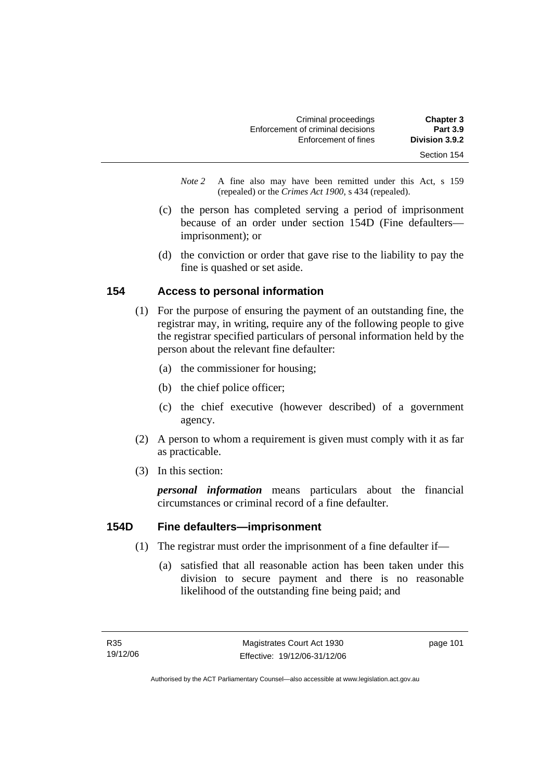| <b>Chapter 3</b> | Criminal proceedings              |
|------------------|-----------------------------------|
| <b>Part 3.9</b>  | Enforcement of criminal decisions |
| Division 3.9.2   | Enforcement of fines              |
| Section 154      |                                   |

*Note 2* A fine also may have been remitted under this Act, s 159 (repealed) or the *Crimes Act 1900*, s 434 (repealed).

- (c) the person has completed serving a period of imprisonment because of an order under section 154D (Fine defaulters imprisonment); or
- (d) the conviction or order that gave rise to the liability to pay the fine is quashed or set aside.

# **154 Access to personal information**

- (1) For the purpose of ensuring the payment of an outstanding fine, the registrar may, in writing, require any of the following people to give the registrar specified particulars of personal information held by the person about the relevant fine defaulter:
	- (a) the commissioner for housing;
	- (b) the chief police officer;
	- (c) the chief executive (however described) of a government agency.
- (2) A person to whom a requirement is given must comply with it as far as practicable.
- (3) In this section:

*personal information* means particulars about the financial circumstances or criminal record of a fine defaulter.

### **154D Fine defaulters—imprisonment**

- (1) The registrar must order the imprisonment of a fine defaulter if—
	- (a) satisfied that all reasonable action has been taken under this division to secure payment and there is no reasonable likelihood of the outstanding fine being paid; and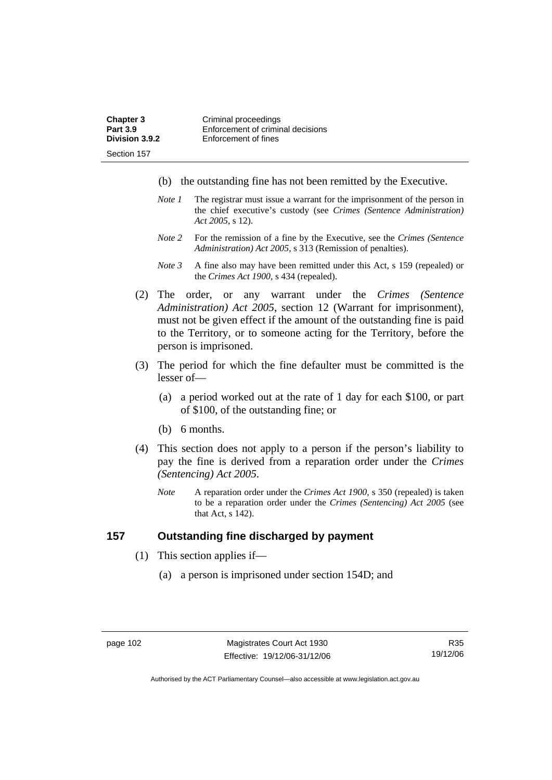| <b>Chapter 3</b> | Criminal proceedings              |
|------------------|-----------------------------------|
| <b>Part 3.9</b>  | Enforcement of criminal decisions |
| Division 3.9.2   | Enforcement of fines              |
| Section 157      |                                   |

- (b) the outstanding fine has not been remitted by the Executive.
- *Note 1* The registrar must issue a warrant for the imprisonment of the person in the chief executive's custody (see *Crimes (Sentence Administration) Act 2005*, s 12).
- *Note 2* For the remission of a fine by the Executive, see the *Crimes (Sentence Administration) Act 2005*, s 313 (Remission of penalties).
- *Note 3* A fine also may have been remitted under this Act, s 159 (repealed) or the *Crimes Act 1900*, s 434 (repealed).
- (2) The order, or any warrant under the *Crimes (Sentence Administration) Act 2005*, section 12 (Warrant for imprisonment), must not be given effect if the amount of the outstanding fine is paid to the Territory, or to someone acting for the Territory, before the person is imprisoned.
- (3) The period for which the fine defaulter must be committed is the lesser of—
	- (a) a period worked out at the rate of 1 day for each \$100, or part of \$100, of the outstanding fine; or
	- (b) 6 months.
- (4) This section does not apply to a person if the person's liability to pay the fine is derived from a reparation order under the *Crimes (Sentencing) Act 2005*.
	- *Note* A reparation order under the *Crimes Act 1900*, s 350 (repealed) is taken to be a reparation order under the *Crimes (Sentencing) Act 2005* (see that Act, s 142).

#### **157 Outstanding fine discharged by payment**

- (1) This section applies if—
	- (a) a person is imprisoned under section 154D; and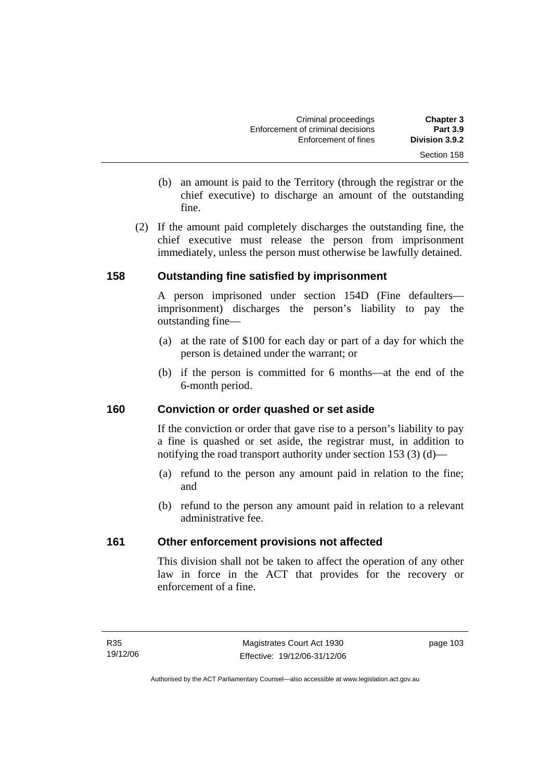| <b>Chapter 3</b> | Criminal proceedings              |
|------------------|-----------------------------------|
| <b>Part 3.9</b>  | Enforcement of criminal decisions |
| Division 3.9.2   | Enforcement of fines              |
| Section 158      |                                   |

- (b) an amount is paid to the Territory (through the registrar or the chief executive) to discharge an amount of the outstanding fine.
- (2) If the amount paid completely discharges the outstanding fine, the chief executive must release the person from imprisonment immediately, unless the person must otherwise be lawfully detained.

# **158 Outstanding fine satisfied by imprisonment**

A person imprisoned under section 154D (Fine defaulters imprisonment) discharges the person's liability to pay the outstanding fine—

- (a) at the rate of \$100 for each day or part of a day for which the person is detained under the warrant; or
- (b) if the person is committed for 6 months—at the end of the 6-month period.

### **160 Conviction or order quashed or set aside**

If the conviction or order that gave rise to a person's liability to pay a fine is quashed or set aside, the registrar must, in addition to notifying the road transport authority under section 153 (3) (d)—

- (a) refund to the person any amount paid in relation to the fine; and
- (b) refund to the person any amount paid in relation to a relevant administrative fee.

# **161 Other enforcement provisions not affected**

This division shall not be taken to affect the operation of any other law in force in the ACT that provides for the recovery or enforcement of a fine.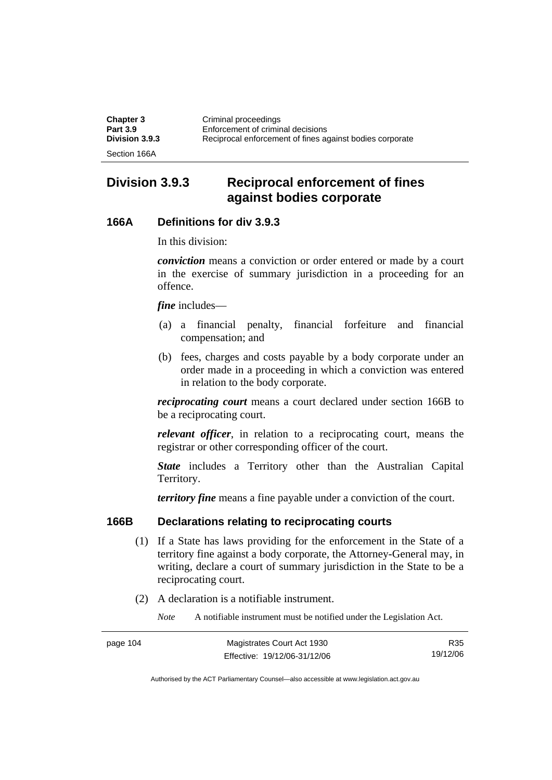| <b>Chapter 3</b> | Criminal proceedings                                     |
|------------------|----------------------------------------------------------|
| <b>Part 3.9</b>  | Enforcement of criminal decisions                        |
| Division 3.9.3   | Reciprocal enforcement of fines against bodies corporate |
| Section 166A     |                                                          |

# **Division 3.9.3 Reciprocal enforcement of fines against bodies corporate**

#### **166A Definitions for div 3.9.3**

In this division:

*conviction* means a conviction or order entered or made by a court in the exercise of summary jurisdiction in a proceeding for an offence.

*fine* includes—

- (a) a financial penalty, financial forfeiture and financial compensation; and
- (b) fees, charges and costs payable by a body corporate under an order made in a proceeding in which a conviction was entered in relation to the body corporate.

*reciprocating court* means a court declared under section 166B to be a reciprocating court.

*relevant officer*, in relation to a reciprocating court, means the registrar or other corresponding officer of the court.

*State* includes a Territory other than the Australian Capital Territory.

*territory fine* means a fine payable under a conviction of the court.

#### **166B Declarations relating to reciprocating courts**

- (1) If a State has laws providing for the enforcement in the State of a territory fine against a body corporate, the Attorney-General may, in writing, declare a court of summary jurisdiction in the State to be a reciprocating court.
- (2) A declaration is a notifiable instrument.

*Note* A notifiable instrument must be notified under the Legislation Act.

| page 104 | Magistrates Court Act 1930   | R35      |
|----------|------------------------------|----------|
|          | Effective: 19/12/06-31/12/06 | 19/12/06 |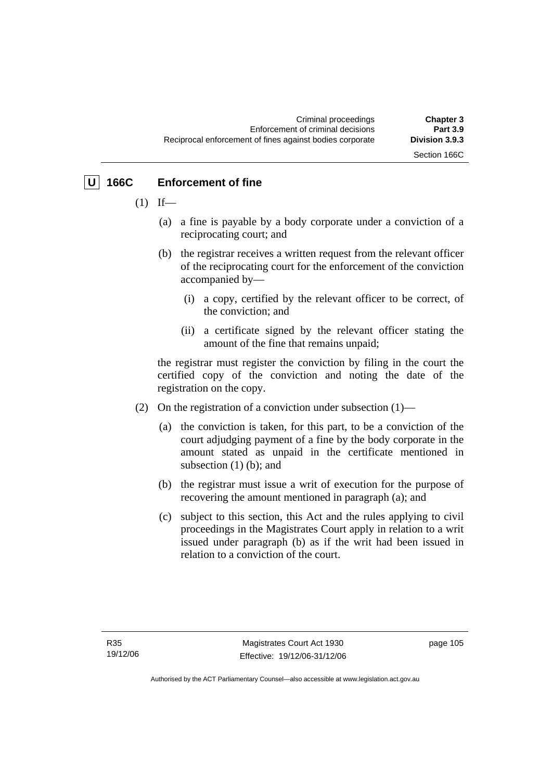Section 166C

# **U 166C Enforcement of fine**

- $(1)$  If—
	- (a) a fine is payable by a body corporate under a conviction of a reciprocating court; and
	- (b) the registrar receives a written request from the relevant officer of the reciprocating court for the enforcement of the conviction accompanied by—
		- (i) a copy, certified by the relevant officer to be correct, of the conviction; and
		- (ii) a certificate signed by the relevant officer stating the amount of the fine that remains unpaid;

the registrar must register the conviction by filing in the court the certified copy of the conviction and noting the date of the registration on the copy.

- (2) On the registration of a conviction under subsection (1)—
	- (a) the conviction is taken, for this part, to be a conviction of the court adjudging payment of a fine by the body corporate in the amount stated as unpaid in the certificate mentioned in subsection (1) (b); and
	- (b) the registrar must issue a writ of execution for the purpose of recovering the amount mentioned in paragraph (a); and
	- (c) subject to this section, this Act and the rules applying to civil proceedings in the Magistrates Court apply in relation to a writ issued under paragraph (b) as if the writ had been issued in relation to a conviction of the court.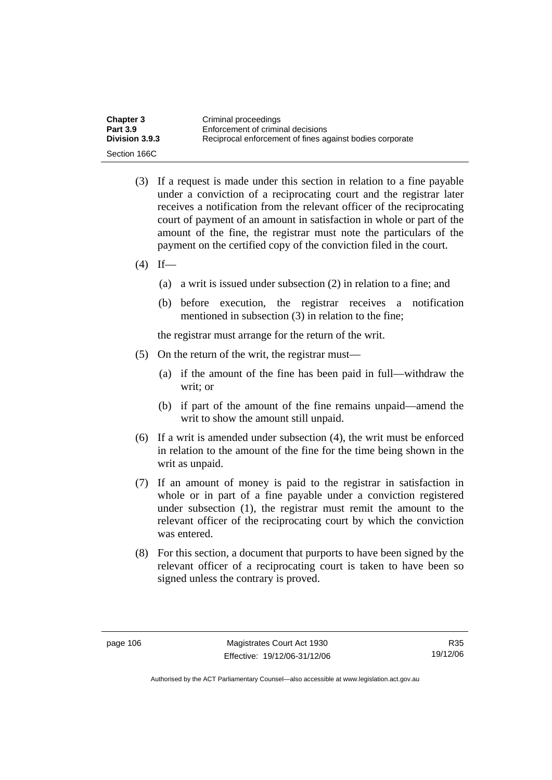| <b>Chapter 3</b>      | Criminal proceedings                                     |
|-----------------------|----------------------------------------------------------|
| <b>Part 3.9</b>       | Enforcement of criminal decisions                        |
| <b>Division 3.9.3</b> | Reciprocal enforcement of fines against bodies corporate |
| Section 166C          |                                                          |

- (3) If a request is made under this section in relation to a fine payable under a conviction of a reciprocating court and the registrar later receives a notification from the relevant officer of the reciprocating court of payment of an amount in satisfaction in whole or part of the amount of the fine, the registrar must note the particulars of the payment on the certified copy of the conviction filed in the court.
- $(4)$  If—
	- (a) a writ is issued under subsection (2) in relation to a fine; and
	- (b) before execution, the registrar receives a notification mentioned in subsection (3) in relation to the fine;

the registrar must arrange for the return of the writ.

- (5) On the return of the writ, the registrar must—
	- (a) if the amount of the fine has been paid in full—withdraw the writ; or
	- (b) if part of the amount of the fine remains unpaid—amend the writ to show the amount still unpaid.
- (6) If a writ is amended under subsection (4), the writ must be enforced in relation to the amount of the fine for the time being shown in the writ as unpaid.
- (7) If an amount of money is paid to the registrar in satisfaction in whole or in part of a fine payable under a conviction registered under subsection (1), the registrar must remit the amount to the relevant officer of the reciprocating court by which the conviction was entered.
- (8) For this section, a document that purports to have been signed by the relevant officer of a reciprocating court is taken to have been so signed unless the contrary is proved.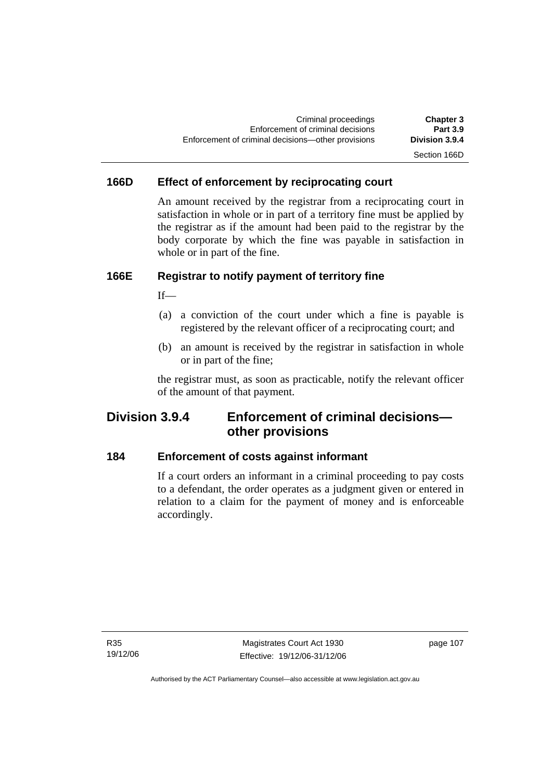# Section 166D

# **166D Effect of enforcement by reciprocating court**

An amount received by the registrar from a reciprocating court in satisfaction in whole or in part of a territory fine must be applied by the registrar as if the amount had been paid to the registrar by the body corporate by which the fine was payable in satisfaction in whole or in part of the fine.

# **166E Registrar to notify payment of territory fine**

If—

- (a) a conviction of the court under which a fine is payable is registered by the relevant officer of a reciprocating court; and
- (b) an amount is received by the registrar in satisfaction in whole or in part of the fine;

the registrar must, as soon as practicable, notify the relevant officer of the amount of that payment.

# **Division 3.9.4 Enforcement of criminal decisions other provisions**

### **184 Enforcement of costs against informant**

If a court orders an informant in a criminal proceeding to pay costs to a defendant, the order operates as a judgment given or entered in relation to a claim for the payment of money and is enforceable accordingly.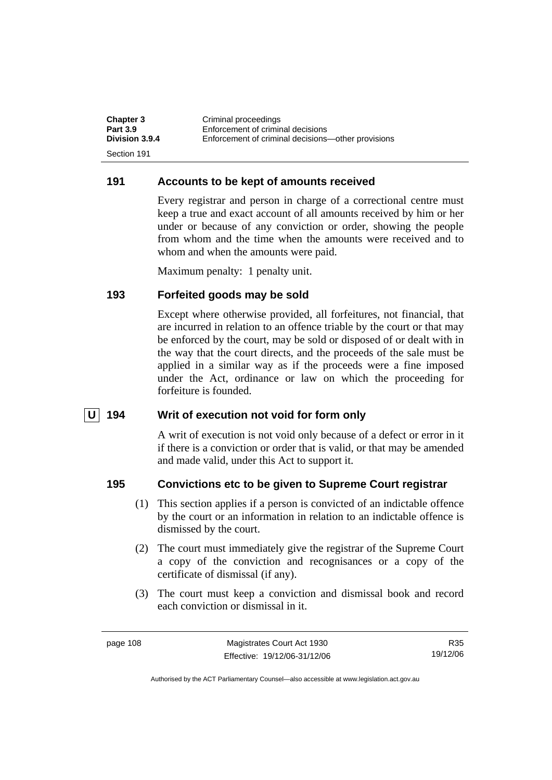| <b>Chapter 3</b> | Criminal proceedings                               |
|------------------|----------------------------------------------------|
| <b>Part 3.9</b>  | Enforcement of criminal decisions                  |
| Division 3.9.4   | Enforcement of criminal decisions—other provisions |
| Section 191      |                                                    |

#### **191 Accounts to be kept of amounts received**

Every registrar and person in charge of a correctional centre must keep a true and exact account of all amounts received by him or her under or because of any conviction or order, showing the people from whom and the time when the amounts were received and to whom and when the amounts were paid.

Maximum penalty: 1 penalty unit.

### **193 Forfeited goods may be sold**

Except where otherwise provided, all forfeitures, not financial, that are incurred in relation to an offence triable by the court or that may be enforced by the court, may be sold or disposed of or dealt with in the way that the court directs, and the proceeds of the sale must be applied in a similar way as if the proceeds were a fine imposed under the Act, ordinance or law on which the proceeding for forfeiture is founded.

#### **U** 194 Writ of execution not void for form only

A writ of execution is not void only because of a defect or error in it if there is a conviction or order that is valid, or that may be amended and made valid, under this Act to support it.

#### **195 Convictions etc to be given to Supreme Court registrar**

- (1) This section applies if a person is convicted of an indictable offence by the court or an information in relation to an indictable offence is dismissed by the court.
- (2) The court must immediately give the registrar of the Supreme Court a copy of the conviction and recognisances or a copy of the certificate of dismissal (if any).
- (3) The court must keep a conviction and dismissal book and record each conviction or dismissal in it.

R35 19/12/06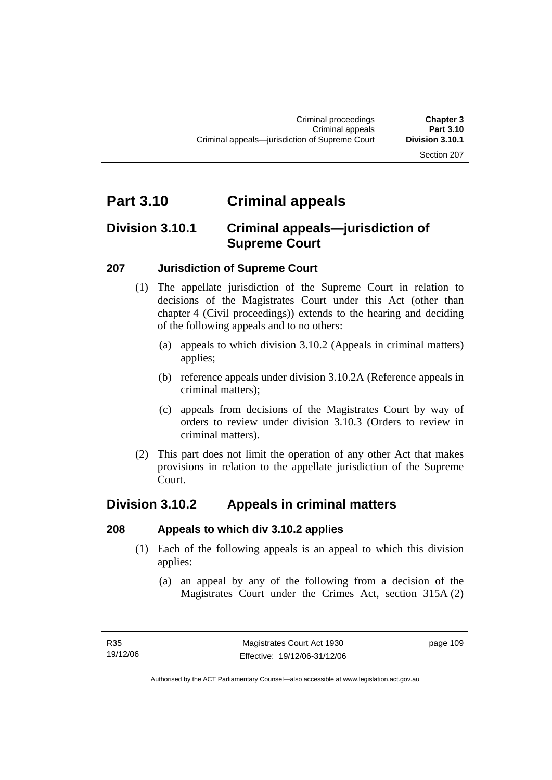#### Section 207

# **Part 3.10 Criminal appeals**

# **Division 3.10.1 Criminal appeals—jurisdiction of Supreme Court**

### **207 Jurisdiction of Supreme Court**

- (1) The appellate jurisdiction of the Supreme Court in relation to decisions of the Magistrates Court under this Act (other than chapter 4 (Civil proceedings)) extends to the hearing and deciding of the following appeals and to no others:
	- (a) appeals to which division 3.10.2 (Appeals in criminal matters) applies;
	- (b) reference appeals under division 3.10.2A (Reference appeals in criminal matters);
	- (c) appeals from decisions of the Magistrates Court by way of orders to review under division 3.10.3 (Orders to review in criminal matters).
- (2) This part does not limit the operation of any other Act that makes provisions in relation to the appellate jurisdiction of the Supreme Court.

# **Division 3.10.2 Appeals in criminal matters**

### **208 Appeals to which div 3.10.2 applies**

- (1) Each of the following appeals is an appeal to which this division applies:
	- (a) an appeal by any of the following from a decision of the Magistrates Court under the Crimes Act, section 315A (2)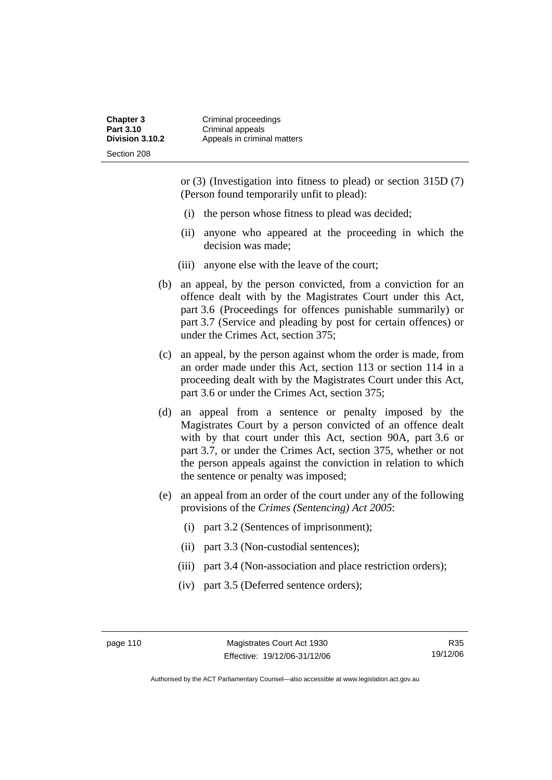or (3) (Investigation into fitness to plead) or section 315D (7) (Person found temporarily unfit to plead):

- (i) the person whose fitness to plead was decided;
- (ii) anyone who appeared at the proceeding in which the decision was made;
- (iii) anyone else with the leave of the court;
- (b) an appeal, by the person convicted, from a conviction for an offence dealt with by the Magistrates Court under this Act, part 3.6 (Proceedings for offences punishable summarily) or part 3.7 (Service and pleading by post for certain offences) or under the Crimes Act, section 375;
- (c) an appeal, by the person against whom the order is made, from an order made under this Act, section 113 or section 114 in a proceeding dealt with by the Magistrates Court under this Act, part 3.6 or under the Crimes Act, section 375;
- (d) an appeal from a sentence or penalty imposed by the Magistrates Court by a person convicted of an offence dealt with by that court under this Act, section 90A, part 3.6 or part 3.7, or under the Crimes Act, section 375, whether or not the person appeals against the conviction in relation to which the sentence or penalty was imposed;
- (e) an appeal from an order of the court under any of the following provisions of the *Crimes (Sentencing) Act 2005*:
	- (i) part 3.2 (Sentences of imprisonment);
	- (ii) part 3.3 (Non-custodial sentences);
	- (iii) part 3.4 (Non-association and place restriction orders);
	- (iv) part 3.5 (Deferred sentence orders);

R35 19/12/06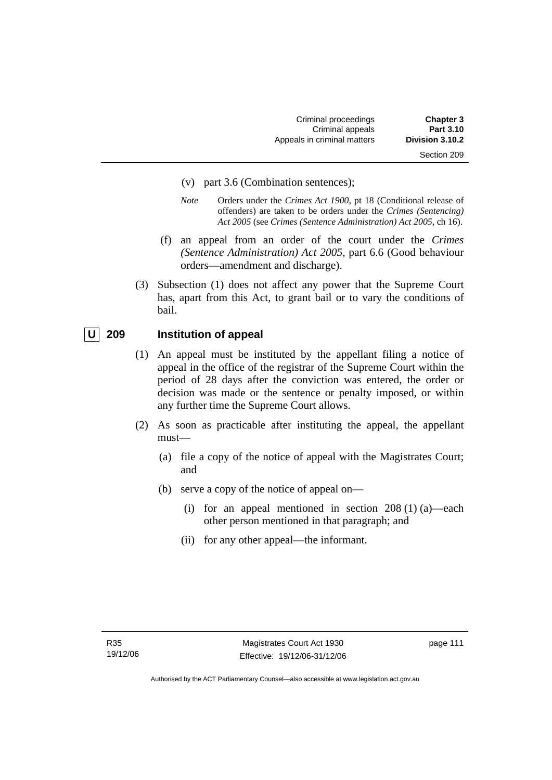- (v) part 3.6 (Combination sentences);
- *Note* Orders under the *Crimes Act 1900*, pt 18 (Conditional release of offenders) are taken to be orders under the *Crimes (Sentencing) Act 2005* (see *Crimes (Sentence Administration) Act 2005*, ch 16).
- (f) an appeal from an order of the court under the *Crimes (Sentence Administration) Act 2005,* part 6.6 (Good behaviour orders—amendment and discharge).
- (3) Subsection (1) does not affect any power that the Supreme Court has, apart from this Act, to grant bail or to vary the conditions of bail.

# **U** 209 Institution of appeal

- (1) An appeal must be instituted by the appellant filing a notice of appeal in the office of the registrar of the Supreme Court within the period of 28 days after the conviction was entered, the order or decision was made or the sentence or penalty imposed, or within any further time the Supreme Court allows.
- (2) As soon as practicable after instituting the appeal, the appellant must—
	- (a) file a copy of the notice of appeal with the Magistrates Court; and
	- (b) serve a copy of the notice of appeal on—
		- (i) for an appeal mentioned in section  $208(1)(a)$ —each other person mentioned in that paragraph; and
		- (ii) for any other appeal—the informant.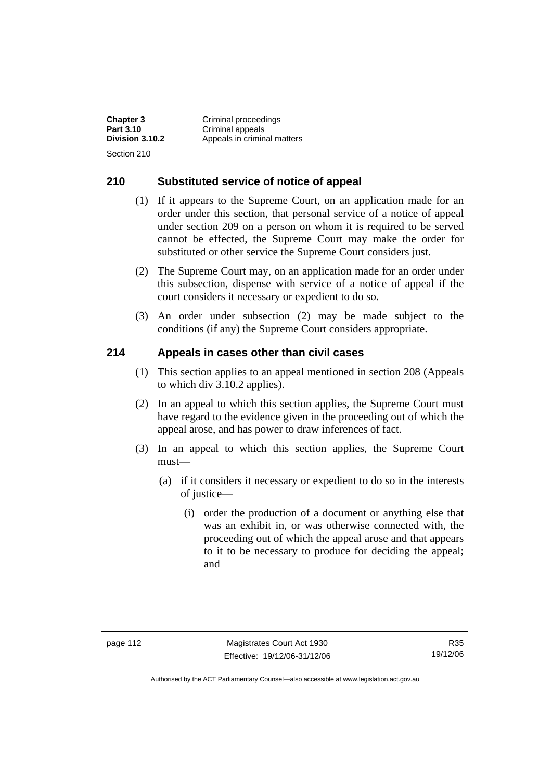**Chapter 3 Criminal proceedings**<br>**Part 3.10 Criminal appeals Part 3.10 Criminal appeals**<br>**Division 3.10.2 Appeals in crimin Division 3.10.2** Appeals in criminal matters Section 210

## **210 Substituted service of notice of appeal**

- (1) If it appears to the Supreme Court, on an application made for an order under this section, that personal service of a notice of appeal under section 209 on a person on whom it is required to be served cannot be effected, the Supreme Court may make the order for substituted or other service the Supreme Court considers just.
- (2) The Supreme Court may, on an application made for an order under this subsection, dispense with service of a notice of appeal if the court considers it necessary or expedient to do so.
- (3) An order under subsection (2) may be made subject to the conditions (if any) the Supreme Court considers appropriate.

# **214 Appeals in cases other than civil cases**

- (1) This section applies to an appeal mentioned in section 208 (Appeals to which div 3.10.2 applies).
- (2) In an appeal to which this section applies, the Supreme Court must have regard to the evidence given in the proceeding out of which the appeal arose, and has power to draw inferences of fact.
- (3) In an appeal to which this section applies, the Supreme Court must—
	- (a) if it considers it necessary or expedient to do so in the interests of justice—
		- (i) order the production of a document or anything else that was an exhibit in, or was otherwise connected with, the proceeding out of which the appeal arose and that appears to it to be necessary to produce for deciding the appeal; and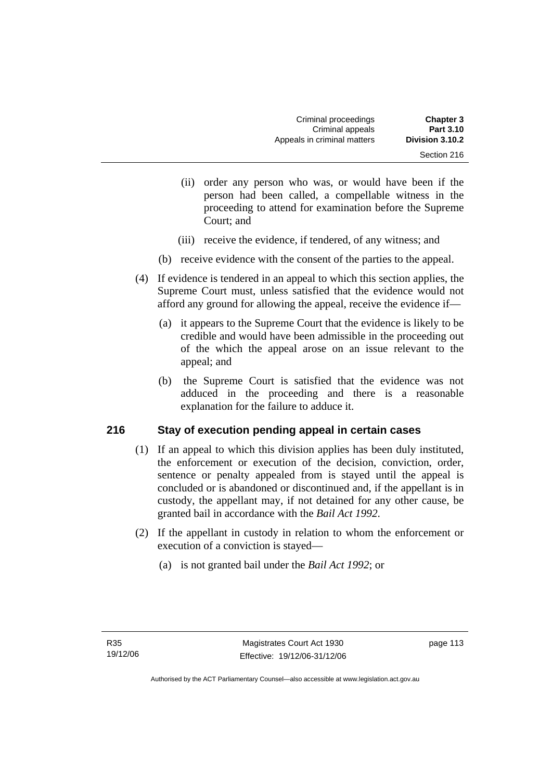- (ii) order any person who was, or would have been if the person had been called, a compellable witness in the proceeding to attend for examination before the Supreme Court; and
- (iii) receive the evidence, if tendered, of any witness; and
- (b) receive evidence with the consent of the parties to the appeal.
- (4) If evidence is tendered in an appeal to which this section applies, the Supreme Court must, unless satisfied that the evidence would not afford any ground for allowing the appeal, receive the evidence if—
	- (a) it appears to the Supreme Court that the evidence is likely to be credible and would have been admissible in the proceeding out of the which the appeal arose on an issue relevant to the appeal; and
	- (b) the Supreme Court is satisfied that the evidence was not adduced in the proceeding and there is a reasonable explanation for the failure to adduce it.

# **216 Stay of execution pending appeal in certain cases**

- (1) If an appeal to which this division applies has been duly instituted, the enforcement or execution of the decision, conviction, order, sentence or penalty appealed from is stayed until the appeal is concluded or is abandoned or discontinued and, if the appellant is in custody, the appellant may, if not detained for any other cause, be granted bail in accordance with the *Bail Act 1992*.
- (2) If the appellant in custody in relation to whom the enforcement or execution of a conviction is stayed—
	- (a) is not granted bail under the *Bail Act 1992*; or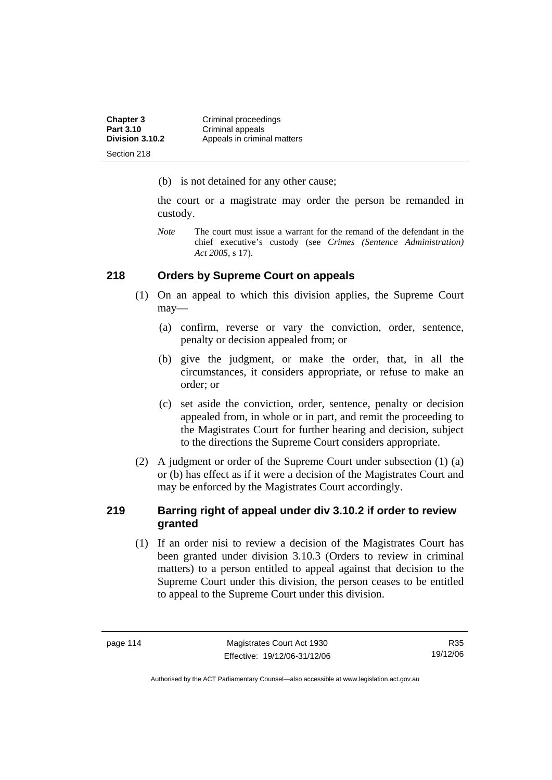| <b>Chapter 3</b> | Criminal proceedings        |
|------------------|-----------------------------|
| Part 3.10        | Criminal appeals            |
| Division 3.10.2  | Appeals in criminal matters |
| Section 218      |                             |

(b) is not detained for any other cause;

the court or a magistrate may order the person be remanded in custody.

*Note* The court must issue a warrant for the remand of the defendant in the chief executive's custody (see *Crimes (Sentence Administration) Act 2005*, s 17).

### **218 Orders by Supreme Court on appeals**

- (1) On an appeal to which this division applies, the Supreme Court may—
	- (a) confirm, reverse or vary the conviction, order, sentence, penalty or decision appealed from; or
	- (b) give the judgment, or make the order, that, in all the circumstances, it considers appropriate, or refuse to make an order; or
	- (c) set aside the conviction, order, sentence, penalty or decision appealed from, in whole or in part, and remit the proceeding to the Magistrates Court for further hearing and decision, subject to the directions the Supreme Court considers appropriate.
- (2) A judgment or order of the Supreme Court under subsection (1) (a) or (b) has effect as if it were a decision of the Magistrates Court and may be enforced by the Magistrates Court accordingly.

# **219 Barring right of appeal under div 3.10.2 if order to review granted**

 (1) If an order nisi to review a decision of the Magistrates Court has been granted under division 3.10.3 (Orders to review in criminal matters) to a person entitled to appeal against that decision to the Supreme Court under this division, the person ceases to be entitled to appeal to the Supreme Court under this division.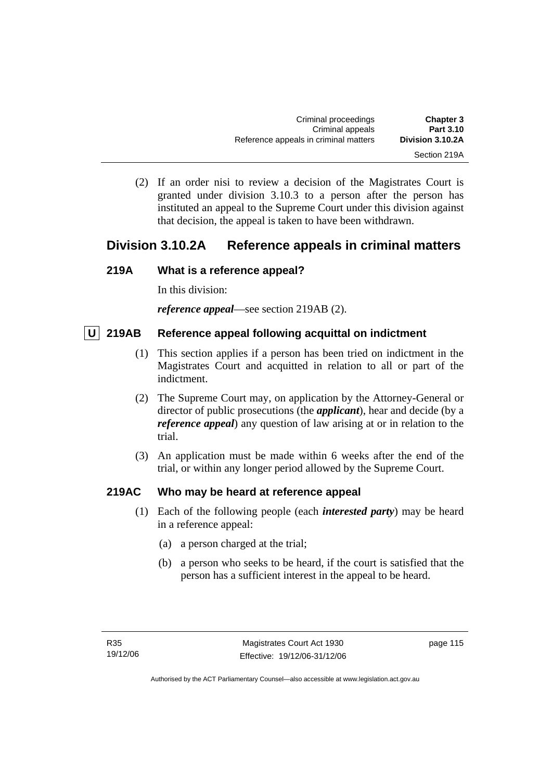(2) If an order nisi to review a decision of the Magistrates Court is granted under division 3.10.3 to a person after the person has instituted an appeal to the Supreme Court under this division against that decision, the appeal is taken to have been withdrawn.

# **Division 3.10.2A Reference appeals in criminal matters**

# **219A What is a reference appeal?**

In this division:

*reference appeal*—see section 219AB (2).

# **U** 219AB Reference appeal following acquittal on indictment

- (1) This section applies if a person has been tried on indictment in the Magistrates Court and acquitted in relation to all or part of the indictment.
- (2) The Supreme Court may, on application by the Attorney-General or director of public prosecutions (the *applicant*), hear and decide (by a *reference appeal*) any question of law arising at or in relation to the trial.
- (3) An application must be made within 6 weeks after the end of the trial, or within any longer period allowed by the Supreme Court.

# **219AC Who may be heard at reference appeal**

- (1) Each of the following people (each *interested party*) may be heard in a reference appeal:
	- (a) a person charged at the trial;
	- (b) a person who seeks to be heard, if the court is satisfied that the person has a sufficient interest in the appeal to be heard.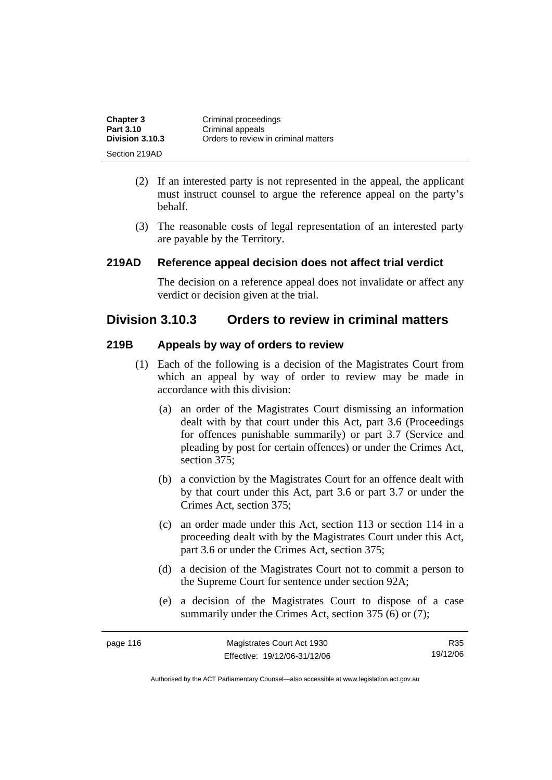| <b>Chapter 3</b> | Criminal proceedings                 |
|------------------|--------------------------------------|
| Part 3.10        | Criminal appeals                     |
| Division 3.10.3  | Orders to review in criminal matters |
| Section 219AD    |                                      |

- (2) If an interested party is not represented in the appeal, the applicant must instruct counsel to argue the reference appeal on the party's behalf.
- (3) The reasonable costs of legal representation of an interested party are payable by the Territory.

#### **219AD Reference appeal decision does not affect trial verdict**

The decision on a reference appeal does not invalidate or affect any verdict or decision given at the trial.

# **Division 3.10.3 Orders to review in criminal matters**

#### **219B Appeals by way of orders to review**

- (1) Each of the following is a decision of the Magistrates Court from which an appeal by way of order to review may be made in accordance with this division:
	- (a) an order of the Magistrates Court dismissing an information dealt with by that court under this Act, part 3.6 (Proceedings for offences punishable summarily) or part 3.7 (Service and pleading by post for certain offences) or under the Crimes Act, section 375;
	- (b) a conviction by the Magistrates Court for an offence dealt with by that court under this Act, part 3.6 or part 3.7 or under the Crimes Act, section 375;
	- (c) an order made under this Act, section 113 or section 114 in a proceeding dealt with by the Magistrates Court under this Act, part 3.6 or under the Crimes Act, section 375;
	- (d) a decision of the Magistrates Court not to commit a person to the Supreme Court for sentence under section 92A;
	- (e) a decision of the Magistrates Court to dispose of a case summarily under the Crimes Act, section 375 (6) or (7);

| page 116 | Magistrates Court Act 1930   | R35.     |
|----------|------------------------------|----------|
|          | Effective: 19/12/06-31/12/06 | 19/12/06 |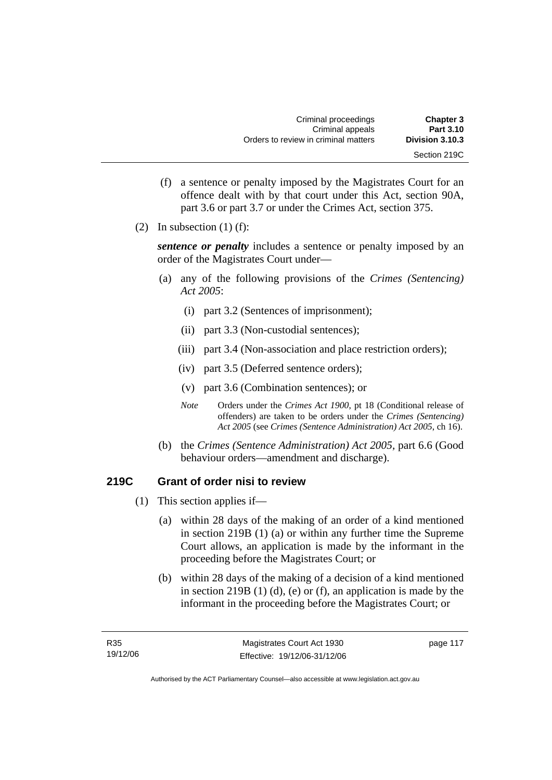| <b>Chapter 3</b> | Criminal proceedings                 |
|------------------|--------------------------------------|
| Part 3.10        | Criminal appeals                     |
| Division 3.10.3  | Orders to review in criminal matters |
| Section 219C     |                                      |

- (f) a sentence or penalty imposed by the Magistrates Court for an offence dealt with by that court under this Act, section 90A, part 3.6 or part 3.7 or under the Crimes Act, section 375.
- (2) In subsection  $(1)$  (f):

*sentence or penalty* includes a sentence or penalty imposed by an order of the Magistrates Court under—

- (a) any of the following provisions of the *Crimes (Sentencing) Act 2005*:
	- (i) part 3.2 (Sentences of imprisonment);
	- (ii) part 3.3 (Non-custodial sentences);
	- (iii) part 3.4 (Non-association and place restriction orders);
	- (iv) part 3.5 (Deferred sentence orders);
	- (v) part 3.6 (Combination sentences); or
	- *Note* Orders under the *Crimes Act 1900*, pt 18 (Conditional release of offenders) are taken to be orders under the *Crimes (Sentencing) Act 2005* (see *Crimes (Sentence Administration) Act 2005*, ch 16).
- (b) the *Crimes (Sentence Administration) Act 2005,* part 6.6 (Good behaviour orders—amendment and discharge).

# **219C Grant of order nisi to review**

- (1) This section applies if—
	- (a) within 28 days of the making of an order of a kind mentioned in section 219B (1) (a) or within any further time the Supreme Court allows, an application is made by the informant in the proceeding before the Magistrates Court; or
	- (b) within 28 days of the making of a decision of a kind mentioned in section 219B (1) (d), (e) or (f), an application is made by the informant in the proceeding before the Magistrates Court; or

page 117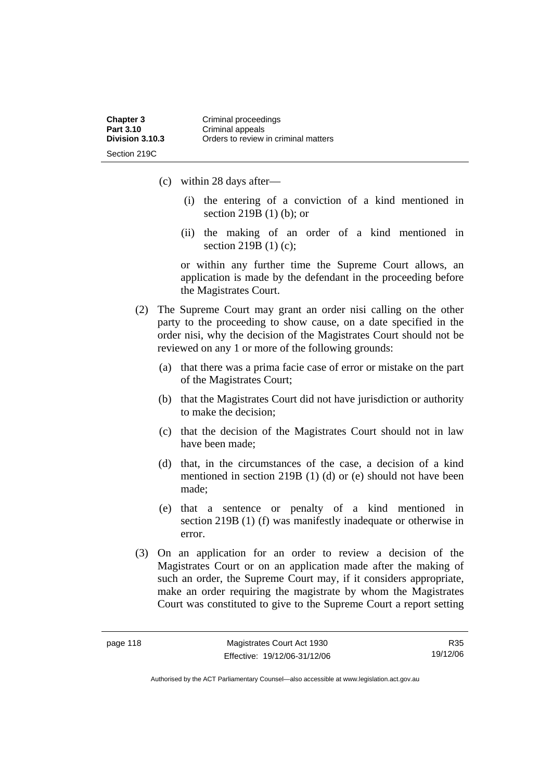- (c) within 28 days after—
	- (i) the entering of a conviction of a kind mentioned in section 219B (1) (b); or
	- (ii) the making of an order of a kind mentioned in section 219B (1) (c);

or within any further time the Supreme Court allows, an application is made by the defendant in the proceeding before the Magistrates Court.

- (2) The Supreme Court may grant an order nisi calling on the other party to the proceeding to show cause, on a date specified in the order nisi, why the decision of the Magistrates Court should not be reviewed on any 1 or more of the following grounds:
	- (a) that there was a prima facie case of error or mistake on the part of the Magistrates Court;
	- (b) that the Magistrates Court did not have jurisdiction or authority to make the decision;
	- (c) that the decision of the Magistrates Court should not in law have been made;
	- (d) that, in the circumstances of the case, a decision of a kind mentioned in section 219B (1) (d) or (e) should not have been made;
	- (e) that a sentence or penalty of a kind mentioned in section 219B (1) (f) was manifestly inadequate or otherwise in error.
- (3) On an application for an order to review a decision of the Magistrates Court or on an application made after the making of such an order, the Supreme Court may, if it considers appropriate, make an order requiring the magistrate by whom the Magistrates Court was constituted to give to the Supreme Court a report setting

R35 19/12/06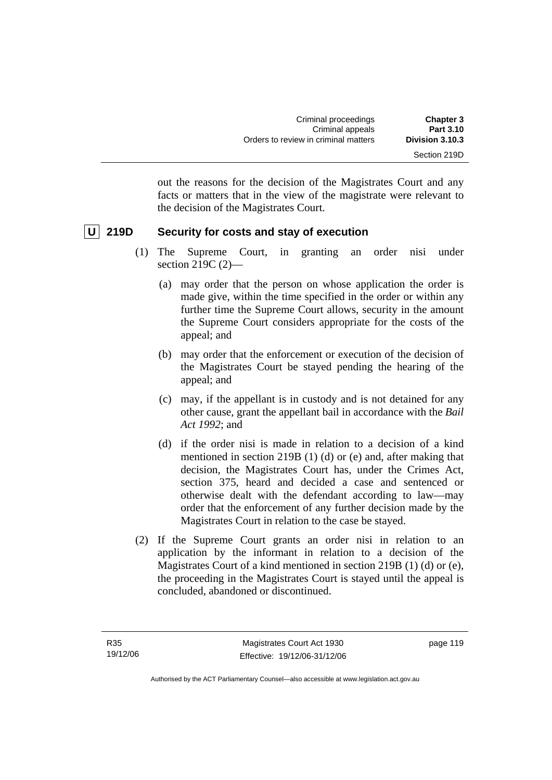| <b>Chapter 3</b> | Criminal proceedings                 |
|------------------|--------------------------------------|
| <b>Part 3.10</b> | Criminal appeals                     |
| Division 3.10.3  | Orders to review in criminal matters |
| Section 219D     |                                      |

out the reasons for the decision of the Magistrates Court and any facts or matters that in the view of the magistrate were relevant to the decision of the Magistrates Court.

# **U** 219D Security for costs and stay of execution

- (1) The Supreme Court, in granting an order nisi under section 219C (2)—
	- (a) may order that the person on whose application the order is made give, within the time specified in the order or within any further time the Supreme Court allows, security in the amount the Supreme Court considers appropriate for the costs of the appeal; and
	- (b) may order that the enforcement or execution of the decision of the Magistrates Court be stayed pending the hearing of the appeal; and
	- (c) may, if the appellant is in custody and is not detained for any other cause, grant the appellant bail in accordance with the *Bail Act 1992*; and
	- (d) if the order nisi is made in relation to a decision of a kind mentioned in section 219B (1) (d) or (e) and, after making that decision, the Magistrates Court has, under the Crimes Act, section 375, heard and decided a case and sentenced or otherwise dealt with the defendant according to law—may order that the enforcement of any further decision made by the Magistrates Court in relation to the case be stayed.
- (2) If the Supreme Court grants an order nisi in relation to an application by the informant in relation to a decision of the Magistrates Court of a kind mentioned in section 219B (1) (d) or (e), the proceeding in the Magistrates Court is stayed until the appeal is concluded, abandoned or discontinued.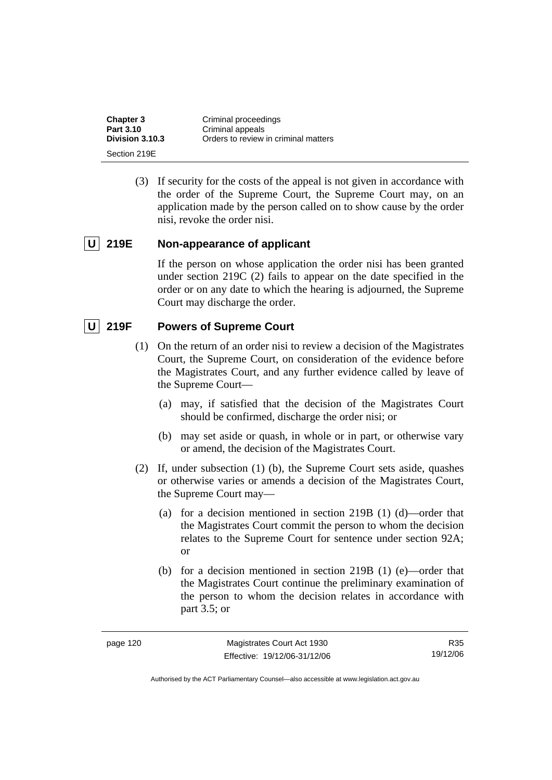| <b>Chapter 3</b> | Criminal proceedings                 |
|------------------|--------------------------------------|
| Part 3.10        | Criminal appeals                     |
| Division 3.10.3  | Orders to review in criminal matters |
| Section 219E     |                                      |

 (3) If security for the costs of the appeal is not given in accordance with the order of the Supreme Court, the Supreme Court may, on an application made by the person called on to show cause by the order nisi, revoke the order nisi.

### **U 219E Non-appearance of applicant**

If the person on whose application the order nisi has been granted under section 219C (2) fails to appear on the date specified in the order or on any date to which the hearing is adjourned, the Supreme Court may discharge the order.

# **U 219F Powers of Supreme Court**

- (1) On the return of an order nisi to review a decision of the Magistrates Court, the Supreme Court, on consideration of the evidence before the Magistrates Court, and any further evidence called by leave of the Supreme Court—
	- (a) may, if satisfied that the decision of the Magistrates Court should be confirmed, discharge the order nisi; or
	- (b) may set aside or quash, in whole or in part, or otherwise vary or amend, the decision of the Magistrates Court.
- (2) If, under subsection (1) (b), the Supreme Court sets aside, quashes or otherwise varies or amends a decision of the Magistrates Court, the Supreme Court may—
	- (a) for a decision mentioned in section 219B (1) (d)—order that the Magistrates Court commit the person to whom the decision relates to the Supreme Court for sentence under section 92A; or
	- (b) for a decision mentioned in section 219B (1) (e)—order that the Magistrates Court continue the preliminary examination of the person to whom the decision relates in accordance with part 3.5; or

R35 19/12/06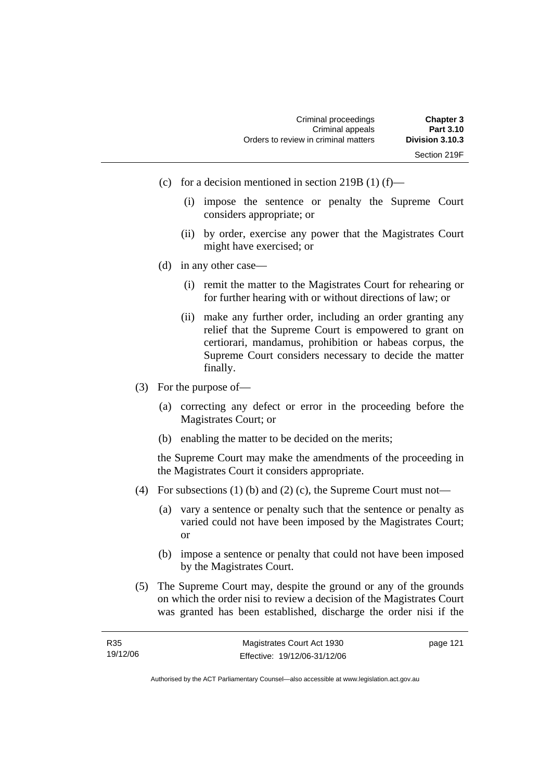- (c) for a decision mentioned in section 219B (1) (f)—
	- (i) impose the sentence or penalty the Supreme Court considers appropriate; or
	- (ii) by order, exercise any power that the Magistrates Court might have exercised; or
- (d) in any other case—
	- (i) remit the matter to the Magistrates Court for rehearing or for further hearing with or without directions of law; or
	- (ii) make any further order, including an order granting any relief that the Supreme Court is empowered to grant on certiorari, mandamus, prohibition or habeas corpus, the Supreme Court considers necessary to decide the matter finally.
- (3) For the purpose of—
	- (a) correcting any defect or error in the proceeding before the Magistrates Court; or
	- (b) enabling the matter to be decided on the merits;

the Supreme Court may make the amendments of the proceeding in the Magistrates Court it considers appropriate.

- (4) For subsections (1) (b) and (2) (c), the Supreme Court must not—
	- (a) vary a sentence or penalty such that the sentence or penalty as varied could not have been imposed by the Magistrates Court; or
	- (b) impose a sentence or penalty that could not have been imposed by the Magistrates Court.
- (5) The Supreme Court may, despite the ground or any of the grounds on which the order nisi to review a decision of the Magistrates Court was granted has been established, discharge the order nisi if the

| R35      | Magistrates Court Act 1930   | page 121 |
|----------|------------------------------|----------|
| 19/12/06 | Effective: 19/12/06-31/12/06 |          |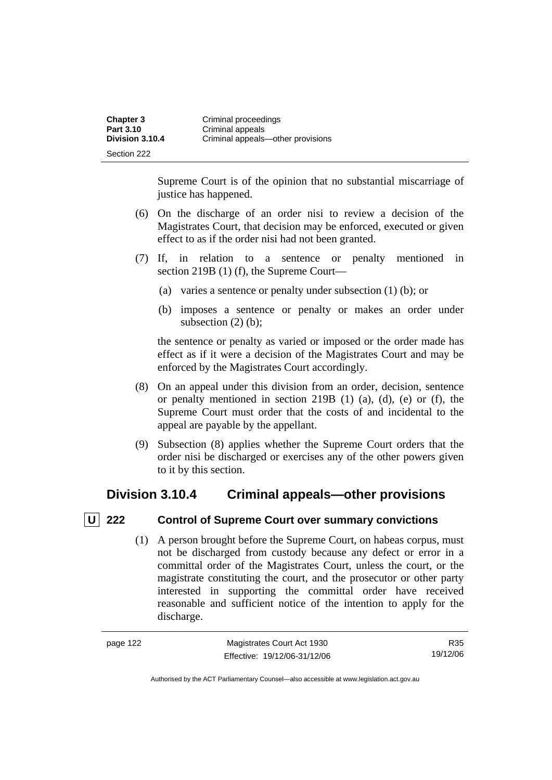| <b>Chapter 3</b> | Criminal proceedings              |
|------------------|-----------------------------------|
| Part 3.10        | Criminal appeals                  |
| Division 3.10.4  | Criminal appeals—other provisions |
| Section 222      |                                   |

Supreme Court is of the opinion that no substantial miscarriage of justice has happened.

- (6) On the discharge of an order nisi to review a decision of the Magistrates Court, that decision may be enforced, executed or given effect to as if the order nisi had not been granted.
- (7) If, in relation to a sentence or penalty mentioned in section 219B (1) (f), the Supreme Court—
	- (a) varies a sentence or penalty under subsection (1) (b); or
	- (b) imposes a sentence or penalty or makes an order under subsection (2) (b):

the sentence or penalty as varied or imposed or the order made has effect as if it were a decision of the Magistrates Court and may be enforced by the Magistrates Court accordingly.

- (8) On an appeal under this division from an order, decision, sentence or penalty mentioned in section 219B (1) (a), (d), (e) or (f), the Supreme Court must order that the costs of and incidental to the appeal are payable by the appellant.
- (9) Subsection (8) applies whether the Supreme Court orders that the order nisi be discharged or exercises any of the other powers given to it by this section.

# **Division 3.10.4 Criminal appeals—other provisions**

# **U** 222 Control of Supreme Court over summary convictions

 (1) A person brought before the Supreme Court, on habeas corpus, must not be discharged from custody because any defect or error in a committal order of the Magistrates Court, unless the court, or the magistrate constituting the court, and the prosecutor or other party interested in supporting the committal order have received reasonable and sufficient notice of the intention to apply for the discharge.

R35 19/12/06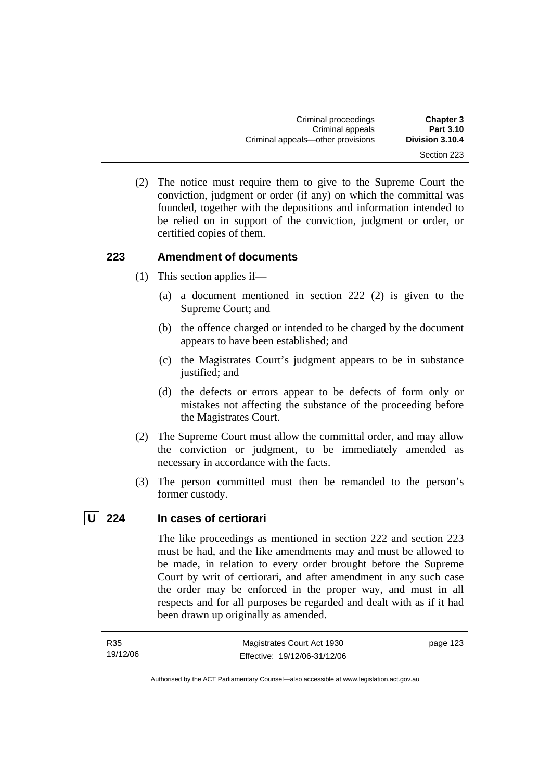| <b>Chapter 3</b><br><b>Part 3.10</b> | Criminal proceedings<br>Criminal appeals |
|--------------------------------------|------------------------------------------|
| Division 3.10.4                      | Criminal appeals—other provisions        |
| Section 223                          |                                          |

 (2) The notice must require them to give to the Supreme Court the conviction, judgment or order (if any) on which the committal was founded, together with the depositions and information intended to be relied on in support of the conviction, judgment or order, or certified copies of them.

### **223 Amendment of documents**

- (1) This section applies if—
	- (a) a document mentioned in section 222 (2) is given to the Supreme Court; and
	- (b) the offence charged or intended to be charged by the document appears to have been established; and
	- (c) the Magistrates Court's judgment appears to be in substance justified; and
	- (d) the defects or errors appear to be defects of form only or mistakes not affecting the substance of the proceeding before the Magistrates Court.
- (2) The Supreme Court must allow the committal order, and may allow the conviction or judgment, to be immediately amended as necessary in accordance with the facts.
- (3) The person committed must then be remanded to the person's former custody.

#### **U 224 In cases of certiorari**

The like proceedings as mentioned in section 222 and section 223 must be had, and the like amendments may and must be allowed to be made, in relation to every order brought before the Supreme Court by writ of certiorari, and after amendment in any such case the order may be enforced in the proper way, and must in all respects and for all purposes be regarded and dealt with as if it had been drawn up originally as amended.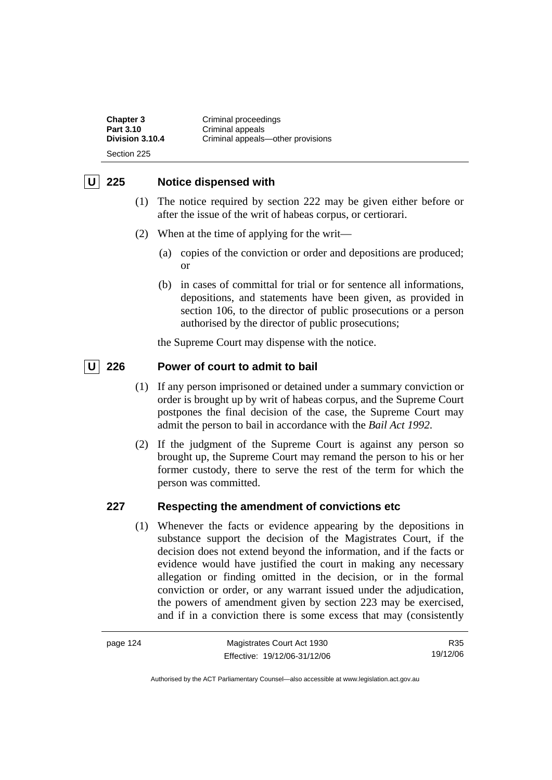**Chapter 3 Criminal proceedings**<br>**Part 3.10 Criminal appeals Part 3.10 Criminal appeals**<br> **Division 3.10.4 Criminal appeals Division 3.10.4** Criminal appeals—other provisions Section 225

# **U 225 Notice dispensed with**

- (1) The notice required by section 222 may be given either before or after the issue of the writ of habeas corpus, or certiorari.
- (2) When at the time of applying for the writ—
	- (a) copies of the conviction or order and depositions are produced; or
	- (b) in cases of committal for trial or for sentence all informations, depositions, and statements have been given, as provided in section 106, to the director of public prosecutions or a person authorised by the director of public prosecutions;

the Supreme Court may dispense with the notice.

# **U 226 Power of court to admit to bail**

- (1) If any person imprisoned or detained under a summary conviction or order is brought up by writ of habeas corpus, and the Supreme Court postpones the final decision of the case, the Supreme Court may admit the person to bail in accordance with the *Bail Act 1992*.
- (2) If the judgment of the Supreme Court is against any person so brought up, the Supreme Court may remand the person to his or her former custody, there to serve the rest of the term for which the person was committed.

# **227 Respecting the amendment of convictions etc**

 (1) Whenever the facts or evidence appearing by the depositions in substance support the decision of the Magistrates Court, if the decision does not extend beyond the information, and if the facts or evidence would have justified the court in making any necessary allegation or finding omitted in the decision, or in the formal conviction or order, or any warrant issued under the adjudication, the powers of amendment given by section 223 may be exercised, and if in a conviction there is some excess that may (consistently

| page 124 | Magistrates Court Act 1930   | R35      |
|----------|------------------------------|----------|
|          | Effective: 19/12/06-31/12/06 | 19/12/06 |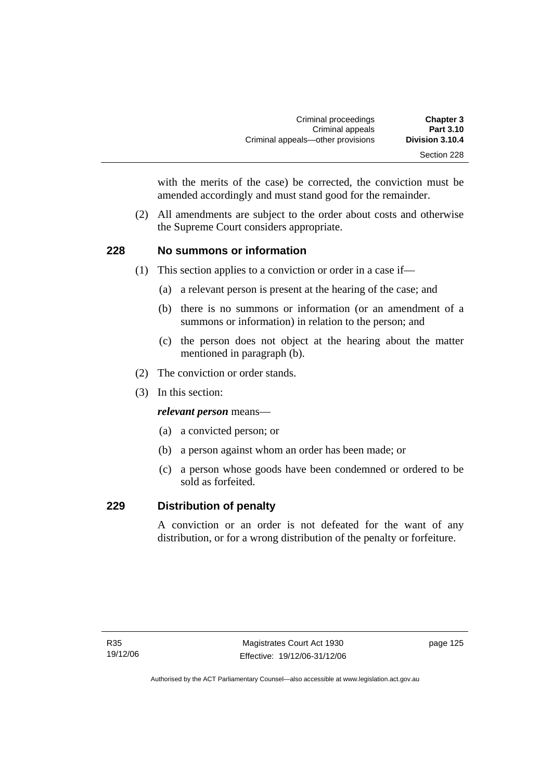| <b>Chapter 3</b> | Criminal proceedings              |
|------------------|-----------------------------------|
| <b>Part 3.10</b> | Criminal appeals                  |
| Division 3.10.4  | Criminal appeals—other provisions |
| Section 228      |                                   |

with the merits of the case) be corrected, the conviction must be amended accordingly and must stand good for the remainder.

 (2) All amendments are subject to the order about costs and otherwise the Supreme Court considers appropriate.

### **228 No summons or information**

- (1) This section applies to a conviction or order in a case if—
	- (a) a relevant person is present at the hearing of the case; and
	- (b) there is no summons or information (or an amendment of a summons or information) in relation to the person; and
	- (c) the person does not object at the hearing about the matter mentioned in paragraph (b).
- (2) The conviction or order stands.
- (3) In this section:

*relevant person* means—

- (a) a convicted person; or
- (b) a person against whom an order has been made; or
- (c) a person whose goods have been condemned or ordered to be sold as forfeited.

### **229 Distribution of penalty**

A conviction or an order is not defeated for the want of any distribution, or for a wrong distribution of the penalty or forfeiture.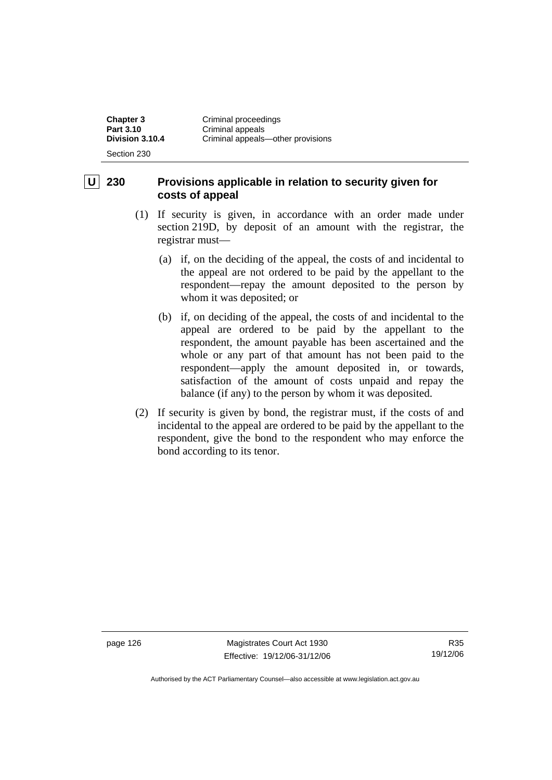**Chapter 3 Criminal proceedings**<br>**Part 3.10 Criminal anneals Part 3.10 Criminal appeals**<br> **Division 3.10.4 Criminal appeals Division 3.10.4** Criminal appeals—other provisions Section 230

# **230 Provisions applicable in relation to security given for costs of appeal**

- (1) If security is given, in accordance with an order made under section 219D, by deposit of an amount with the registrar, the registrar must—
	- (a) if, on the deciding of the appeal, the costs of and incidental to the appeal are not ordered to be paid by the appellant to the respondent—repay the amount deposited to the person by whom it was deposited; or
	- (b) if, on deciding of the appeal, the costs of and incidental to the appeal are ordered to be paid by the appellant to the respondent, the amount payable has been ascertained and the whole or any part of that amount has not been paid to the respondent—apply the amount deposited in, or towards, satisfaction of the amount of costs unpaid and repay the balance (if any) to the person by whom it was deposited.
- (2) If security is given by bond, the registrar must, if the costs of and incidental to the appeal are ordered to be paid by the appellant to the respondent, give the bond to the respondent who may enforce the bond according to its tenor.

page 126 Magistrates Court Act 1930 Effective: 19/12/06-31/12/06

R35 19/12/06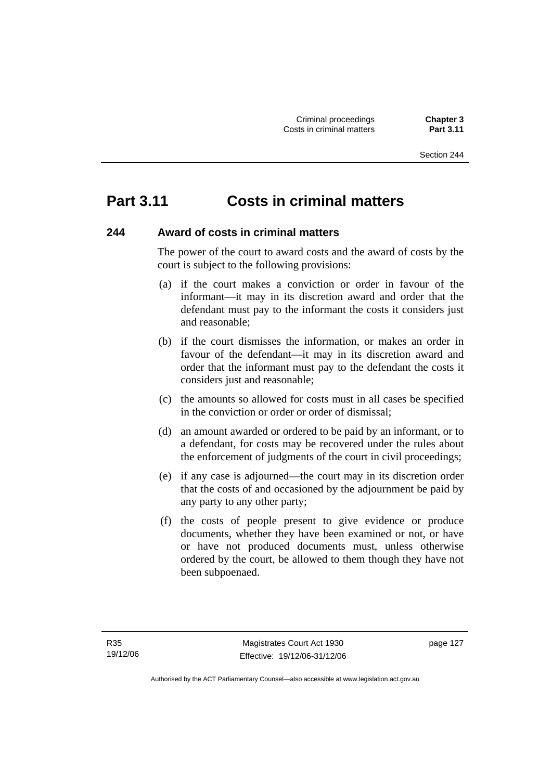# **Part 3.11 Costs in criminal matters**

# **244 Award of costs in criminal matters**

The power of the court to award costs and the award of costs by the court is subject to the following provisions:

- (a) if the court makes a conviction or order in favour of the informant—it may in its discretion award and order that the defendant must pay to the informant the costs it considers just and reasonable;
- (b) if the court dismisses the information, or makes an order in favour of the defendant—it may in its discretion award and order that the informant must pay to the defendant the costs it considers just and reasonable;
- (c) the amounts so allowed for costs must in all cases be specified in the conviction or order or order of dismissal;
- (d) an amount awarded or ordered to be paid by an informant, or to a defendant, for costs may be recovered under the rules about the enforcement of judgments of the court in civil proceedings;
- (e) if any case is adjourned—the court may in its discretion order that the costs of and occasioned by the adjournment be paid by any party to any other party;
- (f) the costs of people present to give evidence or produce documents, whether they have been examined or not, or have or have not produced documents must, unless otherwise ordered by the court, be allowed to them though they have not been subpoenaed.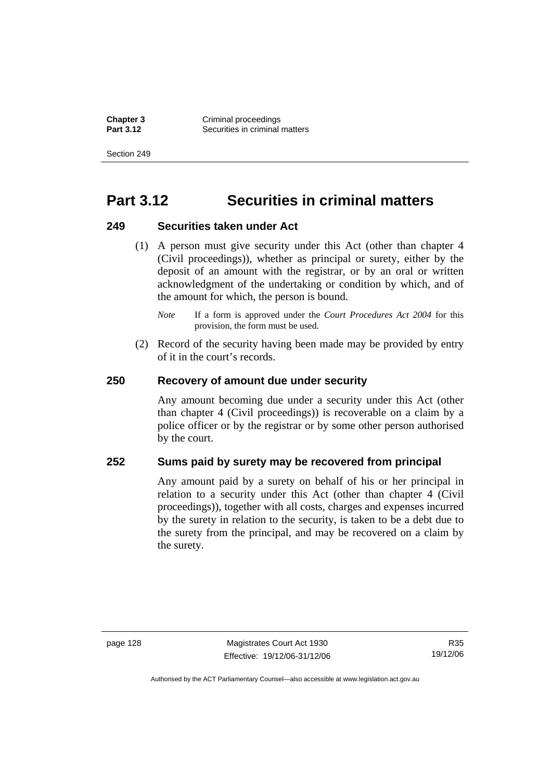**Chapter 3 Criminal proceedings**<br>**Part 3.12 Conservant Securities in criminal Securities in criminal matters** 

Section 249

# **Part 3.12 Securities in criminal matters**

#### **249 Securities taken under Act**

- (1) A person must give security under this Act (other than chapter 4 (Civil proceedings)), whether as principal or surety, either by the deposit of an amount with the registrar, or by an oral or written acknowledgment of the undertaking or condition by which, and of the amount for which, the person is bound.
	- *Note* If a form is approved under the *Court Procedures Act 2004* for this provision, the form must be used.
- (2) Record of the security having been made may be provided by entry of it in the court's records.

#### **250 Recovery of amount due under security**

Any amount becoming due under a security under this Act (other than chapter 4 (Civil proceedings)) is recoverable on a claim by a police officer or by the registrar or by some other person authorised by the court.

# **252 Sums paid by surety may be recovered from principal**

Any amount paid by a surety on behalf of his or her principal in relation to a security under this Act (other than chapter 4 (Civil proceedings)), together with all costs, charges and expenses incurred by the surety in relation to the security, is taken to be a debt due to the surety from the principal, and may be recovered on a claim by the surety.

R35 19/12/06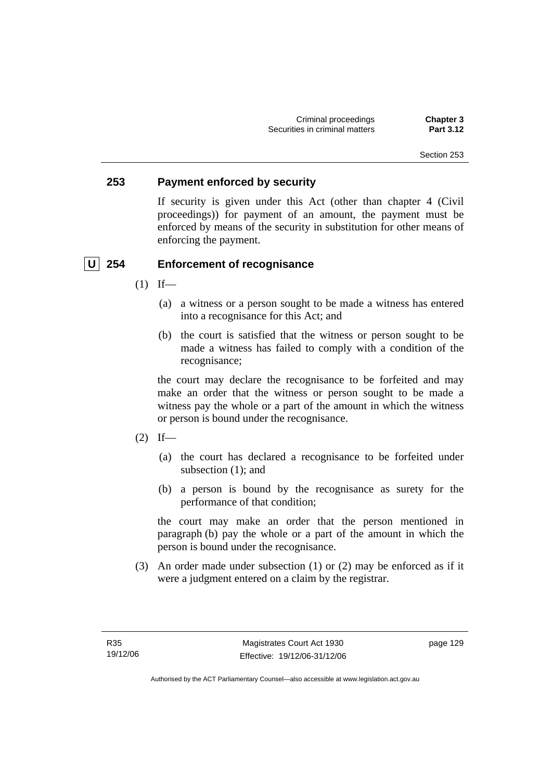Criminal proceedings **Chapter 3 Securities in criminal matters** 

#### Section 253

#### **253 Payment enforced by security**

If security is given under this Act (other than chapter 4 (Civil proceedings)) for payment of an amount, the payment must be enforced by means of the security in substitution for other means of enforcing the payment.

#### **U 254 Enforcement of recognisance**

- $(1)$  If—
	- (a) a witness or a person sought to be made a witness has entered into a recognisance for this Act; and
	- (b) the court is satisfied that the witness or person sought to be made a witness has failed to comply with a condition of the recognisance;

the court may declare the recognisance to be forfeited and may make an order that the witness or person sought to be made a witness pay the whole or a part of the amount in which the witness or person is bound under the recognisance.

- $(2)$  If—
	- (a) the court has declared a recognisance to be forfeited under subsection (1); and
	- (b) a person is bound by the recognisance as surety for the performance of that condition;

the court may make an order that the person mentioned in paragraph (b) pay the whole or a part of the amount in which the person is bound under the recognisance.

 (3) An order made under subsection (1) or (2) may be enforced as if it were a judgment entered on a claim by the registrar.

page 129

Authorised by the ACT Parliamentary Counsel—also accessible at www.legislation.act.gov.au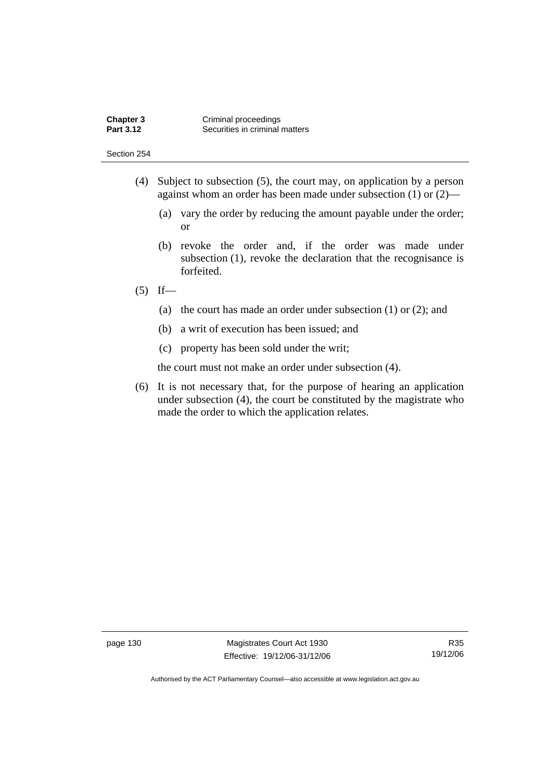- (4) Subject to subsection (5), the court may, on application by a person against whom an order has been made under subsection (1) or (2)—
	- (a) vary the order by reducing the amount payable under the order; or
	- (b) revoke the order and, if the order was made under subsection (1), revoke the declaration that the recognisance is forfeited.

## $(5)$  If—

- (a) the court has made an order under subsection (1) or (2); and
- (b) a writ of execution has been issued; and
- (c) property has been sold under the writ;

the court must not make an order under subsection (4).

 (6) It is not necessary that, for the purpose of hearing an application under subsection (4), the court be constituted by the magistrate who made the order to which the application relates.

page 130 Magistrates Court Act 1930 Effective: 19/12/06-31/12/06

R35 19/12/06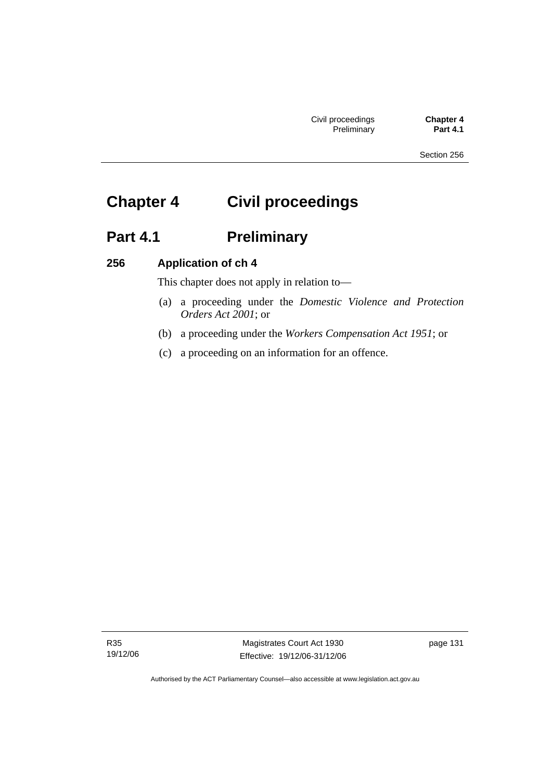# **Chapter 4 Civil proceedings**

# **Part 4.1 Preliminary**

# **256 Application of ch 4**

This chapter does not apply in relation to—

- (a) a proceeding under the *Domestic Violence and Protection Orders Act 2001*; or
- (b) a proceeding under the *Workers Compensation Act 1951*; or
- (c) a proceeding on an information for an offence.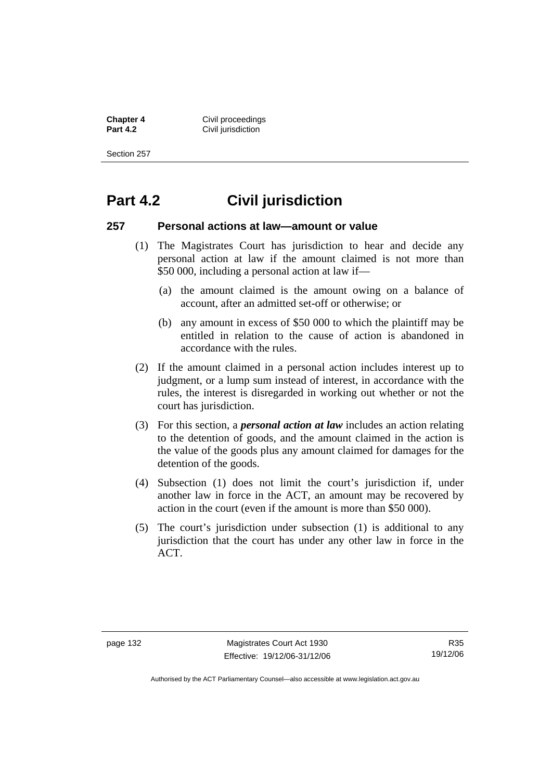**Chapter 4 Civil proceedings**<br> **Part 4.2 Civil invisition Civil jurisdiction** 

Section 257

# **Part 4.2 Civil jurisdiction**

#### **257 Personal actions at law—amount or value**

- (1) The Magistrates Court has jurisdiction to hear and decide any personal action at law if the amount claimed is not more than \$50 000, including a personal action at law if—
	- (a) the amount claimed is the amount owing on a balance of account, after an admitted set-off or otherwise; or
	- (b) any amount in excess of \$50 000 to which the plaintiff may be entitled in relation to the cause of action is abandoned in accordance with the rules.
- (2) If the amount claimed in a personal action includes interest up to judgment, or a lump sum instead of interest, in accordance with the rules, the interest is disregarded in working out whether or not the court has jurisdiction.
- (3) For this section, a *personal action at law* includes an action relating to the detention of goods, and the amount claimed in the action is the value of the goods plus any amount claimed for damages for the detention of the goods.
- (4) Subsection (1) does not limit the court's jurisdiction if, under another law in force in the ACT, an amount may be recovered by action in the court (even if the amount is more than \$50 000).
- (5) The court's jurisdiction under subsection (1) is additional to any jurisdiction that the court has under any other law in force in the ACT.

R35 19/12/06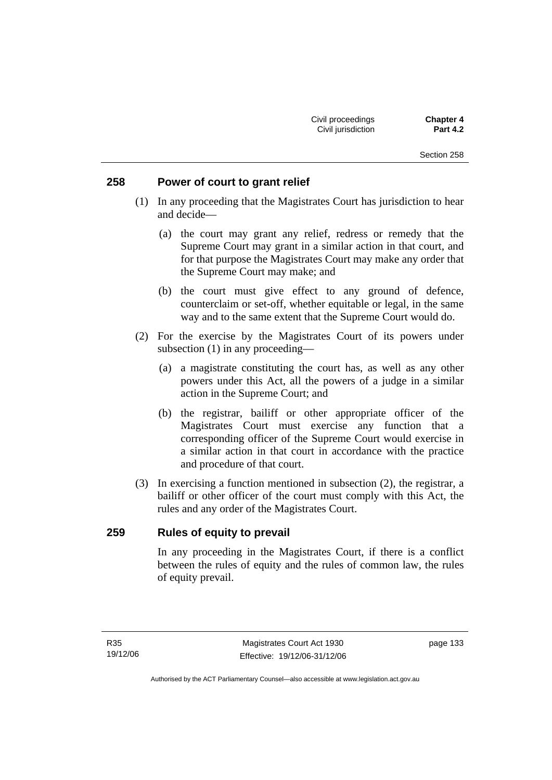## **258 Power of court to grant relief**

- (1) In any proceeding that the Magistrates Court has jurisdiction to hear and decide—
	- (a) the court may grant any relief, redress or remedy that the Supreme Court may grant in a similar action in that court, and for that purpose the Magistrates Court may make any order that the Supreme Court may make; and
	- (b) the court must give effect to any ground of defence, counterclaim or set-off, whether equitable or legal, in the same way and to the same extent that the Supreme Court would do.
- (2) For the exercise by the Magistrates Court of its powers under subsection (1) in any proceeding—
	- (a) a magistrate constituting the court has, as well as any other powers under this Act, all the powers of a judge in a similar action in the Supreme Court; and
	- (b) the registrar, bailiff or other appropriate officer of the Magistrates Court must exercise any function that a corresponding officer of the Supreme Court would exercise in a similar action in that court in accordance with the practice and procedure of that court.
- (3) In exercising a function mentioned in subsection (2), the registrar, a bailiff or other officer of the court must comply with this Act, the rules and any order of the Magistrates Court.

# **259 Rules of equity to prevail**

In any proceeding in the Magistrates Court, if there is a conflict between the rules of equity and the rules of common law, the rules of equity prevail.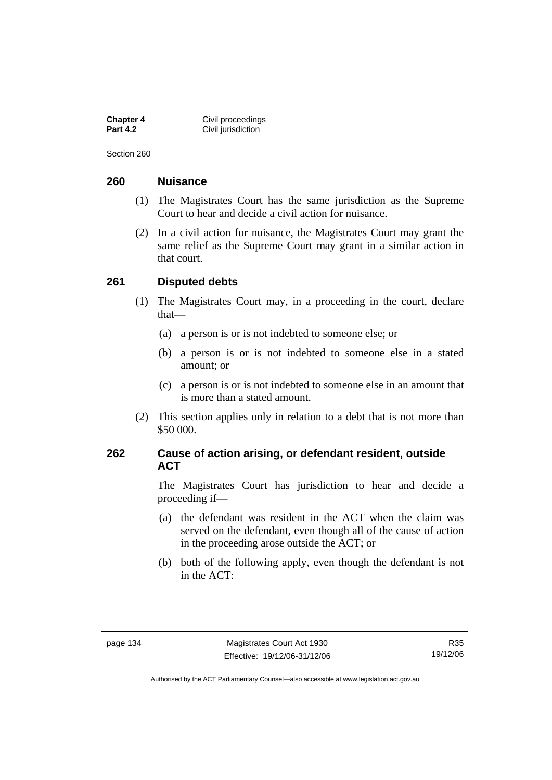**Chapter 4 Civil proceedings**<br> **Part 4.2 Civil invisition Civil jurisdiction** 

Section 260

#### **260 Nuisance**

- (1) The Magistrates Court has the same jurisdiction as the Supreme Court to hear and decide a civil action for nuisance.
- (2) In a civil action for nuisance, the Magistrates Court may grant the same relief as the Supreme Court may grant in a similar action in that court.

#### **261 Disputed debts**

- (1) The Magistrates Court may, in a proceeding in the court, declare that—
	- (a) a person is or is not indebted to someone else; or
	- (b) a person is or is not indebted to someone else in a stated amount; or
	- (c) a person is or is not indebted to someone else in an amount that is more than a stated amount.
- (2) This section applies only in relation to a debt that is not more than \$50 000.

## **262 Cause of action arising, or defendant resident, outside ACT**

The Magistrates Court has jurisdiction to hear and decide a proceeding if—

- (a) the defendant was resident in the ACT when the claim was served on the defendant, even though all of the cause of action in the proceeding arose outside the ACT; or
- (b) both of the following apply, even though the defendant is not in the ACT: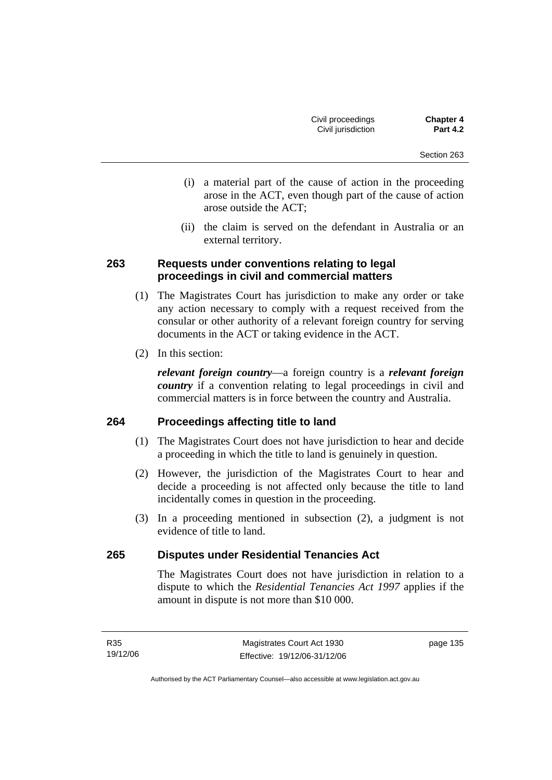- (i) a material part of the cause of action in the proceeding arose in the ACT, even though part of the cause of action arose outside the ACT;
- (ii) the claim is served on the defendant in Australia or an external territory.

# **263 Requests under conventions relating to legal proceedings in civil and commercial matters**

- (1) The Magistrates Court has jurisdiction to make any order or take any action necessary to comply with a request received from the consular or other authority of a relevant foreign country for serving documents in the ACT or taking evidence in the ACT.
- (2) In this section:

*relevant foreign country*—a foreign country is a *relevant foreign country* if a convention relating to legal proceedings in civil and commercial matters is in force between the country and Australia.

# **264 Proceedings affecting title to land**

- (1) The Magistrates Court does not have jurisdiction to hear and decide a proceeding in which the title to land is genuinely in question.
- (2) However, the jurisdiction of the Magistrates Court to hear and decide a proceeding is not affected only because the title to land incidentally comes in question in the proceeding.
- (3) In a proceeding mentioned in subsection (2), a judgment is not evidence of title to land.

# **265 Disputes under Residential Tenancies Act**

The Magistrates Court does not have jurisdiction in relation to a dispute to which the *Residential Tenancies Act 1997* applies if the amount in dispute is not more than \$10 000.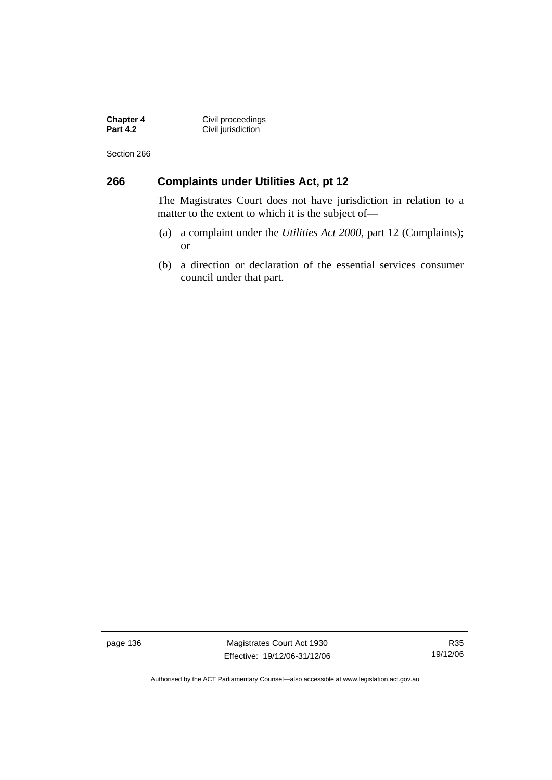**Chapter 4 Civil proceedings Part 4.2 Civil jurisdiction** 

Section 266

# **266 Complaints under Utilities Act, pt 12**

The Magistrates Court does not have jurisdiction in relation to a matter to the extent to which it is the subject of—

- (a) a complaint under the *Utilities Act 2000*, part 12 (Complaints); or
- (b) a direction or declaration of the essential services consumer council under that part.

page 136 Magistrates Court Act 1930 Effective: 19/12/06-31/12/06

R35 19/12/06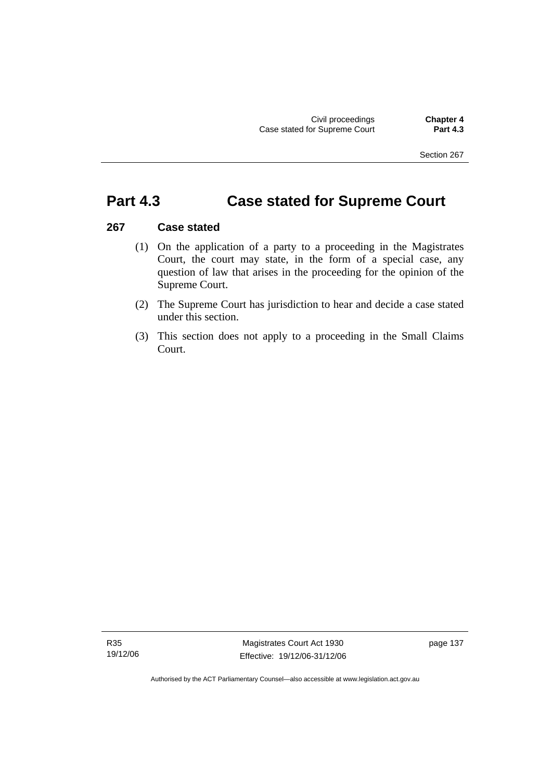# **Part 4.3 Case stated for Supreme Court**

## **267 Case stated**

- (1) On the application of a party to a proceeding in the Magistrates Court, the court may state, in the form of a special case, any question of law that arises in the proceeding for the opinion of the Supreme Court.
- (2) The Supreme Court has jurisdiction to hear and decide a case stated under this section.
- (3) This section does not apply to a proceeding in the Small Claims Court.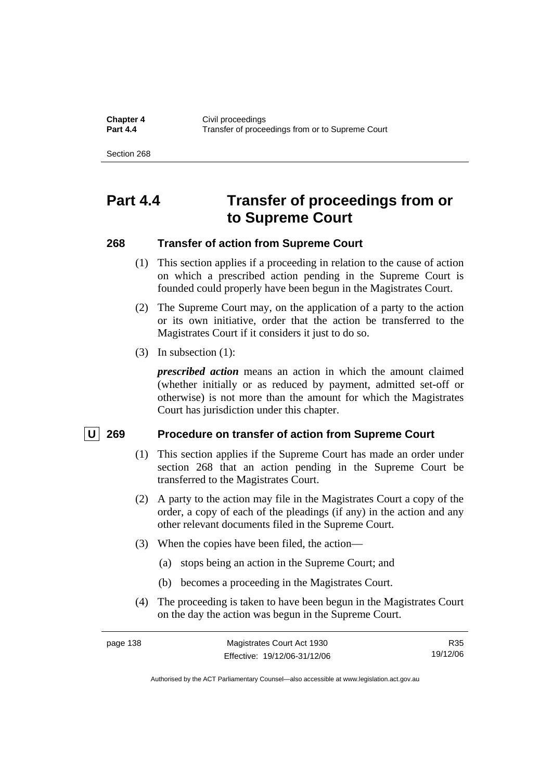**Chapter 4 Civil proceedings**<br>**Part 4.4 CHAPTER CONSIDER Part 4.4** Transfer of proceedings from or to Supreme Court

Section 268

# **Part 4.4 Transfer of proceedings from or to Supreme Court**

#### **268 Transfer of action from Supreme Court**

- (1) This section applies if a proceeding in relation to the cause of action on which a prescribed action pending in the Supreme Court is founded could properly have been begun in the Magistrates Court.
- (2) The Supreme Court may, on the application of a party to the action or its own initiative, order that the action be transferred to the Magistrates Court if it considers it just to do so.
- (3) In subsection (1):

*prescribed action* means an action in which the amount claimed (whether initially or as reduced by payment, admitted set-off or otherwise) is not more than the amount for which the Magistrates Court has jurisdiction under this chapter.

#### **U 269 Procedure on transfer of action from Supreme Court**

- (1) This section applies if the Supreme Court has made an order under section 268 that an action pending in the Supreme Court be transferred to the Magistrates Court.
- (2) A party to the action may file in the Magistrates Court a copy of the order, a copy of each of the pleadings (if any) in the action and any other relevant documents filed in the Supreme Court.
- (3) When the copies have been filed, the action—
	- (a) stops being an action in the Supreme Court; and
	- (b) becomes a proceeding in the Magistrates Court.
- (4) The proceeding is taken to have been begun in the Magistrates Court on the day the action was begun in the Supreme Court.

| page 138 | Magistrates Court Act 1930   | R35      |
|----------|------------------------------|----------|
|          | Effective: 19/12/06-31/12/06 | 19/12/06 |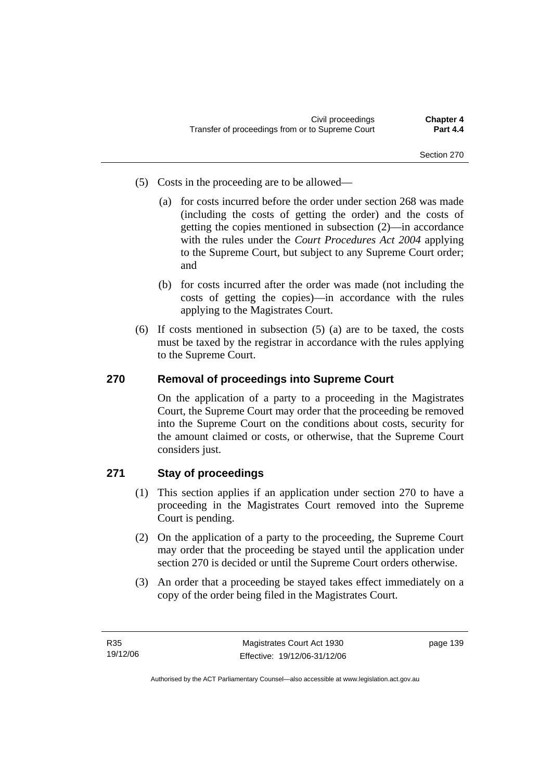- (5) Costs in the proceeding are to be allowed—
	- (a) for costs incurred before the order under section 268 was made (including the costs of getting the order) and the costs of getting the copies mentioned in subsection (2)—in accordance with the rules under the *Court Procedures Act 2004* applying to the Supreme Court, but subject to any Supreme Court order; and
	- (b) for costs incurred after the order was made (not including the costs of getting the copies)—in accordance with the rules applying to the Magistrates Court.
- (6) If costs mentioned in subsection (5) (a) are to be taxed, the costs must be taxed by the registrar in accordance with the rules applying to the Supreme Court.

# **270 Removal of proceedings into Supreme Court**

On the application of a party to a proceeding in the Magistrates Court, the Supreme Court may order that the proceeding be removed into the Supreme Court on the conditions about costs, security for the amount claimed or costs, or otherwise, that the Supreme Court considers just.

# **271 Stay of proceedings**

- (1) This section applies if an application under section 270 to have a proceeding in the Magistrates Court removed into the Supreme Court is pending.
- (2) On the application of a party to the proceeding, the Supreme Court may order that the proceeding be stayed until the application under section 270 is decided or until the Supreme Court orders otherwise.
- (3) An order that a proceeding be stayed takes effect immediately on a copy of the order being filed in the Magistrates Court.

page 139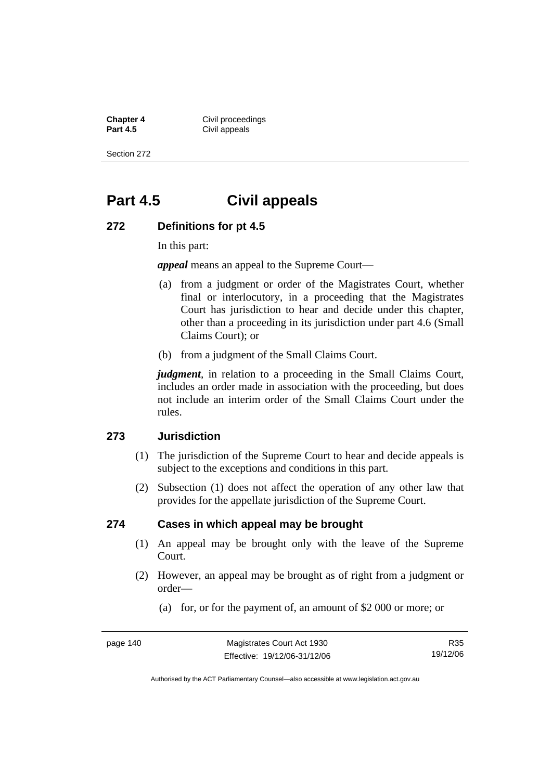**Chapter 4 Civil proceedings**<br>**Part 4.5 Civil anneals Civil appeals** 

Section 272

# **Part 4.5 Civil appeals**

#### **272 Definitions for pt 4.5**

In this part:

*appeal* means an appeal to the Supreme Court—

- (a) from a judgment or order of the Magistrates Court, whether final or interlocutory, in a proceeding that the Magistrates Court has jurisdiction to hear and decide under this chapter, other than a proceeding in its jurisdiction under part 4.6 (Small Claims Court); or
- (b) from a judgment of the Small Claims Court.

*judgment*, in relation to a proceeding in the Small Claims Court, includes an order made in association with the proceeding, but does not include an interim order of the Small Claims Court under the rules.

#### **273 Jurisdiction**

- (1) The jurisdiction of the Supreme Court to hear and decide appeals is subject to the exceptions and conditions in this part.
- (2) Subsection (1) does not affect the operation of any other law that provides for the appellate jurisdiction of the Supreme Court.

#### **274 Cases in which appeal may be brought**

- (1) An appeal may be brought only with the leave of the Supreme Court.
- (2) However, an appeal may be brought as of right from a judgment or order—
	- (a) for, or for the payment of, an amount of \$2 000 or more; or

R35 19/12/06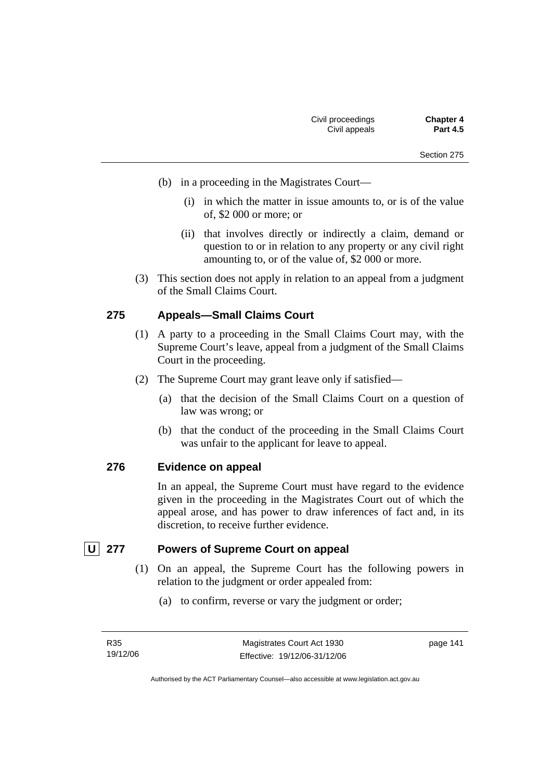- (b) in a proceeding in the Magistrates Court—
	- (i) in which the matter in issue amounts to, or is of the value of, \$2 000 or more; or
	- (ii) that involves directly or indirectly a claim, demand or question to or in relation to any property or any civil right amounting to, or of the value of, \$2 000 or more.
- (3) This section does not apply in relation to an appeal from a judgment of the Small Claims Court.

## **275 Appeals—Small Claims Court**

- (1) A party to a proceeding in the Small Claims Court may, with the Supreme Court's leave, appeal from a judgment of the Small Claims Court in the proceeding.
- (2) The Supreme Court may grant leave only if satisfied—
	- (a) that the decision of the Small Claims Court on a question of law was wrong; or
	- (b) that the conduct of the proceeding in the Small Claims Court was unfair to the applicant for leave to appeal.

#### **276 Evidence on appeal**

In an appeal, the Supreme Court must have regard to the evidence given in the proceeding in the Magistrates Court out of which the appeal arose, and has power to draw inferences of fact and, in its discretion, to receive further evidence.

# **U** 277 Powers of Supreme Court on appeal

- (1) On an appeal, the Supreme Court has the following powers in relation to the judgment or order appealed from:
	- (a) to confirm, reverse or vary the judgment or order;

page 141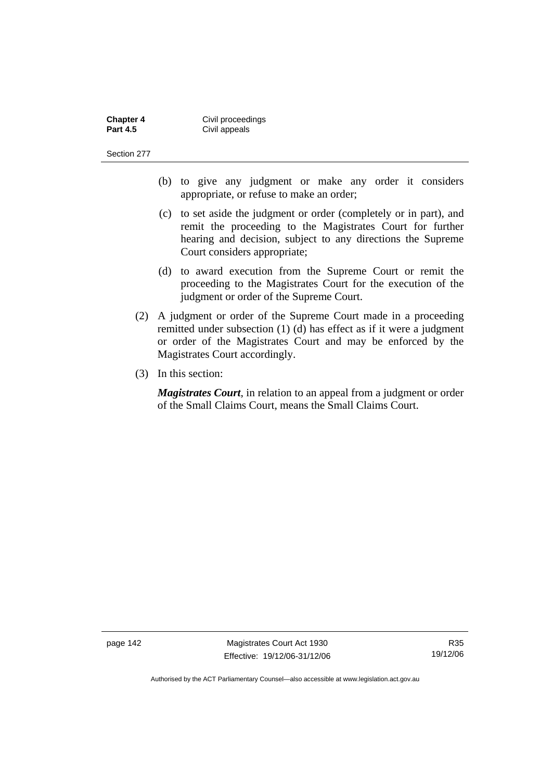| <b>Chapter 4</b> | Civil proceedings |
|------------------|-------------------|
| <b>Part 4.5</b>  | Civil appeals     |

- (b) to give any judgment or make any order it considers appropriate, or refuse to make an order;
- (c) to set aside the judgment or order (completely or in part), and remit the proceeding to the Magistrates Court for further hearing and decision, subject to any directions the Supreme Court considers appropriate;
- (d) to award execution from the Supreme Court or remit the proceeding to the Magistrates Court for the execution of the judgment or order of the Supreme Court.
- (2) A judgment or order of the Supreme Court made in a proceeding remitted under subsection (1) (d) has effect as if it were a judgment or order of the Magistrates Court and may be enforced by the Magistrates Court accordingly.
- (3) In this section:

*Magistrates Court*, in relation to an appeal from a judgment or order of the Small Claims Court, means the Small Claims Court.

page 142 Magistrates Court Act 1930 Effective: 19/12/06-31/12/06

R35 19/12/06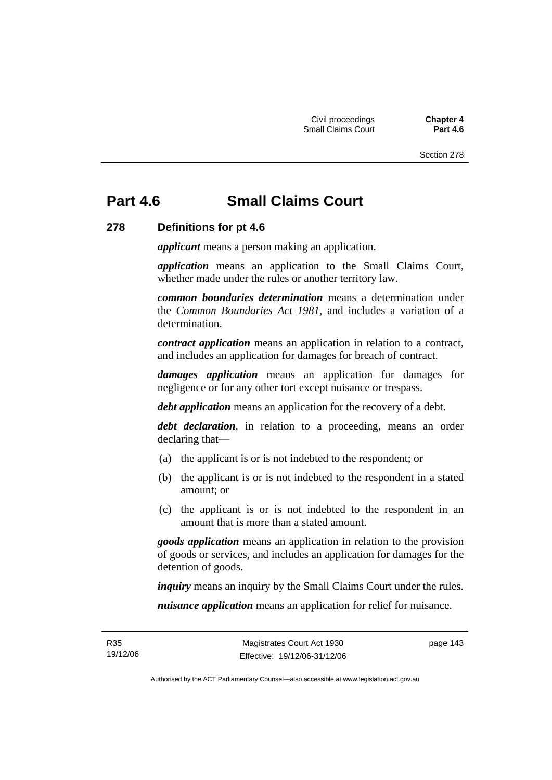# **Part 4.6 Small Claims Court**

## **278 Definitions for pt 4.6**

*applicant* means a person making an application.

*application* means an application to the Small Claims Court, whether made under the rules or another territory law.

*common boundaries determination* means a determination under the *Common Boundaries Act 1981*, and includes a variation of a determination.

*contract application* means an application in relation to a contract, and includes an application for damages for breach of contract.

*damages application* means an application for damages for negligence or for any other tort except nuisance or trespass.

*debt application* means an application for the recovery of a debt.

*debt declaration*, in relation to a proceeding, means an order declaring that—

- (a) the applicant is or is not indebted to the respondent; or
- (b) the applicant is or is not indebted to the respondent in a stated amount; or
- (c) the applicant is or is not indebted to the respondent in an amount that is more than a stated amount.

*goods application* means an application in relation to the provision of goods or services, and includes an application for damages for the detention of goods.

*inquiry* means an inquiry by the Small Claims Court under the rules.

*nuisance application* means an application for relief for nuisance.

page 143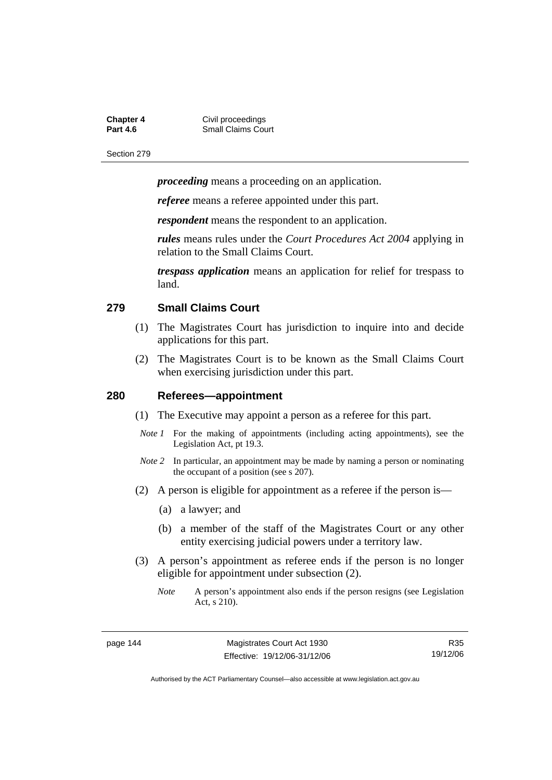| Chapter 4 | Civil proceedings         |
|-----------|---------------------------|
| Part 4.6  | <b>Small Claims Court</b> |

*proceeding* means a proceeding on an application.

*referee* means a referee appointed under this part.

*respondent* means the respondent to an application.

*rules* means rules under the *Court Procedures Act 2004* applying in relation to the Small Claims Court.

*trespass application* means an application for relief for trespass to land.

#### **279 Small Claims Court**

- (1) The Magistrates Court has jurisdiction to inquire into and decide applications for this part.
- (2) The Magistrates Court is to be known as the Small Claims Court when exercising jurisdiction under this part.

#### **280 Referees—appointment**

- (1) The Executive may appoint a person as a referee for this part.
- *Note 1* For the making of appointments (including acting appointments), see the Legislation Act, pt 19.3.
- *Note 2* In particular, an appointment may be made by naming a person or nominating the occupant of a position (see s 207).
- (2) A person is eligible for appointment as a referee if the person is—
	- (a) a lawyer; and
	- (b) a member of the staff of the Magistrates Court or any other entity exercising judicial powers under a territory law.
- (3) A person's appointment as referee ends if the person is no longer eligible for appointment under subsection (2).
	- *Note* A person's appointment also ends if the person resigns (see Legislation Act, s 210).

R35 19/12/06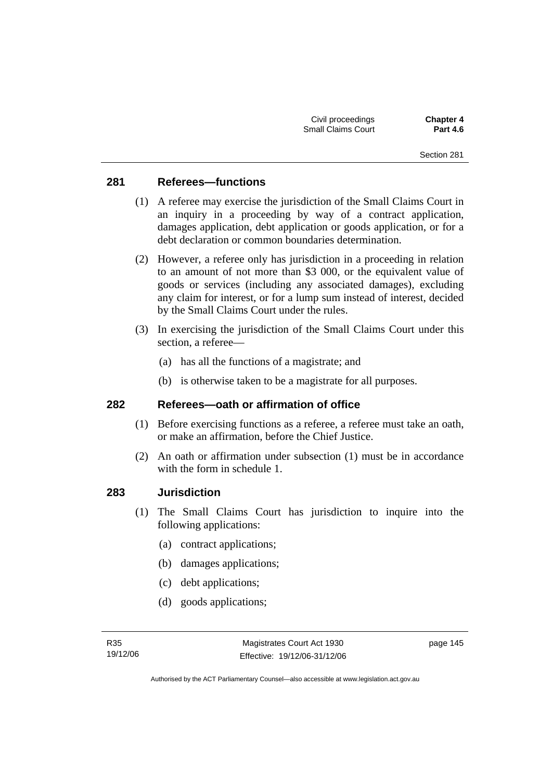## **281 Referees—functions**

- (1) A referee may exercise the jurisdiction of the Small Claims Court in an inquiry in a proceeding by way of a contract application, damages application, debt application or goods application, or for a debt declaration or common boundaries determination.
- (2) However, a referee only has jurisdiction in a proceeding in relation to an amount of not more than \$3 000, or the equivalent value of goods or services (including any associated damages), excluding any claim for interest, or for a lump sum instead of interest, decided by the Small Claims Court under the rules.
- (3) In exercising the jurisdiction of the Small Claims Court under this section, a referee—
	- (a) has all the functions of a magistrate; and
	- (b) is otherwise taken to be a magistrate for all purposes.

#### **282 Referees—oath or affirmation of office**

- (1) Before exercising functions as a referee, a referee must take an oath, or make an affirmation, before the Chief Justice.
- (2) An oath or affirmation under subsection (1) must be in accordance with the form in schedule 1.

#### **283 Jurisdiction**

- (1) The Small Claims Court has jurisdiction to inquire into the following applications:
	- (a) contract applications;
	- (b) damages applications;
	- (c) debt applications;
	- (d) goods applications;

page 145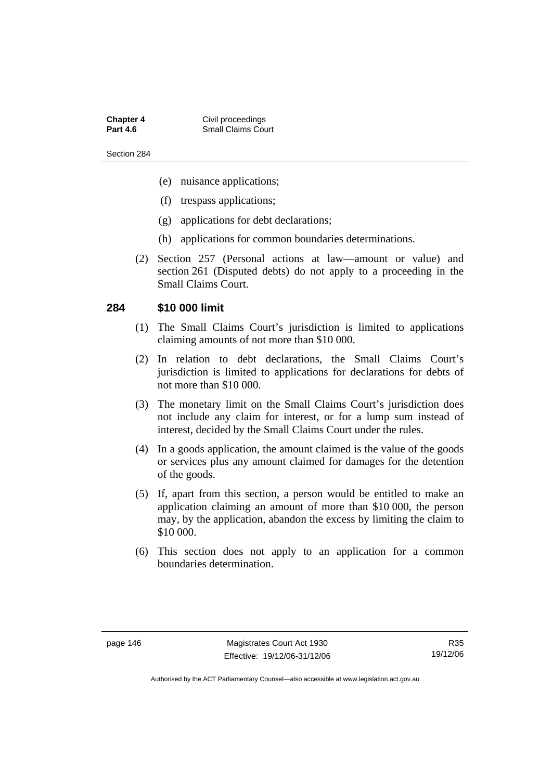**Chapter 4 Civil proceedings**<br>**Part 4.6 Collaims** Collaims Coll **Small Claims Court** 

Section 284

- (e) nuisance applications;
- (f) trespass applications;
- (g) applications for debt declarations;
- (h) applications for common boundaries determinations.
- (2) Section 257 (Personal actions at law—amount or value) and section 261 (Disputed debts) do not apply to a proceeding in the Small Claims Court.

#### **284 \$10 000 limit**

- (1) The Small Claims Court's jurisdiction is limited to applications claiming amounts of not more than \$10 000.
- (2) In relation to debt declarations, the Small Claims Court's jurisdiction is limited to applications for declarations for debts of not more than \$10 000.
- (3) The monetary limit on the Small Claims Court's jurisdiction does not include any claim for interest, or for a lump sum instead of interest, decided by the Small Claims Court under the rules.
- (4) In a goods application, the amount claimed is the value of the goods or services plus any amount claimed for damages for the detention of the goods.
- (5) If, apart from this section, a person would be entitled to make an application claiming an amount of more than \$10 000, the person may, by the application, abandon the excess by limiting the claim to \$10 000.
- (6) This section does not apply to an application for a common boundaries determination.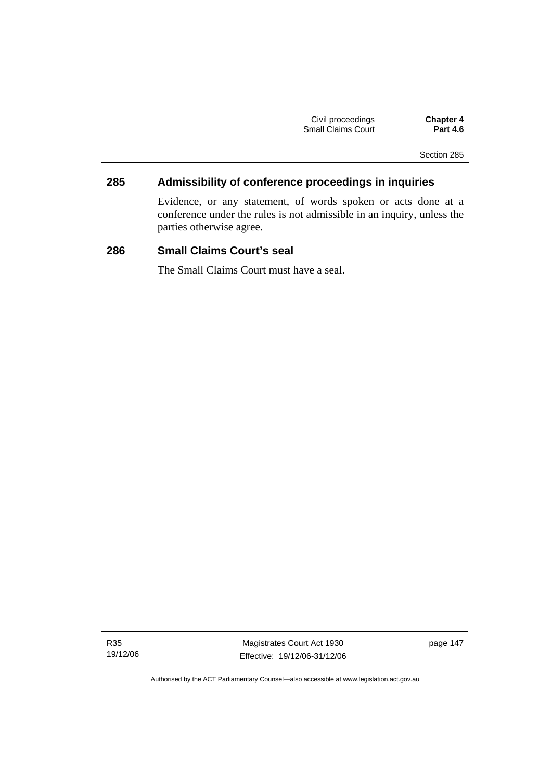| Civil proceedings  |  |
|--------------------|--|
| Small Claims Court |  |

**Chapter 4 Part 4.6** 

Section 285

# **285 Admissibility of conference proceedings in inquiries**

Evidence, or any statement, of words spoken or acts done at a conference under the rules is not admissible in an inquiry, unless the parties otherwise agree.

# **286 Small Claims Court's seal**

The Small Claims Court must have a seal.

R35 19/12/06

Magistrates Court Act 1930 Effective: 19/12/06-31/12/06 page 147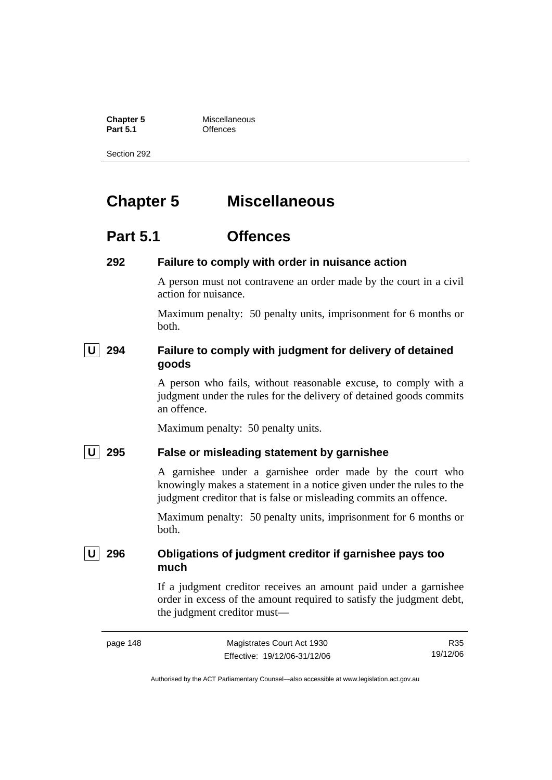**Chapter 5** Miscellaneous

**Part 5.1** Offences

Section 292

# **Chapter 5 Miscellaneous**

# **Part 5.1 Offences**

#### **292 Failure to comply with order in nuisance action**

A person must not contravene an order made by the court in a civil action for nuisance.

Maximum penalty: 50 penalty units, imprisonment for 6 months or both.

# **U** 294 Failure to comply with judgment for delivery of detained **goods**

A person who fails, without reasonable excuse, to comply with a judgment under the rules for the delivery of detained goods commits an offence.

Maximum penalty: 50 penalty units.

### **U 295 False or misleading statement by garnishee**

A garnishee under a garnishee order made by the court who knowingly makes a statement in a notice given under the rules to the judgment creditor that is false or misleading commits an offence.

Maximum penalty: 50 penalty units, imprisonment for 6 months or both.

 **U 296 Obligations of judgment creditor if garnishee pays too much** 

> If a judgment creditor receives an amount paid under a garnishee order in excess of the amount required to satisfy the judgment debt, the judgment creditor must—

R35 19/12/06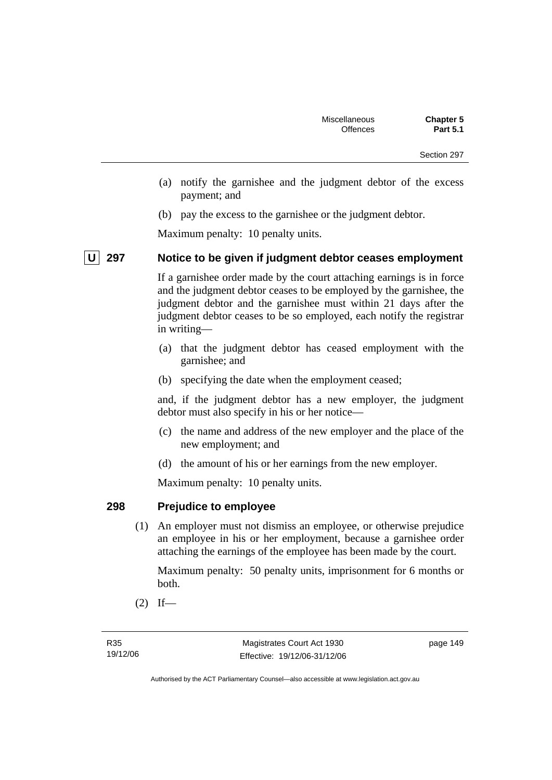- (a) notify the garnishee and the judgment debtor of the excess payment; and
- (b) pay the excess to the garnishee or the judgment debtor.

Maximum penalty: 10 penalty units.

# **U 297 Notice to be given if judgment debtor ceases employment**

If a garnishee order made by the court attaching earnings is in force and the judgment debtor ceases to be employed by the garnishee, the judgment debtor and the garnishee must within 21 days after the judgment debtor ceases to be so employed, each notify the registrar in writing—

- (a) that the judgment debtor has ceased employment with the garnishee; and
- (b) specifying the date when the employment ceased;

and, if the judgment debtor has a new employer, the judgment debtor must also specify in his or her notice—

- (c) the name and address of the new employer and the place of the new employment; and
- (d) the amount of his or her earnings from the new employer.

Maximum penalty: 10 penalty units.

# **298 Prejudice to employee**

 (1) An employer must not dismiss an employee, or otherwise prejudice an employee in his or her employment, because a garnishee order attaching the earnings of the employee has been made by the court.

Maximum penalty: 50 penalty units, imprisonment for 6 months or both.

 $(2)$  If—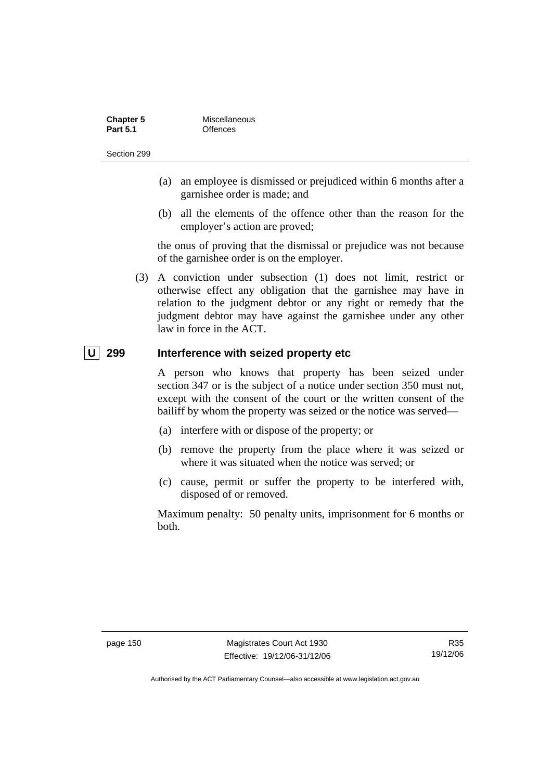| <b>Chapter 5</b> | Miscellaneous |
|------------------|---------------|
| <b>Part 5.1</b>  | Offences      |

- (a) an employee is dismissed or prejudiced within 6 months after a garnishee order is made; and
- (b) all the elements of the offence other than the reason for the employer's action are proved;

the onus of proving that the dismissal or prejudice was not because of the garnishee order is on the employer.

 (3) A conviction under subsection (1) does not limit, restrict or otherwise effect any obligation that the garnishee may have in relation to the judgment debtor or any right or remedy that the judgment debtor may have against the garnishee under any other law in force in the ACT.

## **U 299 Interference with seized property etc**

A person who knows that property has been seized under section 347 or is the subject of a notice under section 350 must not, except with the consent of the court or the written consent of the bailiff by whom the property was seized or the notice was served—

- (a) interfere with or dispose of the property; or
- (b) remove the property from the place where it was seized or where it was situated when the notice was served; or
- (c) cause, permit or suffer the property to be interfered with, disposed of or removed.

Maximum penalty: 50 penalty units, imprisonment for 6 months or both.

R35 19/12/06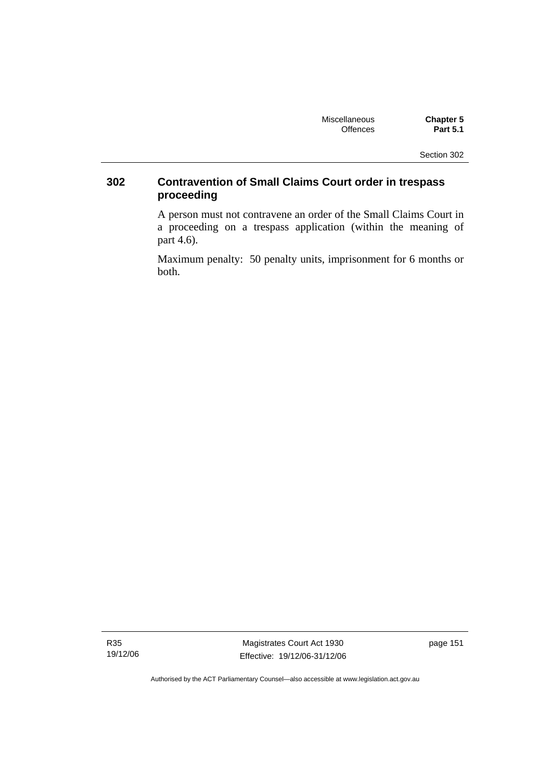| <b>Miscellaneous</b> | <b>Chapter 5</b> |
|----------------------|------------------|
| <b>Offences</b>      | <b>Part 5.1</b>  |

# **302 Contravention of Small Claims Court order in trespass proceeding**

A person must not contravene an order of the Small Claims Court in a proceeding on a trespass application (within the meaning of part 4.6).

Maximum penalty: 50 penalty units, imprisonment for 6 months or both.

R35 19/12/06

Magistrates Court Act 1930 Effective: 19/12/06-31/12/06 page 151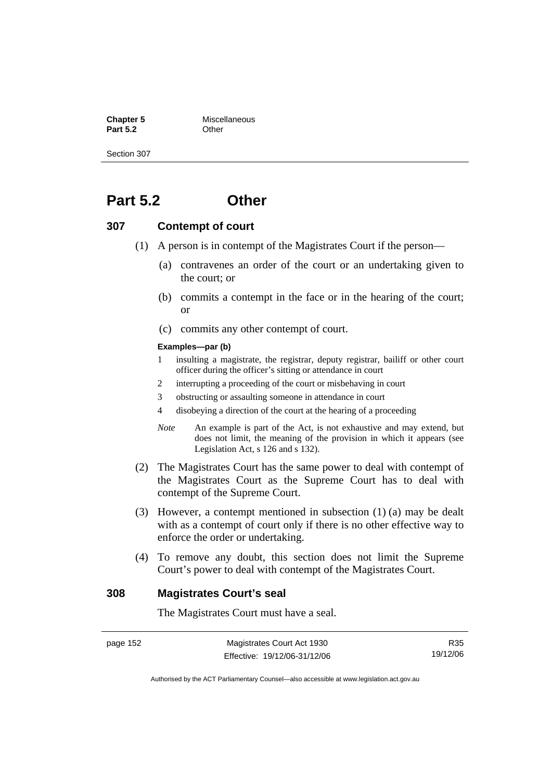**Chapter 5** Miscellaneous **Part 5.2** Other

Section 307

# **Part 5.2 Other**

#### **307 Contempt of court**

- (1) A person is in contempt of the Magistrates Court if the person—
	- (a) contravenes an order of the court or an undertaking given to the court; or
	- (b) commits a contempt in the face or in the hearing of the court; or
	- (c) commits any other contempt of court.

#### **Examples—par (b)**

- 1 insulting a magistrate, the registrar, deputy registrar, bailiff or other court officer during the officer's sitting or attendance in court
- 2 interrupting a proceeding of the court or misbehaving in court
- 3 obstructing or assaulting someone in attendance in court
- 4 disobeying a direction of the court at the hearing of a proceeding
- *Note* An example is part of the Act, is not exhaustive and may extend, but does not limit, the meaning of the provision in which it appears (see Legislation Act, s 126 and s 132).
- (2) The Magistrates Court has the same power to deal with contempt of the Magistrates Court as the Supreme Court has to deal with contempt of the Supreme Court.
- (3) However, a contempt mentioned in subsection (1) (a) may be dealt with as a contempt of court only if there is no other effective way to enforce the order or undertaking.
- (4) To remove any doubt, this section does not limit the Supreme Court's power to deal with contempt of the Magistrates Court.

#### **308 Magistrates Court's seal**

The Magistrates Court must have a seal.

page 152 Magistrates Court Act 1930 Effective: 19/12/06-31/12/06

R35 19/12/06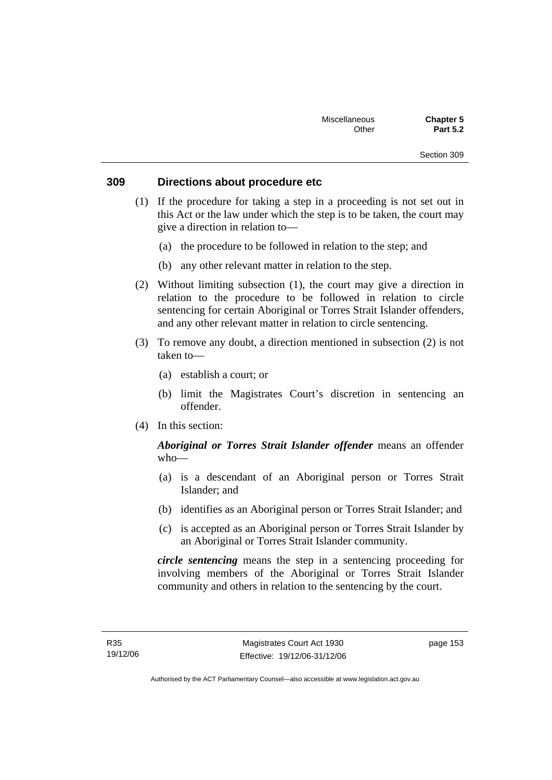## **309 Directions about procedure etc**

- (1) If the procedure for taking a step in a proceeding is not set out in this Act or the law under which the step is to be taken, the court may give a direction in relation to—
	- (a) the procedure to be followed in relation to the step; and
	- (b) any other relevant matter in relation to the step.
- (2) Without limiting subsection (1), the court may give a direction in relation to the procedure to be followed in relation to circle sentencing for certain Aboriginal or Torres Strait Islander offenders, and any other relevant matter in relation to circle sentencing.
- (3) To remove any doubt, a direction mentioned in subsection (2) is not taken to—
	- (a) establish a court; or
	- (b) limit the Magistrates Court's discretion in sentencing an offender.
- (4) In this section:

# *Aboriginal or Torres Strait Islander offender* means an offender who—

- (a) is a descendant of an Aboriginal person or Torres Strait Islander; and
- (b) identifies as an Aboriginal person or Torres Strait Islander; and
- (c) is accepted as an Aboriginal person or Torres Strait Islander by an Aboriginal or Torres Strait Islander community.

*circle sentencing* means the step in a sentencing proceeding for involving members of the Aboriginal or Torres Strait Islander community and others in relation to the sentencing by the court.

page 153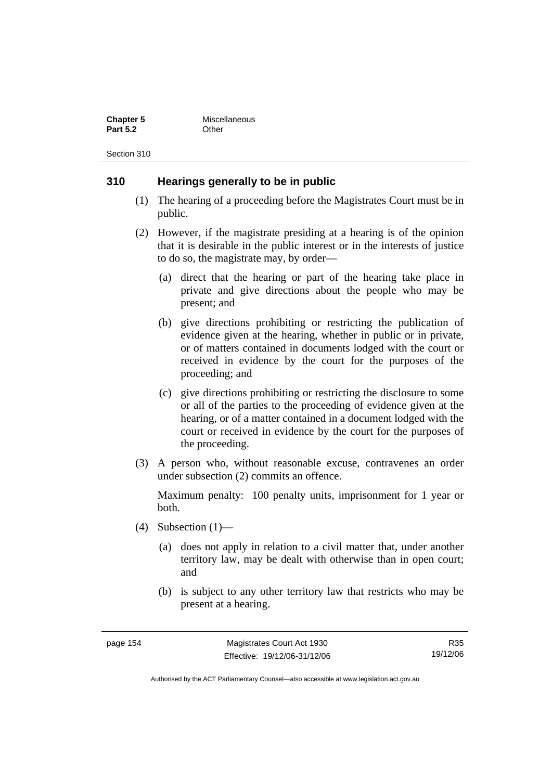| <b>Chapter 5</b> | Miscellaneous |
|------------------|---------------|
| <b>Part 5.2</b>  | Other         |

## **310 Hearings generally to be in public**

- (1) The hearing of a proceeding before the Magistrates Court must be in public.
- (2) However, if the magistrate presiding at a hearing is of the opinion that it is desirable in the public interest or in the interests of justice to do so, the magistrate may, by order—
	- (a) direct that the hearing or part of the hearing take place in private and give directions about the people who may be present; and
	- (b) give directions prohibiting or restricting the publication of evidence given at the hearing, whether in public or in private, or of matters contained in documents lodged with the court or received in evidence by the court for the purposes of the proceeding; and
	- (c) give directions prohibiting or restricting the disclosure to some or all of the parties to the proceeding of evidence given at the hearing, or of a matter contained in a document lodged with the court or received in evidence by the court for the purposes of the proceeding.
- (3) A person who, without reasonable excuse, contravenes an order under subsection (2) commits an offence.

Maximum penalty: 100 penalty units, imprisonment for 1 year or both.

- (4) Subsection (1)—
	- (a) does not apply in relation to a civil matter that, under another territory law, may be dealt with otherwise than in open court; and
	- (b) is subject to any other territory law that restricts who may be present at a hearing.

R35 19/12/06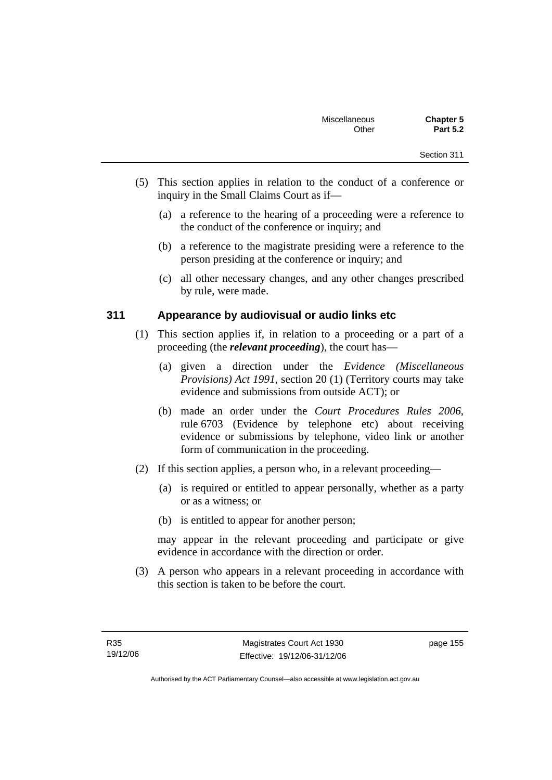- Section 311
- (5) This section applies in relation to the conduct of a conference or inquiry in the Small Claims Court as if—
	- (a) a reference to the hearing of a proceeding were a reference to the conduct of the conference or inquiry; and
	- (b) a reference to the magistrate presiding were a reference to the person presiding at the conference or inquiry; and
	- (c) all other necessary changes, and any other changes prescribed by rule, were made.

## **311 Appearance by audiovisual or audio links etc**

- (1) This section applies if, in relation to a proceeding or a part of a proceeding (the *relevant proceeding*), the court has—
	- (a) given a direction under the *Evidence (Miscellaneous Provisions) Act 1991*, section 20 (1) (Territory courts may take evidence and submissions from outside ACT); or
	- (b) made an order under the *Court Procedures Rules 2006*, rule 6703 (Evidence by telephone etc) about receiving evidence or submissions by telephone, video link or another form of communication in the proceeding.
- (2) If this section applies, a person who, in a relevant proceeding—
	- (a) is required or entitled to appear personally, whether as a party or as a witness; or
	- (b) is entitled to appear for another person;

may appear in the relevant proceeding and participate or give evidence in accordance with the direction or order.

 (3) A person who appears in a relevant proceeding in accordance with this section is taken to be before the court.

page 155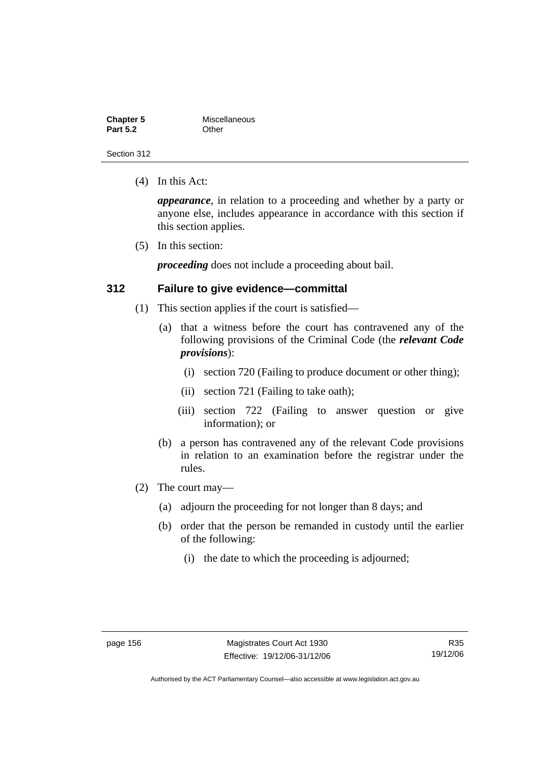| <b>Chapter 5</b> | Miscellaneous |
|------------------|---------------|
| <b>Part 5.2</b>  | Other         |

(4) In this Act:

*appearance*, in relation to a proceeding and whether by a party or anyone else, includes appearance in accordance with this section if this section applies.

(5) In this section:

*proceeding* does not include a proceeding about bail.

#### **312 Failure to give evidence—committal**

- (1) This section applies if the court is satisfied—
	- (a) that a witness before the court has contravened any of the following provisions of the Criminal Code (the *relevant Code provisions*):
		- (i) section 720 (Failing to produce document or other thing);
		- (ii) section 721 (Failing to take oath);
		- (iii) section 722 (Failing to answer question or give information); or
	- (b) a person has contravened any of the relevant Code provisions in relation to an examination before the registrar under the rules.
- (2) The court may—
	- (a) adjourn the proceeding for not longer than 8 days; and
	- (b) order that the person be remanded in custody until the earlier of the following:
		- (i) the date to which the proceeding is adjourned;

R35 19/12/06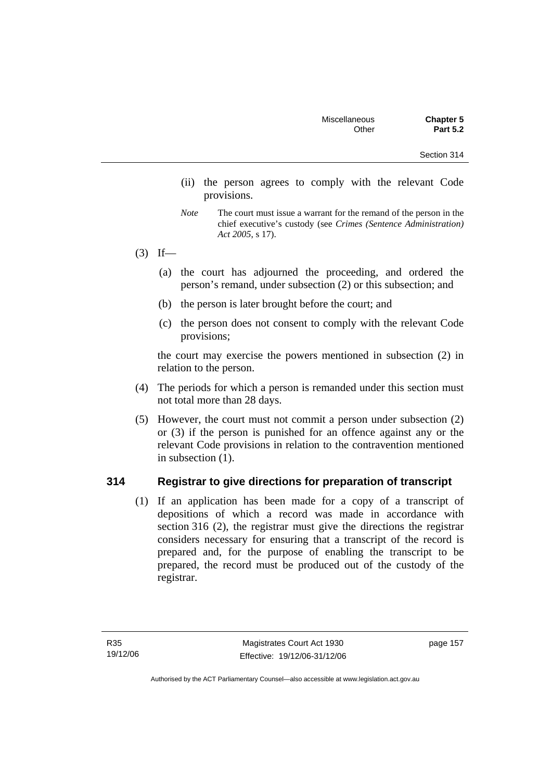- Section 314
- (ii) the person agrees to comply with the relevant Code provisions.
- *Note* The court must issue a warrant for the remand of the person in the chief executive's custody (see *Crimes (Sentence Administration) Act 2005*, s 17).
- $(3)$  If—
	- (a) the court has adjourned the proceeding, and ordered the person's remand, under subsection (2) or this subsection; and
	- (b) the person is later brought before the court; and
	- (c) the person does not consent to comply with the relevant Code provisions;

the court may exercise the powers mentioned in subsection (2) in relation to the person.

- (4) The periods for which a person is remanded under this section must not total more than 28 days.
- (5) However, the court must not commit a person under subsection (2) or (3) if the person is punished for an offence against any or the relevant Code provisions in relation to the contravention mentioned in subsection (1).

# **314 Registrar to give directions for preparation of transcript**

 (1) If an application has been made for a copy of a transcript of depositions of which a record was made in accordance with section 316 (2), the registrar must give the directions the registrar considers necessary for ensuring that a transcript of the record is prepared and, for the purpose of enabling the transcript to be prepared, the record must be produced out of the custody of the registrar.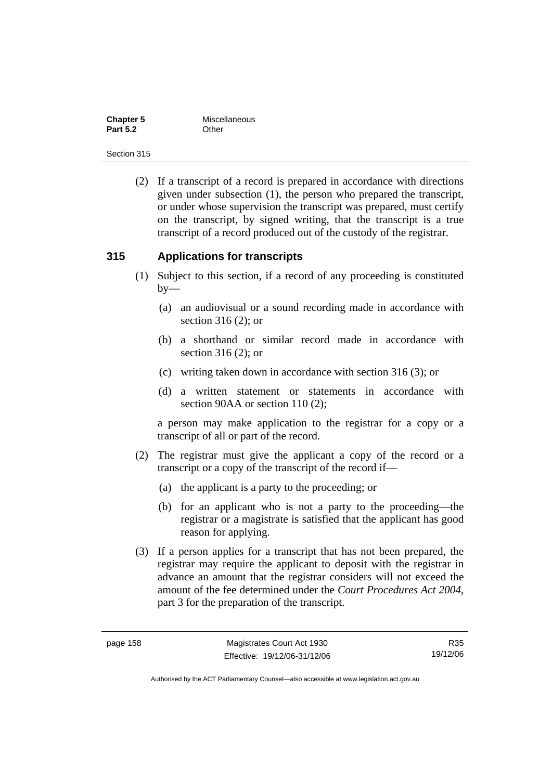| <b>Chapter 5</b> | Miscellaneous |
|------------------|---------------|
| <b>Part 5.2</b>  | Other         |

 (2) If a transcript of a record is prepared in accordance with directions given under subsection (1), the person who prepared the transcript, or under whose supervision the transcript was prepared, must certify on the transcript, by signed writing, that the transcript is a true transcript of a record produced out of the custody of the registrar.

#### **315 Applications for transcripts**

- (1) Subject to this section, if a record of any proceeding is constituted  $by-$ 
	- (a) an audiovisual or a sound recording made in accordance with section 316 (2); or
	- (b) a shorthand or similar record made in accordance with section 316 (2); or
	- (c) writing taken down in accordance with section 316 (3); or
	- (d) a written statement or statements in accordance with section 90AA or section 110 (2):

a person may make application to the registrar for a copy or a transcript of all or part of the record.

- (2) The registrar must give the applicant a copy of the record or a transcript or a copy of the transcript of the record if—
	- (a) the applicant is a party to the proceeding; or
	- (b) for an applicant who is not a party to the proceeding—the registrar or a magistrate is satisfied that the applicant has good reason for applying.
- (3) If a person applies for a transcript that has not been prepared, the registrar may require the applicant to deposit with the registrar in advance an amount that the registrar considers will not exceed the amount of the fee determined under the *Court Procedures Act 2004*, part 3 for the preparation of the transcript.

R35 19/12/06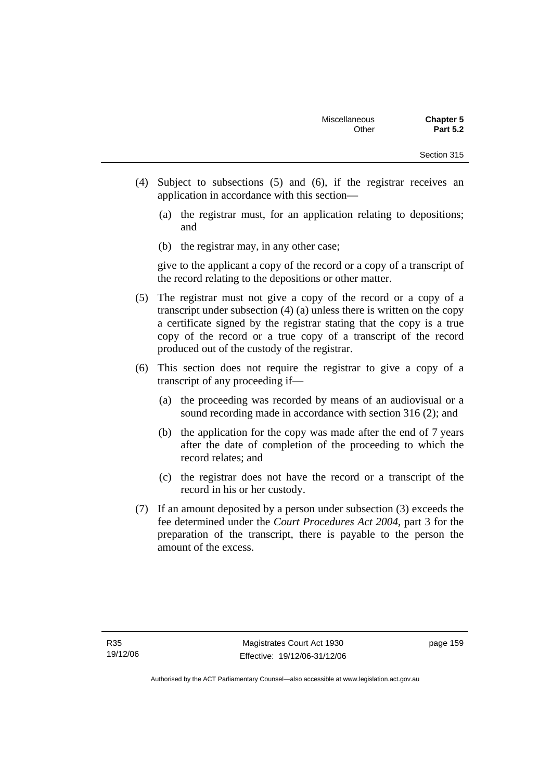- Section 315
- (4) Subject to subsections (5) and (6), if the registrar receives an application in accordance with this section—
	- (a) the registrar must, for an application relating to depositions; and
	- (b) the registrar may, in any other case;

give to the applicant a copy of the record or a copy of a transcript of the record relating to the depositions or other matter.

- (5) The registrar must not give a copy of the record or a copy of a transcript under subsection (4) (a) unless there is written on the copy a certificate signed by the registrar stating that the copy is a true copy of the record or a true copy of a transcript of the record produced out of the custody of the registrar.
- (6) This section does not require the registrar to give a copy of a transcript of any proceeding if—
	- (a) the proceeding was recorded by means of an audiovisual or a sound recording made in accordance with section 316 (2); and
	- (b) the application for the copy was made after the end of 7 years after the date of completion of the proceeding to which the record relates; and
	- (c) the registrar does not have the record or a transcript of the record in his or her custody.
- (7) If an amount deposited by a person under subsection (3) exceeds the fee determined under the *Court Procedures Act 2004*, part 3 for the preparation of the transcript, there is payable to the person the amount of the excess.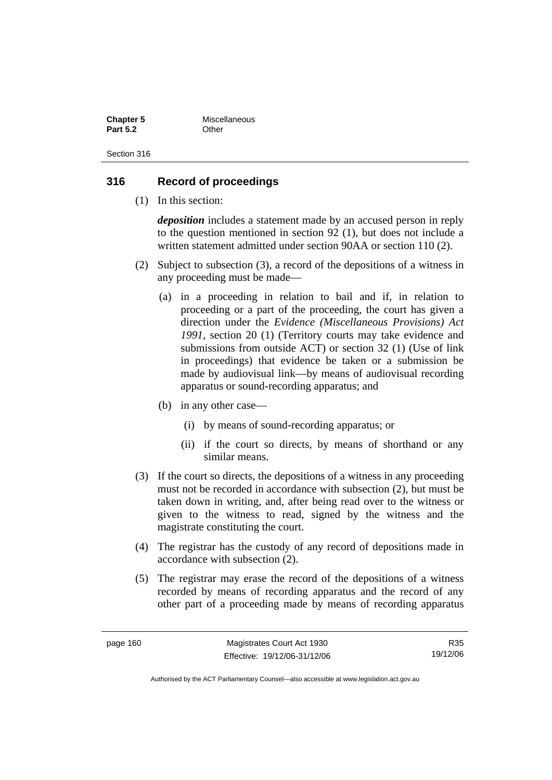| <b>Chapter 5</b> | Miscellaneous |
|------------------|---------------|
| <b>Part 5.2</b>  | Other         |

## **316 Record of proceedings**

(1) In this section:

*deposition* includes a statement made by an accused person in reply to the question mentioned in section 92 (1), but does not include a written statement admitted under section 90AA or section 110 (2).

- (2) Subject to subsection (3), a record of the depositions of a witness in any proceeding must be made—
	- (a) in a proceeding in relation to bail and if, in relation to proceeding or a part of the proceeding, the court has given a direction under the *Evidence (Miscellaneous Provisions) Act 1991*, section 20 (1) (Territory courts may take evidence and submissions from outside ACT) or section 32 (1) (Use of link in proceedings) that evidence be taken or a submission be made by audiovisual link—by means of audiovisual recording apparatus or sound-recording apparatus; and
	- (b) in any other case—
		- (i) by means of sound-recording apparatus; or
		- (ii) if the court so directs, by means of shorthand or any similar means.
- (3) If the court so directs, the depositions of a witness in any proceeding must not be recorded in accordance with subsection (2), but must be taken down in writing, and, after being read over to the witness or given to the witness to read, signed by the witness and the magistrate constituting the court.
- (4) The registrar has the custody of any record of depositions made in accordance with subsection (2).
- (5) The registrar may erase the record of the depositions of a witness recorded by means of recording apparatus and the record of any other part of a proceeding made by means of recording apparatus

R35 19/12/06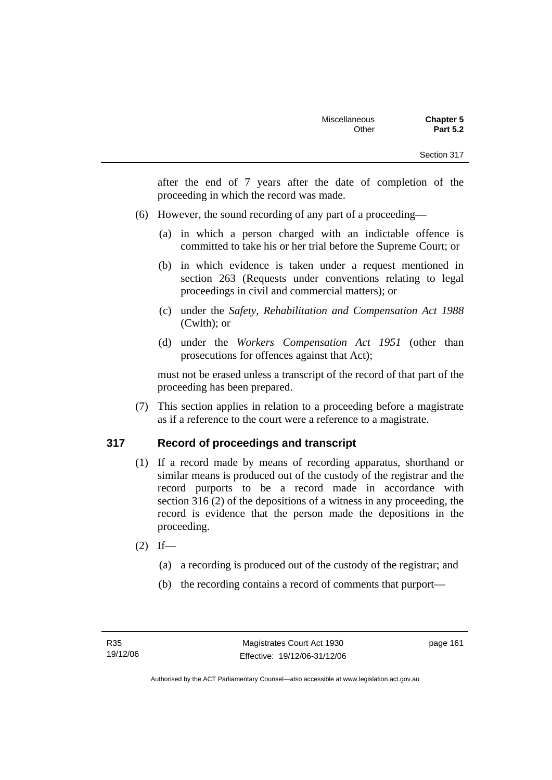after the end of 7 years after the date of completion of the proceeding in which the record was made.

- (6) However, the sound recording of any part of a proceeding—
	- (a) in which a person charged with an indictable offence is committed to take his or her trial before the Supreme Court; or
	- (b) in which evidence is taken under a request mentioned in section 263 (Requests under conventions relating to legal proceedings in civil and commercial matters); or
	- (c) under the *Safety, Rehabilitation and Compensation Act 1988* (Cwlth); or
	- (d) under the *Workers Compensation Act 1951* (other than prosecutions for offences against that Act);

must not be erased unless a transcript of the record of that part of the proceeding has been prepared.

 (7) This section applies in relation to a proceeding before a magistrate as if a reference to the court were a reference to a magistrate.

# **317 Record of proceedings and transcript**

- (1) If a record made by means of recording apparatus, shorthand or similar means is produced out of the custody of the registrar and the record purports to be a record made in accordance with section 316 (2) of the depositions of a witness in any proceeding, the record is evidence that the person made the depositions in the proceeding.
- $(2)$  If—
	- (a) a recording is produced out of the custody of the registrar; and
	- (b) the recording contains a record of comments that purport—

page 161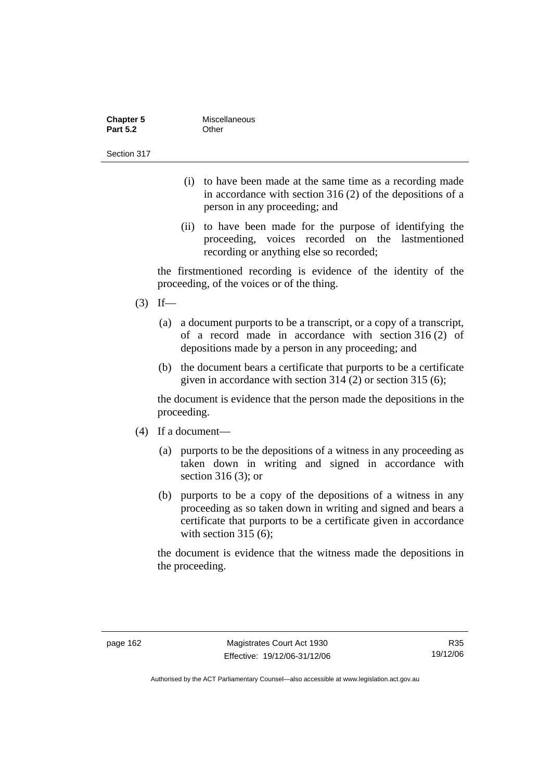| <b>Chapter 5</b> | Miscellaneous |
|------------------|---------------|
| <b>Part 5.2</b>  | Other         |
| Section 317      |               |

- (i) to have been made at the same time as a recording made in accordance with section 316 (2) of the depositions of a person in any proceeding; and
- (ii) to have been made for the purpose of identifying the proceeding, voices recorded on the lastmentioned recording or anything else so recorded;

the firstmentioned recording is evidence of the identity of the proceeding, of the voices or of the thing.

- $(3)$  If—
	- (a) a document purports to be a transcript, or a copy of a transcript, of a record made in accordance with section 316 (2) of depositions made by a person in any proceeding; and
	- (b) the document bears a certificate that purports to be a certificate given in accordance with section 314 (2) or section 315 (6);

the document is evidence that the person made the depositions in the proceeding.

- (4) If a document—
	- (a) purports to be the depositions of a witness in any proceeding as taken down in writing and signed in accordance with section 316 (3); or
	- (b) purports to be a copy of the depositions of a witness in any proceeding as so taken down in writing and signed and bears a certificate that purports to be a certificate given in accordance with section 315 (6):

the document is evidence that the witness made the depositions in the proceeding.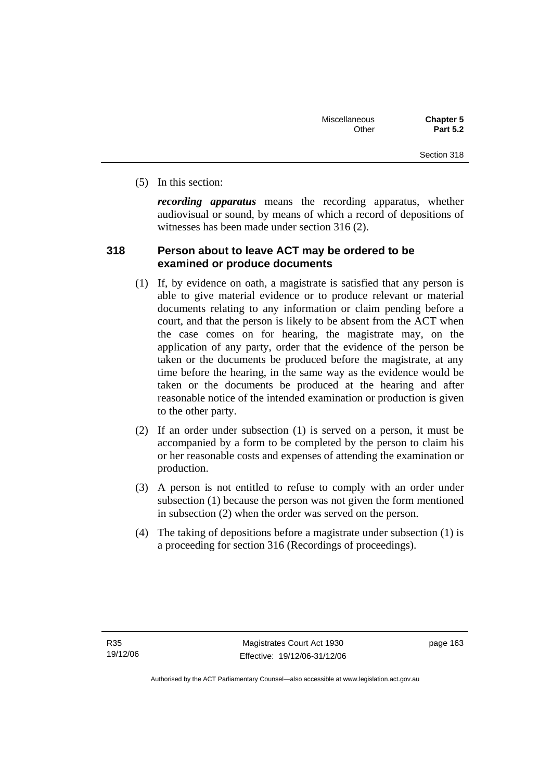(5) In this section:

*recording apparatus* means the recording apparatus, whether audiovisual or sound, by means of which a record of depositions of witnesses has been made under section 316 (2).

# **318 Person about to leave ACT may be ordered to be examined or produce documents**

- (1) If, by evidence on oath, a magistrate is satisfied that any person is able to give material evidence or to produce relevant or material documents relating to any information or claim pending before a court, and that the person is likely to be absent from the ACT when the case comes on for hearing, the magistrate may, on the application of any party, order that the evidence of the person be taken or the documents be produced before the magistrate, at any time before the hearing, in the same way as the evidence would be taken or the documents be produced at the hearing and after reasonable notice of the intended examination or production is given to the other party.
- (2) If an order under subsection (1) is served on a person, it must be accompanied by a form to be completed by the person to claim his or her reasonable costs and expenses of attending the examination or production.
- (3) A person is not entitled to refuse to comply with an order under subsection (1) because the person was not given the form mentioned in subsection (2) when the order was served on the person.
- (4) The taking of depositions before a magistrate under subsection (1) is a proceeding for section 316 (Recordings of proceedings).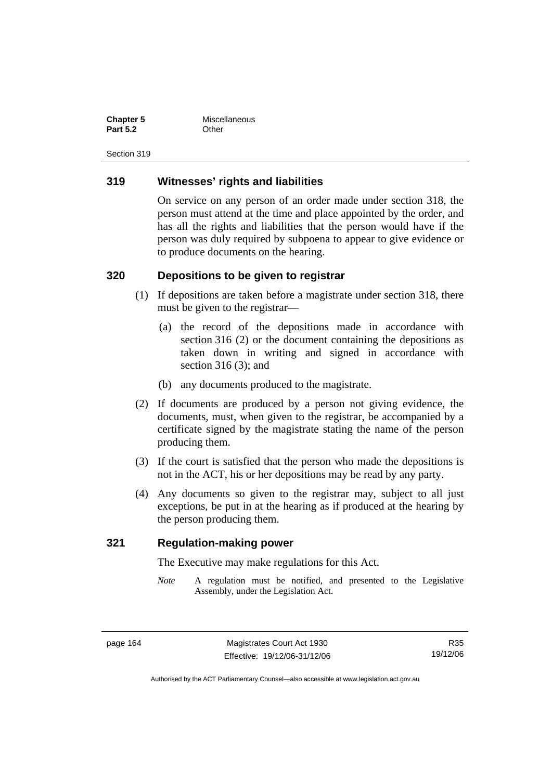**Chapter 5** Miscellaneous **Part 5.2** Other

Section 319

#### **319 Witnesses' rights and liabilities**

On service on any person of an order made under section 318, the person must attend at the time and place appointed by the order, and has all the rights and liabilities that the person would have if the person was duly required by subpoena to appear to give evidence or to produce documents on the hearing.

#### **320 Depositions to be given to registrar**

- (1) If depositions are taken before a magistrate under section 318, there must be given to the registrar—
	- (a) the record of the depositions made in accordance with section 316 (2) or the document containing the depositions as taken down in writing and signed in accordance with section 316 (3); and
	- (b) any documents produced to the magistrate.
- (2) If documents are produced by a person not giving evidence, the documents, must, when given to the registrar, be accompanied by a certificate signed by the magistrate stating the name of the person producing them.
- (3) If the court is satisfied that the person who made the depositions is not in the ACT, his or her depositions may be read by any party.
- (4) Any documents so given to the registrar may, subject to all just exceptions, be put in at the hearing as if produced at the hearing by the person producing them.

#### **321 Regulation-making power**

The Executive may make regulations for this Act.

*Note* A regulation must be notified, and presented to the Legislative Assembly, under the Legislation Act.

R35 19/12/06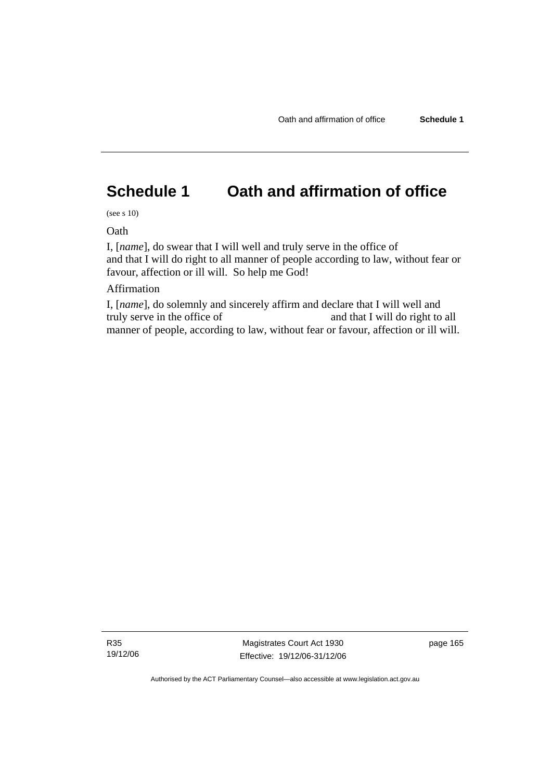# **Schedule 1 Oath and affirmation of office**

(see s 10)

**Oath** 

I, [*name*], do swear that I will well and truly serve in the office of and that I will do right to all manner of people according to law, without fear or favour, affection or ill will. So help me God!

#### Affirmation

I, [*name*], do solemnly and sincerely affirm and declare that I will well and truly serve in the office of and that I will do right to all manner of people, according to law, without fear or favour, affection or ill will.

R35 19/12/06

Magistrates Court Act 1930 Effective: 19/12/06-31/12/06 page 165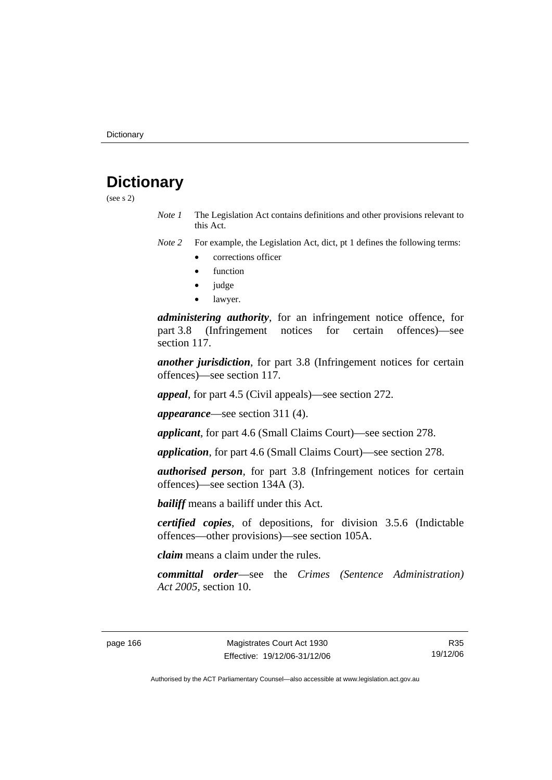# **Dictionary**

(see s 2)

*Note 1* The Legislation Act contains definitions and other provisions relevant to this Act.

*Note 2* For example, the Legislation Act, dict, pt 1 defines the following terms:

- corrections officer
- **function**
- judge
- lawyer.

*administering authority*, for an infringement notice offence, for part 3.8 (Infringement notices for certain offences)—see section 117.

*another jurisdiction*, for part 3.8 (Infringement notices for certain offences)—see section 117.

*appeal*, for part 4.5 (Civil appeals)—see section 272.

*appearance*—see section 311 (4).

*applicant*, for part 4.6 (Small Claims Court)—see section 278.

*application*, for part 4.6 (Small Claims Court)—see section 278.

*authorised person*, for part 3.8 (Infringement notices for certain offences)—see section 134A (3).

*bailiff* means a bailiff under this Act.

*certified copies*, of depositions, for division 3.5.6 (Indictable offences—other provisions)—see section 105A.

*claim* means a claim under the rules.

*committal order*—see the *Crimes (Sentence Administration) Act 2005*, section 10.

R35 19/12/06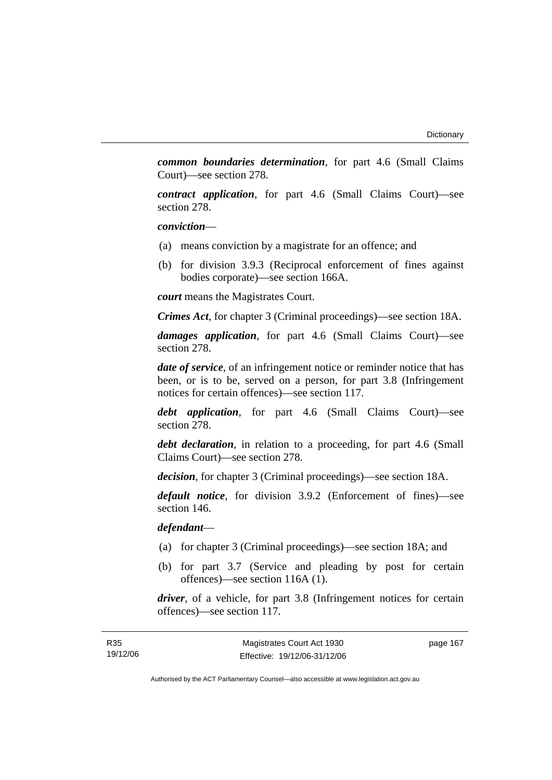*common boundaries determination*, for part 4.6 (Small Claims Court)—see section 278.

*contract application*, for part 4.6 (Small Claims Court)—see section 278.

*conviction*—

- (a) means conviction by a magistrate for an offence; and
- (b) for division 3.9.3 (Reciprocal enforcement of fines against bodies corporate)—see section 166A.

*court* means the Magistrates Court.

*Crimes Act*, for chapter 3 (Criminal proceedings)—see section 18A.

*damages application*, for part 4.6 (Small Claims Court)—see section 278.

*date of service*, of an infringement notice or reminder notice that has been, or is to be, served on a person, for part 3.8 (Infringement notices for certain offences)—see section 117.

*debt application*, for part 4.6 (Small Claims Court)—see section 278.

*debt declaration*, in relation to a proceeding, for part 4.6 (Small Claims Court)—see section 278.

*decision*, for chapter 3 (Criminal proceedings)—see section 18A.

*default notice*, for division 3.9.2 (Enforcement of fines)—see section 146.

*defendant*—

- (a) for chapter 3 (Criminal proceedings)—see section 18A; and
- (b) for part 3.7 (Service and pleading by post for certain offences)—see section 116A (1).

*driver*, of a vehicle, for part 3.8 (Infringement notices for certain offences)—see section 117.

page 167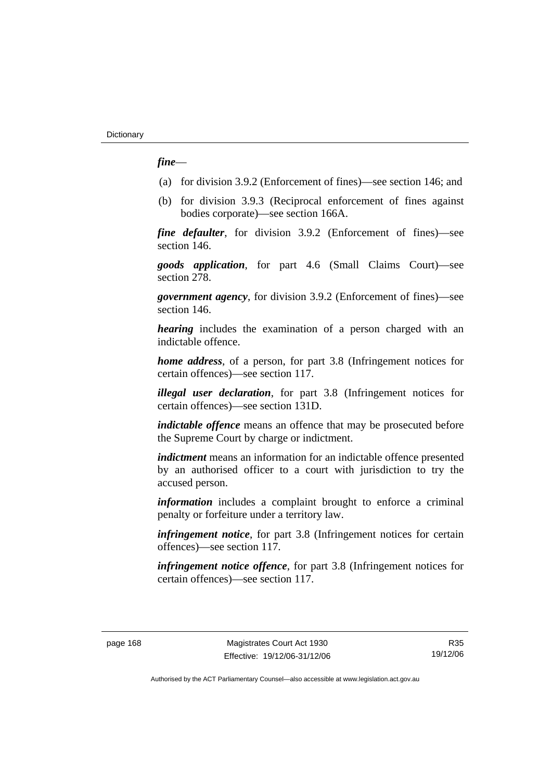#### *fine*—

- (a) for division 3.9.2 (Enforcement of fines)—see section 146; and
- (b) for division 3.9.3 (Reciprocal enforcement of fines against bodies corporate)—see section 166A.

*fine defaulter*, for division 3.9.2 (Enforcement of fines)—see section 146.

*goods application*, for part 4.6 (Small Claims Court)—see section 278.

*government agency*, for division 3.9.2 (Enforcement of fines)—see section 146.

*hearing* includes the examination of a person charged with an indictable offence.

*home address*, of a person, for part 3.8 (Infringement notices for certain offences)—see section 117.

*illegal user declaration*, for part 3.8 (Infringement notices for certain offences)—see section 131D.

*indictable offence* means an offence that may be prosecuted before the Supreme Court by charge or indictment.

*indictment* means an information for an indictable offence presented by an authorised officer to a court with jurisdiction to try the accused person.

*information* includes a complaint brought to enforce a criminal penalty or forfeiture under a territory law.

*infringement notice*, for part 3.8 (Infringement notices for certain offences)—see section 117.

*infringement notice offence*, for part 3.8 (Infringement notices for certain offences)—see section 117.

R35 19/12/06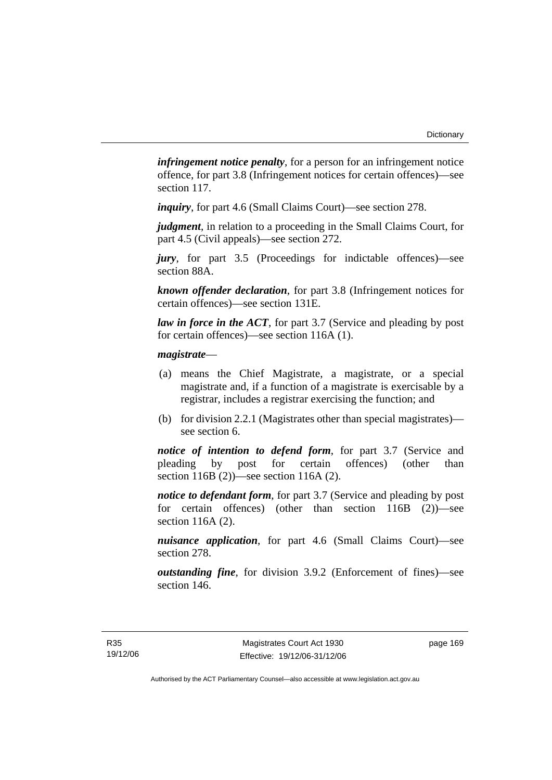*infringement notice penalty*, for a person for an infringement notice offence, for part 3.8 (Infringement notices for certain offences)—see section 117.

*inquiry*, for part 4.6 (Small Claims Court)—see section 278.

*judgment*, in relation to a proceeding in the Small Claims Court, for part 4.5 (Civil appeals)—see section 272.

*jury*, for part 3.5 (Proceedings for indictable offences)—see section 88A.

*known offender declaration*, for part 3.8 (Infringement notices for certain offences)—see section 131E.

*law in force in the ACT*, for part 3.7 (Service and pleading by post for certain offences)—see section 116A (1).

#### *magistrate*—

- (a) means the Chief Magistrate, a magistrate, or a special magistrate and, if a function of a magistrate is exercisable by a registrar, includes a registrar exercising the function; and
- (b) for division 2.2.1 (Magistrates other than special magistrates) see section 6.

*notice of intention to defend form*, for part 3.7 (Service and pleading by post for certain offences) (other than section 116B (2))—see section 116A (2).

*notice to defendant form*, for part 3.7 (Service and pleading by post for certain offences) (other than section 116B (2))—see section 116A (2).

*nuisance application*, for part 4.6 (Small Claims Court)—see section 278.

*outstanding fine*, for division 3.9.2 (Enforcement of fines)—see section 146.

page 169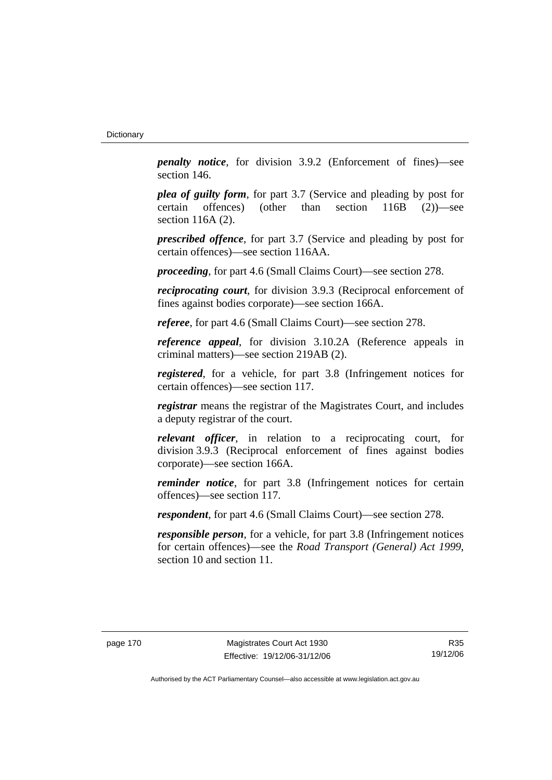*penalty notice*, for division 3.9.2 (Enforcement of fines)—see section 146.

*plea of guilty form*, for part 3.7 (Service and pleading by post for certain offences) (other than section 116B (2))—see section 116A (2).

*prescribed offence*, for part 3.7 (Service and pleading by post for certain offences)—see section 116AA.

*proceeding*, for part 4.6 (Small Claims Court)—see section 278.

*reciprocating court*, for division 3.9.3 (Reciprocal enforcement of fines against bodies corporate)—see section 166A.

*referee*, for part 4.6 (Small Claims Court)—see section 278.

*reference appeal*, for division 3.10.2A (Reference appeals in criminal matters)—see section 219AB (2).

*registered*, for a vehicle, for part 3.8 (Infringement notices for certain offences)—see section 117.

*registrar* means the registrar of the Magistrates Court, and includes a deputy registrar of the court.

*relevant officer*, in relation to a reciprocating court, for division 3.9.3 (Reciprocal enforcement of fines against bodies corporate)—see section 166A.

*reminder notice*, for part 3.8 (Infringement notices for certain offences)—see section 117.

*respondent*, for part 4.6 (Small Claims Court)—see section 278.

*responsible person*, for a vehicle, for part 3.8 (Infringement notices for certain offences)—see the *Road Transport (General) Act 1999*, section 10 and section 11.

R35 19/12/06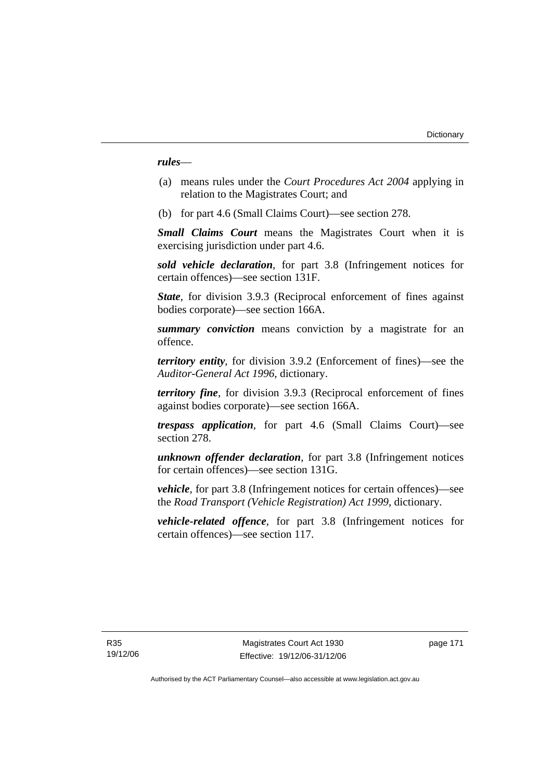*rules*—

- (a) means rules under the *Court Procedures Act 2004* applying in relation to the Magistrates Court; and
- (b) for part 4.6 (Small Claims Court)—see section 278.

*Small Claims Court* means the Magistrates Court when it is exercising jurisdiction under part 4.6.

*sold vehicle declaration*, for part 3.8 (Infringement notices for certain offences)—see section 131F.

*State*, for division 3.9.3 (Reciprocal enforcement of fines against bodies corporate)—see section 166A.

*summary conviction* means conviction by a magistrate for an offence.

*territory entity*, for division 3.9.2 (Enforcement of fines)—see the *Auditor-General Act 1996*, dictionary.

*territory fine*, for division 3.9.3 (Reciprocal enforcement of fines against bodies corporate)—see section 166A.

*trespass application*, for part 4.6 (Small Claims Court)—see section 278.

*unknown offender declaration*, for part 3.8 (Infringement notices for certain offences)—see section 131G.

*vehicle*, for part 3.8 (Infringement notices for certain offences)—see the *Road Transport (Vehicle Registration) Act 1999*, dictionary.

*vehicle-related offence*, for part 3.8 (Infringement notices for certain offences)—see section 117.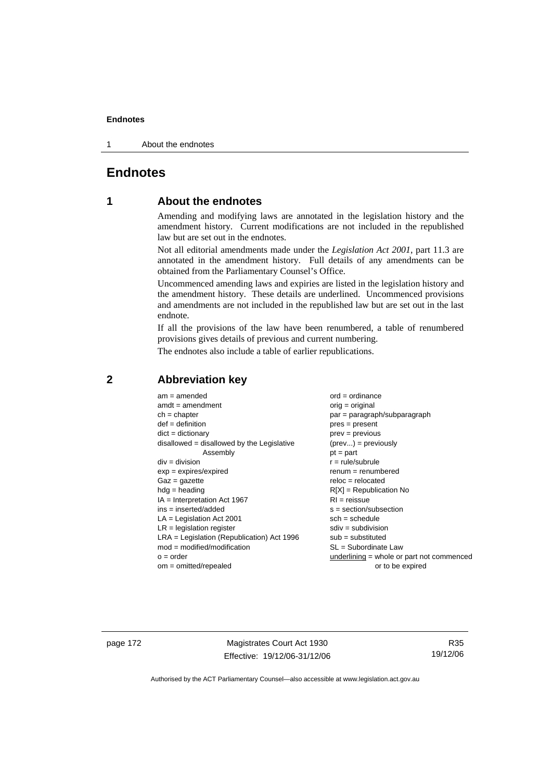1 About the endnotes

## **Endnotes**

## **1 About the endnotes**

Amending and modifying laws are annotated in the legislation history and the amendment history. Current modifications are not included in the republished law but are set out in the endnotes.

Not all editorial amendments made under the *Legislation Act 2001*, part 11.3 are annotated in the amendment history. Full details of any amendments can be obtained from the Parliamentary Counsel's Office.

Uncommenced amending laws and expiries are listed in the legislation history and the amendment history. These details are underlined. Uncommenced provisions and amendments are not included in the republished law but are set out in the last endnote.

If all the provisions of the law have been renumbered, a table of renumbered provisions gives details of previous and current numbering.

The endnotes also include a table of earlier republications.

| $am = amended$                               | $ord = ordinance$                         |
|----------------------------------------------|-------------------------------------------|
| $amdt = amendment$                           | $orig = original$                         |
| $ch = chapter$                               | par = paragraph/subparagraph              |
| $def = definition$                           | $pres = present$                          |
| $dict = dictionary$                          | $prev = previous$                         |
| $disallowed = disallowed by the Legislative$ | $(\text{prev}) = \text{previously}$       |
| Assembly                                     | $pt = part$                               |
| $div = division$                             | $r = rule/subrule$                        |
| $exp = expires/expired$                      | $remum = renumbered$                      |
| $Gaz = gazette$                              | $reloc = relocated$                       |
| $hdg =$ heading                              | $R[X]$ = Republication No                 |
| $IA = Interpretation Act 1967$               | $RI = reissue$                            |
| $ins = inserted/added$                       | $s = section/subsection$                  |
| $LA =$ Legislation Act 2001                  | $sch = schedule$                          |
| $LR =$ legislation register                  | $sdiv = subdivision$                      |
| $LRA =$ Legislation (Republication) Act 1996 | $sub = substituted$                       |
| $mod = modified/modification$                | SL = Subordinate Law                      |
| $o = order$                                  | underlining = whole or part not commenced |
| $om = omitted/repealed$                      | or to be expired                          |
|                                              |                                           |

## **2 Abbreviation key**

page 172 Magistrates Court Act 1930 Effective: 19/12/06-31/12/06

R35 19/12/06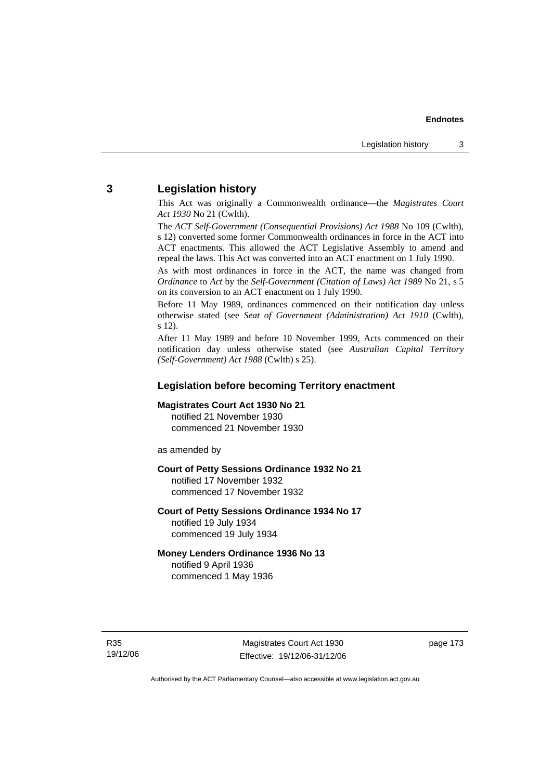## **3 Legislation history**

This Act was originally a Commonwealth ordinance—the *Magistrates Court Act 1930* No 21 (Cwlth).

The *ACT Self-Government (Consequential Provisions) Act 1988* No 109 (Cwlth), s 12) converted some former Commonwealth ordinances in force in the ACT into ACT enactments. This allowed the ACT Legislative Assembly to amend and repeal the laws. This Act was converted into an ACT enactment on 1 July 1990.

As with most ordinances in force in the ACT, the name was changed from *Ordinance* to *Act* by the *Self-Government (Citation of Laws) Act 1989* No 21, s 5 on its conversion to an ACT enactment on 1 July 1990.

Before 11 May 1989, ordinances commenced on their notification day unless otherwise stated (see *Seat of Government (Administration) Act 1910* (Cwlth), s 12).

After 11 May 1989 and before 10 November 1999, Acts commenced on their notification day unless otherwise stated (see *Australian Capital Territory (Self-Government) Act 1988* (Cwlth) s 25).

#### **Legislation before becoming Territory enactment**

#### **Magistrates Court Act 1930 No 21**

notified 21 November 1930 commenced 21 November 1930

as amended by

#### **Court of Petty Sessions Ordinance 1932 No 21**

notified 17 November 1932 commenced 17 November 1932

#### **Court of Petty Sessions Ordinance 1934 No 17**  notified 19 July 1934

commenced 19 July 1934

## **Money Lenders Ordinance 1936 No 13**

notified 9 April 1936 commenced 1 May 1936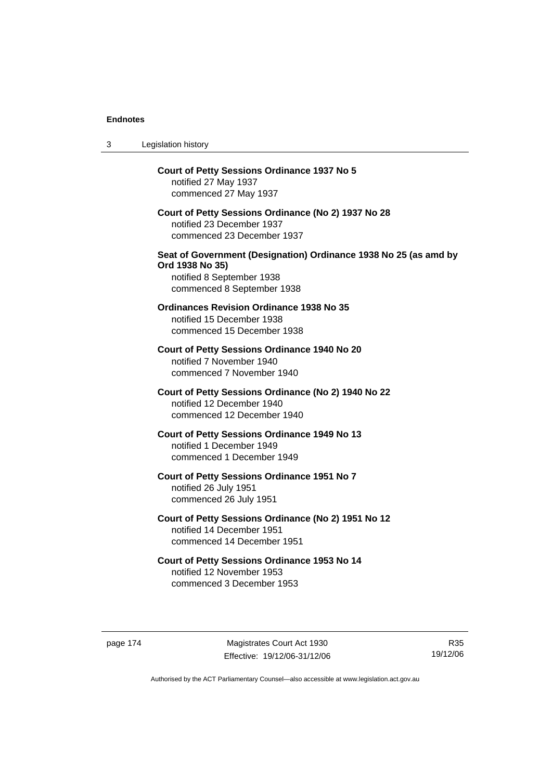| 3 | Legislation history                                                                                                                            |
|---|------------------------------------------------------------------------------------------------------------------------------------------------|
|   | <b>Court of Petty Sessions Ordinance 1937 No 5</b><br>notified 27 May 1937<br>commenced 27 May 1937                                            |
|   | Court of Petty Sessions Ordinance (No 2) 1937 No 28<br>notified 23 December 1937<br>commenced 23 December 1937                                 |
|   | Seat of Government (Designation) Ordinance 1938 No 25 (as amd by<br>Ord 1938 No 35)<br>notified 8 September 1938<br>commenced 8 September 1938 |
|   | <b>Ordinances Revision Ordinance 1938 No 35</b><br>notified 15 December 1938<br>commenced 15 December 1938                                     |
|   | Court of Petty Sessions Ordinance 1940 No 20<br>notified 7 November 1940<br>commenced 7 November 1940                                          |
|   | Court of Petty Sessions Ordinance (No 2) 1940 No 22<br>notified 12 December 1940<br>commenced 12 December 1940                                 |
|   | Court of Petty Sessions Ordinance 1949 No 13<br>notified 1 December 1949<br>commenced 1 December 1949                                          |
|   | Court of Petty Sessions Ordinance 1951 No 7<br>notified 26 July 1951<br>commenced 26 July 1951                                                 |
|   | Court of Petty Sessions Ordinance (No 2) 1951 No 12<br>notified 14 December 1951<br>commenced 14 December 1951                                 |
|   | Court of Petty Sessions Ordinance 1953 No 14<br>notified 12 November 1953<br>commenced 3 December 1953                                         |

page 174 Magistrates Court Act 1930 Effective: 19/12/06-31/12/06

R35 19/12/06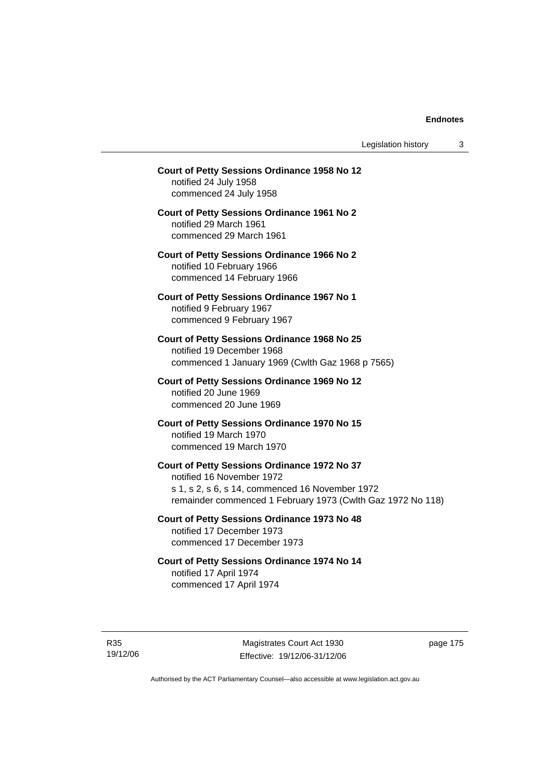Legislation history 3

## **Court of Petty Sessions Ordinance 1958 No 12**  notified 24 July 1958 commenced 24 July 1958 **Court of Petty Sessions Ordinance 1961 No 2**  notified 29 March 1961 commenced 29 March 1961 **Court of Petty Sessions Ordinance 1966 No 2**  notified 10 February 1966 commenced 14 February 1966 **Court of Petty Sessions Ordinance 1967 No 1**  notified 9 February 1967 commenced 9 February 1967 **Court of Petty Sessions Ordinance 1968 No 25**  notified 19 December 1968 commenced 1 January 1969 (Cwlth Gaz 1968 p 7565) **Court of Petty Sessions Ordinance 1969 No 12**  notified 20 June 1969 commenced 20 June 1969 **Court of Petty Sessions Ordinance 1970 No 15**  notified 19 March 1970 commenced 19 March 1970 **Court of Petty Sessions Ordinance 1972 No 37**  notified 16 November 1972 s 1, s 2, s 6, s 14, commenced 16 November 1972 remainder commenced 1 February 1973 (Cwlth Gaz 1972 No 118) **Court of Petty Sessions Ordinance 1973 No 48**  notified 17 December 1973 commenced 17 December 1973 **Court of Petty Sessions Ordinance 1974 No 14**  notified 17 April 1974 commenced 17 April 1974

R35 19/12/06

Magistrates Court Act 1930 Effective: 19/12/06-31/12/06 page 175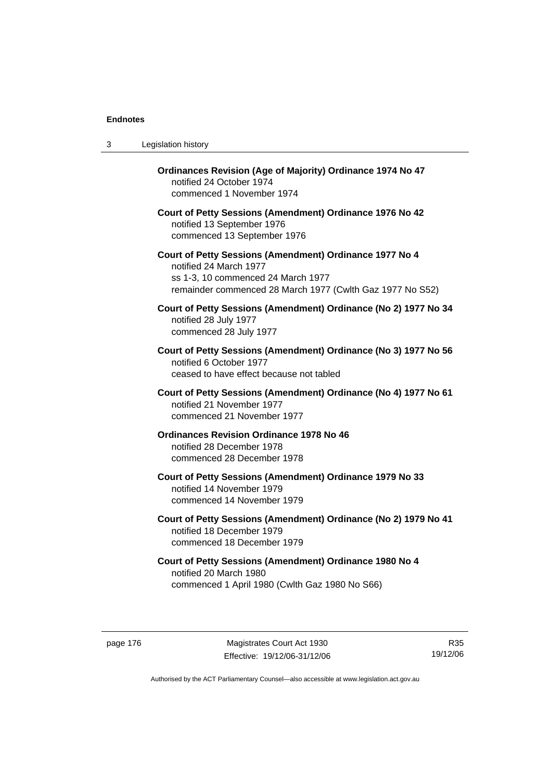| 3 | Legislation history                                                                                                                                                                  |
|---|--------------------------------------------------------------------------------------------------------------------------------------------------------------------------------------|
|   | Ordinances Revision (Age of Majority) Ordinance 1974 No 47<br>notified 24 October 1974<br>commenced 1 November 1974                                                                  |
|   | Court of Petty Sessions (Amendment) Ordinance 1976 No 42<br>notified 13 September 1976<br>commenced 13 September 1976                                                                |
|   | Court of Petty Sessions (Amendment) Ordinance 1977 No 4<br>notified 24 March 1977<br>ss 1-3, 10 commenced 24 March 1977<br>remainder commenced 28 March 1977 (Cwlth Gaz 1977 No S52) |
|   | Court of Petty Sessions (Amendment) Ordinance (No 2) 1977 No 34<br>notified 28 July 1977<br>commenced 28 July 1977                                                                   |
|   | Court of Petty Sessions (Amendment) Ordinance (No 3) 1977 No 56<br>notified 6 October 1977<br>ceased to have effect because not tabled                                               |
|   | Court of Petty Sessions (Amendment) Ordinance (No 4) 1977 No 61<br>notified 21 November 1977<br>commenced 21 November 1977                                                           |
|   | <b>Ordinances Revision Ordinance 1978 No 46</b><br>notified 28 December 1978<br>commenced 28 December 1978                                                                           |
|   | Court of Petty Sessions (Amendment) Ordinance 1979 No 33<br>notified 14 November 1979<br>commenced 14 November 1979                                                                  |
|   | Court of Petty Sessions (Amendment) Ordinance (No 2) 1979 No 41<br>notified 18 December 1979<br>commenced 18 December 1979                                                           |
|   | Court of Petty Sessions (Amendment) Ordinance 1980 No 4<br>notified 20 March 1980<br>commenced 1 April 1980 (Cwlth Gaz 1980 No S66)                                                  |

page 176 Magistrates Court Act 1930 Effective: 19/12/06-31/12/06

R35 19/12/06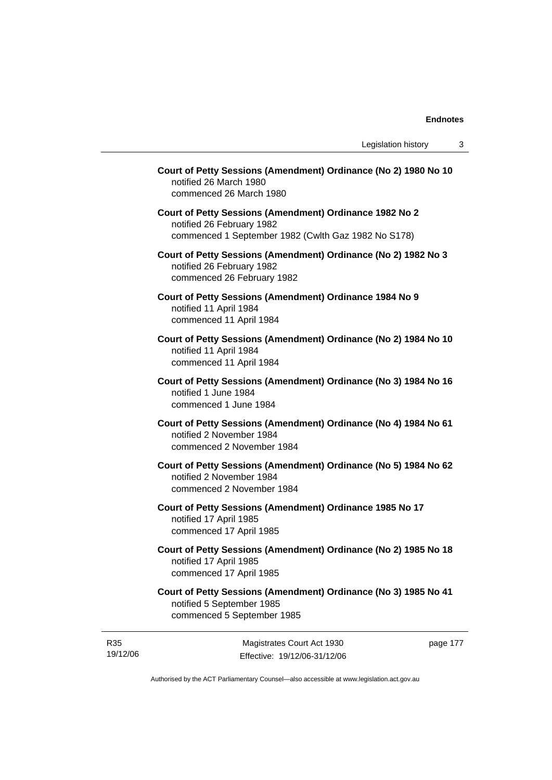|                      | Court of Petty Sessions (Amendment) Ordinance (No 2) 1980 No 10<br>notified 26 March 1980<br>commenced 26 March 1980                        |
|----------------------|---------------------------------------------------------------------------------------------------------------------------------------------|
|                      | Court of Petty Sessions (Amendment) Ordinance 1982 No 2<br>notified 26 February 1982<br>commenced 1 September 1982 (Cwlth Gaz 1982 No S178) |
|                      | Court of Petty Sessions (Amendment) Ordinance (No 2) 1982 No 3<br>notified 26 February 1982<br>commenced 26 February 1982                   |
|                      | Court of Petty Sessions (Amendment) Ordinance 1984 No 9<br>notified 11 April 1984<br>commenced 11 April 1984                                |
|                      | Court of Petty Sessions (Amendment) Ordinance (No 2) 1984 No 10<br>notified 11 April 1984<br>commenced 11 April 1984                        |
| notified 1 June 1984 | Court of Petty Sessions (Amendment) Ordinance (No 3) 1984 No 16<br>commenced 1 June 1984                                                    |
|                      | Court of Petty Sessions (Amendment) Ordinance (No 4) 1984 No 61<br>notified 2 November 1984<br>commenced 2 November 1984                    |
|                      | Court of Petty Sessions (Amendment) Ordinance (No 5) 1984 No 62<br>notified 2 November 1984<br>commenced 2 November 1984                    |
|                      | Court of Petty Sessions (Amendment) Ordinance 1985 No 17<br>notified 17 April 1985<br>commenced 17 April 1985                               |
|                      | Court of Petty Sessions (Amendment) Ordinance (No 2) 1985 No 18<br>notified 17 April 1985<br>commenced 17 April 1985                        |
|                      | Court of Petty Sessions (Amendment) Ordinance (No 3) 1985 No 41<br>notified 5 September 1985<br>commenced 5 September 1985                  |

R35 19/12/06

Magistrates Court Act 1930 Effective: 19/12/06-31/12/06 page 177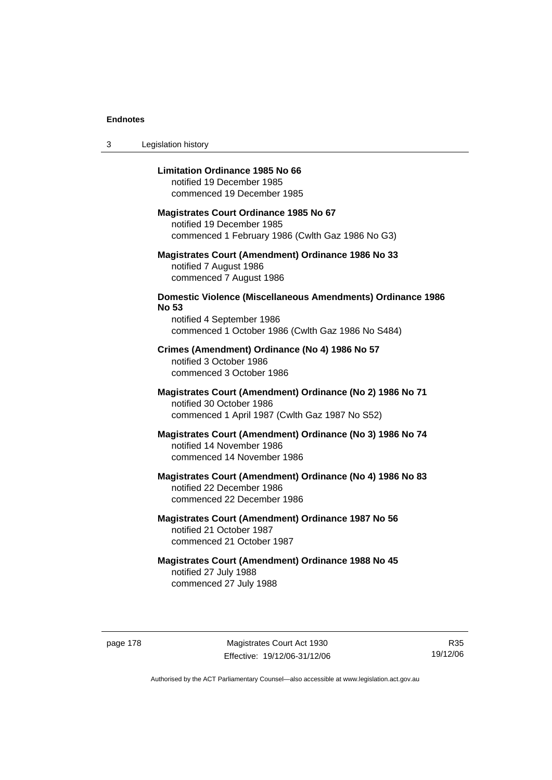3 Legislation history

#### **Limitation Ordinance 1985 No 66**

notified 19 December 1985 commenced 19 December 1985

#### **Magistrates Court Ordinance 1985 No 67**

notified 19 December 1985 commenced 1 February 1986 (Cwlth Gaz 1986 No G3)

#### **Magistrates Court (Amendment) Ordinance 1986 No 33**  notified 7 August 1986 commenced 7 August 1986

## **Domestic Violence (Miscellaneous Amendments) Ordinance 1986 No 53**

notified 4 September 1986 commenced 1 October 1986 (Cwlth Gaz 1986 No S484)

#### **Crimes (Amendment) Ordinance (No 4) 1986 No 57**  notified 3 October 1986 commenced 3 October 1986

## **Magistrates Court (Amendment) Ordinance (No 2) 1986 No 71**  notified 30 October 1986 commenced 1 April 1987 (Cwlth Gaz 1987 No S52)

#### **Magistrates Court (Amendment) Ordinance (No 3) 1986 No 74**  notified 14 November 1986 commenced 14 November 1986

## **Magistrates Court (Amendment) Ordinance (No 4) 1986 No 83**  notified 22 December 1986 commenced 22 December 1986

## **Magistrates Court (Amendment) Ordinance 1987 No 56**  notified 21 October 1987 commenced 21 October 1987

## **Magistrates Court (Amendment) Ordinance 1988 No 45**  notified 27 July 1988 commenced 27 July 1988

page 178 Magistrates Court Act 1930 Effective: 19/12/06-31/12/06

R35 19/12/06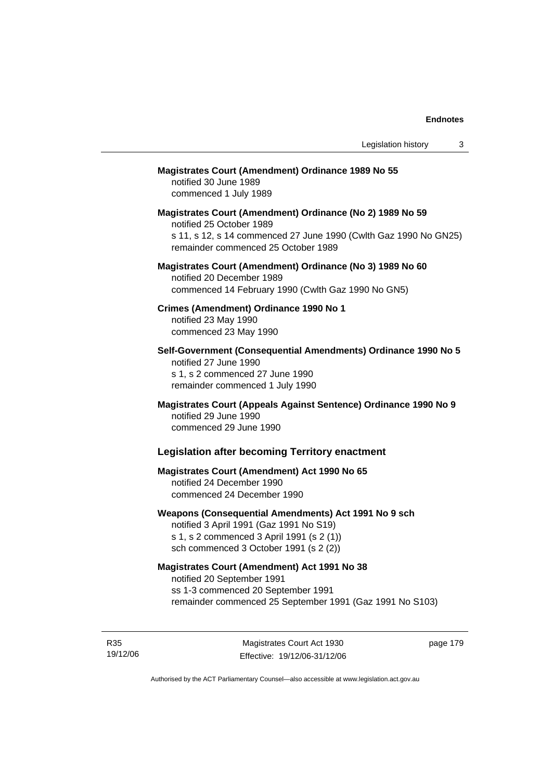## **Magistrates Court (Amendment) Ordinance 1989 No 55**

notified 30 June 1989 commenced 1 July 1989

**Magistrates Court (Amendment) Ordinance (No 2) 1989 No 59**  notified 25 October 1989 s 11, s 12, s 14 commenced 27 June 1990 (Cwlth Gaz 1990 No GN25) remainder commenced 25 October 1989

#### **Magistrates Court (Amendment) Ordinance (No 3) 1989 No 60**  notified 20 December 1989 commenced 14 February 1990 (Cwlth Gaz 1990 No GN5)

**Crimes (Amendment) Ordinance 1990 No 1**  notified 23 May 1990

commenced 23 May 1990

**Self-Government (Consequential Amendments) Ordinance 1990 No 5**  notified 27 June 1990 s 1, s 2 commenced 27 June 1990 remainder commenced 1 July 1990

**Magistrates Court (Appeals Against Sentence) Ordinance 1990 No 9**  notified 29 June 1990 commenced 29 June 1990

#### **Legislation after becoming Territory enactment**

## **Magistrates Court (Amendment) Act 1990 No 65**  notified 24 December 1990 commenced 24 December 1990

#### **Weapons (Consequential Amendments) Act 1991 No 9 sch**

notified 3 April 1991 (Gaz 1991 No S19) s 1, s 2 commenced 3 April 1991 (s 2 (1)) sch commenced 3 October 1991 (s 2 (2))

#### **Magistrates Court (Amendment) Act 1991 No 38**

notified 20 September 1991 ss 1-3 commenced 20 September 1991 remainder commenced 25 September 1991 (Gaz 1991 No S103)

R35 19/12/06

Magistrates Court Act 1930 Effective: 19/12/06-31/12/06 page 179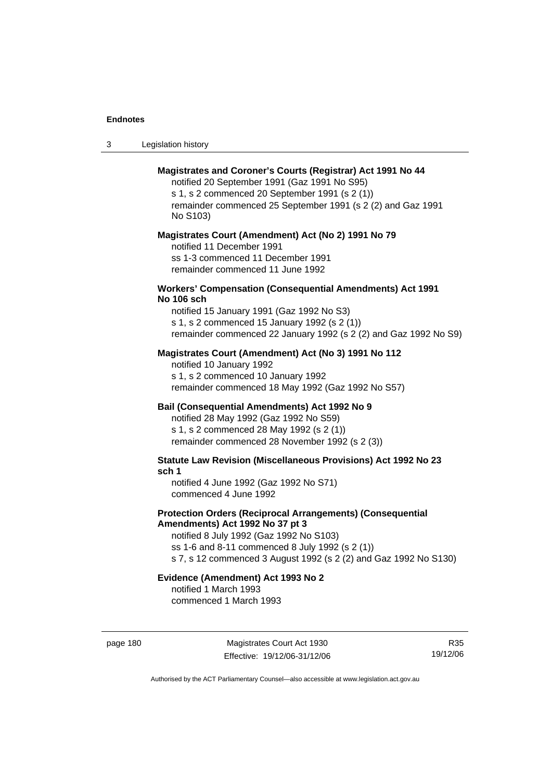| -3 | Legislation history |  |
|----|---------------------|--|
|----|---------------------|--|

#### **Magistrates and Coroner's Courts (Registrar) Act 1991 No 44**

notified 20 September 1991 (Gaz 1991 No S95) s 1, s 2 commenced 20 September 1991 (s 2 (1)) remainder commenced 25 September 1991 (s 2 (2) and Gaz 1991 No S103)

#### **Magistrates Court (Amendment) Act (No 2) 1991 No 79**

notified 11 December 1991 ss 1-3 commenced 11 December 1991 remainder commenced 11 June 1992

#### **Workers' Compensation (Consequential Amendments) Act 1991 No 106 sch**

notified 15 January 1991 (Gaz 1992 No S3) s 1, s 2 commenced 15 January 1992 (s 2 (1)) remainder commenced 22 January 1992 (s 2 (2) and Gaz 1992 No S9)

#### **Magistrates Court (Amendment) Act (No 3) 1991 No 112**

notified 10 January 1992 s 1, s 2 commenced 10 January 1992 remainder commenced 18 May 1992 (Gaz 1992 No S57)

#### **Bail (Consequential Amendments) Act 1992 No 9**

notified 28 May 1992 (Gaz 1992 No S59) s 1, s 2 commenced 28 May 1992 (s 2 (1)) remainder commenced 28 November 1992 (s 2 (3))

**Statute Law Revision (Miscellaneous Provisions) Act 1992 No 23 sch 1** 

notified 4 June 1992 (Gaz 1992 No S71) commenced 4 June 1992

#### **Protection Orders (Reciprocal Arrangements) (Consequential Amendments) Act 1992 No 37 pt 3**

notified 8 July 1992 (Gaz 1992 No S103) ss 1-6 and 8-11 commenced 8 July 1992 (s 2 (1)) s 7, s 12 commenced 3 August 1992 (s 2 (2) and Gaz 1992 No S130)

#### **Evidence (Amendment) Act 1993 No 2**

notified 1 March 1993 commenced 1 March 1993

page 180 Magistrates Court Act 1930 Effective: 19/12/06-31/12/06

R35 19/12/06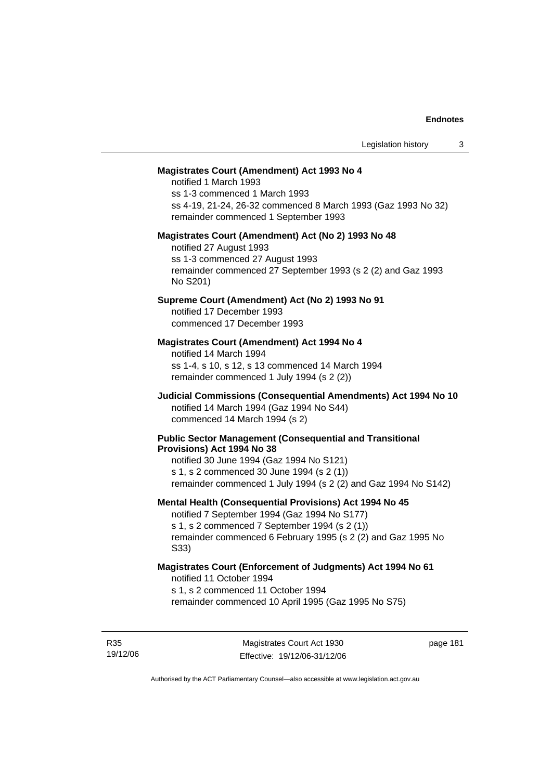#### **Magistrates Court (Amendment) Act 1993 No 4**

notified 1 March 1993 ss 1-3 commenced 1 March 1993 ss 4-19, 21-24, 26-32 commenced 8 March 1993 (Gaz 1993 No 32) remainder commenced 1 September 1993

#### **Magistrates Court (Amendment) Act (No 2) 1993 No 48**

notified 27 August 1993 ss 1-3 commenced 27 August 1993 remainder commenced 27 September 1993 (s 2 (2) and Gaz 1993 No S201)

#### **Supreme Court (Amendment) Act (No 2) 1993 No 91**

notified 17 December 1993 commenced 17 December 1993

#### **Magistrates Court (Amendment) Act 1994 No 4**

notified 14 March 1994 ss 1-4, s 10, s 12, s 13 commenced 14 March 1994 remainder commenced 1 July 1994 (s 2 (2))

#### **Judicial Commissions (Consequential Amendments) Act 1994 No 10**  notified 14 March 1994 (Gaz 1994 No S44) commenced 14 March 1994 (s 2)

#### **Public Sector Management (Consequential and Transitional Provisions) Act 1994 No 38**

notified 30 June 1994 (Gaz 1994 No S121) s 1, s 2 commenced 30 June 1994 (s 2 (1)) remainder commenced 1 July 1994 (s 2 (2) and Gaz 1994 No S142)

#### **Mental Health (Consequential Provisions) Act 1994 No 45**

notified 7 September 1994 (Gaz 1994 No S177) s 1, s 2 commenced 7 September 1994 (s 2 (1)) remainder commenced 6 February 1995 (s 2 (2) and Gaz 1995 No S33)

#### **Magistrates Court (Enforcement of Judgments) Act 1994 No 61**  notified 11 October 1994

s 1, s 2 commenced 11 October 1994

remainder commenced 10 April 1995 (Gaz 1995 No S75)

R35 19/12/06 page 181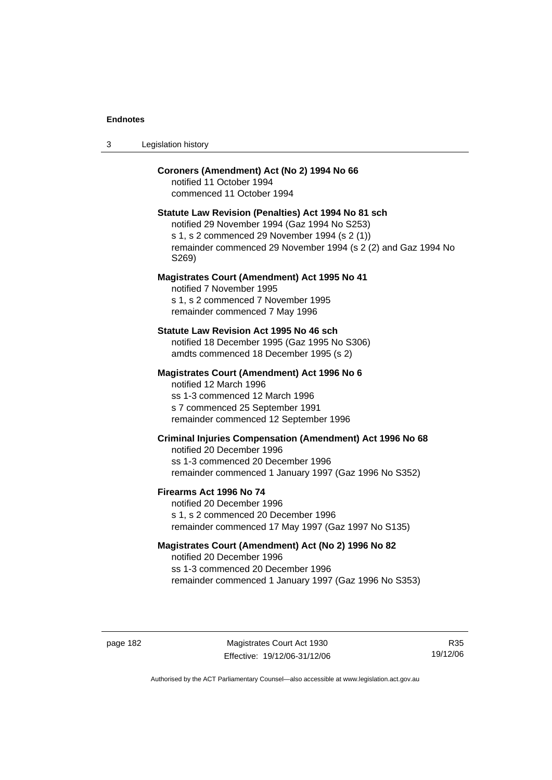| -3 | Legislation history |  |
|----|---------------------|--|
|----|---------------------|--|

#### **Coroners (Amendment) Act (No 2) 1994 No 66**

notified 11 October 1994 commenced 11 October 1994

#### **Statute Law Revision (Penalties) Act 1994 No 81 sch**

notified 29 November 1994 (Gaz 1994 No S253) s 1, s 2 commenced 29 November 1994 (s 2 (1)) remainder commenced 29 November 1994 (s 2 (2) and Gaz 1994 No S269)

#### **Magistrates Court (Amendment) Act 1995 No 41**

notified 7 November 1995 s 1, s 2 commenced 7 November 1995 remainder commenced 7 May 1996

#### **Statute Law Revision Act 1995 No 46 sch**

notified 18 December 1995 (Gaz 1995 No S306) amdts commenced 18 December 1995 (s 2)

#### **Magistrates Court (Amendment) Act 1996 No 6**

notified 12 March 1996 ss 1-3 commenced 12 March 1996 s 7 commenced 25 September 1991 remainder commenced 12 September 1996

#### **Criminal Injuries Compensation (Amendment) Act 1996 No 68**

notified 20 December 1996 ss 1-3 commenced 20 December 1996 remainder commenced 1 January 1997 (Gaz 1996 No S352)

#### **Firearms Act 1996 No 74**

notified 20 December 1996 s 1, s 2 commenced 20 December 1996 remainder commenced 17 May 1997 (Gaz 1997 No S135)

#### **Magistrates Court (Amendment) Act (No 2) 1996 No 82**

notified 20 December 1996 ss 1-3 commenced 20 December 1996 remainder commenced 1 January 1997 (Gaz 1996 No S353)

page 182 Magistrates Court Act 1930 Effective: 19/12/06-31/12/06

R35 19/12/06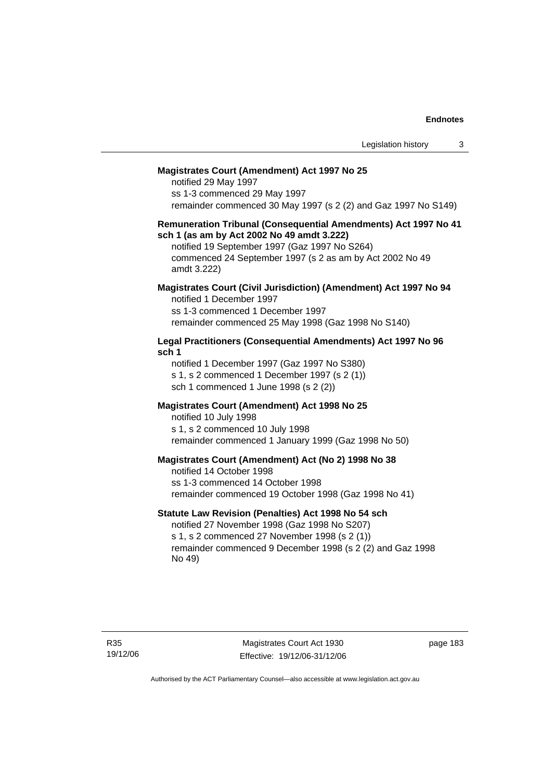#### **Magistrates Court (Amendment) Act 1997 No 25**

notified 29 May 1997 ss 1-3 commenced 29 May 1997 remainder commenced 30 May 1997 (s 2 (2) and Gaz 1997 No S149)

#### **Remuneration Tribunal (Consequential Amendments) Act 1997 No 41 sch 1 (as am by Act 2002 No 49 amdt 3.222)**

notified 19 September 1997 (Gaz 1997 No S264) commenced 24 September 1997 (s 2 as am by Act 2002 No 49 amdt 3.222)

## **Magistrates Court (Civil Jurisdiction) (Amendment) Act 1997 No 94**

notified 1 December 1997 ss 1-3 commenced 1 December 1997 remainder commenced 25 May 1998 (Gaz 1998 No S140)

#### **Legal Practitioners (Consequential Amendments) Act 1997 No 96 sch 1**

notified 1 December 1997 (Gaz 1997 No S380) s 1, s 2 commenced 1 December 1997 (s 2 (1)) sch 1 commenced 1 June 1998 (s 2 (2))

#### **Magistrates Court (Amendment) Act 1998 No 25**

notified 10 July 1998 s 1, s 2 commenced 10 July 1998 remainder commenced 1 January 1999 (Gaz 1998 No 50)

#### **Magistrates Court (Amendment) Act (No 2) 1998 No 38**

notified 14 October 1998 ss 1-3 commenced 14 October 1998 remainder commenced 19 October 1998 (Gaz 1998 No 41)

#### **Statute Law Revision (Penalties) Act 1998 No 54 sch**

notified 27 November 1998 (Gaz 1998 No S207) s 1, s 2 commenced 27 November 1998 (s 2 (1)) remainder commenced 9 December 1998 (s 2 (2) and Gaz 1998 No 49)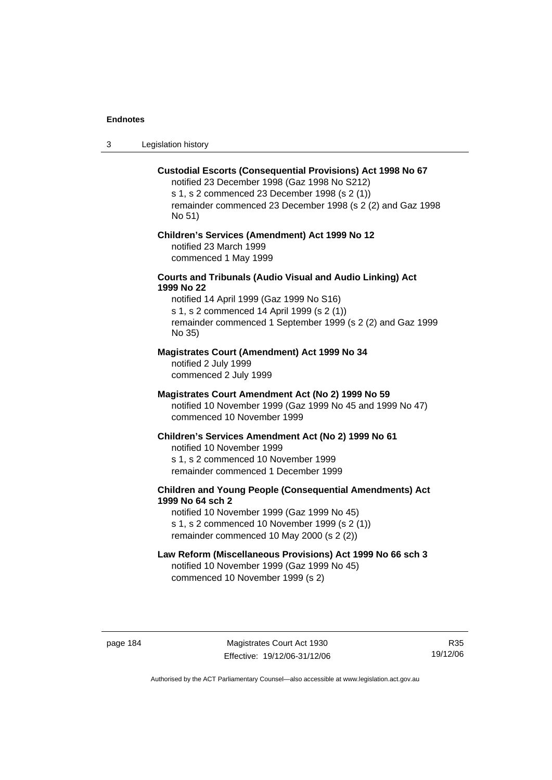3 Legislation history

#### **Custodial Escorts (Consequential Provisions) Act 1998 No 67**

notified 23 December 1998 (Gaz 1998 No S212) s 1, s 2 commenced 23 December 1998 (s 2 (1)) remainder commenced 23 December 1998 (s 2 (2) and Gaz 1998 No 51)

#### **Children's Services (Amendment) Act 1999 No 12**  notified 23 March 1999

commenced 1 May 1999

#### **Courts and Tribunals (Audio Visual and Audio Linking) Act 1999 No 22**

notified 14 April 1999 (Gaz 1999 No S16) s 1, s 2 commenced 14 April 1999 (s 2 (1)) remainder commenced 1 September 1999 (s 2 (2) and Gaz 1999 No 35)

## **Magistrates Court (Amendment) Act 1999 No 34**

notified 2 July 1999 commenced 2 July 1999

#### **Magistrates Court Amendment Act (No 2) 1999 No 59**

notified 10 November 1999 (Gaz 1999 No 45 and 1999 No 47) commenced 10 November 1999

#### **Children's Services Amendment Act (No 2) 1999 No 61**

notified 10 November 1999 s 1, s 2 commenced 10 November 1999 remainder commenced 1 December 1999

#### **Children and Young People (Consequential Amendments) Act 1999 No 64 sch 2**

notified 10 November 1999 (Gaz 1999 No 45) s 1, s 2 commenced 10 November 1999 (s 2 (1)) remainder commenced 10 May 2000 (s 2 (2))

## **Law Reform (Miscellaneous Provisions) Act 1999 No 66 sch 3**

notified 10 November 1999 (Gaz 1999 No 45) commenced 10 November 1999 (s 2)

page 184 Magistrates Court Act 1930 Effective: 19/12/06-31/12/06

R35 19/12/06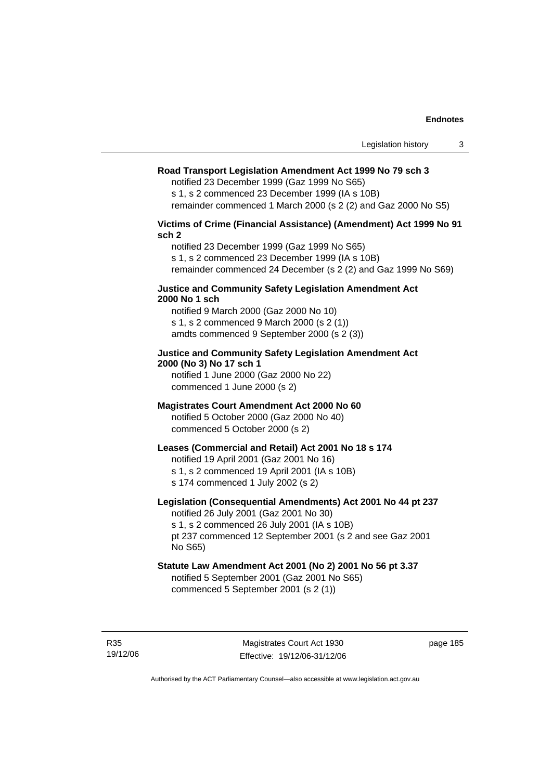#### **Road Transport Legislation Amendment Act 1999 No 79 sch 3**

notified 23 December 1999 (Gaz 1999 No S65)

s 1, s 2 commenced 23 December 1999 (IA s 10B) remainder commenced 1 March 2000 (s 2 (2) and Gaz 2000 No S5)

**Victims of Crime (Financial Assistance) (Amendment) Act 1999 No 91 sch 2** 

notified 23 December 1999 (Gaz 1999 No S65) s 1, s 2 commenced 23 December 1999 (IA s 10B) remainder commenced 24 December (s 2 (2) and Gaz 1999 No S69)

#### **Justice and Community Safety Legislation Amendment Act 2000 No 1 sch**

notified 9 March 2000 (Gaz 2000 No 10) s 1, s 2 commenced 9 March 2000 (s 2 (1)) amdts commenced 9 September 2000 (s 2 (3))

#### **Justice and Community Safety Legislation Amendment Act 2000 (No 3) No 17 sch 1**

notified 1 June 2000 (Gaz 2000 No 22) commenced 1 June 2000 (s 2)

## **Magistrates Court Amendment Act 2000 No 60**

notified 5 October 2000 (Gaz 2000 No 40) commenced 5 October 2000 (s 2)

#### **Leases (Commercial and Retail) Act 2001 No 18 s 174**

notified 19 April 2001 (Gaz 2001 No 16)

s 1, s 2 commenced 19 April 2001 (IA s 10B)

s 174 commenced 1 July 2002 (s 2)

No S65)

#### **Legislation (Consequential Amendments) Act 2001 No 44 pt 237**

notified 26 July 2001 (Gaz 2001 No 30) s 1, s 2 commenced 26 July 2001 (IA s 10B) pt 237 commenced 12 September 2001 (s 2 and see Gaz 2001

## **Statute Law Amendment Act 2001 (No 2) 2001 No 56 pt 3.37**

notified 5 September 2001 (Gaz 2001 No S65) commenced 5 September 2001 (s 2 (1))

R35 19/12/06 page 185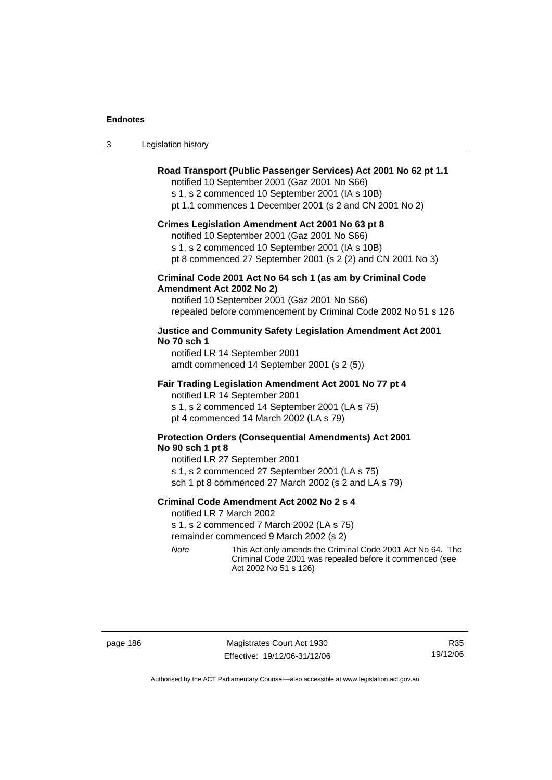| Legislation history<br>-3 |  |
|---------------------------|--|
|---------------------------|--|

#### **Road Transport (Public Passenger Services) Act 2001 No 62 pt 1.1**

notified 10 September 2001 (Gaz 2001 No S66)

s 1, s 2 commenced 10 September 2001 (IA s 10B)

pt 1.1 commences 1 December 2001 (s 2 and CN 2001 No 2)

#### **Crimes Legislation Amendment Act 2001 No 63 pt 8**

notified 10 September 2001 (Gaz 2001 No S66)

s 1, s 2 commenced 10 September 2001 (IA s 10B)

pt 8 commenced 27 September 2001 (s 2 (2) and CN 2001 No 3)

#### **Criminal Code 2001 Act No 64 sch 1 (as am by Criminal Code Amendment Act 2002 No 2)**

notified 10 September 2001 (Gaz 2001 No S66) repealed before commencement by Criminal Code 2002 No 51 s 126

#### **Justice and Community Safety Legislation Amendment Act 2001 No 70 sch 1**

notified LR 14 September 2001 amdt commenced 14 September 2001 (s 2 (5))

#### **Fair Trading Legislation Amendment Act 2001 No 77 pt 4**

notified LR 14 September 2001 s 1, s 2 commenced 14 September 2001 (LA s 75) pt 4 commenced 14 March 2002 (LA s 79)

#### **Protection Orders (Consequential Amendments) Act 2001 No 90 sch 1 pt 8**

notified LR 27 September 2001 s 1, s 2 commenced 27 September 2001 (LA s 75) sch 1 pt 8 commenced 27 March 2002 (s 2 and LA s 79)

#### **Criminal Code Amendment Act 2002 No 2 s 4**

notified LR 7 March 2002

s 1, s 2 commenced 7 March 2002 (LA s 75)

remainder commenced 9 March 2002 (s 2)

*Note* This Act only amends the Criminal Code 2001 Act No 64. The Criminal Code 2001 was repealed before it commenced (see Act 2002 No 51 s 126)

page 186 Magistrates Court Act 1930 Effective: 19/12/06-31/12/06

R35 19/12/06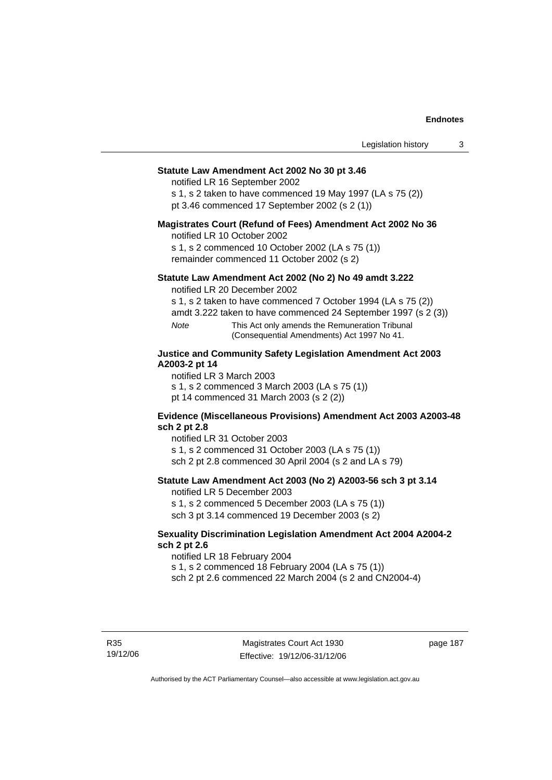#### **Statute Law Amendment Act 2002 No 30 pt 3.46**

notified LR 16 September 2002

s 1, s 2 taken to have commenced 19 May 1997 (LA s 75 (2)) pt 3.46 commenced 17 September 2002 (s 2 (1))

#### **Magistrates Court (Refund of Fees) Amendment Act 2002 No 36**

notified LR 10 October 2002

s 1, s 2 commenced 10 October 2002 (LA s 75 (1)) remainder commenced 11 October 2002 (s 2)

#### **Statute Law Amendment Act 2002 (No 2) No 49 amdt 3.222**

notified LR 20 December 2002

s 1, s 2 taken to have commenced 7 October 1994 (LA s 75 (2))

amdt 3.222 taken to have commenced 24 September 1997 (s 2 (3))

*Note* This Act only amends the Remuneration Tribunal (Consequential Amendments) Act 1997 No 41.

#### **Justice and Community Safety Legislation Amendment Act 2003 A2003-2 pt 14**

notified LR 3 March 2003

s 1, s 2 commenced 3 March 2003 (LA s 75 (1))

pt 14 commenced 31 March 2003 (s 2 (2))

#### **Evidence (Miscellaneous Provisions) Amendment Act 2003 A2003-48 sch 2 pt 2.8**

notified LR 31 October 2003

s 1, s 2 commenced 31 October 2003 (LA s 75 (1)) sch 2 pt 2.8 commenced 30 April 2004 (s 2 and LA s 79)

#### **Statute Law Amendment Act 2003 (No 2) A2003-56 sch 3 pt 3.14**

notified LR 5 December 2003

s 1, s 2 commenced 5 December 2003 (LA s 75 (1)) sch 3 pt 3.14 commenced 19 December 2003 (s 2)

#### **Sexuality Discrimination Legislation Amendment Act 2004 A2004-2 sch 2 pt 2.6**

notified LR 18 February 2004

s 1, s 2 commenced 18 February 2004 (LA s 75 (1))

sch 2 pt 2.6 commenced 22 March 2004 (s 2 and CN2004-4)

R35 19/12/06 page 187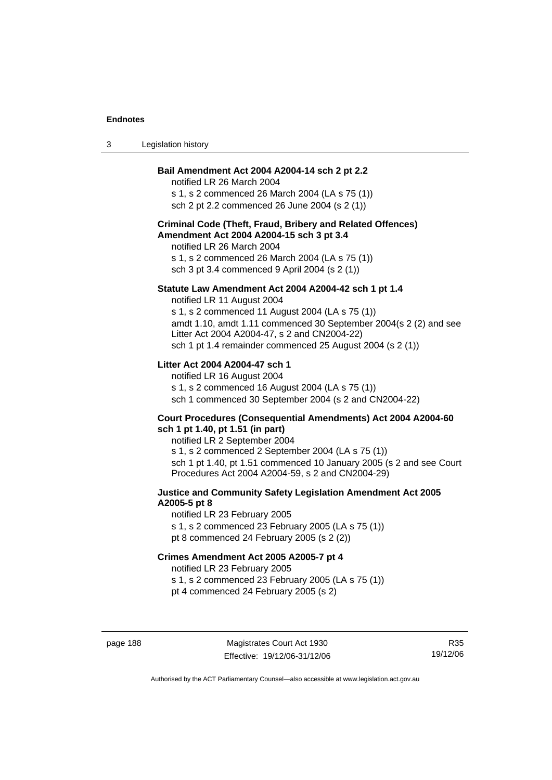| Legislation history |
|---------------------|
|                     |

#### **Bail Amendment Act 2004 A2004-14 sch 2 pt 2.2**

notified LR 26 March 2004 s 1, s 2 commenced 26 March 2004 (LA s 75 (1)) sch 2 pt 2.2 commenced 26 June 2004 (s 2 (1))

#### **Criminal Code (Theft, Fraud, Bribery and Related Offences) Amendment Act 2004 A2004-15 sch 3 pt 3.4**

notified LR 26 March 2004 s 1, s 2 commenced 26 March 2004 (LA s 75 (1)) sch 3 pt 3.4 commenced 9 April 2004 (s 2 (1))

#### **Statute Law Amendment Act 2004 A2004-42 sch 1 pt 1.4**

notified LR 11 August 2004 s 1, s 2 commenced 11 August 2004 (LA s 75 (1)) amdt 1.10, amdt 1.11 commenced 30 September 2004(s 2 (2) and see Litter Act 2004 A2004-47, s 2 and CN2004-22) sch 1 pt 1.4 remainder commenced 25 August 2004 (s 2 (1))

#### **Litter Act 2004 A2004-47 sch 1**

notified LR 16 August 2004 s 1, s 2 commenced 16 August 2004 (LA s 75 (1)) sch 1 commenced 30 September 2004 (s 2 and CN2004-22)

#### **Court Procedures (Consequential Amendments) Act 2004 A2004-60 sch 1 pt 1.40, pt 1.51 (in part)**

notified LR 2 September 2004 s 1, s 2 commenced 2 September 2004 (LA s 75 (1)) sch 1 pt 1.40, pt 1.51 commenced 10 January 2005 (s 2 and see Court Procedures Act 2004 A2004-59, s 2 and CN2004-29)

#### **Justice and Community Safety Legislation Amendment Act 2005 A2005-5 pt 8**

notified LR 23 February 2005 s 1, s 2 commenced 23 February 2005 (LA s 75 (1)) pt 8 commenced 24 February 2005 (s 2 (2))

#### **Crimes Amendment Act 2005 A2005-7 pt 4**

notified LR 23 February 2005

s 1, s 2 commenced 23 February 2005 (LA s 75 (1))

pt 4 commenced 24 February 2005 (s 2)

page 188 Magistrates Court Act 1930 Effective: 19/12/06-31/12/06

R35 19/12/06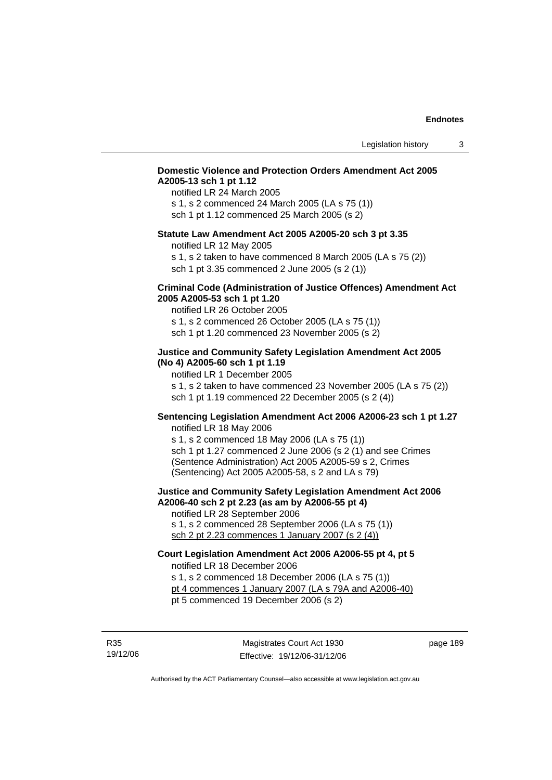#### **Domestic Violence and Protection Orders Amendment Act 2005 A2005-13 sch 1 pt 1.12**

notified LR 24 March 2005 s 1, s 2 commenced 24 March 2005 (LA s 75 (1)) sch 1 pt 1.12 commenced 25 March 2005 (s 2)

#### **Statute Law Amendment Act 2005 A2005-20 sch 3 pt 3.35**

notified LR 12 May 2005

s 1, s 2 taken to have commenced 8 March 2005 (LA s 75 (2)) sch 1 pt 3.35 commenced 2 June 2005 (s 2 (1))

#### **Criminal Code (Administration of Justice Offences) Amendment Act 2005 A2005-53 sch 1 pt 1.20**

notified LR 26 October 2005 s 1, s 2 commenced 26 October 2005 (LA s 75 (1)) sch 1 pt 1.20 commenced 23 November 2005 (s 2)

#### **Justice and Community Safety Legislation Amendment Act 2005 (No 4) A2005-60 sch 1 pt 1.19**

notified LR 1 December 2005

s 1, s 2 taken to have commenced 23 November 2005 (LA s 75 (2)) sch 1 pt 1.19 commenced 22 December 2005 (s 2 (4))

#### **Sentencing Legislation Amendment Act 2006 A2006-23 sch 1 pt 1.27**  notified LR 18 May 2006

s 1, s 2 commenced 18 May 2006 (LA s 75 (1)) sch 1 pt 1.27 commenced 2 June 2006 (s 2 (1) and see Crimes (Sentence Administration) Act 2005 A2005-59 s 2, Crimes (Sentencing) Act 2005 A2005-58, s 2 and LA s 79)

**Justice and Community Safety Legislation Amendment Act 2006 A2006-40 sch 2 pt 2.23 (as am by A2006-55 pt 4)**  notified LR 28 September 2006

s 1, s 2 commenced 28 September 2006 (LA s 75 (1)) sch 2 pt 2.23 commences 1 January 2007 (s 2 (4))

## **Court Legislation Amendment Act 2006 A2006-55 pt 4, pt 5**  notified LR 18 December 2006

s 1, s 2 commenced 18 December 2006 (LA s 75 (1)) pt 4 commences 1 January 2007 (LA s 79A and A2006-40)

pt 5 commenced 19 December 2006 (s 2)

R35 19/12/06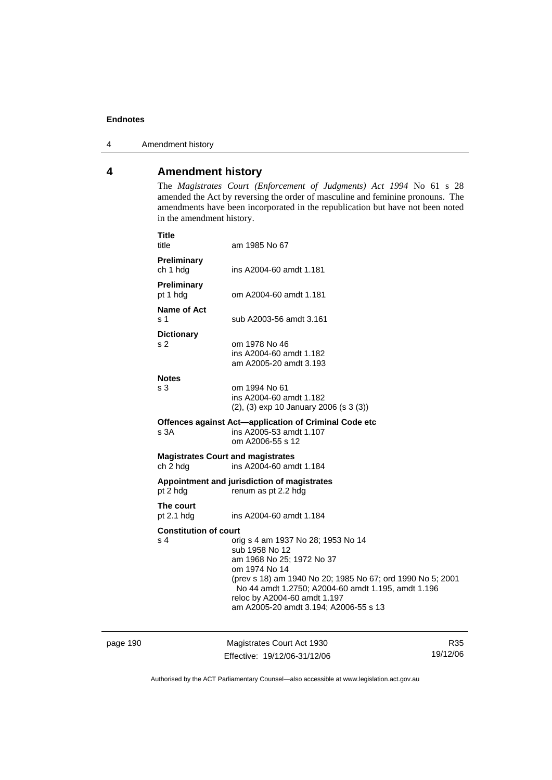4 Amendment history

## **4 Amendment history**

The *Magistrates Court (Enforcement of Judgments) Act 1994* No 61 s 28 amended the Act by reversing the order of masculine and feminine pronouns. The amendments have been incorporated in the republication but have not been noted in the amendment history.

|          | <b>Title</b><br>title               | am 1985 No 67                                                                                                                                                                                                                                                                                   |     |
|----------|-------------------------------------|-------------------------------------------------------------------------------------------------------------------------------------------------------------------------------------------------------------------------------------------------------------------------------------------------|-----|
|          | Preliminary<br>ch 1 hdg             | ins A2004-60 amdt 1.181                                                                                                                                                                                                                                                                         |     |
|          | <b>Preliminary</b><br>pt 1 hdg      | om A2004-60 amdt 1.181                                                                                                                                                                                                                                                                          |     |
|          | <b>Name of Act</b><br>s 1           | sub A2003-56 amdt 3.161                                                                                                                                                                                                                                                                         |     |
|          | <b>Dictionary</b><br>s 2            | om 1978 No 46<br>ins A2004-60 amdt 1.182<br>am A2005-20 amdt 3.193                                                                                                                                                                                                                              |     |
|          | <b>Notes</b><br>s 3                 | om 1994 No 61<br>ins A2004-60 amdt 1.182<br>(2), (3) exp 10 January 2006 (s 3 (3))                                                                                                                                                                                                              |     |
|          | s 3A                                | Offences against Act-application of Criminal Code etc<br>ins A2005-53 amdt 1.107<br>om A2006-55 s 12                                                                                                                                                                                            |     |
|          | ch 2 hdg                            | <b>Magistrates Court and magistrates</b><br>ins A2004-60 amdt 1.184                                                                                                                                                                                                                             |     |
|          | pt 2 hdg                            | Appointment and jurisdiction of magistrates<br>renum as pt 2.2 hdg                                                                                                                                                                                                                              |     |
|          | The court<br>pt $2.1$ hdg           | ins A2004-60 amdt 1.184                                                                                                                                                                                                                                                                         |     |
|          | <b>Constitution of court</b><br>s 4 | orig s 4 am 1937 No 28; 1953 No 14<br>sub 1958 No 12<br>am 1968 No 25; 1972 No 37<br>om 1974 No 14<br>(prev s 18) am 1940 No 20; 1985 No 67; ord 1990 No 5; 2001<br>No 44 amdt 1.2750; A2004-60 amdt 1.195, amdt 1.196<br>reloc by A2004-60 amdt 1.197<br>am A2005-20 amdt 3.194; A2006-55 s 13 |     |
| page 190 |                                     | Magistrates Court Act 1930                                                                                                                                                                                                                                                                      | R35 |

Effective: 19/12/06-31/12/06

19/12/06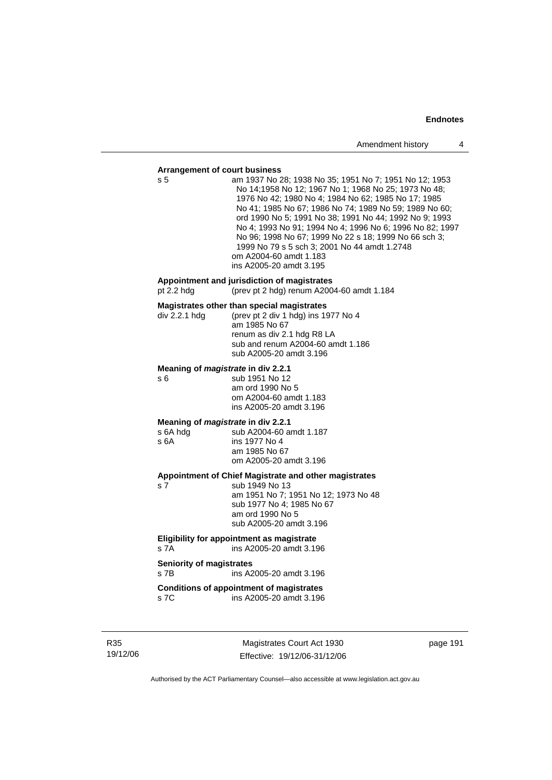#### **Arrangement of court business**

| s 5                              | <u>stangement or court business</u><br>am 1937 No 28; 1938 No 35; 1951 No 7; 1951 No 12; 1953<br>No 14;1958 No 12; 1967 No 1; 1968 No 25; 1973 No 48;<br>1976 No 42; 1980 No 4; 1984 No 62; 1985 No 17; 1985<br>No 41; 1985 No 67; 1986 No 74; 1989 No 59; 1989 No 60;<br>ord 1990 No 5; 1991 No 38; 1991 No 44; 1992 No 9; 1993<br>No 4; 1993 No 91; 1994 No 4; 1996 No 6; 1996 No 82; 1997<br>No 96; 1998 No 67; 1999 No 22 s 18; 1999 No 66 sch 3;<br>1999 No 79 s 5 sch 3; 2001 No 44 amdt 1.2748<br>om A2004-60 amdt 1.183<br>ins A2005-20 amdt 3.195 |
|----------------------------------|------------------------------------------------------------------------------------------------------------------------------------------------------------------------------------------------------------------------------------------------------------------------------------------------------------------------------------------------------------------------------------------------------------------------------------------------------------------------------------------------------------------------------------------------------------|
| pt $2.2$ hdg                     | Appointment and jurisdiction of magistrates<br>(prev pt 2 hdg) renum A2004-60 amdt 1.184                                                                                                                                                                                                                                                                                                                                                                                                                                                                   |
| div 2.2.1 hdg                    | Magistrates other than special magistrates<br>(prev pt 2 div 1 hdg) ins 1977 No 4<br>am 1985 No 67<br>renum as div 2.1 hdg R8 LA<br>sub and renum A2004-60 amdt 1.186<br>sub A2005-20 amdt 3.196                                                                                                                                                                                                                                                                                                                                                           |
| s 6                              | Meaning of <i>magistrate</i> in div 2.2.1<br>sub 1951 No 12<br>am ord 1990 No 5<br>om A2004-60 amdt 1.183<br>ins A2005-20 amdt 3.196                                                                                                                                                                                                                                                                                                                                                                                                                       |
| s 6A hdg<br>s 6A                 | Meaning of <i>magistrate</i> in div 2.2.1<br>sub A2004-60 amdt 1.187<br>ins 1977 No 4<br>am 1985 No 67<br>om A2005-20 amdt 3.196                                                                                                                                                                                                                                                                                                                                                                                                                           |
| s 7                              | Appointment of Chief Magistrate and other magistrates<br>sub 1949 No 13<br>am 1951 No 7; 1951 No 12; 1973 No 48<br>sub 1977 No 4; 1985 No 67<br>am ord 1990 No 5<br>sub A2005-20 amdt 3.196                                                                                                                                                                                                                                                                                                                                                                |
| s 7A                             | Eligibility for appointment as magistrate<br>ins A2005-20 amdt 3.196                                                                                                                                                                                                                                                                                                                                                                                                                                                                                       |
| Seniority of magistrates<br>s 7B | ins A2005-20 amdt 3.196                                                                                                                                                                                                                                                                                                                                                                                                                                                                                                                                    |
| s 7C                             | <b>Conditions of appointment of magistrates</b><br>ins A2005-20 amdt 3.196                                                                                                                                                                                                                                                                                                                                                                                                                                                                                 |

R35 19/12/06

Magistrates Court Act 1930 Effective: 19/12/06-31/12/06 page 191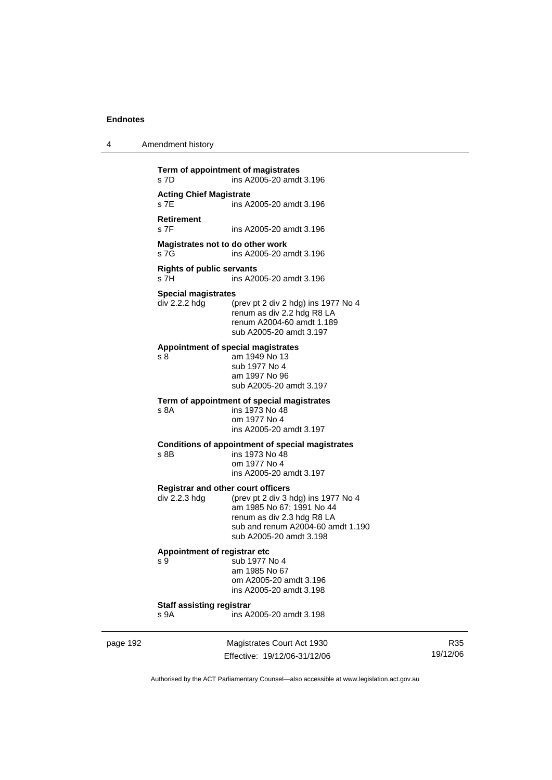| 4 | Amendment history |
|---|-------------------|
|---|-------------------|

**Term of appointment of magistrates**  s 7D ins A2005-20 amdt 3.196 **Acting Chief Magistrate**  s 7E ins A2005-20 amdt 3.196 **Retirement**  ins A2005-20 amdt 3.196 **Magistrates not to do other work**  s 7G ins A2005-20 amdt 3.196 **Rights of public servants**  ins A2005-20 amdt 3.196 **Special magistrates**  div 2.2.2 hdg (prev pt 2 div 2 hdg) ins 1977 No 4 renum as div 2.2 hdg R8 LA renum A2004-60 amdt 1.189 sub A2005-20 amdt 3.197 **Appointment of special magistrates**  s 8 am 1949 No 13 sub 1977 No 4 am 1997 No 96 sub A2005-20 amdt 3.197 **Term of appointment of special magistrates**  s 8A ins 1973 No 48 om 1977 No 4 ins A2005-20 amdt 3.197 **Conditions of appointment of special magistrates**  s 8B ins 1973 No 48 om 1977 No 4 ins A2005-20 amdt 3.197 **Registrar and other court officers**  div 2.2.3 hdg (prev pt 2 div 3 hdg) ins 1977 No 4 am 1985 No 67; 1991 No 44 renum as div 2.3 hdg R8 LA sub and renum A2004-60 amdt 1.190 sub A2005-20 amdt 3.198 **Appointment of registrar etc**  s 9 sub 1977 No 4 am 1985 No 67 om A2005-20 amdt 3.196 ins A2005-20 amdt 3.198 **Staff assisting registrar**  s 9A ins A2005-20 amdt 3.198

page 192 Magistrates Court Act 1930 Effective: 19/12/06-31/12/06

R35 19/12/06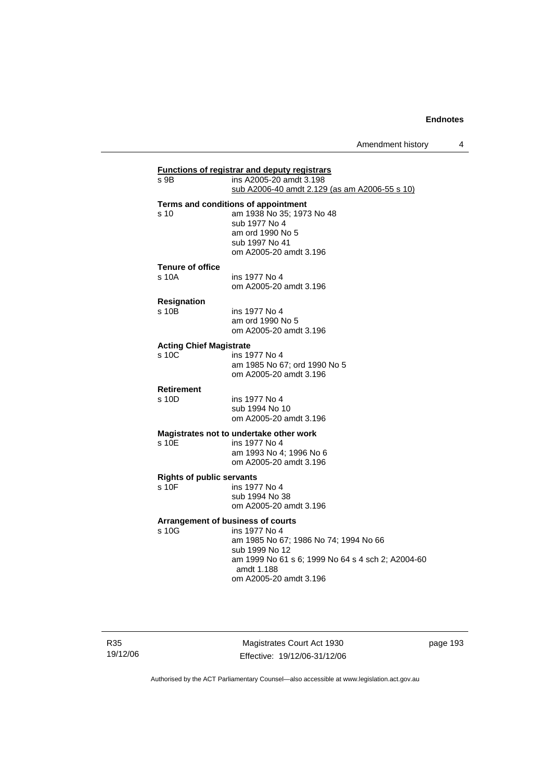Amendment history 4

| s 9B                             | ins A2005-20 amdt 3.198                                  |
|----------------------------------|----------------------------------------------------------|
|                                  | sub A2006-40 amdt 2.129 (as am A2006-55 s 10)            |
|                                  | Terms and conditions of appointment                      |
| s 10                             | am 1938 No 35; 1973 No 48                                |
|                                  | sub 1977 No 4                                            |
|                                  | am ord 1990 No 5                                         |
|                                  | sub 1997 No 41                                           |
|                                  | om A2005-20 amdt 3.196                                   |
| <b>Tenure of office</b>          |                                                          |
| s 10A                            | ins 1977 No 4                                            |
|                                  | om A2005-20 amdt 3.196                                   |
| <b>Resignation</b>               |                                                          |
| $s$ 10 $B$                       | ins 1977 No 4                                            |
|                                  | am ord 1990 No 5<br>om A2005-20 amdt 3.196               |
|                                  |                                                          |
| <b>Acting Chief Magistrate</b>   |                                                          |
| s, 10C                           | ins 1977 No 4                                            |
|                                  | am 1985 No 67; ord 1990 No 5<br>om A2005-20 amdt 3.196   |
|                                  |                                                          |
| Retirement                       |                                                          |
| s 10D                            | ins 1977 No 4<br>sub 1994 No 10                          |
|                                  | om A2005-20 amdt 3.196                                   |
|                                  |                                                          |
| $s$ 10 $F$                       | Magistrates not to undertake other work<br>ins 1977 No 4 |
|                                  | am 1993 No 4; 1996 No 6                                  |
|                                  | om A2005-20 amdt 3.196                                   |
| <b>Rights of public servants</b> |                                                          |
| s 10F                            | ins 1977 No 4                                            |
|                                  | sub 1994 No 38                                           |
|                                  | om A2005-20 amdt 3.196                                   |
|                                  | Arrangement of business of courts                        |
| s 10G                            | ins 1977 No 4                                            |
|                                  | am 1985 No 67; 1986 No 74; 1994 No 66                    |
|                                  | sub 1999 No 12                                           |
|                                  | am 1999 No 61 s 6; 1999 No 64 s 4 sch 2; A2004-60        |
|                                  | amdt 1.188<br>om A2005-20 amdt 3.196                     |

Magistrates Court Act 1930 Effective: 19/12/06-31/12/06 page 193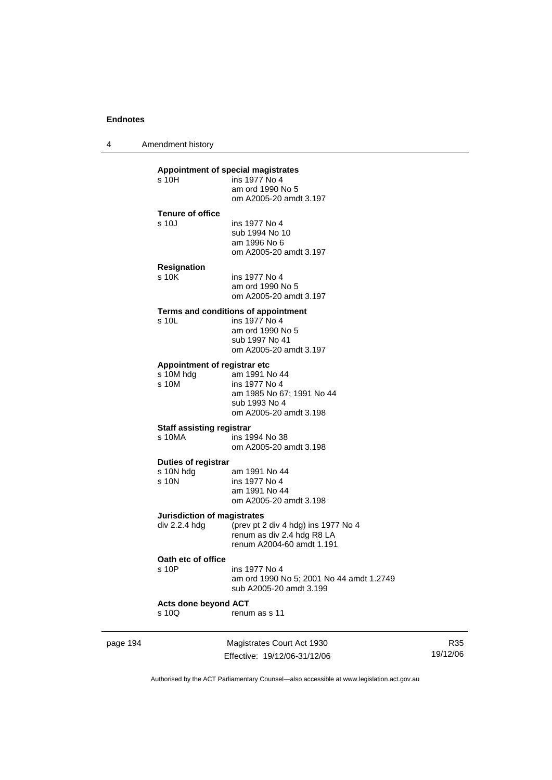4 Amendment history

#### **Appointment of special magistrates**

| s 10H                   | ins 1977 No 4          |
|-------------------------|------------------------|
|                         | am ord 1990 No 5       |
|                         | om A2005-20 amdt 3.197 |
| <b>Tenure of office</b> |                        |
| s 10J                   | ins 1977 No 4          |
|                         | sub 1994 No 10         |
|                         | am 1996 No 6           |
|                         | om A2005-20 amdt 3.197 |
| <b>Resignation</b>      |                        |
| s 10K                   | ins 1977 No 4          |

 am ord 1990 No 5 om A2005-20 amdt 3.197

#### **Terms and conditions of appointment**

| s 10L | ins 1977 No 4          |
|-------|------------------------|
|       | am ord 1990 No 5       |
|       | sub 1997 No 41         |
|       | om A2005-20 amdt 3.197 |
|       |                        |

#### **Appointment of registrar etc**

| am 1991 No 44             |
|---------------------------|
| ins 1977 No 4             |
| am 1985 No 67; 1991 No 44 |
| sub 1993 No 4             |
| om A2005-20 amdt 3.198    |
|                           |

#### **Staff assisting registrar**

| s 10MA | ins 1994 No 38         |
|--------|------------------------|
|        | om A2005-20 amdt 3.198 |

#### **Duties of registrar**

| s 10N hdq | am 1991 No 44          |
|-----------|------------------------|
| s 10N     | ins 1977 No 4          |
|           | am 1991 No 44          |
|           | om A2005-20 amdt 3.198 |
|           |                        |

#### **Jurisdiction of magistrates**

| div 2.2.4 hda | (prev pt 2 div 4 hdg) ins 1977 No 4 |
|---------------|-------------------------------------|
|               | renum as div 2.4 hdg R8 LA          |
|               | renum A2004-60 amdt 1.191           |
|               |                                     |

#### **Oath etc of office**

| s 10P | ins 1977 No 4                            |
|-------|------------------------------------------|
|       | am ord 1990 No 5; 2001 No 44 amdt 1.2749 |
|       | sub A2005-20 amdt 3.199                  |
|       |                                          |

# **Acts done beyond ACT**

renum as s 11

| page 194 |  |
|----------|--|
|----------|--|

page 194 Magistrates Court Act 1930 Effective: 19/12/06-31/12/06

R35 19/12/06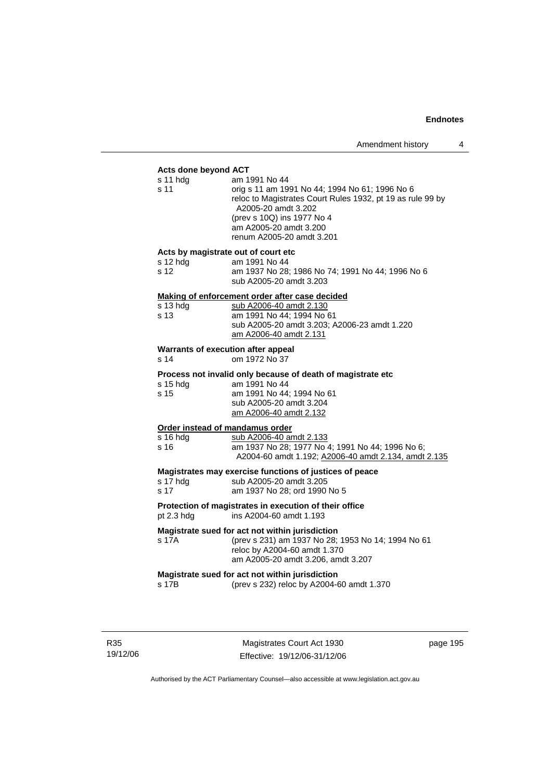#### **Acts done beyond ACT**

| s 11 hdg<br>s 11                                  | am 1991 No 44<br>orig s 11 am 1991 No 44; 1994 No 61; 1996 No 6<br>reloc to Magistrates Court Rules 1932, pt 19 as rule 99 by<br>A2005-20 amdt 3.202<br>(prev s 10Q) ins 1977 No 4<br>am A2005-20 amdt 3.200<br>renum A2005-20 amdt 3.201 |
|---------------------------------------------------|-------------------------------------------------------------------------------------------------------------------------------------------------------------------------------------------------------------------------------------------|
| Acts by magistrate out of court etc<br>s 12 hdg   | am 1991 No 44                                                                                                                                                                                                                             |
| s 12                                              | am 1937 No 28; 1986 No 74; 1991 No 44; 1996 No 6<br>sub A2005-20 amdt 3.203                                                                                                                                                               |
|                                                   | Making of enforcement order after case decided                                                                                                                                                                                            |
| s 13 hdg<br>s 13                                  | sub A2006-40 amdt 2.130<br>am 1991 No 44; 1994 No 61<br>sub A2005-20 amdt 3.203; A2006-23 amdt 1.220<br>am A2006-40 amdt 2.131                                                                                                            |
| <b>Warrants of execution after appeal</b><br>s 14 | om 1972 No 37                                                                                                                                                                                                                             |
|                                                   | Process not invalid only because of death of magistrate etc                                                                                                                                                                               |
| s 15 hdg<br>s 15                                  | am 1991 No 44<br>am 1991 No 44; 1994 No 61<br>sub A2005-20 amdt 3.204<br>am A2006-40 amdt 2.132                                                                                                                                           |
| Order instead of mandamus order                   |                                                                                                                                                                                                                                           |
| s 16 hdg<br>s 16                                  | sub A2006-40 amdt 2.133<br>am 1937 No 28; 1977 No 4; 1991 No 44; 1996 No 6;<br>A2004-60 amdt 1.192; A2006-40 amdt 2.134, amdt 2.135                                                                                                       |
| s 17 hdg<br>s 17                                  | Magistrates may exercise functions of justices of peace<br>sub A2005-20 amdt 3.205<br>am 1937 No 28; ord 1990 No 5                                                                                                                        |
| pt 2.3 hdg                                        | Protection of magistrates in execution of their office<br>ins A2004-60 amdt 1.193                                                                                                                                                         |
| s 17A                                             | Magistrate sued for act not within jurisdiction<br>(prev s 231) am 1937 No 28; 1953 No 14; 1994 No 61<br>reloc by A2004-60 amdt 1.370<br>am A2005-20 amdt 3.206, amdt 3.207                                                               |
| s 17B                                             | Magistrate sued for act not within jurisdiction<br>(prev s 232) reloc by A2004-60 amdt 1.370                                                                                                                                              |
|                                                   |                                                                                                                                                                                                                                           |

R35 19/12/06

Magistrates Court Act 1930 Effective: 19/12/06-31/12/06 page 195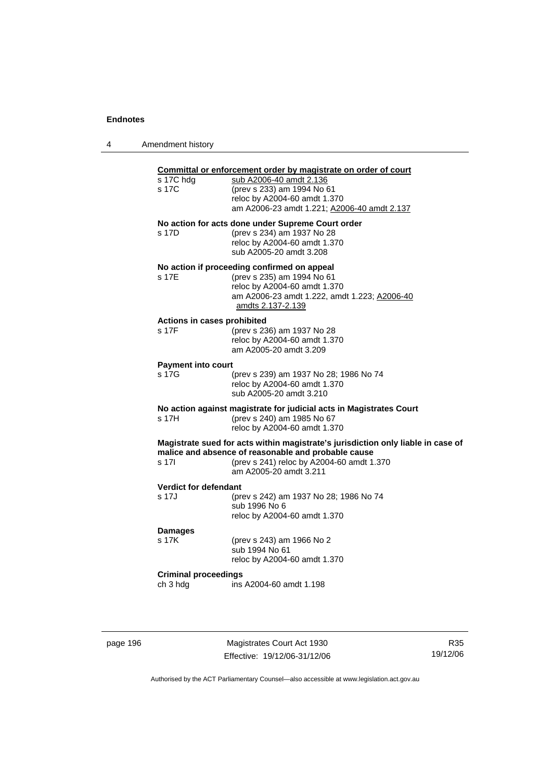| 4 | Amendment history                       |                                                                                                                                                                                                                |
|---|-----------------------------------------|----------------------------------------------------------------------------------------------------------------------------------------------------------------------------------------------------------------|
|   | s 17C hdg<br>s 17C                      | Committal or enforcement order by magistrate on order of court<br>sub A2006-40 amdt 2.136<br>(prev s 233) am 1994 No 61<br>reloc by A2004-60 amdt 1.370<br>am A2006-23 amdt 1.221; A2006-40 amdt 2.137         |
|   | s 17D                                   | No action for acts done under Supreme Court order<br>(prev s 234) am 1937 No 28<br>reloc by A2004-60 amdt 1.370<br>sub A2005-20 amdt 3.208                                                                     |
|   | s 17E                                   | No action if proceeding confirmed on appeal<br>(prev s 235) am 1994 No 61<br>reloc by A2004-60 amdt 1.370<br>am A2006-23 amdt 1.222, amdt 1.223; A2006-40<br>amdts 2.137-2.139                                 |
|   | Actions in cases prohibited<br>s 17F    | (prev s 236) am 1937 No 28<br>reloc by A2004-60 amdt 1.370<br>am A2005-20 amdt 3.209                                                                                                                           |
|   | <b>Payment into court</b><br>s 17G      | (prev s 239) am 1937 No 28; 1986 No 74<br>reloc by A2004-60 amdt 1.370<br>sub A2005-20 amdt 3.210                                                                                                              |
|   | s 17H                                   | No action against magistrate for judicial acts in Magistrates Court<br>(prev s 240) am 1985 No 67<br>reloc by A2004-60 amdt 1.370                                                                              |
|   | s 17l                                   | Magistrate sued for acts within magistrate's jurisdiction only liable in case of<br>malice and absence of reasonable and probable cause<br>(prev s 241) reloc by A2004-60 amdt 1.370<br>am A2005-20 amdt 3.211 |
|   | <b>Verdict for defendant</b><br>s 17J   | (prev s 242) am 1937 No 28; 1986 No 74<br>sub 1996 No 6<br>reloc by A2004-60 amdt 1.370                                                                                                                        |
|   | <b>Damages</b><br>s 17K                 | (prev s 243) am 1966 No 2<br>sub 1994 No 61<br>reloc by A2004-60 amdt 1.370                                                                                                                                    |
|   | <b>Criminal proceedings</b><br>ch 3 hdg | ins A2004-60 amdt 1.198                                                                                                                                                                                        |

page 196 Magistrates Court Act 1930 Effective: 19/12/06-31/12/06

R35 19/12/06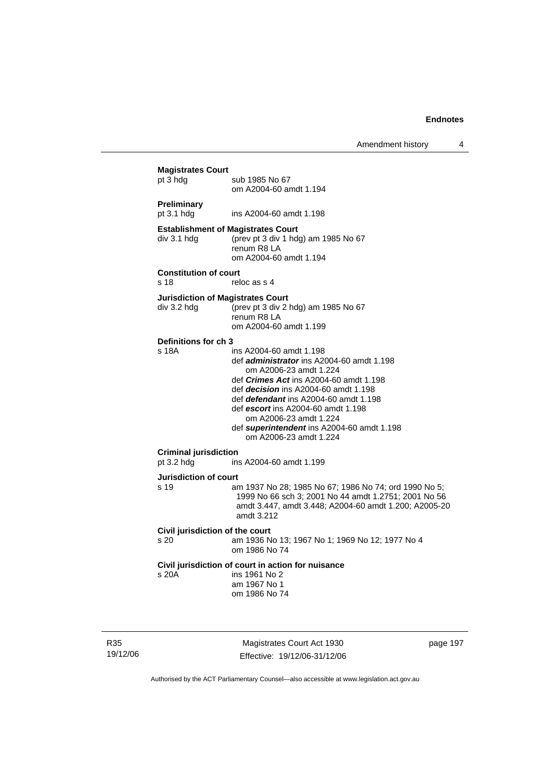Amendment history 4

| <b>Magistrates Court</b><br>pt 3 hdg       | sub 1985 No 67<br>om A2004-60 amdt 1.194                                                                                                                                                                                                                                                                                                                                                      |
|--------------------------------------------|-----------------------------------------------------------------------------------------------------------------------------------------------------------------------------------------------------------------------------------------------------------------------------------------------------------------------------------------------------------------------------------------------|
| Preliminary<br>pt 3.1 hdg                  | ins A2004-60 amdt 1.198                                                                                                                                                                                                                                                                                                                                                                       |
| div 3.1 hdg                                | <b>Establishment of Magistrates Court</b><br>(prev pt 3 div 1 hdg) am 1985 No 67<br>renum R8 LA<br>om A2004-60 amdt 1.194                                                                                                                                                                                                                                                                     |
| <b>Constitution of court</b><br>s 18       | reloc as s 4                                                                                                                                                                                                                                                                                                                                                                                  |
| div 3.2 hdg                                | <b>Jurisdiction of Magistrates Court</b><br>(prev pt 3 div 2 hdg) am 1985 No 67<br>renum R8 LA<br>om A2004-60 amdt 1.199                                                                                                                                                                                                                                                                      |
| Definitions for ch 3<br>s 18A              | ins A2004-60 amdt 1.198<br>def <i>administrator</i> ins A2004-60 amdt 1.198<br>om A2006-23 amdt 1.224<br>def <i>Crimes Act</i> ins A2004-60 amdt 1.198<br>def <i>decision</i> ins A2004-60 amdt 1.198<br>def <i>defendant</i> ins A2004-60 amdt 1.198<br>def escort ins A2004-60 amdt 1.198<br>om A2006-23 amdt 1.224<br>def superintendent ins A2004-60 amdt 1.198<br>om A2006-23 amdt 1.224 |
| <b>Criminal jurisdiction</b><br>pt 3.2 hdg | ins A2004-60 amdt 1.199                                                                                                                                                                                                                                                                                                                                                                       |
| <b>Jurisdiction of court</b><br>s 19       | am 1937 No 28; 1985 No 67; 1986 No 74; ord 1990 No 5;<br>1999 No 66 sch 3; 2001 No 44 amdt 1.2751; 2001 No 56<br>amdt 3.447, amdt 3.448; A2004-60 amdt 1.200; A2005-20<br>amdt 3.212                                                                                                                                                                                                          |
| Civil jurisdiction of the court<br>s 20    | am 1936 No 13; 1967 No 1; 1969 No 12; 1977 No 4<br>om 1986 No 74                                                                                                                                                                                                                                                                                                                              |
| s 20A                                      | Civil jurisdiction of court in action for nuisance<br>ins 1961 No 2<br>am 1967 No 1<br>om 1986 No 74                                                                                                                                                                                                                                                                                          |

R35 19/12/06

Magistrates Court Act 1930 Effective: 19/12/06-31/12/06 page 197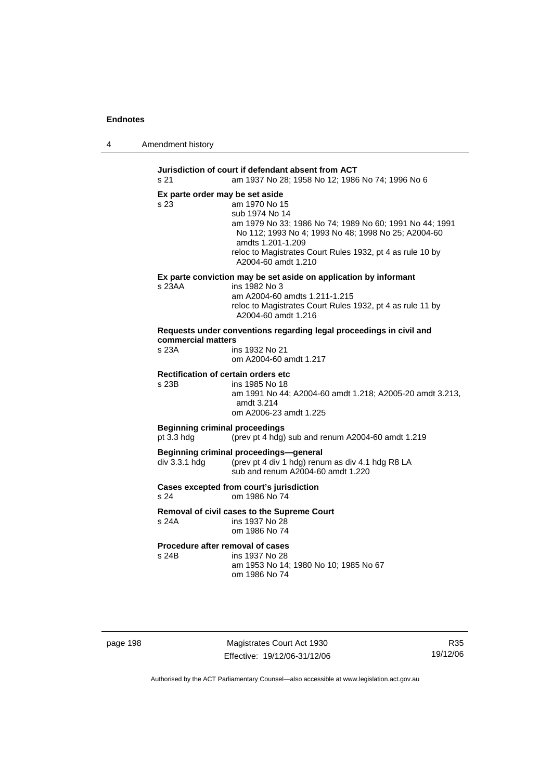| 4 | Amendment history |
|---|-------------------|
|---|-------------------|

**Jurisdiction of court if defendant absent from ACT**  s 21 am 1937 No 28; 1958 No 12; 1986 No 74; 1996 No 6 **Ex parte order may be set aside**  s 23 am 1970 No 15 sub 1974 No 14 am 1979 No 33; 1986 No 74; 1989 No 60; 1991 No 44; 1991 No 112; 1993 No 4; 1993 No 48; 1998 No 25; A2004-60 amdts 1.201-1.209 reloc to Magistrates Court Rules 1932, pt 4 as rule 10 by A2004-60 amdt 1.210 **Ex parte conviction may be set aside on application by informant**  s 23AA ins 1982 No 3 am A2004-60 amdts 1.211-1.215 reloc to Magistrates Court Rules 1932, pt 4 as rule 11 by A2004-60 amdt 1.216 **Requests under conventions regarding legal proceedings in civil and commercial matters**  s 23A ins 1932 No 21 om A2004-60 amdt 1.217 **Rectification of certain orders etc**  s 23B ins 1985 No 18 am 1991 No 44; A2004-60 amdt 1.218; A2005-20 amdt 3.213, amdt 3.214 om A2006-23 amdt 1.225 **Beginning criminal proceedings**  pt 3.3 hdg (prev pt 4 hdg) sub and renum A2004-60 amdt 1.219 **Beginning criminal proceedings—general**  div 3.3.1 hdg (prev pt 4 div 1 hdg) renum as div 4.1 hdg R8 LA sub and renum A2004-60 amdt 1.220 **Cases excepted from court's jurisdiction**  s 24 om 1986 No 74 **Removal of civil cases to the Supreme Court**  s 24A ins 1937 No 28 om 1986 No 74 **Procedure after removal of cases**  s 24B ins 1937 No 28 am 1953 No 14; 1980 No 10; 1985 No 67 om 1986 No 74

page 198 Magistrates Court Act 1930 Effective: 19/12/06-31/12/06

R35 19/12/06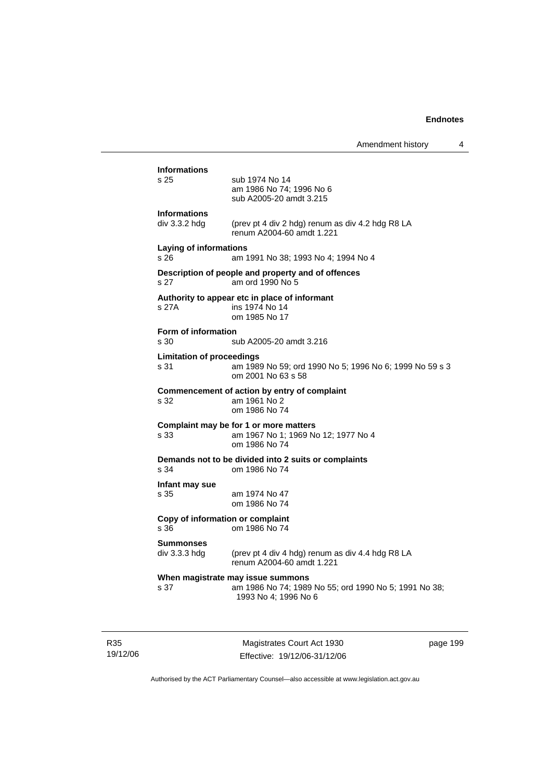|                                          | Amendment history                                                                                                  | 4 |
|------------------------------------------|--------------------------------------------------------------------------------------------------------------------|---|
| <b>Informations</b><br>s 25              | sub 1974 No 14<br>am 1986 No 74; 1996 No 6<br>sub A2005-20 amdt 3.215                                              |   |
| <b>Informations</b><br>$div$ 3.3.2 hdg   | (prev pt 4 div 2 hdg) renum as div 4.2 hdg R8 LA<br>renum A2004-60 amdt 1.221                                      |   |
| <b>Laying of informations</b><br>s 26    | am 1991 No 38; 1993 No 4; 1994 No 4                                                                                |   |
| s 27                                     | Description of people and property and of offences<br>am ord 1990 No 5                                             |   |
| s 27A                                    | Authority to appear etc in place of informant<br>ins 1974 No 14<br>om 1985 No 17                                   |   |
| Form of information<br>s 30              | sub A2005-20 amdt 3.216                                                                                            |   |
| <b>Limitation of proceedings</b><br>s 31 | am 1989 No 59; ord 1990 No 5; 1996 No 6; 1999 No 59 s 3<br>om 2001 No 63 s 58                                      |   |
| s 32                                     | Commencement of action by entry of complaint<br>am 1961 No 2<br>om 1986 No 74                                      |   |
| s 33                                     | Complaint may be for 1 or more matters<br>am 1967 No 1; 1969 No 12; 1977 No 4<br>om 1986 No 74                     |   |
| s 34                                     | Demands not to be divided into 2 suits or complaints<br>om 1986 No 74                                              |   |
| Infant may sue<br>s 35                   | am 1974 No 47<br>om 1986 No 74                                                                                     |   |
| Copy of information or complaint<br>s 36 | om 1986 No 74                                                                                                      |   |
| Summonses<br>div 3.3.3 hdg               | (prev pt 4 div 4 hdg) renum as div 4.4 hdg R8 LA<br>renum A2004-60 amdt 1.221                                      |   |
| s 37                                     | When magistrate may issue summons<br>am 1986 No 74; 1989 No 55; ord 1990 No 5; 1991 No 38;<br>1993 No 4; 1996 No 6 |   |
|                                          |                                                                                                                    |   |

R35 19/12/06

Magistrates Court Act 1930 Effective: 19/12/06-31/12/06 page 199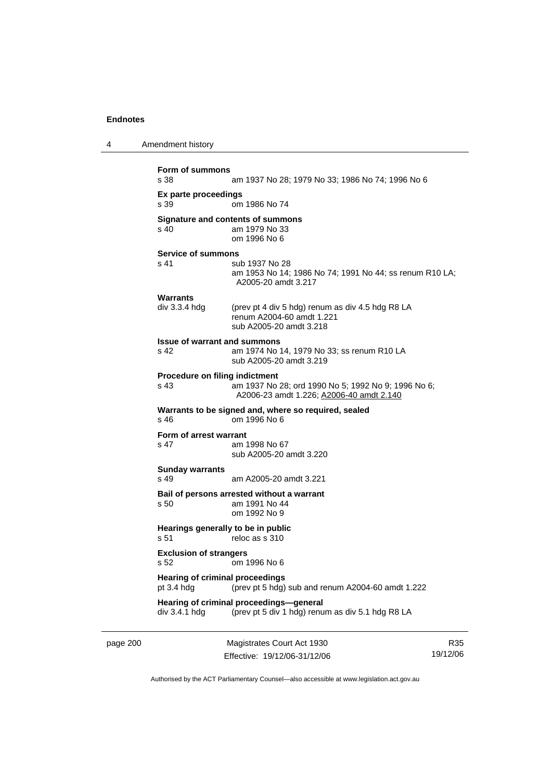```
Form of summons 
                 am 1937 No 28; 1979 No 33; 1986 No 74; 1996 No 6
Ex parte proceedings 
                 om 1986 No 74
Signature and contents of summons<br>s 40 am 1979 No 33
                 am 1979 No 33
                  om 1996 No 6 
Service of summons 
s 41 sub 1937 No 28
                  am 1953 No 14; 1986 No 74; 1991 No 44; ss renum R10 LA; 
                  A2005-20 amdt 3.217 
Warrants 
div 3.3.4 hdg (prev pt 4 div 5 hdg) renum as div 4.5 hdg R8 LA 
                  renum A2004-60 amdt 1.221 
                  sub A2005-20 amdt 3.218 
Issue of warrant and summons<br>S 42 am 1974 No
                 am 1974 No 14, 1979 No 33; ss renum R10 LA
                  sub A2005-20 amdt 3.219 
Procedure on filing indictment 
s 43 am 1937 No 28; ord 1990 No 5; 1992 No 9; 1996 No 6; 
                  A2006-23 amdt 1.226; A2006-40 amdt 2.140
Warrants to be signed and, where so required, sealed 
s 46 om 1996 No 6 
Form of arrest warrant 
s 47 am 1998 No 67 
                  sub A2005-20 amdt 3.220 
Sunday warrants 
s 49 am A2005-20 amdt 3.221 
Bail of persons arrested without a warrant 
s 50 am 1991 No 44 
                  om 1992 No 9 
Hearings generally to be in public 
s 51 reloc as s 310
Exclusion of strangers 
s 52 om 1996 No 6 
Hearing of criminal proceedings 
pt 3.4 hdg (prev pt 5 hdg) sub and renum A2004-60 amdt 1.222 
Hearing of criminal proceedings—general 
div 3.4.1 hdg (prev pt 5 div 1 hdg) renum as div 5.1 hdg R8 LA
```
page 200 Magistrates Court Act 1930 Effective: 19/12/06-31/12/06

R35 19/12/06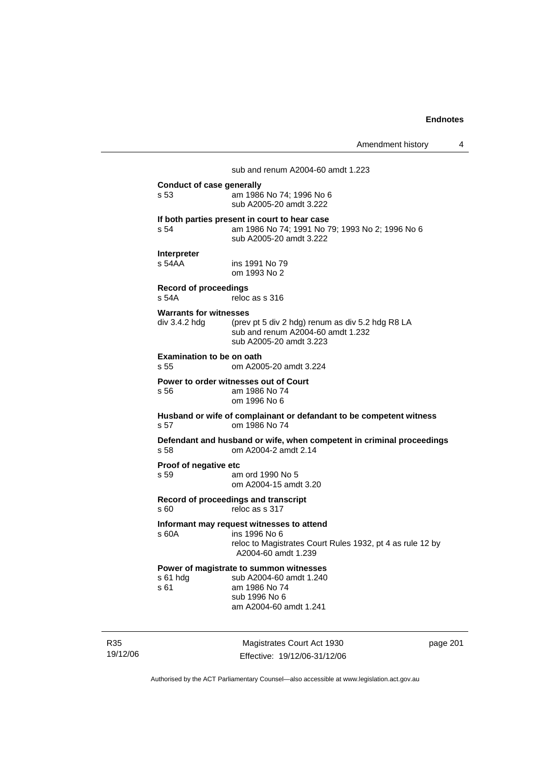### sub and renum A2004-60 amdt 1.223

| <b>Conduct of case generally</b><br>s 53       | am 1986 No 74; 1996 No 6<br>sub A2005-20 amdt 3.222                                                                                            |
|------------------------------------------------|------------------------------------------------------------------------------------------------------------------------------------------------|
| s 54                                           | If both parties present in court to hear case<br>am 1986 No 74; 1991 No 79; 1993 No 2; 1996 No 6<br>sub A2005-20 amdt 3.222                    |
| <b>Interpreter</b><br>s 54AA                   | ins 1991 No 79<br>om 1993 No 2                                                                                                                 |
| <b>Record of proceedings</b><br>s.54A          | reloc as s 316                                                                                                                                 |
| <b>Warrants for witnesses</b><br>div 3.4.2 hdg | (prev pt 5 div 2 hdg) renum as div 5.2 hdg R8 LA<br>sub and renum A2004-60 amdt 1.232<br>sub A2005-20 amdt 3.223                               |
| <b>Examination to be on oath</b><br>s 55       | om A2005-20 amdt 3.224                                                                                                                         |
| s 56                                           | Power to order witnesses out of Court<br>am 1986 No 74<br>om 1996 No 6                                                                         |
| s 57                                           | Husband or wife of complainant or defandant to be competent witness<br>om 1986 No 74                                                           |
| s 58                                           | Defendant and husband or wife, when competent in criminal proceedings<br>om A2004-2 amdt 2.14                                                  |
| Proof of negative etc<br>s 59                  | am ord 1990 No 5<br>om A2004-15 amdt 3.20                                                                                                      |
| s 60                                           | Record of proceedings and transcript<br>reloc as s 317                                                                                         |
| s 60A                                          | Informant may request witnesses to attend<br>ins 1996 No 6<br>reloc to Magistrates Court Rules 1932, pt 4 as rule 12 by<br>A2004-60 amdt 1.239 |
| s 61 hdg<br>s 61                               | Power of magistrate to summon witnesses<br>sub A2004-60 amdt 1.240<br>am 1986 No 74<br>sub 1996 No 6<br>am A2004-60 amdt 1.241                 |

R35 19/12/06

Magistrates Court Act 1930 Effective: 19/12/06-31/12/06 page 201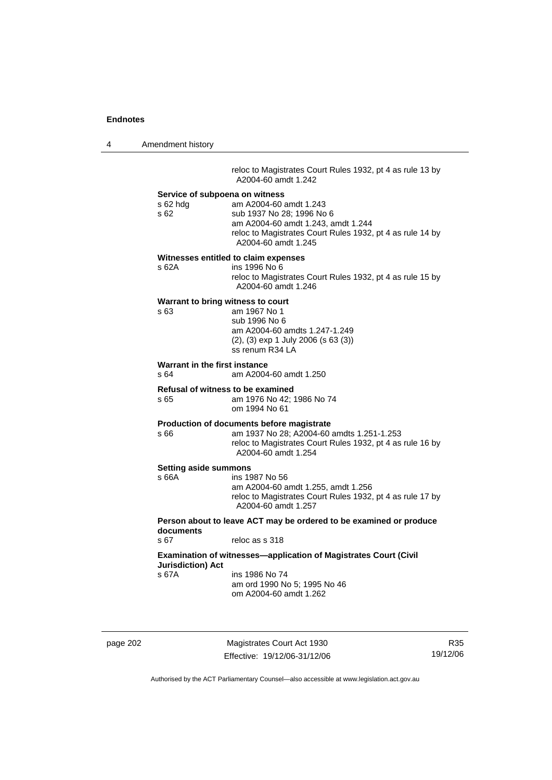4 Amendment history reloc to Magistrates Court Rules 1932, pt 4 as rule 13 by A2004-60 amdt 1.242 **Service of subpoena on witness**  s 62 hdg am A2004-60 amdt 1.243 s 62 sub 1937 No 28; 1996 No 6 am A2004-60 amdt 1.243, amdt 1.244 reloc to Magistrates Court Rules 1932, pt 4 as rule 14 by A2004-60 amdt 1.245 **Witnesses entitled to claim expenses**  s 62A ins 1996 No 6 reloc to Magistrates Court Rules 1932, pt 4 as rule 15 by A2004-60 amdt 1.246 **Warrant to bring witness to court**  s 63 am 1967 No 1 sub 1996 No 6 am A2004-60 amdts 1.247-1.249 (2), (3) exp 1 July 2006 (s 63 (3)) ss renum R34 LA **Warrant in the first instance**  s 64 am A2004-60 amdt 1.250 **Refusal of witness to be examined**  s 65 am 1976 No 42; 1986 No 74 om 1994 No 61 **Production of documents before magistrate**  s 66 am 1937 No 28; A2004-60 amdts 1.251-1.253 reloc to Magistrates Court Rules 1932, pt 4 as rule 16 by A2004-60 amdt 1.254 **Setting aside summons**  s 66A ins 1987 No 56 am A2004-60 amdt 1.255, amdt 1.256 reloc to Magistrates Court Rules 1932, pt 4 as rule 17 by A2004-60 amdt 1.257 **Person about to leave ACT may be ordered to be examined or produce documents**  s 67 reloc as s 318 **Examination of witnesses—application of Magistrates Court (Civil Jurisdiction) Act**  s 67A ins 1986 No 74 am ord 1990 No 5; 1995 No 46 om A2004-60 amdt 1.262

page 202 Magistrates Court Act 1930 Effective: 19/12/06-31/12/06

R35 19/12/06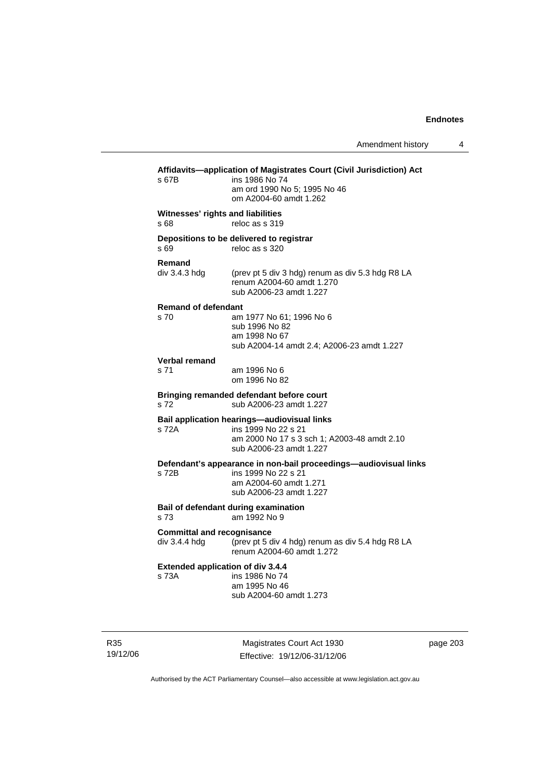| s 67B                                              | Affidavits-application of Magistrates Court (Civil Jurisdiction) Act<br>ins 1986 No 74<br>am ord 1990 No 5; 1995 No 46<br>om A2004-60 amdt 1.262 |
|----------------------------------------------------|--------------------------------------------------------------------------------------------------------------------------------------------------|
| Witnesses' rights and liabilities<br>s 68          | reloc as s 319                                                                                                                                   |
| s 69                                               | Depositions to be delivered to registrar<br>reloc as s 320                                                                                       |
| Remand<br>div 3.4.3 hdg                            | (prev pt 5 div 3 hdg) renum as div 5.3 hdg R8 LA<br>renum A2004-60 amdt 1.270<br>sub A2006-23 amdt 1.227                                         |
| <b>Remand of defendant</b><br>s 70                 | am 1977 No 61; 1996 No 6<br>sub 1996 No 82<br>am 1998 No 67<br>sub A2004-14 amdt 2.4; A2006-23 amdt 1.227                                        |
| <b>Verbal remand</b><br>s 71                       | am 1996 No 6<br>om 1996 No 82                                                                                                                    |
| s 72                                               | Bringing remanded defendant before court<br>sub A2006-23 amdt 1.227                                                                              |
| s 72A                                              | Bail application hearings-audiovisual links<br>ins 1999 No 22 s 21<br>am 2000 No 17 s 3 sch 1; A2003-48 amdt 2.10<br>sub A2006-23 amdt 1.227     |
| s 72B                                              | Defendant's appearance in non-bail proceedings-audiovisual links<br>ins 1999 No 22 s 21<br>am A2004-60 amdt 1.271<br>sub A2006-23 amdt 1.227     |
| s 73                                               | Bail of defendant during examination<br>am 1992 No 9                                                                                             |
| <b>Committal and recognisance</b><br>div 3.4.4 hdg | (prev pt 5 div 4 hdg) renum as div 5.4 hdg R8 LA<br>renum A2004-60 amdt 1.272                                                                    |
| <b>Extended application of div 3.4.4</b><br>s 73A  | ins 1986 No 74<br>am 1995 No 46<br>sub A2004-60 amdt 1.273                                                                                       |
|                                                    |                                                                                                                                                  |

R35 19/12/06

Magistrates Court Act 1930 Effective: 19/12/06-31/12/06 page 203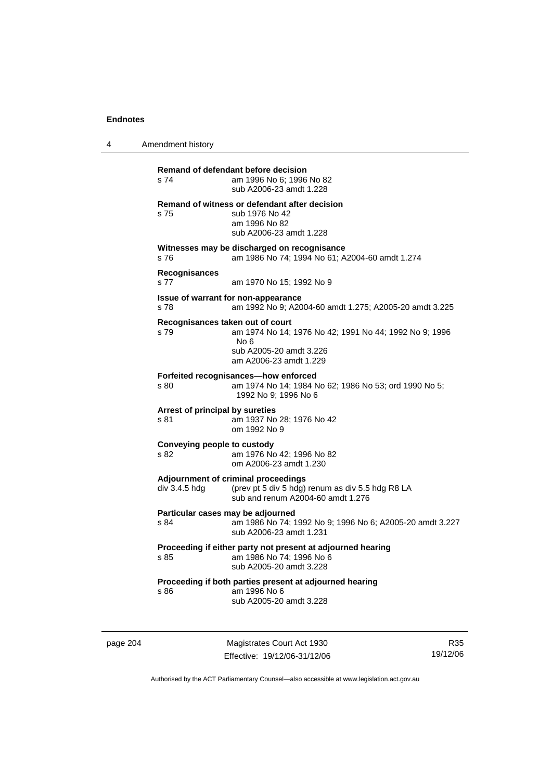4 Amendment history

**Remand of defendant before decision**  s 74 am 1996 No 6; 1996 No 82 sub A2006-23 amdt 1.228 **Remand of witness or defendant after decision**  s 75 sub 1976 No 42 am 1996 No 82 sub A2006-23 amdt 1.228 **Witnesses may be discharged on recognisance**  s 76 am 1986 No 74; 1994 No 61; A2004-60 amdt 1.274 **Recognisances**  s 77 am 1970 No 15; 1992 No 9 **Issue of warrant for non-appearance**  s 78 am 1992 No 9; A2004-60 amdt 1.275; A2005-20 amdt 3.225 **Recognisances taken out of court**  s 79 am 1974 No 14; 1976 No 42; 1991 No 44; 1992 No 9; 1996 No 6 sub A2005-20 amdt 3.226 am A2006-23 amdt 1.229 **Forfeited recognisances—how enforced**  s 80 am 1974 No 14; 1984 No 62; 1986 No 53; ord 1990 No 5; 1992 No 9; 1996 No 6 **Arrest of principal by sureties**  s 81 am 1937 No 28; 1976 No 42 om 1992 No 9 **Conveying people to custody**  s 82 am 1976 No 42; 1996 No 82 om A2006-23 amdt 1.230 **Adjournment of criminal proceedings**  div 3.4.5 hdg (prev pt 5 div 5 hdg) renum as div 5.5 hdg R8 LA sub and renum A2004-60 amdt 1.276 **Particular cases may be adjourned**<br>s 84 am 1986 No 74; 1 am 1986 No 74; 1992 No 9; 1996 No 6; A2005-20 amdt 3.227 sub A2006-23 amdt 1.231 **Proceeding if either party not present at adjourned hearing**  s 85 am 1986 No 74; 1996 No 6 sub A2005-20 amdt 3.228 **Proceeding if both parties present at adjourned hearing**  s 86 am 1996 No 6 sub A2005-20 amdt 3.228

page 204 Magistrates Court Act 1930 Effective: 19/12/06-31/12/06

R35 19/12/06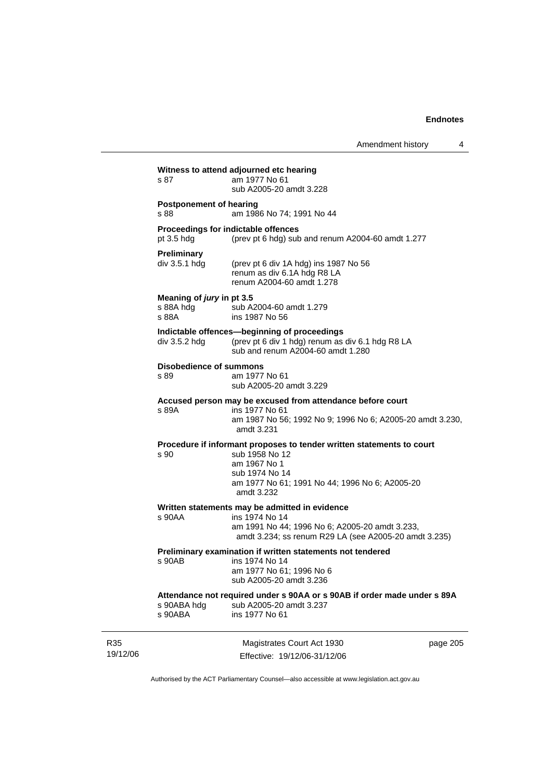Amendment history 4

|                 | s 87                                            | Witness to attend adjourned etc hearing<br>am 1977 No 61                                                                                                                                  |          |
|-----------------|-------------------------------------------------|-------------------------------------------------------------------------------------------------------------------------------------------------------------------------------------------|----------|
|                 |                                                 | sub A2005-20 amdt 3.228                                                                                                                                                                   |          |
|                 | <b>Postponement of hearing</b><br>s 88          | am 1986 No 74; 1991 No 44                                                                                                                                                                 |          |
|                 | $pt$ 3.5 hdg                                    | Proceedings for indictable offences<br>(prev pt 6 hdg) sub and renum A2004-60 amdt 1.277                                                                                                  |          |
|                 | <b>Preliminary</b><br>div 3.5.1 hdg             | (prev pt 6 div 1A hdg) ins 1987 No 56<br>renum as div 6.1A hdg R8 LA<br>renum A2004-60 amdt 1.278                                                                                         |          |
|                 | Meaning of jury in pt 3.5<br>s 88A hdg<br>s 88A | sub A2004-60 amdt 1.279<br>ins 1987 No 56                                                                                                                                                 |          |
|                 | div 3.5.2 hdg                                   | Indictable offences-beginning of proceedings<br>(prev pt 6 div 1 hdg) renum as div 6.1 hdg R8 LA<br>sub and renum A2004-60 amdt 1.280                                                     |          |
|                 | <b>Disobedience of summons</b><br>s 89          | am 1977 No 61<br>sub A2005-20 amdt 3.229                                                                                                                                                  |          |
|                 | s 89A                                           | Accused person may be excused from attendance before court<br>ins 1977 No 61<br>am 1987 No 56; 1992 No 9; 1996 No 6; A2005-20 amdt 3.230,<br>amdt 3.231                                   |          |
|                 | s 90                                            | Procedure if informant proposes to tender written statements to court<br>sub 1958 No 12<br>am 1967 No 1<br>sub 1974 No 14<br>am 1977 No 61; 1991 No 44; 1996 No 6; A2005-20<br>amdt 3.232 |          |
|                 | $s$ 90AA                                        | Written statements may be admitted in evidence<br>ins 1974 No 14<br>am 1991 No 44; 1996 No 6; A2005-20 amdt 3.233,<br>amdt 3.234; ss renum R29 LA (see A2005-20 amdt 3.235)               |          |
|                 | s 90AB                                          | Preliminary examination if written statements not tendered<br>ins 1974 No 14<br>am 1977 No 61; 1996 No 6<br>sub A2005-20 amdt 3.236                                                       |          |
|                 | s 90ABA hdg<br>s 90ABA                          | Attendance not required under s 90AA or s 90AB if order made under s 89A<br>sub A2005-20 amdt 3.237<br>ins 1977 No 61                                                                     |          |
| R35<br>19/12/06 |                                                 | Magistrates Court Act 1930<br>Effective: 19/12/06-31/12/06                                                                                                                                | page 205 |

Authorised by the ACT Parliamentary Counsel—also accessible at www.legislation.act.gov.au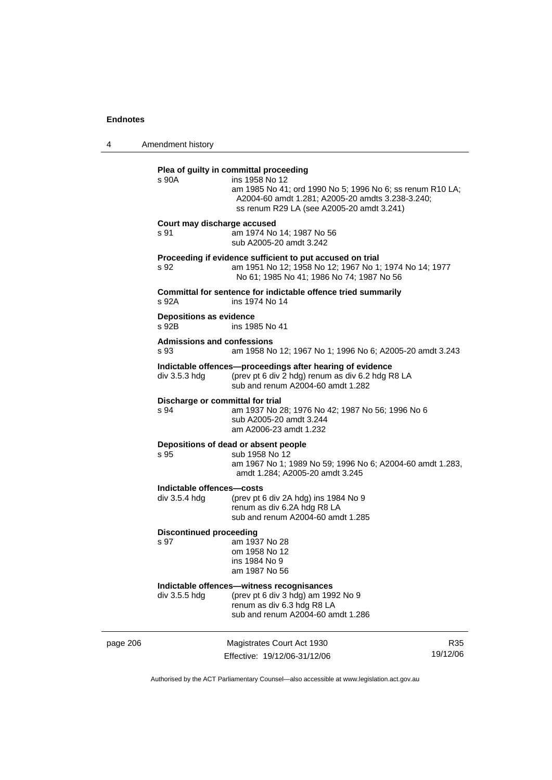4 Amendment history

### **Plea of guilty in committal proceeding**

| s 90A | ins 1958 No 12                                            |
|-------|-----------------------------------------------------------|
|       | am 1985 No 41; ord 1990 No 5; 1996 No 6; ss renum R10 LA; |
|       | A2004-60 amdt 1.281; A2005-20 amdts 3.238-3.240;          |
|       | ss renum R29 LA (see A2005-20 amdt 3.241)                 |
|       |                                                           |

### **Court may discharge accused**

s 91 am 1974 No 14; 1987 No 56 sub A2005-20 amdt 3.242

### **Proceeding if evidence sufficient to put accused on trial**

s 92 am 1951 No 12; 1958 No 12; 1967 No 1; 1974 No 14; 1977 No 61; 1985 No 41; 1986 No 74; 1987 No 56

**Committal for sentence for indictable offence tried summarily**  s 92A ins 1974 No 14

# **Depositions as evidence**

ins 1985 No 41

### **Admissions and confessions**

s 93 am 1958 No 12; 1967 No 1; 1996 No 6; A2005-20 amdt 3.243

### **Indictable offences—proceedings after hearing of evidence**  div 3.5.3 hdg (prev pt 6 div 2 hdg) renum as div 6.2 hdg R8 LA

sub and renum A2004-60 amdt 1.282

### **Discharge or committal for trial**

s 94 am 1937 No 28; 1976 No 42; 1987 No 56; 1996 No 6 sub A2005-20 amdt 3.244 am A2006-23 amdt 1.232

#### **Depositions of dead or absent people**

### s 95 sub 1958 No 12

 am 1967 No 1; 1989 No 59; 1996 No 6; A2004-60 amdt 1.283, amdt 1.284; A2005-20 amdt 3.245

#### **Indictable offences—costs**

div 3.5.4 hdg (prev pt 6 div 2A hdg) ins 1984 No 9 renum as div 6.2A hdg R8 LA sub and renum A2004-60 amdt 1.285

#### **Discontinued proceeding**

s 97 am 1937 No 28 om 1958 No 12 ins 1984 No 9 am 1987 No 56

### **Indictable offences—witness recognisances**

div 3.5.5 hdg (prev pt 6 div 3 hdg) am 1992 No 9 renum as div 6.3 hdg R8 LA sub and renum A2004-60 amdt 1.286

page 206 Magistrates Court Act 1930 Effective: 19/12/06-31/12/06

R35 19/12/06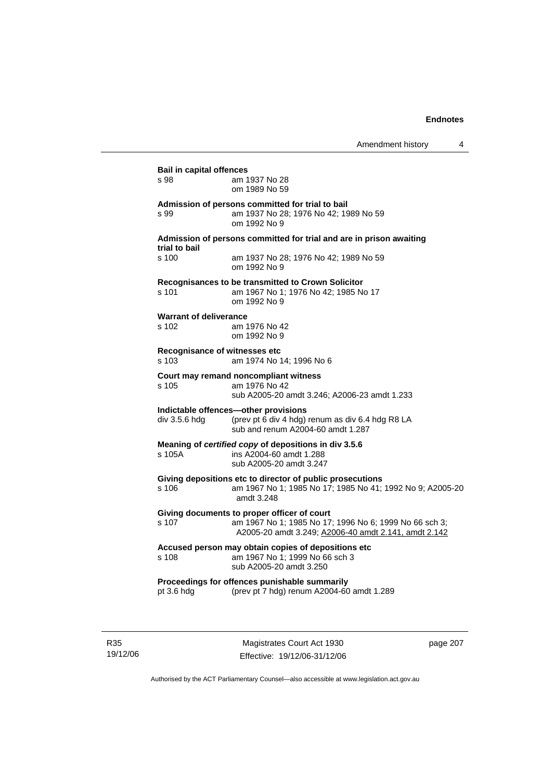| s 98                          | am 1937 No 28                                                       |
|-------------------------------|---------------------------------------------------------------------|
|                               | om 1989 No 59                                                       |
|                               | Admission of persons committed for trial to bail                    |
| s 99                          | am 1937 No 28; 1976 No 42; 1989 No 59                               |
|                               | om 1992 No 9                                                        |
|                               | Admission of persons committed for trial and are in prison awaiting |
| trial to bail                 |                                                                     |
| s 100                         | am 1937 No 28; 1976 No 42; 1989 No 59<br>om 1992 No 9               |
|                               | Recognisances to be transmitted to Crown Solicitor                  |
| s 101                         | am 1967 No 1; 1976 No 42; 1985 No 17                                |
|                               | om 1992 No 9                                                        |
| <b>Warrant of deliverance</b> |                                                                     |
| s 102                         | am 1976 No 42                                                       |
|                               | om 1992 No 9                                                        |
| Recognisance of witnesses etc |                                                                     |
| s 103                         | am 1974 No 14; 1996 No 6                                            |
|                               | Court may remand noncompliant witness                               |
| s 105                         | am 1976 No 42                                                       |
|                               | sub A2005-20 amdt 3.246; A2006-23 amdt 1.233                        |
|                               | Indictable offences-other provisions                                |
| div 3.5.6 hdg                 | (prev pt 6 div 4 hdg) renum as div 6.4 hdg R8 LA                    |
|                               | sub and renum A2004-60 amdt 1.287                                   |
|                               | Meaning of certified copy of depositions in div 3.5.6               |
| s 105A                        | ins A2004-60 amdt 1.288                                             |
|                               | sub A2005-20 amdt 3.247                                             |
|                               | Giving depositions etc to director of public prosecutions           |
| s <sub>106</sub>              | am 1967 No 1; 1985 No 17; 1985 No 41; 1992 No 9; A2005-20           |
|                               | amdt 3.248                                                          |
|                               | Giving documents to proper officer of court                         |
| s 107                         | am 1967 No 1; 1985 No 17; 1996 No 6; 1999 No 66 sch 3;              |
|                               | A2005-20 amdt 3.249; A2006-40 amdt 2.141, amdt 2.142                |
|                               | Accused person may obtain copies of depositions etc                 |
| s 108                         | am 1967 No 1; 1999 No 66 sch 3                                      |
|                               | sub A2005-20 amdt 3.250                                             |
|                               | Proceedings for offences punishable summarily                       |
|                               |                                                                     |

R35 19/12/06

Magistrates Court Act 1930 Effective: 19/12/06-31/12/06 page 207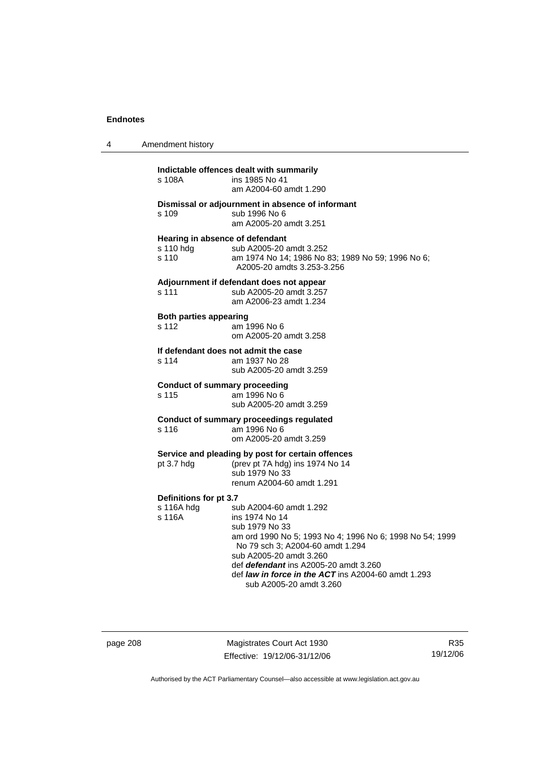| 4 | Amendment history                              |                                                                                                                                                                                                                                                                                                                                 |  |
|---|------------------------------------------------|---------------------------------------------------------------------------------------------------------------------------------------------------------------------------------------------------------------------------------------------------------------------------------------------------------------------------------|--|
|   | s 108A                                         | Indictable offences dealt with summarily<br>ins 1985 No 41<br>am A2004-60 amdt 1.290                                                                                                                                                                                                                                            |  |
|   | s 109                                          | Dismissal or adjournment in absence of informant<br>sub 1996 No 6<br>am A2005-20 amdt 3.251                                                                                                                                                                                                                                     |  |
|   | s 110 hdg<br>s 110                             | Hearing in absence of defendant<br>sub A2005-20 amdt 3.252<br>am 1974 No 14; 1986 No 83; 1989 No 59; 1996 No 6;<br>A2005-20 amdts 3.253-3.256                                                                                                                                                                                   |  |
|   | s 111                                          | Adjournment if defendant does not appear<br>sub A2005-20 amdt 3.257<br>am A2006-23 amdt 1.234                                                                                                                                                                                                                                   |  |
|   | <b>Both parties appearing</b><br>s 112         | am 1996 No 6<br>om A2005-20 amdt 3.258                                                                                                                                                                                                                                                                                          |  |
|   | s 114                                          | If defendant does not admit the case<br>am 1937 No 28<br>sub A2005-20 amdt 3.259                                                                                                                                                                                                                                                |  |
|   | s 115                                          | <b>Conduct of summary proceeding</b><br>am 1996 No 6<br>sub A2005-20 amdt 3.259                                                                                                                                                                                                                                                 |  |
|   | s 116                                          | Conduct of summary proceedings regulated<br>am 1996 No 6<br>om A2005-20 amdt 3.259                                                                                                                                                                                                                                              |  |
|   | pt 3.7 hdg                                     | Service and pleading by post for certain offences<br>(prev pt 7A hdg) ins 1974 No 14<br>sub 1979 No 33<br>renum A2004-60 amdt 1.291                                                                                                                                                                                             |  |
|   | Definitions for pt 3.7<br>s 116A hdg<br>s 116A | sub A2004-60 amdt 1.292<br>ins 1974 No 14<br>sub 1979 No 33<br>am ord 1990 No 5; 1993 No 4; 1996 No 6; 1998 No 54; 1999<br>No 79 sch 3; A2004-60 amdt 1.294<br>sub A2005-20 amdt 3.260<br>def <i>defendant</i> ins A2005-20 amdt 3.260<br>def <i>law in force in the ACT</i> ins A2004-60 amdt 1.293<br>sub A2005-20 amdt 3.260 |  |

page 208 Magistrates Court Act 1930 Effective: 19/12/06-31/12/06

R35 19/12/06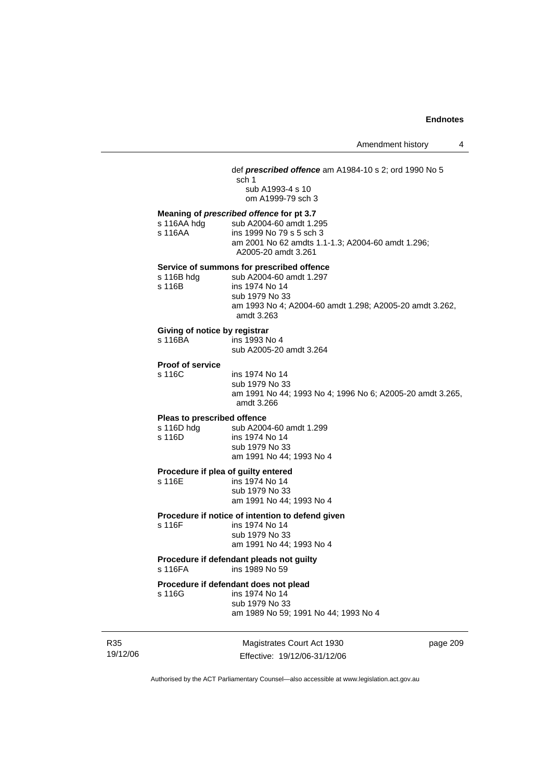### def *prescribed offence* am A1984-10 s 2; ord 1990 No 5

sch 1 sub A1993-4 s 10 om A1999-79 sch 3

### **Meaning of** *prescribed offence* **for pt 3.7**

s 116AA hdg sub A2004-60 amdt 1.295 s 116AA ins 1999 No 79 s 5 sch 3 am 2001 No 62 amdts 1.1-1.3; A2004-60 amdt 1.296; A2005-20 amdt 3.261

#### **Service of summons for prescribed offence**

| s 116B hdg | sub A2004-60 amdt 1.297                                 |
|------------|---------------------------------------------------------|
| s 116B     | ins 1974 No 14                                          |
|            | sub 1979 No 33                                          |
|            | am 1993 No 4; A2004-60 amdt 1.298; A2005-20 amdt 3.262, |
|            | amdt 3.263                                              |

### **Giving of notice by registrar**

| s 116BA | ins 1993 No 4           |
|---------|-------------------------|
|         | sub A2005-20 amdt 3.264 |

### **Proof of service**

s 116C ins 1974 No 14 sub 1979 No 33 am 1991 No 44; 1993 No 4; 1996 No 6; A2005-20 amdt 3.265, amdt 3.266

#### **Pleas to prescribed offence**

s 116D hdg sub A2004-60 amdt 1.299 s 116D ins 1974 No 14 sub 1979 No 33 am 1991 No 44; 1993 No 4

# **Procedure if plea of guilty entered**<br>s 116E **ins 1974** No 14

ins 1974 No 14 sub 1979 No 33 am 1991 No 44; 1993 No 4

### **Procedure if notice of intention to defend given**

s 116F ins 1974 No 14 sub 1979 No 33 am 1991 No 44; 1993 No 4

#### **Procedure if defendant pleads not guilty**  s 116FA ins 1989 No 59

# **Procedure if defendant does not plead**<br>s 116G ins 1974 No 14

ins 1974 No 14 sub 1979 No 33

am 1989 No 59; 1991 No 44; 1993 No 4

R35 19/12/06

Magistrates Court Act 1930 Effective: 19/12/06-31/12/06 page 209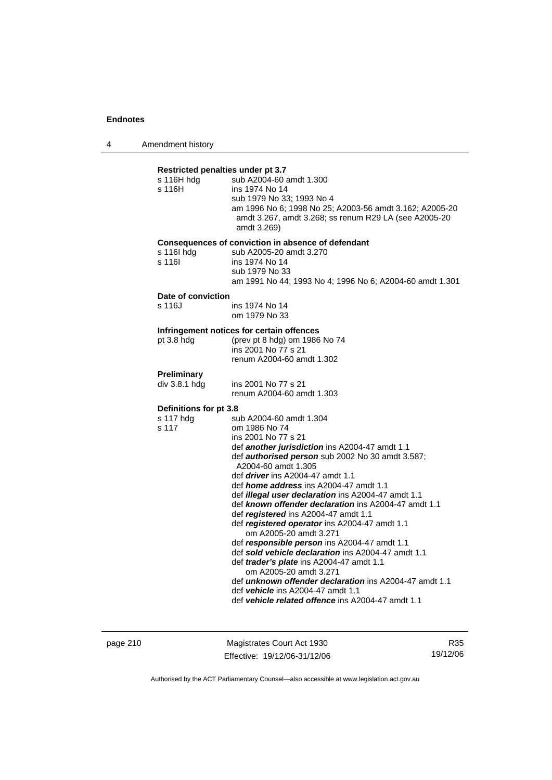4 Amendment history

| s 116H hdg<br>s 116H         | Restricted penalties under pt 3.7<br>sub A2004-60 amdt 1.300<br>ins 1974 No 14<br>sub 1979 No 33; 1993 No 4<br>am 1996 No 6; 1998 No 25; A2003-56 amdt 3.162; A2005-20<br>amdt 3.267, amdt 3.268; ss renum R29 LA (see A2005-20<br>amdt 3.269)                                                                                                                                                                                                                                                                                                                                                                                                                                                                                                                                                                                                                   |
|------------------------------|------------------------------------------------------------------------------------------------------------------------------------------------------------------------------------------------------------------------------------------------------------------------------------------------------------------------------------------------------------------------------------------------------------------------------------------------------------------------------------------------------------------------------------------------------------------------------------------------------------------------------------------------------------------------------------------------------------------------------------------------------------------------------------------------------------------------------------------------------------------|
| s 116l hdg<br>s 116l         | Consequences of conviction in absence of defendant<br>sub A2005-20 amdt 3.270<br>ins 1974 No 14<br>sub 1979 No 33<br>am 1991 No 44; 1993 No 4; 1996 No 6; A2004-60 amdt 1.301                                                                                                                                                                                                                                                                                                                                                                                                                                                                                                                                                                                                                                                                                    |
| Date of conviction<br>s 116J | ins 1974 No 14<br>om 1979 No 33                                                                                                                                                                                                                                                                                                                                                                                                                                                                                                                                                                                                                                                                                                                                                                                                                                  |
| pt 3.8 hdg                   | Infringement notices for certain offences<br>(prev pt 8 hdg) om 1986 No 74<br>ins 2001 No 77 s 21<br>renum A2004-60 amdt 1.302                                                                                                                                                                                                                                                                                                                                                                                                                                                                                                                                                                                                                                                                                                                                   |
| Preliminary<br>div 3.8.1 hdg | ins 2001 No 77 s 21<br>renum A2004-60 amdt 1.303                                                                                                                                                                                                                                                                                                                                                                                                                                                                                                                                                                                                                                                                                                                                                                                                                 |
| Definitions for pt 3.8       |                                                                                                                                                                                                                                                                                                                                                                                                                                                                                                                                                                                                                                                                                                                                                                                                                                                                  |
| s 117 hdg<br>s 117           | sub A2004-60 amdt 1.304<br>om 1986 No 74<br>ins 2001 No 77 s 21<br>def another jurisdiction ins A2004-47 amdt 1.1<br>def <i>authorised person</i> sub 2002 No 30 amdt 3.587;<br>A2004-60 amdt 1.305<br>def <i>driver</i> ins A2004-47 amdt 1.1<br>def <i>home address</i> ins A2004-47 amdt 1.1<br>def illegal user declaration ins A2004-47 amdt 1.1<br>def known offender declaration ins A2004-47 amdt 1.1<br>def registered ins A2004-47 amdt 1.1<br>def registered operator ins A2004-47 amdt 1.1<br>om A2005-20 amdt 3.271<br>def responsible person ins A2004-47 amdt 1.1<br>def sold vehicle declaration ins A2004-47 amdt 1.1<br>def trader's plate ins A2004-47 amdt 1.1<br>om A2005-20 amdt 3.271<br>def unknown offender declaration ins A2004-47 amdt 1.1<br>def vehicle ins A2004-47 amdt 1.1<br>def vehicle related offence ins A2004-47 amdt 1.1 |

page 210 Magistrates Court Act 1930 Effective: 19/12/06-31/12/06

R35 19/12/06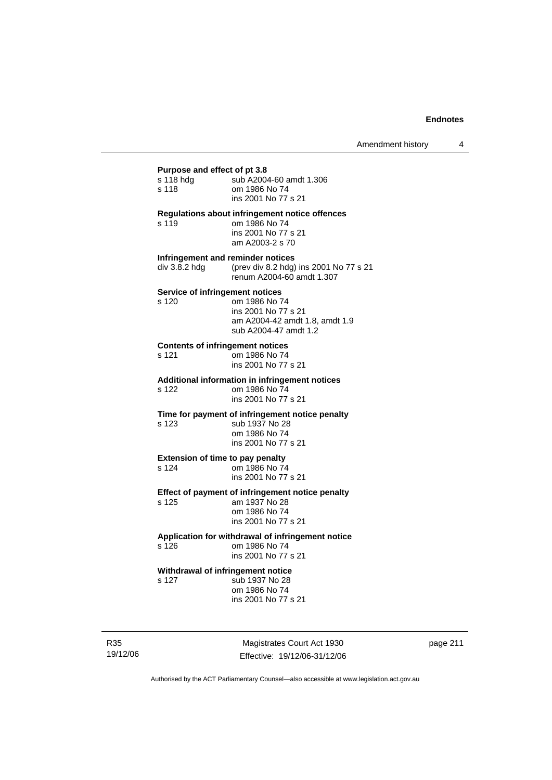### **Purpose and effect of pt 3.8**

| r urpose anu enect or pro.o             |                                                                                                           |
|-----------------------------------------|-----------------------------------------------------------------------------------------------------------|
| s 118 hdg                               | sub A2004-60 amdt 1.306                                                                                   |
| s 118                                   | om 1986 No 74                                                                                             |
|                                         | ins 2001 No 77 s 21                                                                                       |
| s 119                                   | Regulations about infringement notice offences<br>om 1986 No 74<br>ins 2001 No 77 s 21<br>am A2003-2 s 70 |
| Infringement and reminder notices       |                                                                                                           |
| div 3.8.2 hdg                           | (prev div 8.2 hdg) ins 2001 No 77 s 21<br>renum A2004-60 amdt 1.307                                       |
| Service of infringement notices         |                                                                                                           |
| s 120                                   | om 1986 No 74                                                                                             |
|                                         | ins 2001 No 77 s 21                                                                                       |
|                                         | am A2004-42 amdt 1.8, amdt 1.9<br>sub A2004-47 amdt 1.2                                                   |
|                                         |                                                                                                           |
| <b>Contents of infringement notices</b> |                                                                                                           |
| s 121                                   | om 1986 No 74<br>ins 2001 No 77 s 21                                                                      |
|                                         |                                                                                                           |
|                                         | Additional information in infringement notices<br>om 1986 No 74                                           |
| s 122                                   | ins 2001 No 77 s 21                                                                                       |
|                                         |                                                                                                           |
| s 123                                   | Time for payment of infringement notice penalty<br>sub 1937 No 28                                         |
|                                         | om 1986 No 74                                                                                             |
|                                         | ins 2001 No 77 s 21                                                                                       |
| <b>Extension of time to pay penalty</b> |                                                                                                           |
| s 124                                   | om 1986 No 74                                                                                             |
|                                         | ins 2001 No 77 s 21                                                                                       |
|                                         | Effect of payment of infringement notice penalty                                                          |
| s 125                                   | am 1937 No 28                                                                                             |
|                                         | om 1986 No 74                                                                                             |
|                                         | ins 2001 No 77 s 21                                                                                       |
|                                         | Application for withdrawal of infringement notice                                                         |
| s 126                                   | om 1986 No 74                                                                                             |
|                                         | ins 2001 No 77 s 21                                                                                       |
| Withdrawal of infringement notice       |                                                                                                           |
| s 127                                   | sub 1937 No 28                                                                                            |

 om 1986 No 74 ins 2001 No 77 s 21

R35 19/12/06

Magistrates Court Act 1930 Effective: 19/12/06-31/12/06 page 211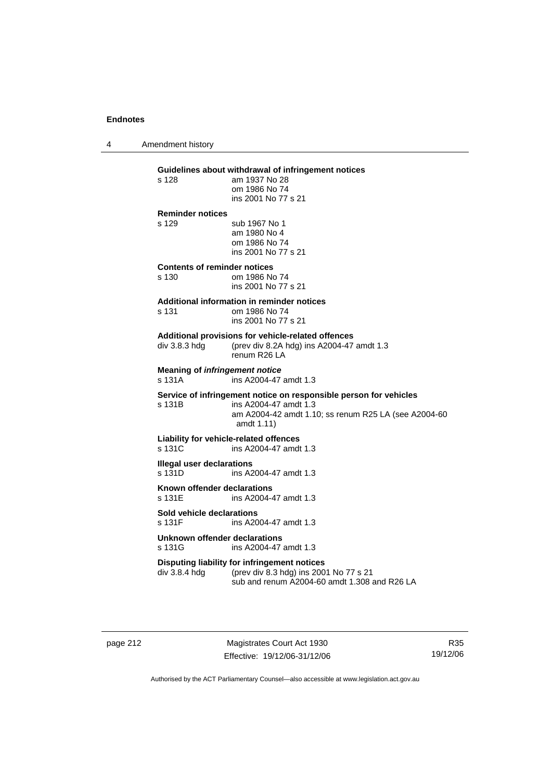4 Amendment history

### **Guidelines about withdrawal of infringement notices**

s 128 am 1937 No 28 om 1986 No 74 ins 2001 No 77 s 21 **Reminder notices**  s 129 sub 1967 No 1 am 1980 No 4 om 1986 No 74 ins 2001 No 77 s 21 **Contents of reminder notices**  s 130 om 1986 No 74 ins 2001 No 77 s 21

### **Additional information in reminder notices**

| s 131 | om 1986 No 74       |
|-------|---------------------|
|       | ins 2001 No 77 s 21 |

### **Additional provisions for vehicle-related offences**

div 3.8.3 hdg (prev div 8.2A hdg) ins A2004-47 amdt 1.3 renum R26 LA

**Meaning of** *infringement notice*<br>s 131A ins A2004-47 ins A2004-47 amdt 1.3

#### **Service of infringement notice on responsible person for vehicles**  s 131B ins A2004-47 amdt 1.3

 am A2004-42 amdt 1.10; ss renum R25 LA (see A2004-60 amdt 1.11)

### **Liability for vehicle-related offences**

s 131C ins A2004-47 amdt 1.3

# **Illegal user declarations**<br>s 131D **ins A2**

ins A2004-47 amdt 1.3

**Known offender declarations**  s 131E ins A2004-47 amdt 1.3

# **Sold vehicle declarations**

ins A2004-47 amdt 1.3

### **Unknown offender declarations**  s 131G ins A2004-47 amdt 1.3

# **Disputing liability for infringement notices**<br>div 3.8.4 hdg (prev div 8.3 hdg) ins 200

(prev div 8.3 hdg) ins 2001 No 77 s 21 sub and renum A2004-60 amdt 1.308 and R26 LA

page 212 Magistrates Court Act 1930 Effective: 19/12/06-31/12/06

R35 19/12/06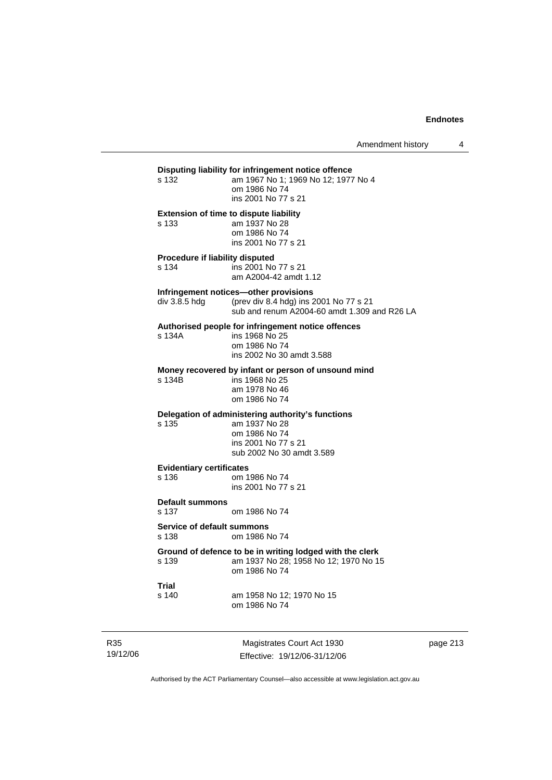### **Disputing liability for infringement notice offence**<br>s 132 am 1967 No 1: 1969 No 12: 1977 am 1967 No 1; 1969 No 12; 1977 No 4 om 1986 No 74 ins 2001 No 77 s 21 **Extension of time to dispute liability**  s 133 am 1937 No 28 om 1986 No 74 ins 2001 No 77 s 21 **Procedure if liability disputed**  s 134 ins 2001 No 77 s 21 am A2004-42 amdt 1.12 **Infringement notices—other provisions**<br>div 3.8.5 hdg (prev div 8.4 hdg) ins 2 (prev div 8.4 hdg) ins 2001 No 77 s 21 sub and renum A2004-60 amdt 1.309 and R26 LA **Authorised people for infringement notice offences**  s 134A ins 1968 No 25 om 1986 No 74 ins 2002 No 30 amdt 3.588 **Money recovered by infant or person of unsound mind**  ins 1968 No 25 am 1978 No 46 om 1986 No 74 **Delegation of administering authority's functions**  s 135 am 1937 No 28 om 1986 No 74 ins 2001 No 77 s 21 sub 2002 No 30 amdt 3.589 **Evidentiary certificates**  s 136 om 1986 No 74 ins 2001 No 77 s 21 **Default summons**  s 137 om 1986 No 74 **Service of default summons**  s 138 om 1986 No 74 **Ground of defence to be in writing lodged with the clerk**  s 139 am 1937 No 28; 1958 No 12; 1970 No 15 om 1986 No 74 **Trial**  s 140 am 1958 No 12; 1970 No 15 om 1986 No 74

R35 19/12/06

Magistrates Court Act 1930 Effective: 19/12/06-31/12/06 page 213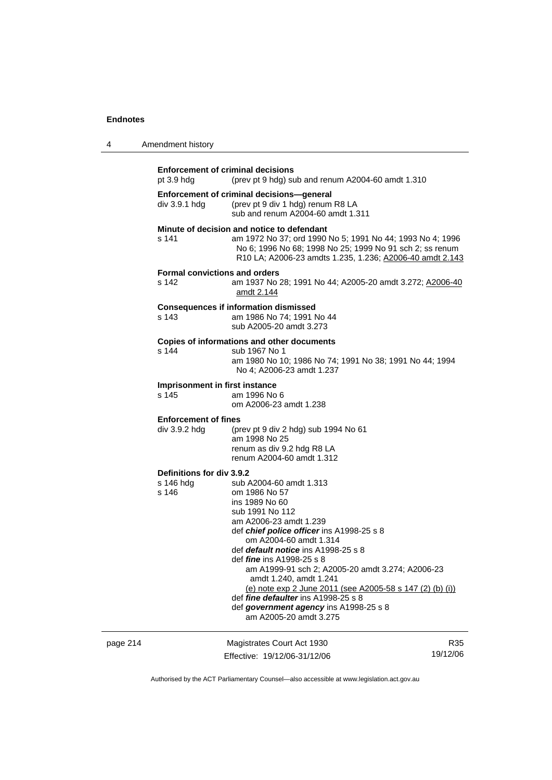| 4 | Amendment history |
|---|-------------------|
|---|-------------------|

|          | pt $3.9$ hdg                                    | <b>Enforcement of criminal decisions</b><br>(prev pt 9 hdg) sub and renum A2004-60 amdt 1.310                                                                                                                                                                                                                                                                                                                                                                                                                                 |     |
|----------|-------------------------------------------------|-------------------------------------------------------------------------------------------------------------------------------------------------------------------------------------------------------------------------------------------------------------------------------------------------------------------------------------------------------------------------------------------------------------------------------------------------------------------------------------------------------------------------------|-----|
|          | div 3.9.1 hdg                                   | Enforcement of criminal decisions-general<br>(prev pt 9 div 1 hdg) renum R8 LA<br>sub and renum A2004-60 amdt 1.311                                                                                                                                                                                                                                                                                                                                                                                                           |     |
|          | s 141                                           | Minute of decision and notice to defendant<br>am 1972 No 37; ord 1990 No 5; 1991 No 44; 1993 No 4; 1996<br>No 6; 1996 No 68; 1998 No 25; 1999 No 91 sch 2; ss renum<br>R10 LA; A2006-23 amdts 1.235, 1.236; A2006-40 amdt 2.143                                                                                                                                                                                                                                                                                               |     |
|          | <b>Formal convictions and orders</b><br>s 142   | am 1937 No 28; 1991 No 44; A2005-20 amdt 3.272; A2006-40<br>amdt 2.144                                                                                                                                                                                                                                                                                                                                                                                                                                                        |     |
|          | s 143                                           | <b>Consequences if information dismissed</b><br>am 1986 No 74; 1991 No 44<br>sub A2005-20 amdt 3.273                                                                                                                                                                                                                                                                                                                                                                                                                          |     |
|          | s 144                                           | Copies of informations and other documents<br>sub 1967 No 1<br>am 1980 No 10; 1986 No 74; 1991 No 38; 1991 No 44; 1994<br>No 4; A2006-23 amdt 1.237                                                                                                                                                                                                                                                                                                                                                                           |     |
|          | Imprisonment in first instance<br>s 145         | am 1996 No 6<br>om A2006-23 amdt 1.238                                                                                                                                                                                                                                                                                                                                                                                                                                                                                        |     |
|          | <b>Enforcement of fines</b><br>div 3.9.2 hdg    | (prev pt 9 div 2 hdg) sub 1994 No 61<br>am 1998 No 25<br>renum as div 9.2 hdg R8 LA<br>renum A2004-60 amdt 1.312                                                                                                                                                                                                                                                                                                                                                                                                              |     |
|          | Definitions for div 3.9.2<br>s 146 hdg<br>s 146 | sub A2004-60 amdt 1.313<br>om 1986 No 57<br>ins 1989 No 60<br>sub 1991 No 112<br>am A2006-23 amdt 1.239<br>def <i>chief police officer</i> ins A1998-25 s 8<br>om A2004-60 amdt 1.314<br>def <i>default notice</i> ins A1998-25 s 8<br>def <i>fine</i> ins A1998-25 s 8<br>am A1999-91 sch 2; A2005-20 amdt 3.274; A2006-23<br>amdt 1.240, amdt 1.241<br>(e) note exp 2 June 2011 (see A2005-58 s 147 (2) (b) (i))<br>def fine defaulter ins A1998-25 s 8<br>def government agency ins A1998-25 s 8<br>am A2005-20 amdt 3.275 |     |
| page 214 |                                                 | Magistrates Court Act 1930                                                                                                                                                                                                                                                                                                                                                                                                                                                                                                    | R35 |

Authorised by the ACT Parliamentary Counsel—also accessible at www.legislation.act.gov.au

19/12/06

Effective: 19/12/06-31/12/06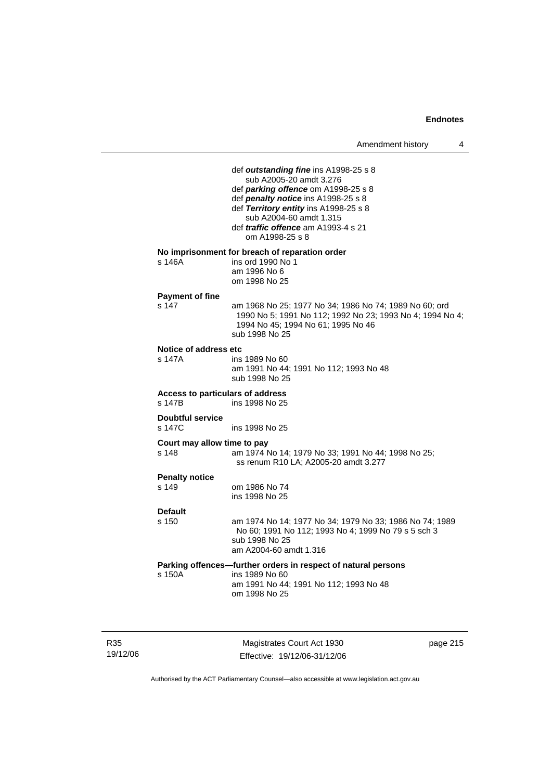|                                            | Amendment history<br>4                                                                                                                                                                                                                                                              |
|--------------------------------------------|-------------------------------------------------------------------------------------------------------------------------------------------------------------------------------------------------------------------------------------------------------------------------------------|
|                                            | def outstanding fine ins A1998-25 s 8<br>sub A2005-20 amdt 3.276<br>def parking offence om A1998-25 s 8<br>def penalty notice ins A1998-25 s 8<br>def Territory entity ins A1998-25 s 8<br>sub A2004-60 amdt 1.315<br>def <i>traffic</i> offence am A1993-4 s 21<br>om A1998-25 s 8 |
| s 146A                                     | No imprisonment for breach of reparation order<br>ins ord 1990 No 1<br>am 1996 No 6<br>om 1998 No 25                                                                                                                                                                                |
| <b>Payment of fine</b><br>s 147            | am 1968 No 25; 1977 No 34; 1986 No 74; 1989 No 60; ord<br>1990 No 5; 1991 No 112; 1992 No 23; 1993 No 4; 1994 No 4;<br>1994 No 45; 1994 No 61; 1995 No 46<br>sub 1998 No 25                                                                                                         |
| Notice of address etc<br>s 147A            | ins 1989 No 60<br>am 1991 No 44; 1991 No 112; 1993 No 48<br>sub 1998 No 25                                                                                                                                                                                                          |
| Access to particulars of address<br>s 147B | ins 1998 No 25                                                                                                                                                                                                                                                                      |
| <b>Doubtful service</b><br>s 147C          | ins 1998 No 25                                                                                                                                                                                                                                                                      |
| Court may allow time to pay<br>s 148       | am 1974 No 14; 1979 No 33; 1991 No 44; 1998 No 25;<br>ss renum R10 LA; A2005-20 amdt 3.277                                                                                                                                                                                          |
| <b>Penalty notice</b><br>s 149             | om 1986 No 74<br>ins 1998 No 25                                                                                                                                                                                                                                                     |
| <b>Default</b><br>s 150                    | am 1974 No 14; 1977 No 34; 1979 No 33; 1986 No 74; 1989<br>No 60; 1991 No 112; 1993 No 4; 1999 No 79 s 5 sch 3<br>sub 1998 No 25<br>am A2004-60 amdt 1.316                                                                                                                          |
| s 150A                                     | Parking offences-further orders in respect of natural persons<br>ins 1989 No 60<br>am 1991 No 44; 1991 No 112; 1993 No 48<br>om 1998 No 25                                                                                                                                          |
|                                            |                                                                                                                                                                                                                                                                                     |

R35 19/12/06

Magistrates Court Act 1930 Effective: 19/12/06-31/12/06 page 215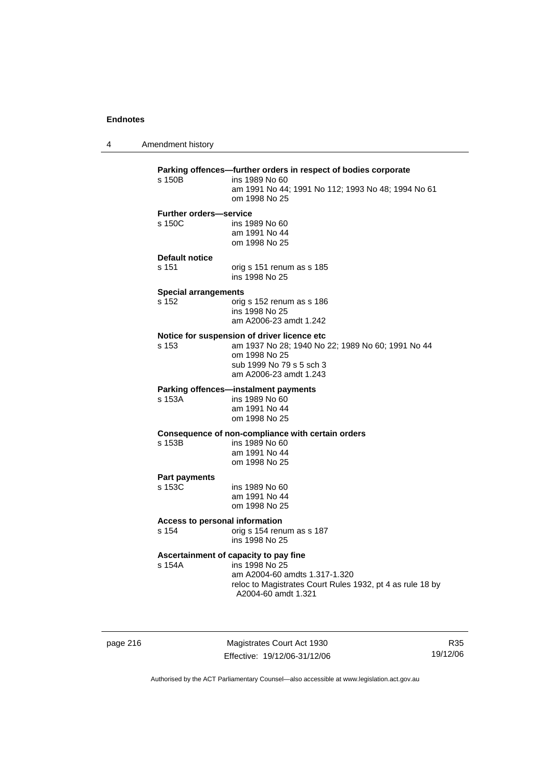4 Amendment history

| <b>Further orders-service</b>  | am 1991 No 44; 1991 No 112; 1993 No 48; 1994 No 61                                               |
|--------------------------------|--------------------------------------------------------------------------------------------------|
|                                | om 1998 No 25                                                                                    |
|                                |                                                                                                  |
| s 150C                         | ins 1989 No 60                                                                                   |
|                                | am 1991 No 44<br>om 1998 No 25                                                                   |
| Default notice                 |                                                                                                  |
| s 151                          | orig s 151 renum as s 185<br>ins 1998 No 25                                                      |
| <b>Special arrangements</b>    |                                                                                                  |
| s 152                          | orig s 152 renum as s 186                                                                        |
|                                | ins 1998 No 25<br>am A2006-23 amdt 1.242                                                         |
|                                |                                                                                                  |
| s 153                          | Notice for suspension of driver licence etc<br>am 1937 No 28; 1940 No 22; 1989 No 60; 1991 No 44 |
|                                | om 1998 No 25                                                                                    |
|                                | sub 1999 No 79 s 5 sch 3                                                                         |
|                                | am A2006-23 amdt 1.243                                                                           |
|                                | Parking offences-instalment payments                                                             |
| s 153A                         | ins 1989 No 60                                                                                   |
|                                | am 1991 No 44<br>om 1998 No 25                                                                   |
|                                |                                                                                                  |
| s 153B                         | Consequence of non-compliance with certain orders<br>ins 1989 No 60                              |
|                                | am 1991 No 44                                                                                    |
|                                | om 1998 No 25                                                                                    |
| <b>Part payments</b>           |                                                                                                  |
| s 153C                         | ins 1989 No 60                                                                                   |
|                                | am 1991 No 44                                                                                    |
|                                | om 1998 No 25                                                                                    |
| Access to personal information |                                                                                                  |
| s 154                          | orig s 154 renum as s 187                                                                        |
|                                | ins 1998 No 25                                                                                   |
|                                | Ascertainment of capacity to pay fine                                                            |
| s 154A                         | ins 1998 No 25<br>am A2004-60 amdts 1.317-1.320                                                  |
|                                | reloc to Magistrates Court Rules 1932, pt 4 as rule 18 by                                        |
|                                | A2004-60 amdt 1.321                                                                              |

page 216 Magistrates Court Act 1930 Effective: 19/12/06-31/12/06

R35 19/12/06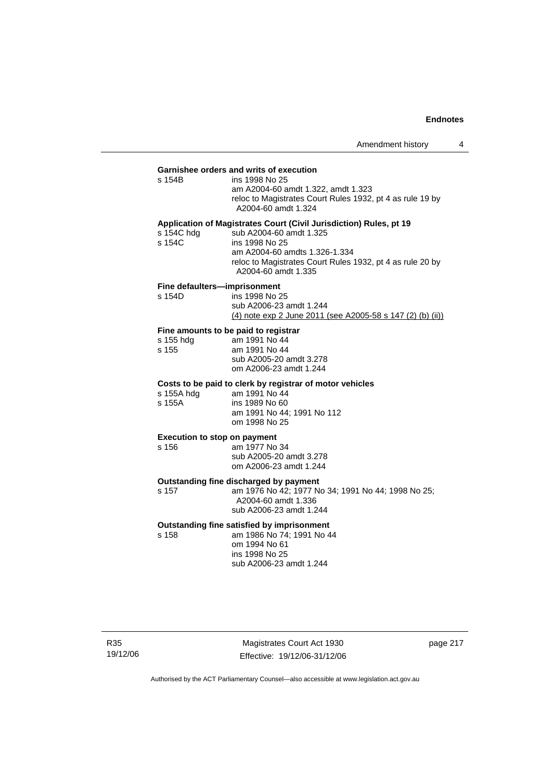# **Garnishee orders and writs of execution**

ins 1998 No 25 am A2004-60 amdt 1.322, amdt 1.323 reloc to Magistrates Court Rules 1932, pt 4 as rule 19 by A2004-60 amdt 1.324

#### **Application of Magistrates Court (Civil Jurisdiction) Rules, pt 19**

| s 154C hdg | sub A2004-60 amdt 1.325                                   |
|------------|-----------------------------------------------------------|
| s 154C     | ins 1998 No 25                                            |
|            | am A2004-60 amdts 1.326-1.334                             |
|            | reloc to Magistrates Court Rules 1932, pt 4 as rule 20 by |
|            | A2004-60 amdt 1.335                                       |

### **Fine defaulters—imprisonment**

| s 154D | ins 1998 No 25                                             |
|--------|------------------------------------------------------------|
|        | sub A2006-23 amdt 1.244                                    |
|        | (4) note exp 2 June 2011 (see A2005-58 s 147 (2) (b) (ii)) |
|        |                                                            |

### **Fine amounts to be paid to registrar**

| s 155 hdg | am 1991 No 44                                     |
|-----------|---------------------------------------------------|
| s 155     | am 1991 No 44                                     |
|           | sub A2005-20 amdt 3.278<br>om A2006-23 amdt 1.244 |
|           |                                                   |

#### **Costs to be paid to clerk by registrar of motor vehicles**

| s 155A hdg | am 1991 No 44              |
|------------|----------------------------|
| s 155A     | ins 1989 No 60             |
|            | am 1991 No 44; 1991 No 112 |
|            | om 1998 No 25              |

### **Execution to stop on payment**

s 156 am 1977 No 34 sub A2005-20 amdt 3.278 om A2006-23 amdt 1.244

**Outstanding fine discharged by payment** 

s 157 am 1976 No 42; 1977 No 34; 1991 No 44; 1998 No 25; A2004-60 amdt 1.336 sub A2006-23 amdt 1.244

### **Outstanding fine satisfied by imprisonment**

s 158 am 1986 No 74; 1991 No 44 om 1994 No 61 ins 1998 No 25 sub A2006-23 amdt 1.244

R35 19/12/06

Magistrates Court Act 1930 Effective: 19/12/06-31/12/06 page 217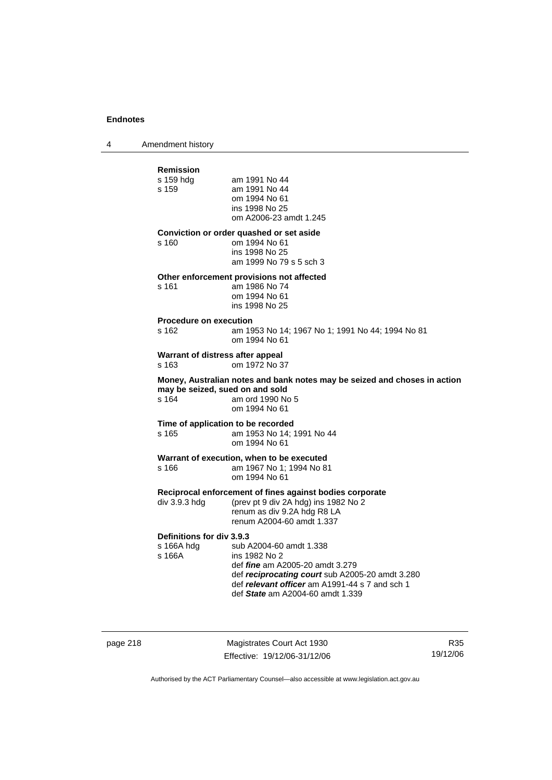4 Amendment history

| Remission                                 |                                                                                                   |
|-------------------------------------------|---------------------------------------------------------------------------------------------------|
| s 159 hdg                                 | am 1991 No 44                                                                                     |
| s 159                                     | am 1991 No 44<br>om 1994 No 61                                                                    |
|                                           | ins 1998 No 25                                                                                    |
|                                           | om A2006-23 amdt 1.245                                                                            |
|                                           | Conviction or order quashed or set aside                                                          |
| s 160                                     | om 1994 No 61<br>ins 1998 No 25                                                                   |
|                                           | am 1999 No 79 s 5 sch 3                                                                           |
|                                           | Other enforcement provisions not affected                                                         |
| s 161                                     | am 1986 No 74<br>om 1994 No 61                                                                    |
|                                           | ins 1998 No 25                                                                                    |
| <b>Procedure on execution</b>             |                                                                                                   |
| s 162                                     | am 1953 No 14; 1967 No 1; 1991 No 44; 1994 No 81<br>om 1994 No 61                                 |
| Warrant of distress after appeal<br>s 163 | om 1972 No 37                                                                                     |
|                                           | Money, Australian notes and bank notes may be seized and choses in action                         |
| may be seized, sued on and sold<br>s 164  | am ord 1990 No 5                                                                                  |
|                                           | om 1994 No 61                                                                                     |
| Time of application to be recorded        |                                                                                                   |
| s 165                                     | am 1953 No 14; 1991 No 44<br>om 1994 No 61                                                        |
|                                           | Warrant of execution, when to be executed                                                         |
| s 166                                     | am 1967 No 1; 1994 No 81                                                                          |
|                                           | om 1994 No 61                                                                                     |
|                                           | Reciprocal enforcement of fines against bodies corporate                                          |
| div 3.9.3 hdg                             | (prev pt 9 div 2A hdg) ins 1982 No 2<br>renum as div 9.2A hdg R8 LA                               |
|                                           | renum A2004-60 amdt 1.337                                                                         |
| Definitions for div 3.9.3                 |                                                                                                   |
| s 166A hdq<br>s 166A                      | sub A2004-60 amdt 1.338<br>ins 1982 No 2                                                          |
|                                           | def <i>fine</i> am A2005-20 amdt 3.279                                                            |
|                                           | def reciprocating court sub A2005-20 amdt 3.280<br>def relevant officer am A1991-44 s 7 and sch 1 |
|                                           | def State am A2004-60 amdt 1.339                                                                  |
|                                           |                                                                                                   |

page 218 Magistrates Court Act 1930 Effective: 19/12/06-31/12/06

R35 19/12/06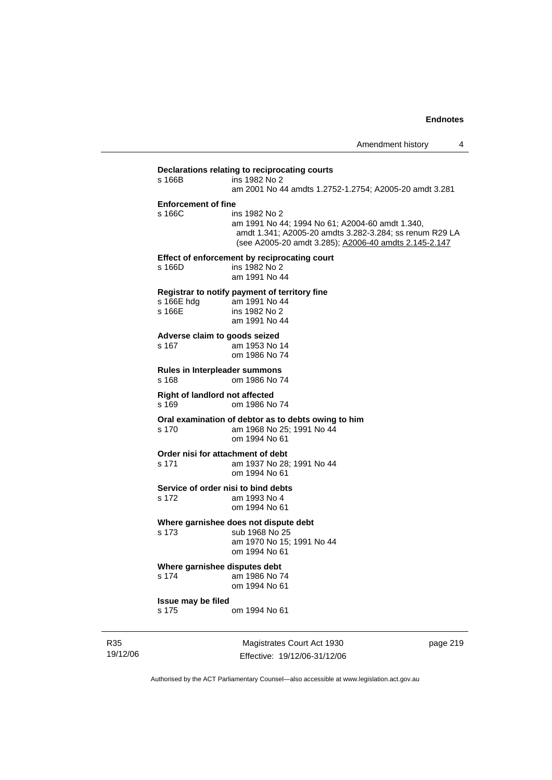### **Declarations relating to reciprocating courts**

| s 166B                                         | ins 1982 No 2<br>am 2001 No 44 amdts 1.2752-1.2754; A2005-20 amdt 3.281                                                                                                              |
|------------------------------------------------|--------------------------------------------------------------------------------------------------------------------------------------------------------------------------------------|
| <b>Enforcement of fine</b><br>s 166C           | ins 1982 No 2<br>am 1991 No 44; 1994 No 61; A2004-60 amdt 1.340,<br>amdt 1.341; A2005-20 amdts 3.282-3.284; ss renum R29 LA<br>(see A2005-20 amdt 3.285); A2006-40 amdts 2.145-2.147 |
| s 166D                                         | Effect of enforcement by reciprocating court<br>ins 1982 No 2<br>am 1991 No 44                                                                                                       |
| s 166E hdg<br>s 166E                           | Registrar to notify payment of territory fine<br>am 1991 No 44<br>ins 1982 No 2<br>am 1991 No 44                                                                                     |
| Adverse claim to goods seized<br>s 167         | am 1953 No 14<br>om 1986 No 74                                                                                                                                                       |
| Rules in Interpleader summons<br>s 168         | om 1986 No 74                                                                                                                                                                        |
| <b>Right of landlord not affected</b><br>s 169 | om 1986 No 74                                                                                                                                                                        |
| s 170                                          | Oral examination of debtor as to debts owing to him<br>am 1968 No 25; 1991 No 44<br>om 1994 No 61                                                                                    |
| Order nisi for attachment of debt<br>s 171     | am 1937 No 28; 1991 No 44<br>om 1994 No 61                                                                                                                                           |
| Service of order nisi to bind debts<br>s 172   | am 1993 No 4<br>om 1994 No 61                                                                                                                                                        |
| s 173                                          | Where garnishee does not dispute debt<br>sub 1968 No 25<br>am 1970 No 15; 1991 No 44<br>om 1994 No 61                                                                                |
| Where garnishee disputes debt<br>s 174         | am 1986 No 74<br>om 1994 No 61                                                                                                                                                       |
| Issue may be filed<br>s 175                    | om 1994 No 61                                                                                                                                                                        |

R35 19/12/06

Magistrates Court Act 1930 Effective: 19/12/06-31/12/06 page 219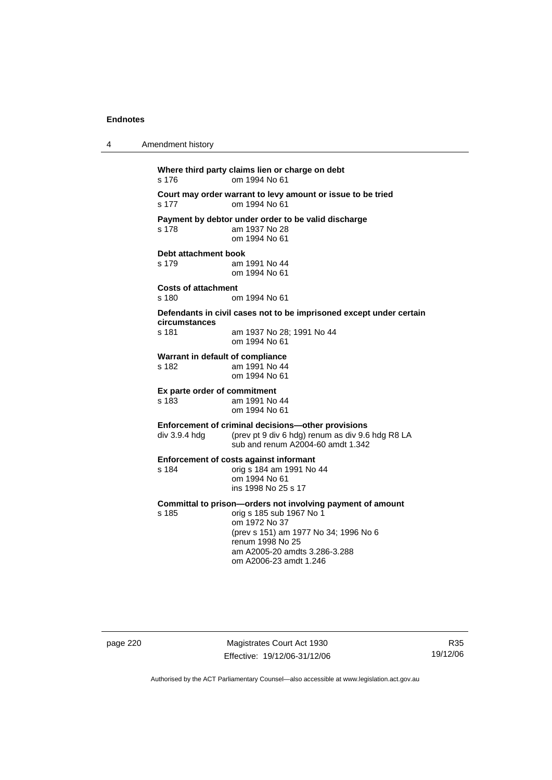4 Amendment history

**Where third party claims lien or charge on debt**  s 176 om 1994 No 61 **Court may order warrant to levy amount or issue to be tried**  s 177 om 1994 No 61 **Payment by debtor under order to be valid discharge**  am 1937 No 28 om 1994 No 61 **Debt attachment book**  s 179 am 1991 No 44 om 1994 No 61 **Costs of attachment**  om 1994 No 61 **Defendants in civil cases not to be imprisoned except under certain circumstances**  s 181 am 1937 No 28; 1991 No 44 om 1994 No 61 **Warrant in default of compliance**  s 182 am 1991 No 44 om 1994 No 61 **Ex parte order of commitment**  am 1991 No 44 om 1994 No 61 **Enforcement of criminal decisions—other provisions**  div 3.9.4 hdg (prev pt 9 div 6 hdg) renum as div 9.6 hdg R8 LA sub and renum A2004-60 amdt 1.342 **Enforcement of costs against informant**  s 184 orig s 184 am 1991 No 44 om 1994 No 61 ins 1998 No 25 s 17 **Committal to prison—orders not involving payment of amount**<br>s 185 corig s 185 sub 1967 No 1 orig s 185 sub 1967 No 1 om 1972 No 37 (prev s 151) am 1977 No 34; 1996 No 6 renum 1998 No 25 am A2005-20 amdts 3.286-3.288 om A2006-23 amdt 1.246

page 220 Magistrates Court Act 1930 Effective: 19/12/06-31/12/06

R35 19/12/06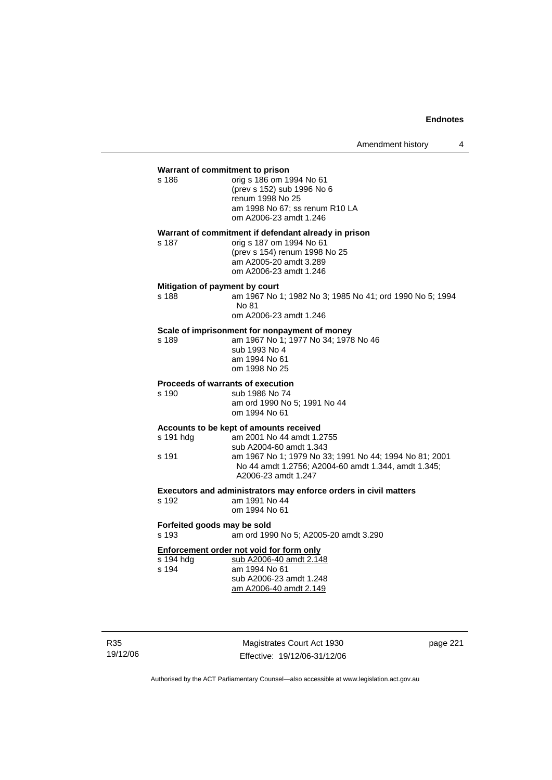| Warrant of commitment to prison<br>s 186   | orig s 186 om 1994 No 61<br>(prev s 152) sub 1996 No 6<br>renum 1998 No 25<br>am 1998 No 67; ss renum R10 LA<br>om A2006-23 amdt 1.246                                                                                                  |
|--------------------------------------------|-----------------------------------------------------------------------------------------------------------------------------------------------------------------------------------------------------------------------------------------|
| s 187                                      | Warrant of commitment if defendant already in prison<br>orig s 187 om 1994 No 61<br>(prev s 154) renum 1998 No 25<br>am A2005-20 amdt 3.289<br>om A2006-23 amdt 1.246                                                                   |
| Mitigation of payment by court<br>s 188    | am 1967 No 1; 1982 No 3; 1985 No 41; ord 1990 No 5; 1994<br>No 81<br>om A2006-23 amdt 1.246                                                                                                                                             |
| s 189                                      | Scale of imprisonment for nonpayment of money<br>am 1967 No 1; 1977 No 34; 1978 No 46<br>sub 1993 No 4<br>am 1994 No 61<br>om 1998 No 25                                                                                                |
| Proceeds of warrants of execution<br>s 190 | sub 1986 No 74<br>am ord 1990 No 5; 1991 No 44<br>om 1994 No 61                                                                                                                                                                         |
| s 191 hdg<br>s 191                         | Accounts to be kept of amounts received<br>am 2001 No 44 amdt 1.2755<br>sub A2004-60 amdt 1.343<br>am 1967 No 1; 1979 No 33; 1991 No 44; 1994 No 81; 2001<br>No 44 amdt 1.2756; A2004-60 amdt 1.344, amdt 1.345;<br>A2006-23 amdt 1.247 |
| s 192                                      | Executors and administrators may enforce orders in civil matters<br>am 1991 No 44<br>om 1994 No 61                                                                                                                                      |
| Forfeited goods may be sold<br>s 193       | am ord 1990 No 5; A2005-20 amdt 3.290                                                                                                                                                                                                   |
| s 194 hdg<br>s 194                         | Enforcement order not void for form only<br>sub A2006-40 amdt 2.148<br>am 1994 No 61<br>sub A2006-23 amdt 1.248<br>am A2006-40 amdt 2.149                                                                                               |

R35 19/12/06

Magistrates Court Act 1930 Effective: 19/12/06-31/12/06 page 221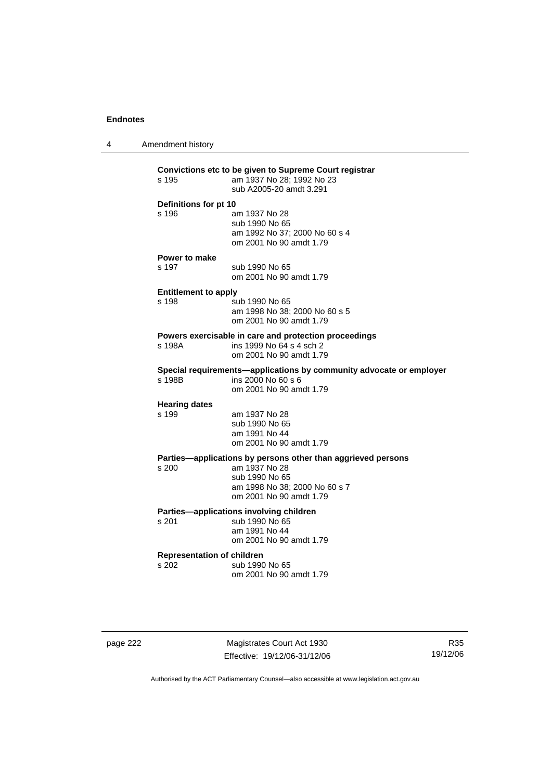4 Amendment history

| s 195                                      | Convictions etc to be given to Supreme Court registrar<br>am 1937 No 28; 1992 No 23<br>sub A2005-20 amdt 3.291                                              |
|--------------------------------------------|-------------------------------------------------------------------------------------------------------------------------------------------------------------|
| Definitions for pt 10<br>s 196             | am 1937 No 28<br>sub 1990 No 65<br>am 1992 No 37; 2000 No 60 s 4<br>om 2001 No 90 amdt 1.79                                                                 |
| <b>Power to make</b><br>s 197              | sub 1990 No 65<br>om 2001 No 90 amdt 1.79                                                                                                                   |
| <b>Entitlement to apply</b><br>s 198       | sub 1990 No 65<br>am 1998 No 38; 2000 No 60 s 5<br>om 2001 No 90 amdt 1.79                                                                                  |
| s 198A                                     | Powers exercisable in care and protection proceedings<br>ins 1999 No 64 s 4 sch 2<br>om 2001 No 90 amdt 1.79                                                |
| s 198B                                     | Special requirements-applications by community advocate or employer<br>ins 2000 No 60 s 6<br>om 2001 No 90 amdt 1.79                                        |
| <b>Hearing dates</b><br>s 199              | am 1937 No 28<br>sub 1990 No 65<br>am 1991 No 44<br>om 2001 No 90 amdt 1.79                                                                                 |
| s 200                                      | Parties-applications by persons other than aggrieved persons<br>am 1937 No 28<br>sub 1990 No 65<br>am 1998 No 38; 2000 No 60 s 7<br>om 2001 No 90 amdt 1.79 |
| s 201                                      | Parties-applications involving children<br>sub 1990 No 65<br>am 1991 No 44<br>om 2001 No 90 amdt 1.79                                                       |
| <b>Representation of children</b><br>s 202 | sub 1990 No 65<br>om 2001 No 90 amdt 1.79                                                                                                                   |

page 222 Magistrates Court Act 1930 Effective: 19/12/06-31/12/06

R35 19/12/06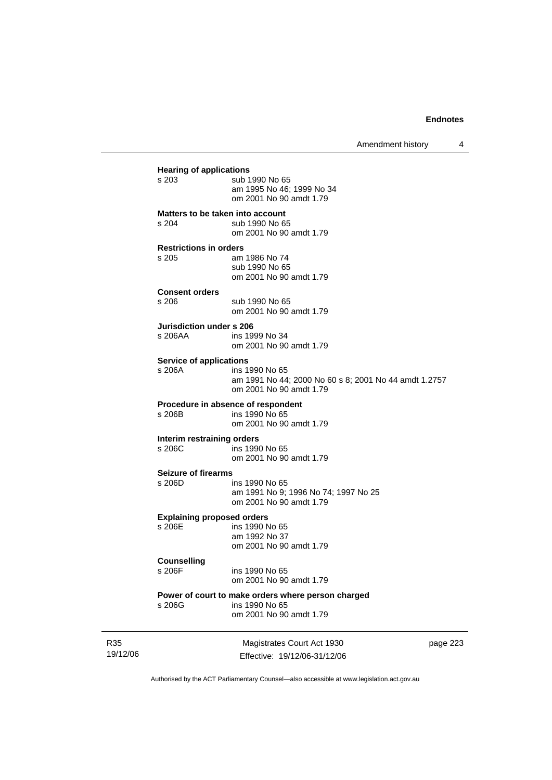Amendment history 4

**Hearing of applications**<br>s 203 sub 1 sub 1990 No 65 am 1995 No 46; 1999 No 34 om 2001 No 90 amdt 1.79 **Matters to be taken into account**  s 204 sub 1990 No 65 om 2001 No 90 amdt 1.79 **Restrictions in orders**  am 1986 No 74 sub 1990 No 65 om 2001 No 90 amdt 1.79 **Consent orders**  sub 1990 No 65 om 2001 No 90 amdt 1.79 **Jurisdiction under s 206**  s 206AA ins 1999 No 34 om 2001 No 90 amdt 1.79 **Service of applications**<br>**s** 206A **ins 1** ins 1990 No 65 am 1991 No 44; 2000 No 60 s 8; 2001 No 44 amdt 1.2757 om 2001 No 90 amdt 1.79 **Procedure in absence of respondent**<br>s 206B ins 1990 No 65 ins 1990 No 65 om 2001 No 90 amdt 1.79 **Interim restraining orders**  s 206C ins 1990 No 65 om 2001 No 90 amdt 1.79 **Seizure of firearms**  s 206D ins 1990 No 65 am 1991 No 9; 1996 No 74; 1997 No 25 om 2001 No 90 amdt 1.79 **Explaining proposed orders**  s 206E ins 1990 No 65 am 1992 No 37 om 2001 No 90 amdt 1.79 **Counselling**  s 206F ins 1990 No 65 om 2001 No 90 amdt 1.79 **Power of court to make orders where person charged**  ins 1990 No 65 om 2001 No 90 amdt 1.79

R35 19/12/06

Magistrates Court Act 1930 Effective: 19/12/06-31/12/06 page 223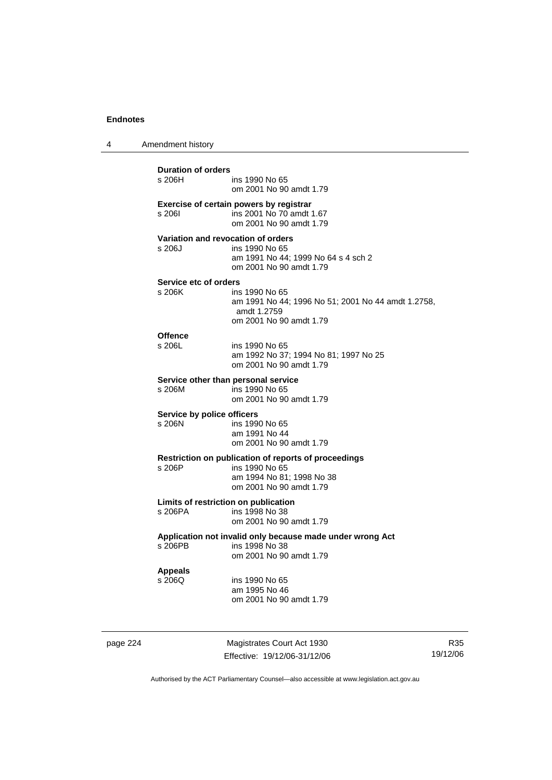4 Amendment history

**Duration of orders**  ins 1990 No 65 om 2001 No 90 amdt 1.79 **Exercise of certain powers by registrar**  s 206I ins 2001 No 70 amdt 1.67 om 2001 No 90 amdt 1.79 **Variation and revocation of orders**  s 206J ins 1990 No 65 am 1991 No 44; 1999 No 64 s 4 sch 2 om 2001 No 90 amdt 1.79 **Service etc of orders**<br>s 206K ins ins 1990 No 65 am 1991 No 44; 1996 No 51; 2001 No 44 amdt 1.2758, amdt 1.2759 om 2001 No 90 amdt 1.79 **Offence**  s 206L ins 1990 No 65 am 1992 No 37; 1994 No 81; 1997 No 25 om 2001 No 90 amdt 1.79 **Service other than personal service**  s 206M ins 1990 No 65 om 2001 No 90 amdt 1.79 **Service by police officers**  s 206N ins 1990 No 65 am 1991 No 44 om 2001 No 90 amdt 1.79 **Restriction on publication of reports of proceedings**  s 206P ins 1990 No 65 am 1994 No 81; 1998 No 38 om 2001 No 90 amdt 1.79 **Limits of restriction on publication**  s 206PA ins 1998 No 38 om 2001 No 90 amdt 1.79 **Application not invalid only because made under wrong Act**  s 206PB ins 1998 No 38 om 2001 No 90 amdt 1.79 **Appeals**  s 206Q ins 1990 No 65 am 1995 No 46 om 2001 No 90 amdt 1.79

page 224 Magistrates Court Act 1930 Effective: 19/12/06-31/12/06

R35 19/12/06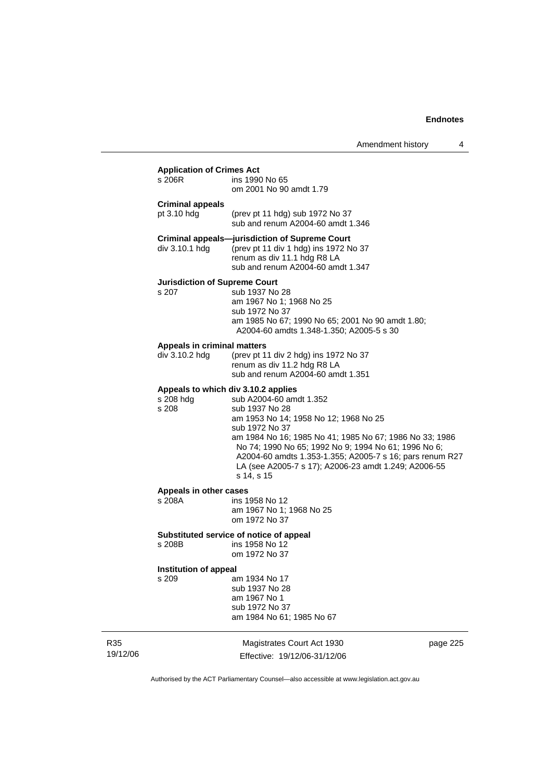## **Application of Crimes Act**

| repriodent of ormoo rece<br>s 206R                        | ins 1990 No 65<br>om 2001 No 90 amdt 1.79                                                                                                                                                                                                                                                                                                                 |
|-----------------------------------------------------------|-----------------------------------------------------------------------------------------------------------------------------------------------------------------------------------------------------------------------------------------------------------------------------------------------------------------------------------------------------------|
| <b>Criminal appeals</b><br>pt 3.10 hdg                    | (prev pt 11 hdg) sub 1972 No 37<br>sub and renum A2004-60 amdt 1.346                                                                                                                                                                                                                                                                                      |
| div 3.10.1 hdg                                            | <b>Criminal appeals-jurisdiction of Supreme Court</b><br>(prev pt 11 div 1 hdg) ins 1972 No 37<br>renum as div 11.1 hdg R8 LA<br>sub and renum A2004-60 amdt 1.347                                                                                                                                                                                        |
| <b>Jurisdiction of Supreme Court</b><br>s 207             | sub 1937 No 28<br>am 1967 No 1; 1968 No 25<br>sub 1972 No 37<br>am 1985 No 67; 1990 No 65; 2001 No 90 amdt 1.80;<br>A2004-60 amdts 1.348-1.350; A2005-5 s 30                                                                                                                                                                                              |
| Appeals in criminal matters<br>div 3.10.2 hdg             | (prev pt 11 div 2 hdg) ins 1972 No 37<br>renum as div 11.2 hdg R8 LA<br>sub and renum A2004-60 amdt 1.351                                                                                                                                                                                                                                                 |
| Appeals to which div 3.10.2 applies<br>s 208 hdg<br>s 208 | sub A2004-60 amdt 1.352<br>sub 1937 No 28<br>am 1953 No 14; 1958 No 12; 1968 No 25<br>sub 1972 No 37<br>am 1984 No 16; 1985 No 41; 1985 No 67; 1986 No 33; 1986<br>No 74; 1990 No 65; 1992 No 9; 1994 No 61; 1996 No 6;<br>A2004-60 amdts 1.353-1.355; A2005-7 s 16; pars renum R27<br>LA (see A2005-7 s 17); A2006-23 amdt 1.249; A2006-55<br>s 14, s 15 |
| Appeals in other cases<br>s 208A                          | ins 1958 No 12<br>am 1967 No 1; 1968 No 25<br>om 1972 No 37                                                                                                                                                                                                                                                                                               |
| s 208B                                                    | Substituted service of notice of appeal<br>ins 1958 No 12<br>om 1972 No 37                                                                                                                                                                                                                                                                                |
| Institution of appeal<br>s 209                            | am 1934 No 17                                                                                                                                                                                                                                                                                                                                             |

 sub 1937 No 28 am 1967 No 1 sub 1972 No 37 am 1984 No 61; 1985 No 67

R35 19/12/06

Magistrates Court Act 1930 Effective: 19/12/06-31/12/06 page 225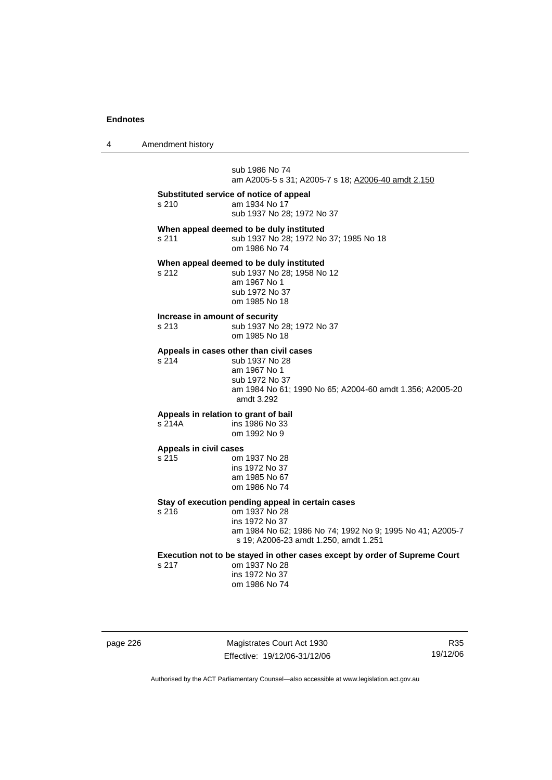4 Amendment history

 sub 1986 No 74 am A2005-5 s 31; A2005-7 s 18; A2006-40 amdt 2.150

**Substituted service of notice of appeal** 

s 210 am 1934 No 17 sub 1937 No 28; 1972 No 37

**When appeal deemed to be duly instituted** 

s 211 sub 1937 No 28; 1972 No 37; 1985 No 18 om 1986 No 74

### **When appeal deemed to be duly instituted**

s 212 sub 1937 No 28; 1958 No 12 am 1967 No 1 sub 1972 No 37 om 1985 No 18

### **Increase in amount of security**

s 213 sub 1937 No 28; 1972 No 37

om 1985 No 18

### **Appeals in cases other than civil cases**

s 214 sub 1937 No 28 am 1967 No 1 sub 1972 No 37 am 1984 No 61; 1990 No 65; A2004-60 amdt 1.356; A2005-20 amdt 3.292

### **Appeals in relation to grant of bail**

s 214A ins 1986 No 33 om 1992 No 9

#### **Appeals in civil cases**

s 215 om 1937 No 28

 ins 1972 No 37 am 1985 No 67 om 1986 No 74

### **Stay of execution pending appeal in certain cases**

s 216 om 1937 No 28 ins 1972 No 37

> am 1984 No 62; 1986 No 74; 1992 No 9; 1995 No 41; A2005-7 s 19; A2006-23 amdt 1.250, amdt 1.251

# **Execution not to be stayed in other cases except by order of Supreme Court s 217** om 1937 No 28

om 1937 No 28 ins 1972 No 37 om 1986 No 74

page 226 Magistrates Court Act 1930 Effective: 19/12/06-31/12/06

R35 19/12/06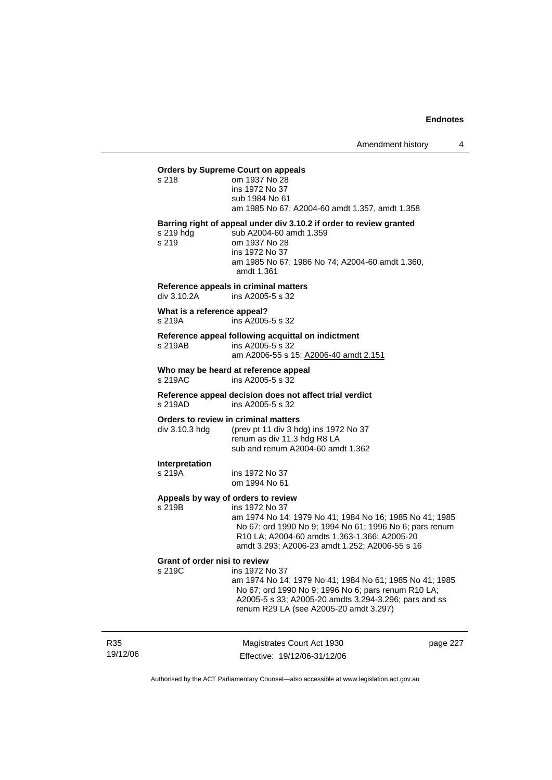| <b>Orders by Supreme Court on appeals</b>                               |                                                                                                                                                                                                    |  |
|-------------------------------------------------------------------------|----------------------------------------------------------------------------------------------------------------------------------------------------------------------------------------------------|--|
| s <sub>218</sub>                                                        | om 1937 No 28<br>ins 1972 No 37<br>sub 1984 No 61                                                                                                                                                  |  |
|                                                                         | am 1985 No 67; A2004-60 amdt 1.357, amdt 1.358                                                                                                                                                     |  |
| $s219$ hdg<br>s 219                                                     | Barring right of appeal under div 3.10.2 if order to review granted<br>sub A2004-60 amdt 1.359<br>om 1937 No 28<br>ins 1972 No 37<br>am 1985 No 67; 1986 No 74; A2004-60 amdt 1.360,<br>amdt 1.361 |  |
| Reference appeals in criminal matters<br>$div 3.10.2A$ ins A2005-5 s 32 |                                                                                                                                                                                                    |  |
| What is a reference appeal?<br>ins $A2005-5$ s $32$<br>s 219A           |                                                                                                                                                                                                    |  |
| Reference appeal following acquittal on indictment                      |                                                                                                                                                                                                    |  |
| s 219AB                                                                 | ins A2005-5 s 32<br>am A2006-55 s 15; A2006-40 amdt 2.151                                                                                                                                          |  |
| s 219AC ins A2005-5 s 32                                                | Who may be heard at reference appeal                                                                                                                                                               |  |
|                                                                         | Reference anneal decision does not affect trial verdict                                                                                                                                            |  |

**Reference appeal decision does not affect trial verdict**  s 219AD ins A2005-5 s 32

### **Orders to review in criminal matters**

div 3.10.3 hdg (prev pt 11 div 3 hdg) ins 1972 No 37 renum as div 11.3 hdg R8 LA sub and renum A2004-60 amdt 1.362

# **Interpretation**

ins 1972 No 37 om 1994 No 61

### **Appeals by way of orders to review**

s 219B ins 1972 No 37 am 1974 No 14; 1979 No 41; 1984 No 16; 1985 No 41; 1985 No 67; ord 1990 No 9; 1994 No 61; 1996 No 6; pars renum R10 LA; A2004-60 amdts 1.363-1.366; A2005-20 amdt 3.293; A2006-23 amdt 1.252; A2006-55 s 16

#### **Grant of order nisi to review**

s 219C ins 1972 No 37

 am 1974 No 14; 1979 No 41; 1984 No 61; 1985 No 41; 1985 No 67; ord 1990 No 9; 1996 No 6; pars renum R10 LA; A2005-5 s 33; A2005-20 amdts 3.294-3.296; pars and ss renum R29 LA (see A2005-20 amdt 3.297)

R35 19/12/06

Magistrates Court Act 1930 Effective: 19/12/06-31/12/06 page 227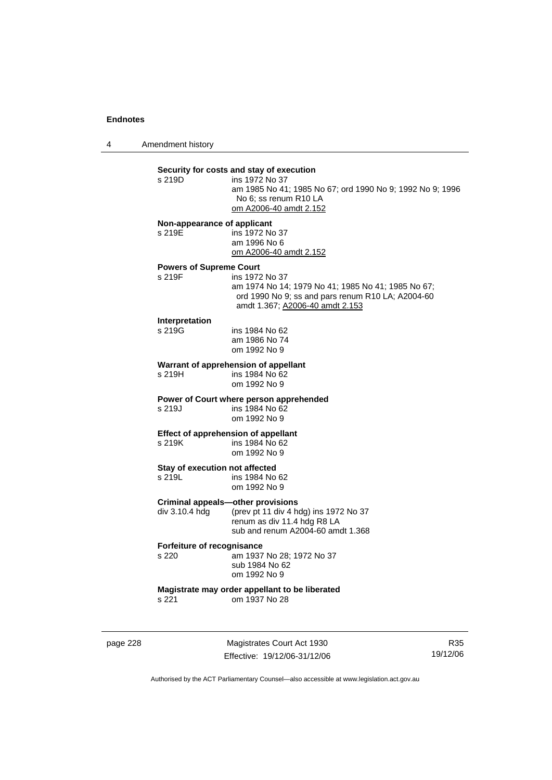4 Amendment history

# **Security for costs and stay of execution**

ins 1972 No 37 am 1985 No 41; 1985 No 67; ord 1990 No 9; 1992 No 9; 1996 No 6; ss renum R10 LA om A2006-40 amdt 2.152

#### **Non-appearance of applicant**

s 219E ins 1972 No 37 am 1996 No 6 om A2006-40 amdt 2.152

### **Powers of Supreme Court**

s 219F ins 1972 No 37 am 1974 No 14; 1979 No 41; 1985 No 41; 1985 No 67; ord 1990 No 9; ss and pars renum R10 LA; A2004-60 amdt 1.367; A2006-40 amdt 2.153

# **Interpretation**

ins 1984 No 62 am 1986 No 74 om 1992 No 9

### **Warrant of apprehension of appellant**

s 219H ins 1984 No 62 om 1992 No 9

### **Power of Court where person apprehended**

s 219J ins 1984 No 62 om 1992 No 9

# **Effect of apprehension of appellant**<br>s 219K ins 1984 No 62

ins 1984 No 62 om 1992 No 9

#### **Stay of execution not affected**

s 219L ins 1984 No 62 om 1992 No 9

### **Criminal appeals—other provisions**

div 3.10.4 hdg (prev pt 11 div 4 hdg) ins 1972 No 37 renum as div 11.4 hdg R8 LA sub and renum A2004-60 amdt 1.368

### **Forfeiture of recognisance**

s 220 am 1937 No 28; 1972 No 37 sub 1984 No 62 om 1992 No 9

#### **Magistrate may order appellant to be liberated**  s 221 om 1937 No 28

page 228 Magistrates Court Act 1930 Effective: 19/12/06-31/12/06

R35 19/12/06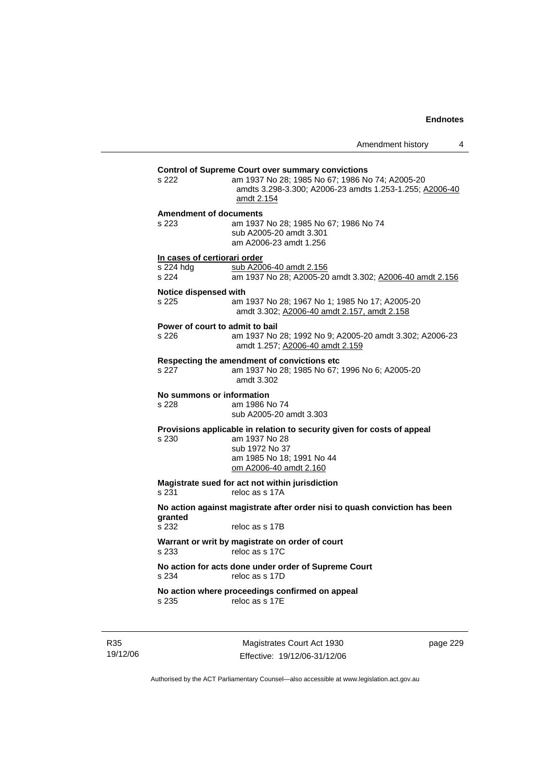|                                                    | 4<br>Amendment history                                                                                                                                                               |
|----------------------------------------------------|--------------------------------------------------------------------------------------------------------------------------------------------------------------------------------------|
| s 222                                              | <b>Control of Supreme Court over summary convictions</b><br>am 1937 No 28; 1985 No 67; 1986 No 74; A2005-20<br>amdts 3.298-3.300; A2006-23 amdts 1.253-1.255; A2006-40<br>amdt 2.154 |
| <b>Amendment of documents</b><br>s 223             | am 1937 No 28; 1985 No 67; 1986 No 74<br>sub A2005-20 amdt 3.301<br>am A2006-23 amdt 1.256                                                                                           |
| In cases of certiorari order<br>s 224 hdg<br>s 224 | sub A2006-40 amdt 2.156<br>am 1937 No 28; A2005-20 amdt 3.302; A2006-40 amdt 2.156                                                                                                   |
| <b>Notice dispensed with</b><br>s 225              | am 1937 No 28; 1967 No 1; 1985 No 17; A2005-20<br>amdt 3.302; A2006-40 amdt 2.157, amdt 2.158                                                                                        |
| Power of court to admit to bail<br>s 226           | am 1937 No 28; 1992 No 9; A2005-20 amdt 3.302; A2006-23<br>amdt 1.257; A2006-40 amdt 2.159                                                                                           |
| s 227                                              | Respecting the amendment of convictions etc<br>am 1937 No 28; 1985 No 67; 1996 No 6; A2005-20<br>amdt 3.302                                                                          |
| No summons or information<br>s 228                 | am 1986 No 74<br>sub A2005-20 amdt 3.303                                                                                                                                             |
| s 230                                              | Provisions applicable in relation to security given for costs of appeal<br>am 1937 No 28<br>sub 1972 No 37<br>am 1985 No 18; 1991 No 44<br>om A2006-40 amdt 2.160                    |
| s 231                                              | Magistrate sued for act not within jurisdiction<br>reloc as s 17A                                                                                                                    |
|                                                    | No action against magistrate after order nisi to quash conviction has been                                                                                                           |
| granted<br>s 232                                   | reloc as s 17B                                                                                                                                                                       |
| s 233                                              | Warrant or writ by magistrate on order of court<br>reloc as s 17C                                                                                                                    |
| s 234                                              | No action for acts done under order of Supreme Court<br>reloc as s 17D                                                                                                               |
| s 235                                              | No action where proceedings confirmed on appeal<br>reloc as s 17E                                                                                                                    |

R35 19/12/06

Magistrates Court Act 1930 Effective: 19/12/06-31/12/06 page 229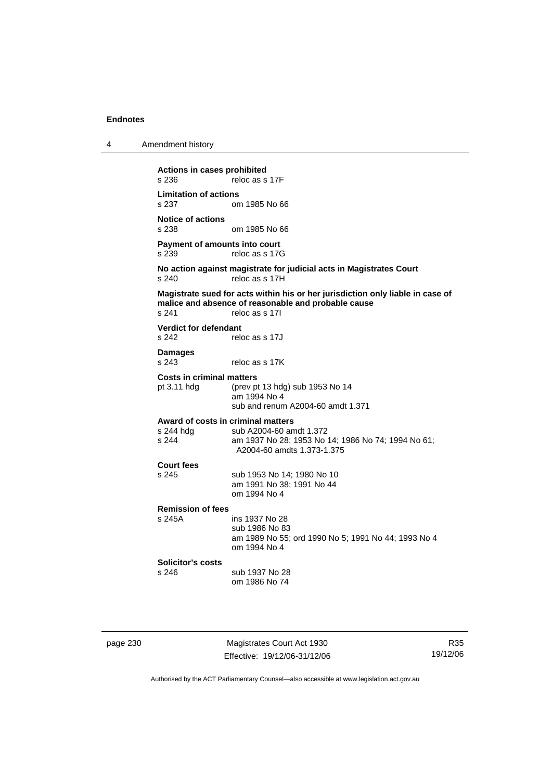| 4 | Amendment history |
|---|-------------------|
|---|-------------------|

**Actions in cases prohibited**  reloc as s 17F **Limitation of actions**  om 1985 No 66 **Notice of actions**  om 1985 No 66 **Payment of amounts into court**  s 239 reloc as s 17G **No action against magistrate for judicial acts in Magistrates Court**  s 240 reloc as s 17H **Magistrate sued for acts within his or her jurisdiction only liable in case of malice and absence of reasonable and probable cause**  reloc as s 17I **Verdict for defendant**  s 242 reloc as s 17J **Damages**  reloc as s 17K **Costs in criminal matters**  pt 3.11 hdg (prev pt 13 hdg) sub 1953 No 14 am 1994 No 4 sub and renum A2004-60 amdt 1.371 **Award of costs in criminal matters**  s 244 hdg sub A2004-60 amdt 1.372<br>s 244 sam 1937 No 28: 1953 No am 1937 No 28; 1953 No 14; 1986 No 74; 1994 No 61; A2004-60 amdts 1.373-1.375 **Court fees**  s 245 sub 1953 No 14; 1980 No 10 am 1991 No 38; 1991 No 44 om 1994 No 4 **Remission of fees**  s 245A ins 1937 No 28 sub 1986 No 83 am 1989 No 55; ord 1990 No 5; 1991 No 44; 1993 No 4 om 1994 No 4 **Solicitor's costs**  sub 1937 No 28 om 1986 No 74

page 230 Magistrates Court Act 1930 Effective: 19/12/06-31/12/06

R35 19/12/06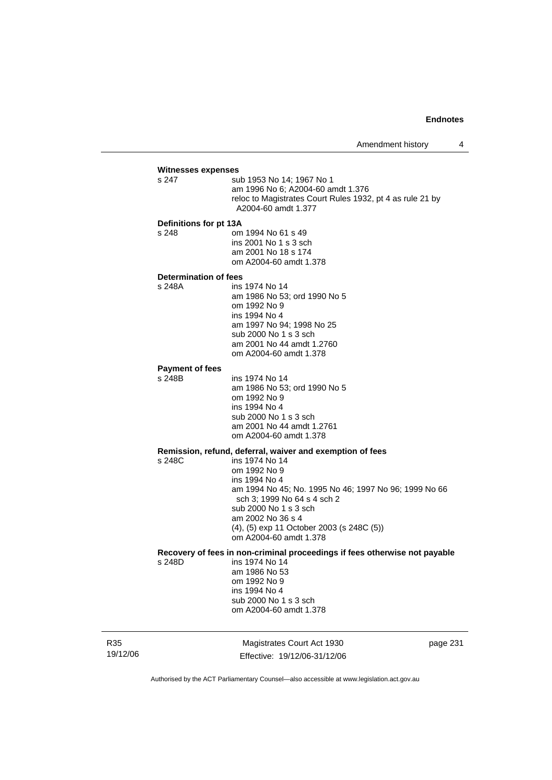# **Witnesses expenses**

sub 1953 No 14: 1967 No 1 am 1996 No 6; A2004-60 amdt 1.376 reloc to Magistrates Court Rules 1932, pt 4 as rule 21 by A2004-60 amdt 1.377

#### **Definitions for pt 13A**

s 248 om 1994 No 61 s 49 ins 2001 No 1 s 3 sch am 2001 No 18 s 174 om A2004-60 amdt 1.378

#### **Determination of fees**

s 248A ins 1974 No 14 am 1986 No 53; ord 1990 No 5 om 1992 No 9 ins 1994 No 4 am 1997 No 94; 1998 No 25 sub 2000 No 1 s 3 sch am 2001 No 44 amdt 1.2760 om A2004-60 amdt 1.378

### **Payment of fees**

s 248B ins 1974 No 14

 am 1986 No 53; ord 1990 No 5 om 1992 No 9 ins 1994 No 4 sub 2000 No 1 s 3 sch am 2001 No 44 amdt 1.2761 om A2004-60 amdt 1.378

# **Remission, refund, deferral, waiver and exemption of fees**

 $ins 1974$  No 14 om 1992 No 9 ins 1994 No 4 am 1994 No 45; No. 1995 No 46; 1997 No 96; 1999 No 66 sch 3; 1999 No 64 s 4 sch 2 sub 2000 No 1 s 3 sch am 2002 No 36 s 4 (4), (5) exp 11 October 2003 (s 248C (5)) om A2004-60 amdt 1.378

### **Recovery of fees in non-criminal proceedings if fees otherwise not payable**

s 248D ins 1974 No 14 am 1986 No 53 om 1992 No 9 ins 1994 No 4 sub 2000 No 1 s 3 sch om A2004-60 amdt 1.378

R35 19/12/06

Magistrates Court Act 1930 Effective: 19/12/06-31/12/06 page 231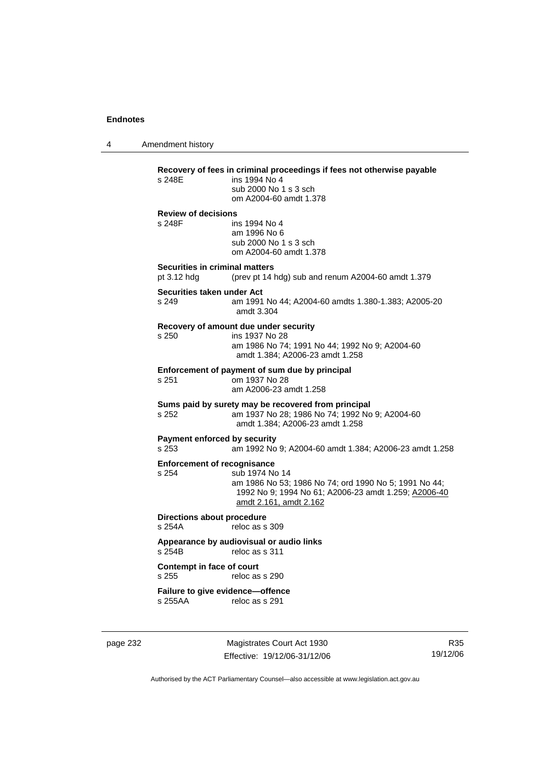4 Amendment history

**Recovery of fees in criminal proceedings if fees not otherwise payable**  ins 1994 No 4 sub 2000 No 1 s 3 sch om A2004-60 amdt 1.378 **Review of decisions**  s 248F ins 1994 No 4 am 1996 No 6 sub 2000 No 1 s 3 sch om A2004-60 amdt 1.378 **Securities in criminal matters**  pt 3.12 hdg (prev pt 14 hdg) sub and renum A2004-60 amdt 1.379 **Securities taken under Act**  s 249 am 1991 No 44; A2004-60 amdts 1.380-1.383; A2005-20 amdt 3.304 **Recovery of amount due under security**  s 250 ins 1937 No 28 am 1986 No 74; 1991 No 44; 1992 No 9; A2004-60 amdt 1.384; A2006-23 amdt 1.258 **Enforcement of payment of sum due by principal**<br>s 251 cm 1937 No 28 s 251 om 1937 No 28 am A2006-23 amdt 1.258 **Sums paid by surety may be recovered from principal**  s 252 am 1937 No 28; 1986 No 74; 1992 No 9; A2004-60 amdt 1.384; A2006-23 amdt 1.258 **Payment enforced by security**<br>s 253 am 1992 No s 253 am 1992 No 9; A2004-60 amdt 1.384; A2006-23 amdt 1.258 **Enforcement of recognisance**<br>s 254 sub 1974 No sub 1974 No 14 am 1986 No 53; 1986 No 74; ord 1990 No 5; 1991 No 44; 1992 No 9; 1994 No 61; A2006-23 amdt 1.259; A2006-40 amdt 2.161, amdt 2.162 **Directions about procedure**  s 254A reloc as s 309 **Appearance by audiovisual or audio links**  reloc as s 311 **Contempt in face of court**  s 255 reloc as s 290 **Failure to give evidence—offence**  s 255AA reloc as s 291

page 232 Magistrates Court Act 1930 Effective: 19/12/06-31/12/06

R35 19/12/06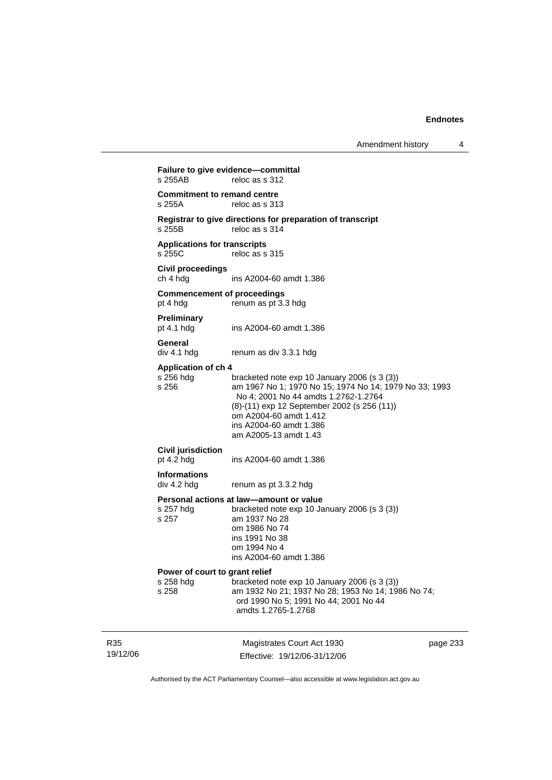Amendment history 4

19/12/06 Magistrates Court Act 1930 Effective: 19/12/06-31/12/06 page 233 **Failure to give evidence—committal**<br>s 255AB reloc as s 312 reloc as s 312 **Commitment to remand centre**  s 255A reloc as s 313 **Registrar to give directions for preparation of transcript**  s 255B reloc as s 314 **Applications for transcripts**  s 255C reloc as s 315 **Civil proceedings**  ins A2004-60 amdt 1.386 **Commencement of proceedings**  pt 4 hdg renum as pt 3.3 hdg **Preliminary**  pt 4.1 hdg ins A2004-60 amdt 1.386 **General**  div 4.1 hdg renum as div 3.3.1 hdg **Application of ch 4**  bracketed note exp 10 January 2006 (s 3 (3)) s 256 am 1967 No 1; 1970 No 15; 1974 No 14; 1979 No 33; 1993 No 4; 2001 No 44 amdts 1.2762-1.2764 (8)-(11) exp 12 September 2002 (s 256 (11)) om A2004-60 amdt 1.412 ins A2004-60 amdt 1.386 am A2005-13 amdt 1.43 **Civil jurisdiction**  pt 4.2 hdg ins A2004-60 amdt 1.386 **Informations**  renum as pt 3.3.2 hdg **Personal actions at law—amount or value**  s 257 hdg bracketed note exp 10 January 2006 (s 3 (3)) s 257 am 1937 No 28 om 1986 No 74 ins 1991 No 38 om 1994 No 4 ins A2004-60 amdt 1.386 **Power of court to grant relief**  s 258 hdg bracketed note exp 10 January 2006 (s 3 (3))<br>s 258 am 1932 No 21; 1937 No 28; 1953 No 14; 19 am 1932 No 21; 1937 No 28; 1953 No 14; 1986 No 74; ord 1990 No 5; 1991 No 44; 2001 No 44 amdts 1.2765-1.2768

Authorised by the ACT Parliamentary Counsel—also accessible at www.legislation.act.gov.au

R35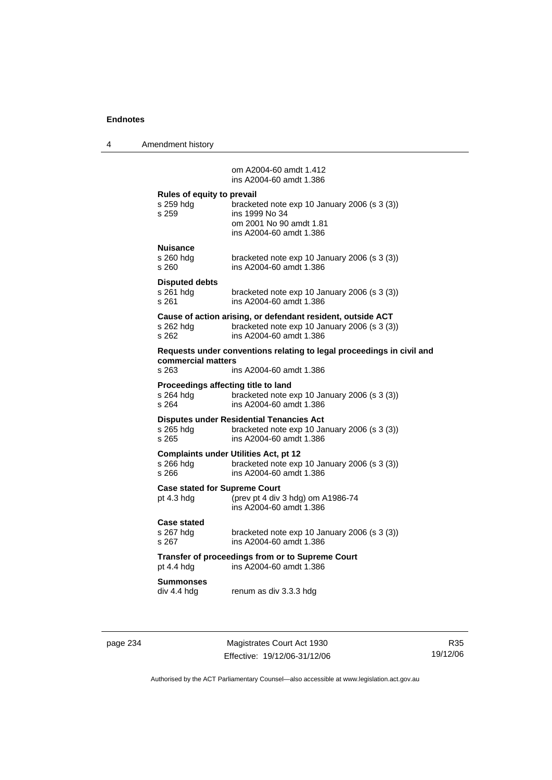4 Amendment history

 om A2004-60 amdt 1.412 ins A2004-60 amdt 1.386 **Rules of equity to prevail**  bracketed note exp 10 January 2006 (s 3 (3)) s 259 **ins 1999** No 34 om 2001 No 90 amdt 1.81 ins A2004-60 amdt 1.386 **Nuisance**  bracketed note exp 10 January 2006 (s  $3(3)$ ) s 260 ins A2004-60 amdt 1.386 **Disputed debts**  s 261 hdg bracketed note exp 10 January 2006 (s 3 (3)) s 261 ins A2004-60 amdt 1.386 **Cause of action arising, or defendant resident, outside ACT**  s 262 hdg bracketed note exp 10 January 2006 (s 3 (3)) s 262 ins A2004-60 amdt 1.386 **Requests under conventions relating to legal proceedings in civil and commercial matters**  s 263 ins A2004-60 amdt 1.386 **Proceedings affecting title to land**  s 264 hdg bracketed note exp 10 January 2006 (s 3 (3)) s 264 ins A2004-60 amdt 1.386 **Disputes under Residential Tenancies Act**  s 265 hdg bracketed note exp 10 January 2006 (s 3 (3))

s 265 ins A2004-60 amdt 1.386

**Complaints under Utilities Act, pt 12**  bracketed note exp 10 January 2006 (s  $3(3)$ ) s 266 ins A2004-60 amdt 1.386

**Case stated for Supreme Court** 

pt 4.3 hdg (prev pt 4 div 3 hdg) om A1986-74 ins A2004-60 amdt 1.386

## **Case stated**

s 267 hdg bracketed note exp 10 January 2006 (s 3 (3)) s 267 ins A2004-60 amdt 1.386

**Transfer of proceedings from or to Supreme Court**  pt 4.4 hdg ins A2004-60 amdt 1.386

### **Summonses**

div 4.4 hdg renum as div 3.3.3 hdg

page 234 Magistrates Court Act 1930 Effective: 19/12/06-31/12/06

R35 19/12/06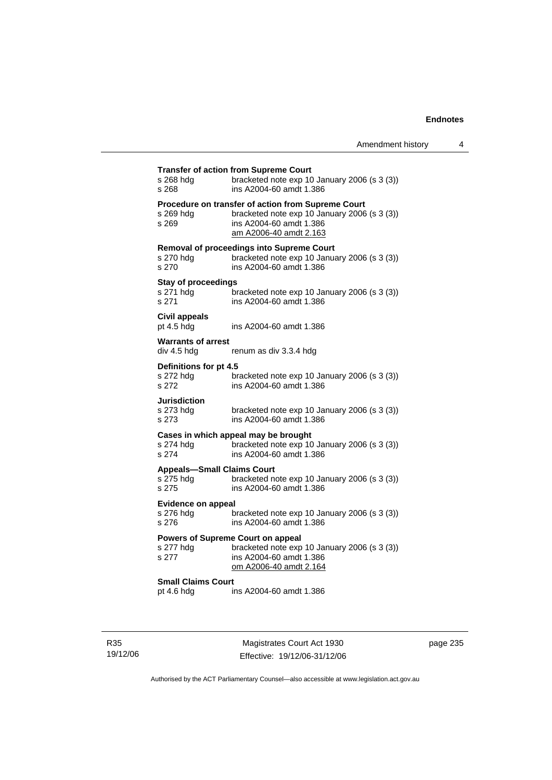| s 268 hdg                                            | <b>Transfer of action from Supreme Court</b><br>bracketed note exp 10 January 2006 (s 3 (3))                                                            |  |
|------------------------------------------------------|---------------------------------------------------------------------------------------------------------------------------------------------------------|--|
| s 268                                                | ins A2004-60 amdt 1.386                                                                                                                                 |  |
| s 269 hdg<br>s 269                                   | Procedure on transfer of action from Supreme Court<br>bracketed note exp 10 January 2006 (s 3 (3))<br>ins A2004-60 amdt 1.386<br>am A2006-40 amdt 2.163 |  |
| s 270 hdg<br>s 270                                   | Removal of proceedings into Supreme Court<br>bracketed note exp 10 January 2006 (s 3 (3))<br>ins A2004-60 amdt 1.386                                    |  |
| <b>Stay of proceedings</b>                           |                                                                                                                                                         |  |
| s 271 hdg<br>s 271                                   | bracketed note exp 10 January 2006 (s 3 (3))<br>ins A2004-60 amdt 1.386                                                                                 |  |
| <b>Civil appeals</b><br>pt 4.5 hdg                   | ins A2004-60 amdt 1.386                                                                                                                                 |  |
| <b>Warrants of arrest</b>                            |                                                                                                                                                         |  |
| div 4.5 hdg                                          | renum as div 3.3.4 hdg                                                                                                                                  |  |
| Definitions for pt 4.5                               |                                                                                                                                                         |  |
| s 272 hdg                                            | bracketed note exp 10 January 2006 (s 3 (3))                                                                                                            |  |
| s 272                                                | ins A2004-60 amdt 1.386                                                                                                                                 |  |
|                                                      |                                                                                                                                                         |  |
| Jurisdiction                                         |                                                                                                                                                         |  |
| s 273 hdg<br>s 273                                   | bracketed note exp 10 January 2006 (s 3 (3))<br>ins A2004-60 amdt 1.386                                                                                 |  |
|                                                      | Cases in which appeal may be brought                                                                                                                    |  |
| s 274 hdg                                            | bracketed note exp 10 January 2006 (s 3 (3))                                                                                                            |  |
| s 274                                                | ins A2004-60 amdt 1.386                                                                                                                                 |  |
| <b>Appeals-Small Claims Court</b>                    |                                                                                                                                                         |  |
| s 275 hdg                                            | bracketed note exp 10 January 2006 (s 3 (3))                                                                                                            |  |
| s 275                                                | ins A2004-60 amdt 1.386                                                                                                                                 |  |
|                                                      |                                                                                                                                                         |  |
| <b>Evidence on appeal</b>                            |                                                                                                                                                         |  |
| s 276 hdg<br>s 276                                   | bracketed note exp 10 January 2006 (s 3 (3))<br>ins A2004-60 amdt 1.386                                                                                 |  |
|                                                      |                                                                                                                                                         |  |
|                                                      | <b>Powers of Supreme Court on appeal</b>                                                                                                                |  |
| s 277 hdg                                            | bracketed note exp 10 January 2006 (s 3 (3))                                                                                                            |  |
| s 277                                                | ins A2004-60 amdt 1.386<br>om A2006-40 amdt 2.164                                                                                                       |  |
|                                                      |                                                                                                                                                         |  |
| <b>Small Claims Court</b><br>ins A2004-60 amdt 1.386 |                                                                                                                                                         |  |
| pt 4.6 hdg                                           |                                                                                                                                                         |  |
|                                                      |                                                                                                                                                         |  |
|                                                      |                                                                                                                                                         |  |

page 235

Authorised by the ACT Parliamentary Counsel—also accessible at www.legislation.act.gov.au

Magistrates Court Act 1930 Effective: 19/12/06-31/12/06

R35 19/12/06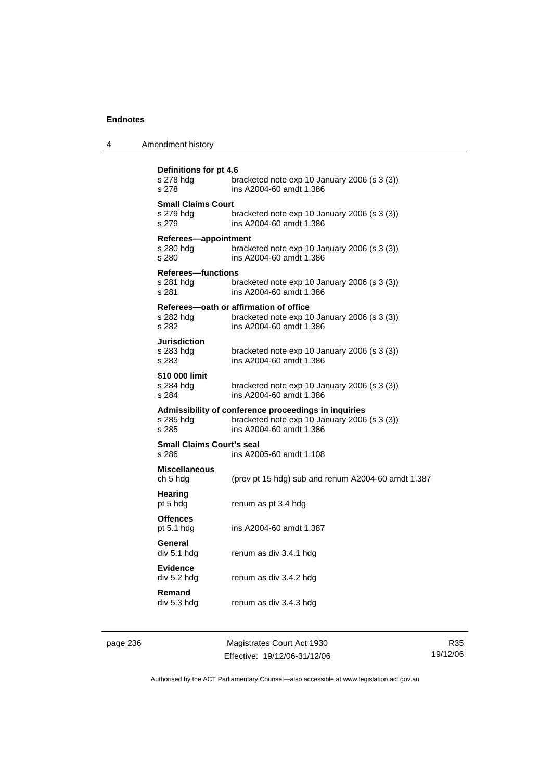| 4 | Amendment history                               |                                                                                                                                 |  |
|---|-------------------------------------------------|---------------------------------------------------------------------------------------------------------------------------------|--|
|   | Definitions for pt 4.6<br>s 278 hdg<br>s 278    | bracketed note $exp 10$ January 2006 (s 3 (3))<br>ins A2004-60 amdt 1.386                                                       |  |
|   | <b>Small Claims Court</b><br>s 279 hdg<br>s 279 | bracketed note exp 10 January 2006 (s 3 (3))<br>ins A2004-60 amdt 1.386                                                         |  |
|   | Referees-appointment<br>s 280 hdg<br>s 280      | bracketed note $exp 10$ January 2006 (s 3 (3))<br>ins A2004-60 amdt 1.386                                                       |  |
|   | Referees-functions<br>s 281 hdg<br>s 281        | bracketed note $exp 10$ January 2006 (s 3 (3))<br>ins A2004-60 amdt 1.386                                                       |  |
|   | s 282 hdg<br>s 282                              | Referees-oath or affirmation of office<br>bracketed note exp 10 January 2006 (s 3 (3))<br>ins A2004-60 amdt 1.386               |  |
|   | <b>Jurisdiction</b><br>s 283 hdg<br>s 283       | bracketed note exp 10 January 2006 (s 3 (3))<br>ins A2004-60 amdt 1.386                                                         |  |
|   | \$10 000 limit<br>s 284 hdg<br>s 284            | bracketed note exp 10 January 2006 (s 3 (3))<br>ins A2004-60 amdt 1.386                                                         |  |
|   | s 285 hdg<br>s 285                              | Admissibility of conference proceedings in inquiries<br>bracketed note exp 10 January 2006 (s 3 (3))<br>ins A2004-60 amdt 1.386 |  |
|   | <b>Small Claims Court's seal</b><br>s 286       | ins A2005-60 amdt 1.108                                                                                                         |  |
|   | <b>Miscellaneous</b><br>ch 5 hdg                | (prev pt 15 hdg) sub and renum A2004-60 amdt 1.387                                                                              |  |
|   | <b>Hearing</b><br>pt 5 hdg                      | renum as pt 3.4 hdg                                                                                                             |  |
|   | <b>Offences</b><br>pt 5.1 hdg                   | ins A2004-60 amdt 1.387                                                                                                         |  |
|   | General<br>div 5.1 hdg                          | renum as div 3.4.1 hdg                                                                                                          |  |

**Evidence** 

**Remand** 

page 236 Magistrates Court Act 1930 Effective: 19/12/06-31/12/06

renum as div 3.4.2 hdg

renum as div 3.4.3 hdg

R35 19/12/06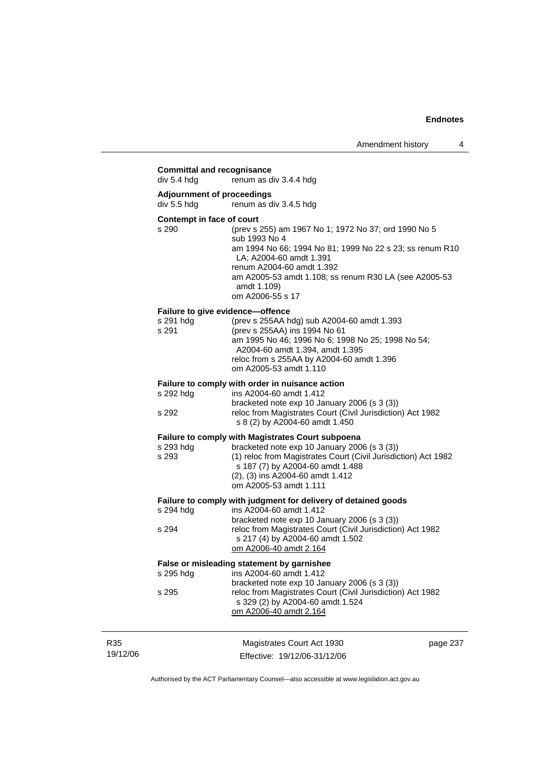|                 | <b>Committal and recognisance</b><br>div 5.4 hda                           | renum as div 3.4.4 hdg                                                                                                                                                                                                                                                                |          |
|-----------------|----------------------------------------------------------------------------|---------------------------------------------------------------------------------------------------------------------------------------------------------------------------------------------------------------------------------------------------------------------------------------|----------|
|                 | <b>Adjournment of proceedings</b><br>div 5.5 hdg<br>renum as div 3.4.5 hdg |                                                                                                                                                                                                                                                                                       |          |
|                 | Contempt in face of court<br>s 290                                         | (prev s 255) am 1967 No 1; 1972 No 37; ord 1990 No 5<br>sub 1993 No 4<br>am 1994 No 66; 1994 No 81; 1999 No 22 s 23; ss renum R10<br>LA; A2004-60 amdt 1.391<br>renum A2004-60 amdt 1.392<br>am A2005-53 amdt 1.108; ss renum R30 LA (see A2005-53<br>amdt 1.109)<br>om A2006-55 s 17 |          |
|                 | s 291 hdg<br>s 291                                                         | Failure to give evidence-offence<br>(prev s 255AA hdg) sub A2004-60 amdt 1.393<br>(prev s 255AA) ins 1994 No 61<br>am 1995 No 46; 1996 No 6; 1998 No 25; 1998 No 54;<br>A2004-60 amdt 1.394, amdt 1.395<br>reloc from s 255AA by A2004-60 amdt 1.396<br>om A2005-53 amdt 1.110        |          |
|                 | s 292 hdg<br>s 292                                                         | Failure to comply with order in nuisance action<br>ins A2004-60 amdt 1.412<br>bracketed note exp 10 January 2006 (s 3 (3))<br>reloc from Magistrates Court (Civil Jurisdiction) Act 1982<br>s 8 (2) by A2004-60 amdt 1.450                                                            |          |
|                 | s 293 hdg<br>s 293                                                         | <b>Failure to comply with Magistrates Court subpoena</b><br>bracketed note exp 10 January 2006 (s 3 (3))<br>(1) reloc from Magistrates Court (Civil Jurisdiction) Act 1982<br>s 187 (7) by A2004-60 amdt 1.488<br>(2), (3) ins A2004-60 amdt 1.412<br>om A2005-53 amdt 1.111          |          |
|                 | s 294 hdg<br>s 294                                                         | Failure to comply with judgment for delivery of detained goods<br>ins A2004-60 amdt 1.412<br>bracketed note exp 10 January 2006 (s 3 (3))<br>reloc from Magistrates Court (Civil Jurisdiction) Act 1982<br>s 217 (4) by A2004-60 amdt 1.502<br>om A2006-40 amdt 2.164                 |          |
|                 | s 295 hdg<br>s 295                                                         | False or misleading statement by garnishee<br>ins A2004-60 amdt 1.412<br>bracketed note exp 10 January 2006 (s 3 (3))<br>reloc from Magistrates Court (Civil Jurisdiction) Act 1982<br>s 329 (2) by A2004-60 amdt 1.524<br>om A2006-40 amdt 2.164                                     |          |
| R35<br>19/12/06 |                                                                            | Magistrates Court Act 1930<br>Effective: 19/12/06-31/12/06                                                                                                                                                                                                                            | page 237 |

Authorised by the ACT Parliamentary Counsel—also accessible at www.legislation.act.gov.au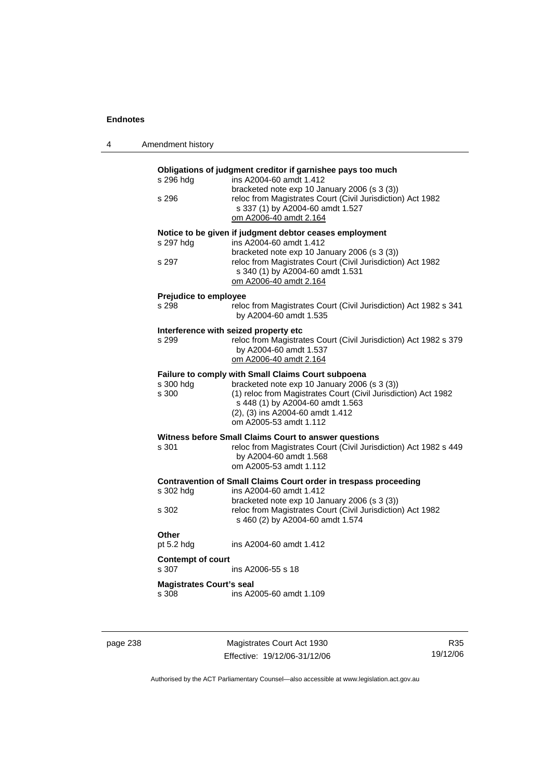| 4 | Amendment history                        |                                                                                                                                                                                                                                                                        |
|---|------------------------------------------|------------------------------------------------------------------------------------------------------------------------------------------------------------------------------------------------------------------------------------------------------------------------|
|   | s 296 hdg<br>s 296                       | Obligations of judgment creditor if garnishee pays too much<br>ins A2004-60 amdt 1.412<br>bracketed note exp 10 January 2006 (s 3 (3))<br>reloc from Magistrates Court (Civil Jurisdiction) Act 1982<br>s 337 (1) by A2004-60 amdt 1.527<br>om A2006-40 amdt 2.164     |
|   | s 297 hdg<br>s 297                       | Notice to be given if judgment debtor ceases employment<br>ins A2004-60 amdt 1.412<br>bracketed note exp 10 January 2006 (s 3 (3))<br>reloc from Magistrates Court (Civil Jurisdiction) Act 1982<br>s 340 (1) by A2004-60 amdt 1.531<br>om A2006-40 amdt 2.164         |
|   | <b>Prejudice to employee</b><br>s 298    | reloc from Magistrates Court (Civil Jurisdiction) Act 1982 s 341<br>by A2004-60 amdt 1.535                                                                                                                                                                             |
|   | s 299                                    | Interference with seized property etc<br>reloc from Magistrates Court (Civil Jurisdiction) Act 1982 s 379<br>by A2004-60 amdt 1.537<br>om A2006-40 amdt 2.164                                                                                                          |
|   | s 300 hdg<br>s 300                       | Failure to comply with Small Claims Court subpoena<br>bracketed note exp 10 January 2006 (s 3 (3))<br>(1) reloc from Magistrates Court (Civil Jurisdiction) Act 1982<br>s 448 (1) by A2004-60 amdt 1.563<br>(2), (3) ins A2004-60 amdt 1.412<br>om A2005-53 amdt 1.112 |
|   | s 301                                    | Witness before Small Claims Court to answer questions<br>reloc from Magistrates Court (Civil Jurisdiction) Act 1982 s 449<br>by A2004-60 amdt 1.568<br>om A2005-53 amdt 1.112                                                                                          |
|   | s 302 hdg<br>s 302                       | Contravention of Small Claims Court order in trespass proceeding<br>ins A2004-60 amdt 1.412<br>bracketed note exp 10 January 2006 (s 3 (3))<br>reloc from Magistrates Court (Civil Jurisdiction) Act 1982<br>s 460 (2) by A2004-60 amdt 1.574                          |
|   | Other<br>pt 5.2 hdg                      | ins A2004-60 amdt 1.412                                                                                                                                                                                                                                                |
|   | <b>Contempt of court</b><br>s 307        | ins A2006-55 s 18                                                                                                                                                                                                                                                      |
|   | <b>Magistrates Court's seal</b><br>s 308 | ins A2005-60 amdt 1.109                                                                                                                                                                                                                                                |
|   |                                          |                                                                                                                                                                                                                                                                        |

page 238 Magistrates Court Act 1930 Effective: 19/12/06-31/12/06

R35 19/12/06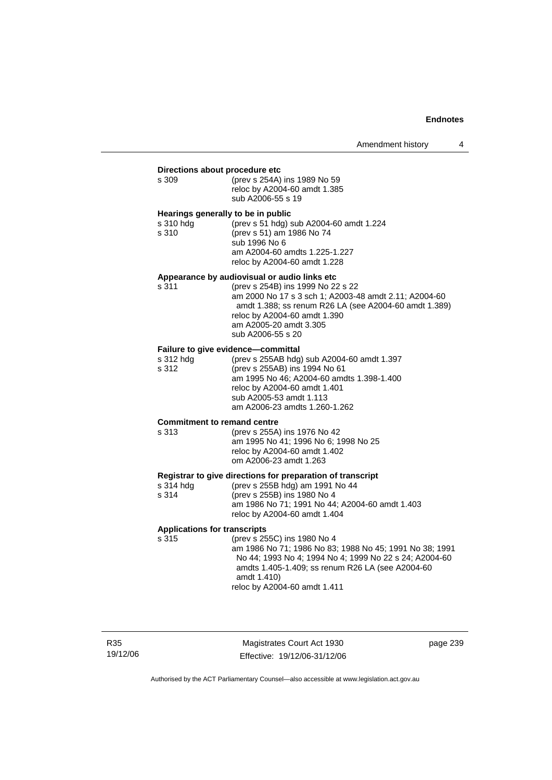#### **Directions about procedure etc**

| s 309 | (prev s 254A) ins 1989 No 59 |
|-------|------------------------------|
|       | reloc by A2004-60 amdt 1.385 |
|       | sub A2006-55 s 19            |

#### **Hearings generally to be in public**

| s 310 hda | (prev s 51 hdg) sub A2004-60 amdt 1.224 |
|-----------|-----------------------------------------|
| s 310     | (prev s 51) am 1986 No 74               |
|           | sub 1996 No 6                           |
|           | am A2004-60 amdts 1.225-1.227           |
|           | reloc by A2004-60 amdt 1.228            |

#### **Appearance by audiovisual or audio links etc**

| s 311 | (prev s 254B) ins 1999 No 22 s 22                     |
|-------|-------------------------------------------------------|
|       | am 2000 No 17 s 3 sch 1; A2003-48 amdt 2.11; A2004-60 |
|       | amdt 1.388; ss renum R26 LA (see A2004-60 amdt 1.389) |
|       | reloc by A2004-60 amdt 1.390                          |
|       | am A2005-20 amdt 3.305                                |
|       | sub A2006-55 s 20                                     |

#### **Failure to give evidence—committal**

| s 312 hdg | (prev s 255AB hdg) sub A2004-60 amdt 1.397 |
|-----------|--------------------------------------------|
| s 312     | (prev s 255AB) ins 1994 No 61              |
|           | am 1995 No 46; A2004-60 amdts 1.398-1.400  |
|           | reloc by A2004-60 amdt 1.401               |
|           | sub A2005-53 amdt 1.113                    |
|           | am A2006-23 amdts 1.260-1.262              |

#### **Commitment to remand centre**

| s 313 | (prev s 255A) ins 1976 No 42         |
|-------|--------------------------------------|
|       | am 1995 No 41: 1996 No 6: 1998 No 25 |
|       | reloc by A2004-60 amdt 1.402         |
|       | om A2006-23 amdt 1.263               |

#### **Registrar to give directions for preparation of transcript**

| s 314 hdg | (prev s 255B hdg) am 1991 No 44                |
|-----------|------------------------------------------------|
| s 314     | (prev s 255B) ins 1980 No 4                    |
|           | am 1986 No 71: 1991 No 44: A2004-60 amdt 1.403 |
|           | reloc by A2004-60 amdt 1.404                   |

# **Applications for transcripts**

(prev s 255C) ins 1980 No 4 am 1986 No 71; 1986 No 83; 1988 No 45; 1991 No 38; 1991 No 44; 1993 No 4; 1994 No 4; 1999 No 22 s 24; A2004-60 amdts 1.405-1.409; ss renum R26 LA (see A2004-60 amdt 1.410) reloc by A2004-60 amdt 1.411

R35 19/12/06

Magistrates Court Act 1930 Effective: 19/12/06-31/12/06 page 239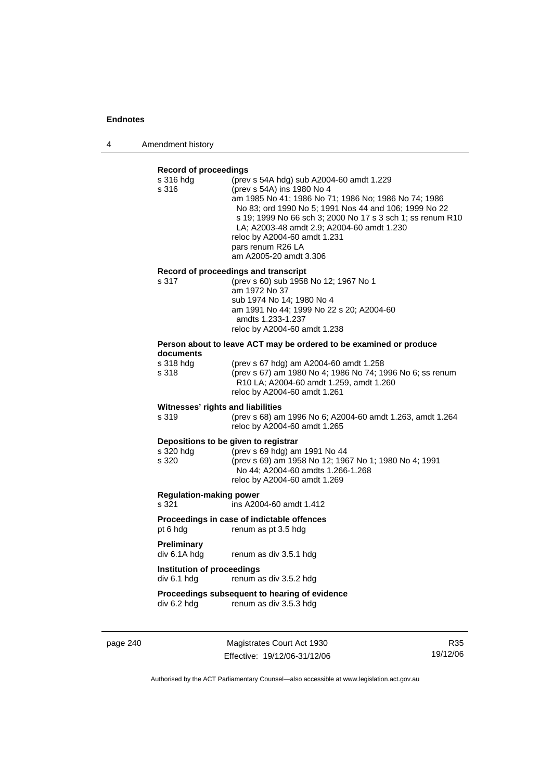4 Amendment history

#### **Record of proceedings**

|                                            | s 316 hdg<br>s 316                         | (prev s 54A hdg) sub A2004-60 amdt 1.229<br>(prev s 54A) ins 1980 No 4<br>am 1985 No 41; 1986 No 71; 1986 No; 1986 No 74; 1986<br>No 83; ord 1990 No 5; 1991 Nos 44 and 106; 1999 No 22<br>s 19; 1999 No 66 sch 3; 2000 No 17 s 3 sch 1; ss renum R10<br>LA; A2003-48 amdt 2.9; A2004-60 amdt 1.230<br>reloc by A2004-60 amdt 1.231<br>pars renum R26 LA<br>am A2005-20 amdt 3.306 |
|--------------------------------------------|--------------------------------------------|------------------------------------------------------------------------------------------------------------------------------------------------------------------------------------------------------------------------------------------------------------------------------------------------------------------------------------------------------------------------------------|
|                                            |                                            | Record of proceedings and transcript                                                                                                                                                                                                                                                                                                                                               |
|                                            | s 317                                      | (prev s 60) sub 1958 No 12; 1967 No 1                                                                                                                                                                                                                                                                                                                                              |
|                                            |                                            | am 1972 No 37<br>sub 1974 No 14; 1980 No 4                                                                                                                                                                                                                                                                                                                                         |
|                                            |                                            | am 1991 No 44; 1999 No 22 s 20; A2004-60                                                                                                                                                                                                                                                                                                                                           |
|                                            |                                            | amdts 1.233-1.237                                                                                                                                                                                                                                                                                                                                                                  |
|                                            |                                            | reloc by A2004-60 amdt 1.238                                                                                                                                                                                                                                                                                                                                                       |
|                                            |                                            | Person about to leave ACT may be ordered to be examined or produce                                                                                                                                                                                                                                                                                                                 |
|                                            | documents<br>s 318 hdg                     | (prev s 67 hdg) am A2004-60 amdt 1.258                                                                                                                                                                                                                                                                                                                                             |
|                                            | s 318                                      | (prev s 67) am 1980 No 4; 1986 No 74; 1996 No 6; ss renum                                                                                                                                                                                                                                                                                                                          |
|                                            |                                            | R10 LA; A2004-60 amdt 1.259, amdt 1.260                                                                                                                                                                                                                                                                                                                                            |
|                                            |                                            | reloc by A2004-60 amdt 1.261                                                                                                                                                                                                                                                                                                                                                       |
|                                            | Witnesses' rights and liabilities<br>s 319 |                                                                                                                                                                                                                                                                                                                                                                                    |
|                                            |                                            | (prev s 68) am 1996 No 6; A2004-60 amdt 1.263, amdt 1.264<br>reloc by A2004-60 amdt 1.265                                                                                                                                                                                                                                                                                          |
|                                            | Depositions to be given to registrar       |                                                                                                                                                                                                                                                                                                                                                                                    |
|                                            | s 320 hdg                                  | (prev s 69 hdg) am 1991 No 44                                                                                                                                                                                                                                                                                                                                                      |
|                                            | s 320                                      | (prev s 69) am 1958 No 12; 1967 No 1; 1980 No 4; 1991                                                                                                                                                                                                                                                                                                                              |
|                                            |                                            | No 44; A2004-60 amdts 1.266-1.268<br>reloc by A2004-60 amdt 1.269                                                                                                                                                                                                                                                                                                                  |
|                                            | <b>Regulation-making power</b>             |                                                                                                                                                                                                                                                                                                                                                                                    |
|                                            | s 321                                      | ins A2004-60 amdt 1.412                                                                                                                                                                                                                                                                                                                                                            |
| Proceedings in case of indictable offences |                                            |                                                                                                                                                                                                                                                                                                                                                                                    |
|                                            | pt 6 hdg                                   | renum as pt 3.5 hdg                                                                                                                                                                                                                                                                                                                                                                |
|                                            | <b>Preliminary</b>                         |                                                                                                                                                                                                                                                                                                                                                                                    |
|                                            | div 6.1A hdg                               | renum as div 3.5.1 hdg                                                                                                                                                                                                                                                                                                                                                             |
|                                            | Institution of proceedings                 |                                                                                                                                                                                                                                                                                                                                                                                    |
|                                            | div 6.1 hdg                                | renum as div 3.5.2 hdg                                                                                                                                                                                                                                                                                                                                                             |
|                                            |                                            | Proceedings subsequent to hearing of evidence                                                                                                                                                                                                                                                                                                                                      |
|                                            | div 6.2 hdg                                | renum as div 3.5.3 hdg                                                                                                                                                                                                                                                                                                                                                             |
|                                            |                                            |                                                                                                                                                                                                                                                                                                                                                                                    |

page 240 Magistrates Court Act 1930 Effective: 19/12/06-31/12/06

R35 19/12/06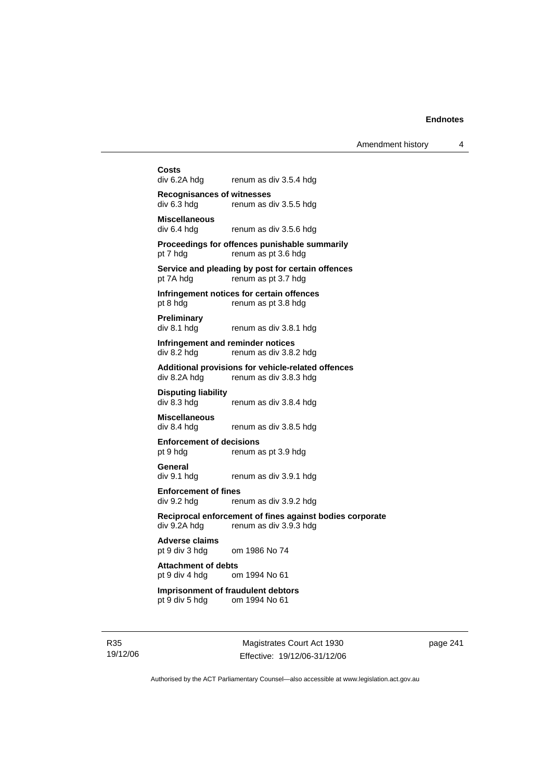Amendment history 4

**Costs**  renum as div 3.5.4 hdg **Recognisances of witnesses**  div 6.3 hdg renum as div 3.5.5 hdg **Miscellaneous**  renum as div 3.5.6 hdg **Proceedings for offences punishable summarily**  pt 7 hdg renum as pt 3.6 hdg **Service and pleading by post for certain offences**  pt 7A hdg renum as pt 3.7 hdg **Infringement notices for certain offences**  pt 8 hdg renum as pt 3.8 hdg **Preliminary**  div 8.1 hdg renum as div 3.8.1 hdg **Infringement and reminder notices**  div 8.2 hdg renum as div 3.8.2 hdg **Additional provisions for vehicle-related offences**  div 8.2A hdg renum as div 3.8.3 hdg **Disputing liability**  div 8.3 hdg renum as div 3.8.4 hdg **Miscellaneous**  div 8.4 hdg renum as div 3.8.5 hdg **Enforcement of decisions**  pt 9 hdg renum as pt 3.9 hdg **General**  div 9.1 hdg renum as div 3.9.1 hdg **Enforcement of fines**  div 9.2 hdg renum as div 3.9.2 hdg **Reciprocal enforcement of fines against bodies corporate**  renum as div  $3.9.3$  hdg **Adverse claims**  pt 9 div 3 hdg om 1986 No 74 **Attachment of debts** pt 9 div 4 hdg or om 1994 No 61 **Imprisonment of fraudulent debtors**  pt 9 div 5 hdg om 1994 No 61

R35 19/12/06

Magistrates Court Act 1930 Effective: 19/12/06-31/12/06 page 241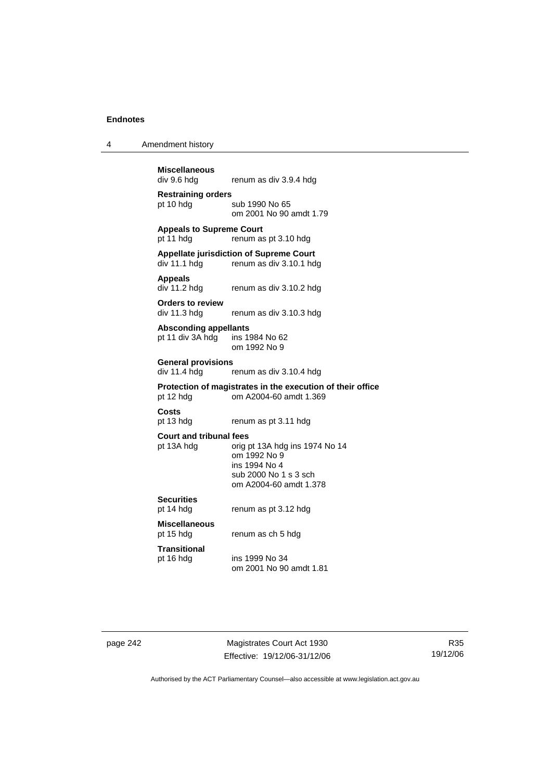4 Amendment history

**Miscellaneous**  renum as div 3.9.4 hdg **Restraining orders**  pt 10 hdg sub 1990 No 65 om 2001 No 90 amdt 1.79 **Appeals to Supreme Court**  pt 11 hdg renum as pt 3.10 hdg **Appellate jurisdiction of Supreme Court**  renum as div 3.10.1 hdg **Appeals**  div 11.2 hdg renum as div 3.10.2 hdg **Orders to review**  div 11.3 hdg renum as div 3.10.3 hdg **Absconding appellants**  pt 11 div 3A hdg ins 1984 No 62 om 1992 No 9 **General provisions**  renum as div 3.10.4 hdg **Protection of magistrates in the execution of their office**  pt 12 hdg om A2004-60 amdt 1.369 **Costs**  renum as pt 3.11 hdg **Court and tribunal fees**  pt 13A hdg orig pt 13A hdg ins 1974 No 14 om 1992 No 9 ins 1994 No 4 sub 2000 No 1 s 3 sch om A2004-60 amdt 1.378 **Securities**  pt 14 hdg renum as pt 3.12 hdg **Miscellaneous**  renum as ch 5 hdg **Transitional**  pt 16 hdg ins 1999 No 34 om 2001 No 90 amdt 1.81

page 242 Magistrates Court Act 1930 Effective: 19/12/06-31/12/06

R35 19/12/06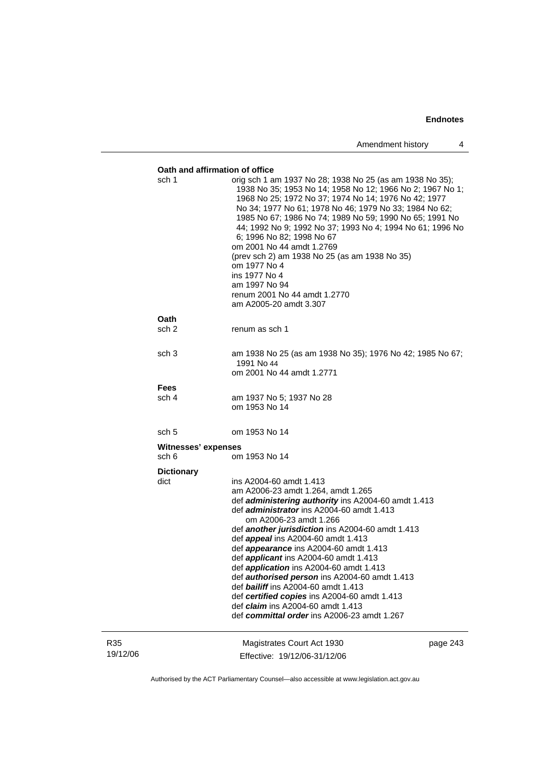|                 | Oath and affirmation of office<br>sch 1 | orig sch 1 am 1937 No 28; 1938 No 25 (as am 1938 No 35);<br>1938 No 35; 1953 No 14; 1958 No 12; 1966 No 2; 1967 No 1;<br>1968 No 25; 1972 No 37; 1974 No 14; 1976 No 42; 1977<br>No 34; 1977 No 61; 1978 No 46; 1979 No 33; 1984 No 62;<br>1985 No 67; 1986 No 74; 1989 No 59; 1990 No 65; 1991 No<br>44; 1992 No 9; 1992 No 37; 1993 No 4; 1994 No 61; 1996 No<br>6; 1996 No 82; 1998 No 67<br>om 2001 No 44 amdt 1.2769<br>(prev sch 2) am 1938 No 25 (as am 1938 No 35)<br>om 1977 No 4<br>ins 1977 No 4<br>am 1997 No 94<br>renum 2001 No 44 amdt 1.2770<br>am A2005-20 amdt 3.307                                                                                                           |          |
|-----------------|-----------------------------------------|--------------------------------------------------------------------------------------------------------------------------------------------------------------------------------------------------------------------------------------------------------------------------------------------------------------------------------------------------------------------------------------------------------------------------------------------------------------------------------------------------------------------------------------------------------------------------------------------------------------------------------------------------------------------------------------------------|----------|
|                 | Oath                                    |                                                                                                                                                                                                                                                                                                                                                                                                                                                                                                                                                                                                                                                                                                  |          |
|                 | sch <sub>2</sub>                        | renum as sch 1                                                                                                                                                                                                                                                                                                                                                                                                                                                                                                                                                                                                                                                                                   |          |
|                 | sch <sub>3</sub>                        | am 1938 No 25 (as am 1938 No 35); 1976 No 42; 1985 No 67;<br>1991 No 44<br>om 2001 No 44 amdt 1.2771                                                                                                                                                                                                                                                                                                                                                                                                                                                                                                                                                                                             |          |
|                 | <b>Fees</b>                             |                                                                                                                                                                                                                                                                                                                                                                                                                                                                                                                                                                                                                                                                                                  |          |
|                 | sch 4                                   | am 1937 No 5; 1937 No 28<br>om 1953 No 14                                                                                                                                                                                                                                                                                                                                                                                                                                                                                                                                                                                                                                                        |          |
|                 | sch <sub>5</sub>                        | om 1953 No 14                                                                                                                                                                                                                                                                                                                                                                                                                                                                                                                                                                                                                                                                                    |          |
|                 | Witnesses' expenses<br>sch 6            | om 1953 No 14                                                                                                                                                                                                                                                                                                                                                                                                                                                                                                                                                                                                                                                                                    |          |
|                 | <b>Dictionary</b><br>dict               | ins A2004-60 amdt 1.413<br>am A2006-23 amdt 1.264, amdt 1.265<br>def <i>administering authority</i> ins A2004-60 amdt 1.413<br>def <i>administrator</i> ins A2004-60 amdt 1.413<br>om A2006-23 amdt 1.266<br>def another jurisdiction ins A2004-60 amdt 1.413<br>def <i>appeal</i> ins A2004-60 amdt 1.413<br>def <i>appearance</i> ins A2004-60 amdt 1.413<br>def <i>applicant</i> ins A2004-60 amdt 1.413<br>def application ins A2004-60 amdt 1.413<br>def <b>authorised person</b> ins A2004-60 amdt 1.413<br>def <b>bailiff</b> ins A2004-60 amdt 1.413<br>def certified copies ins A2004-60 amdt 1.413<br>def claim ins A2004-60 amdt 1.413<br>def committal order ins A2006-23 amdt 1.267 |          |
| R35<br>19/12/06 |                                         | Magistrates Court Act 1930<br>Effective: 19/12/06-31/12/06                                                                                                                                                                                                                                                                                                                                                                                                                                                                                                                                                                                                                                       | page 243 |

Authorised by the ACT Parliamentary Counsel—also accessible at www.legislation.act.gov.au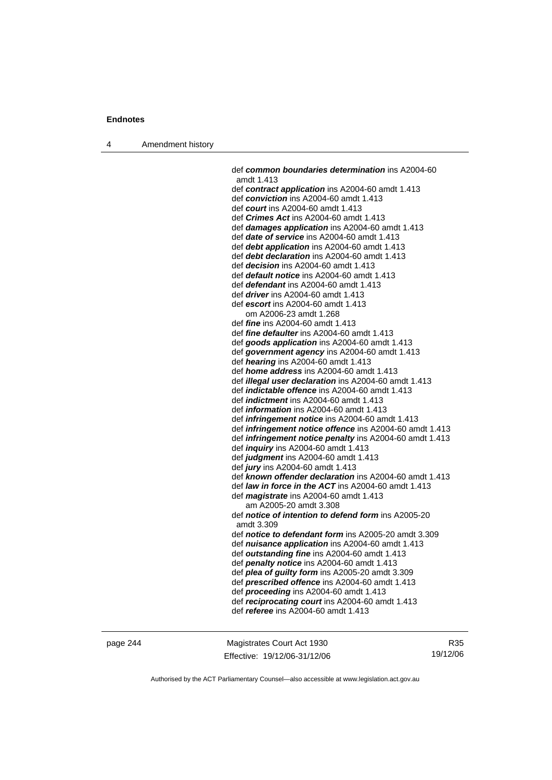4 Amendment history

 def *common boundaries determination* ins A2004-60 amdt 1.413 def *contract application* ins A2004-60 amdt 1.413 def *conviction* ins A2004-60 amdt 1.413 def *court* ins A2004-60 amdt 1.413 def *Crimes Act* ins A2004-60 amdt 1.413 def *damages application* ins A2004-60 amdt 1.413 def *date of service* ins A2004-60 amdt 1.413 def *debt application* ins A2004-60 amdt 1.413 def *debt declaration* ins A2004-60 amdt 1.413 def *decision* ins A2004-60 amdt 1.413 def *default notice* ins A2004-60 amdt 1.413 def *defendant* ins A2004-60 amdt 1.413 def *driver* ins A2004-60 amdt 1.413 def *escort* ins A2004-60 amdt 1.413 om A2006-23 amdt 1.268 def *fine* ins A2004-60 amdt 1.413 def *fine defaulter* ins A2004-60 amdt 1.413 def *goods application* ins A2004-60 amdt 1.413 def *government agency* ins A2004-60 amdt 1.413 def *hearing* ins A2004-60 amdt 1.413 def *home address* ins A2004-60 amdt 1.413 def *illegal user declaration* ins A2004-60 amdt 1.413 def *indictable offence* ins A2004-60 amdt 1.413 def *indictment* ins A2004-60 amdt 1.413 def *information* ins A2004-60 amdt 1.413 def *infringement notice* ins A2004-60 amdt 1.413 def *infringement notice offence* ins A2004-60 amdt 1.413 def *infringement notice penalty* ins A2004-60 amdt 1.413 def *inquiry* ins A2004-60 amdt 1.413 def *judgment* ins A2004-60 amdt 1.413 def *jury* ins A2004-60 amdt 1.413 def *known offender declaration* ins A2004-60 amdt 1.413 def *law in force in the ACT* ins A2004-60 amdt 1.413 def *magistrate* ins A2004-60 amdt 1.413 am A2005-20 amdt 3.308 def *notice of intention to defend form* ins A2005-20 amdt 3.309 def *notice to defendant form* ins A2005-20 amdt 3.309 def *nuisance application* ins A2004-60 amdt 1.413 def *outstanding fine* ins A2004-60 amdt 1.413 def *penalty notice* ins A2004-60 amdt 1.413 def *plea of guilty form* ins A2005-20 amdt 3.309 def *prescribed offence* ins A2004-60 amdt 1.413 def *proceeding* ins A2004-60 amdt 1.413 def *reciprocating court* ins A2004-60 amdt 1.413 def *referee* ins A2004-60 amdt 1.413

page 244 Magistrates Court Act 1930 Effective: 19/12/06-31/12/06

R35 19/12/06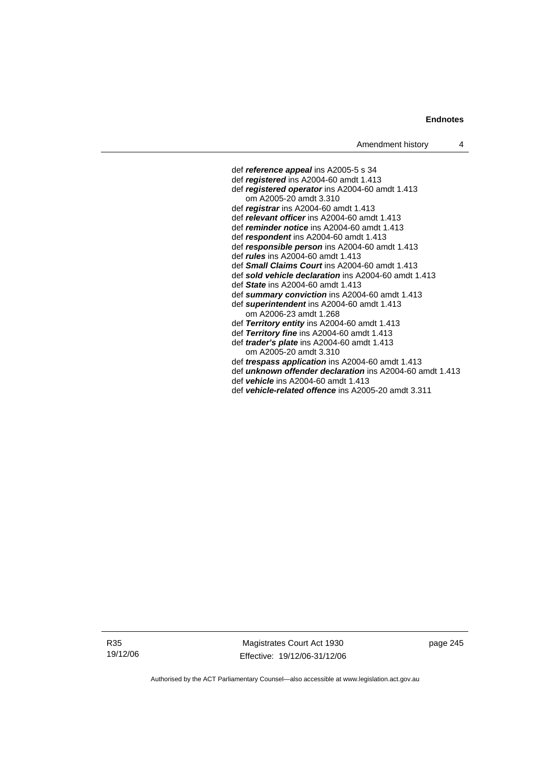def *reference appeal* ins A2005-5 s 34 def *registered* ins A2004-60 amdt 1.413 def *registered operator* ins A2004-60 amdt 1.413 om A2005-20 amdt 3.310 def *registrar* ins A2004-60 amdt 1.413 def *relevant officer* ins A2004-60 amdt 1.413 def *reminder notice* ins A2004-60 amdt 1.413 def *respondent* ins A2004-60 amdt 1.413 def *responsible person* ins A2004-60 amdt 1.413 def *rules* ins A2004-60 amdt 1.413 def *Small Claims Court* ins A2004-60 amdt 1.413 def *sold vehicle declaration* ins A2004-60 amdt 1.413 def *State* ins A2004-60 amdt 1.413 def *summary conviction* ins A2004-60 amdt 1.413 def *superintendent* ins A2004-60 amdt 1.413 om A2006-23 amdt 1.268 def *Territory entity* ins A2004-60 amdt 1.413 def *Territory fine* ins A2004-60 amdt 1.413 def *trader's plate* ins A2004-60 amdt 1.413 om A2005-20 amdt 3.310 def *trespass application* ins A2004-60 amdt 1.413 def *unknown offender declaration* ins A2004-60 amdt 1.413 def *vehicle* ins A2004-60 amdt 1.413

def *vehicle-related offence* ins A2005-20 amdt 3.311

R35 19/12/06

Magistrates Court Act 1930 Effective: 19/12/06-31/12/06 page 245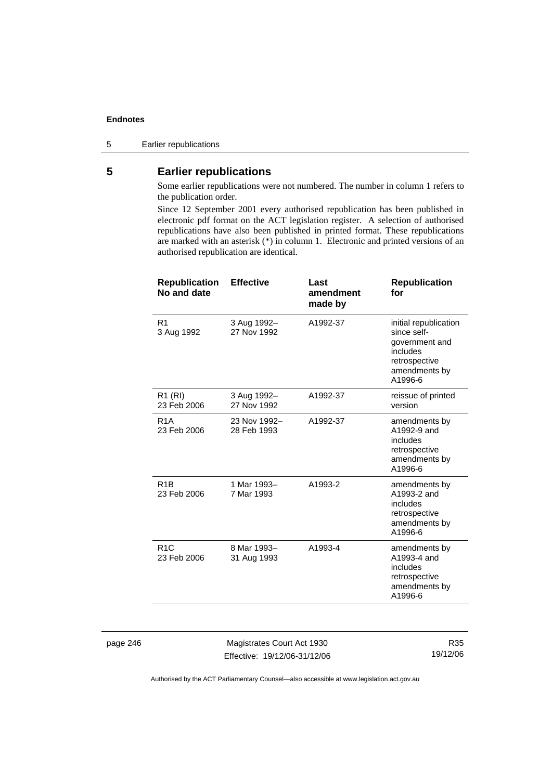5 Earlier republications

# **5 Earlier republications**

Some earlier republications were not numbered. The number in column 1 refers to the publication order.

Since 12 September 2001 every authorised republication has been published in electronic pdf format on the ACT legislation register. A selection of authorised republications have also been published in printed format. These republications are marked with an asterisk (\*) in column 1. Electronic and printed versions of an authorised republication are identical.

| <b>Republication</b><br>No and date | <b>Effective</b>            | Last<br>amendment<br>made by | <b>Republication</b><br>for                                                                                     |
|-------------------------------------|-----------------------------|------------------------------|-----------------------------------------------------------------------------------------------------------------|
| R <sub>1</sub><br>3 Aug 1992        | 3 Aug 1992-<br>27 Nov 1992  | A1992-37                     | initial republication<br>since self-<br>government and<br>includes<br>retrospective<br>amendments by<br>A1996-6 |
| R <sub>1</sub> (RI)<br>23 Feb 2006  | 3 Aug 1992-<br>27 Nov 1992  | A1992-37                     | reissue of printed<br>version                                                                                   |
| R <sub>1</sub> A<br>23 Feb 2006     | 23 Nov 1992-<br>28 Feb 1993 | A1992-37                     | amendments by<br>A1992-9 and<br>includes<br>retrospective<br>amendments by<br>A1996-6                           |
| R <sub>1</sub> B<br>23 Feb 2006     | 1 Mar 1993-<br>7 Mar 1993   | A1993-2                      | amendments by<br>A1993-2 and<br>includes<br>retrospective<br>amendments by<br>A1996-6                           |
| R1C<br>23 Feb 2006                  | 8 Mar 1993-<br>31 Aug 1993  | A1993-4                      | amendments by<br>A1993-4 and<br>includes<br>retrospective<br>amendments by<br>A1996-6                           |
|                                     |                             |                              |                                                                                                                 |

page 246 Magistrates Court Act 1930 Effective: 19/12/06-31/12/06

R35 19/12/06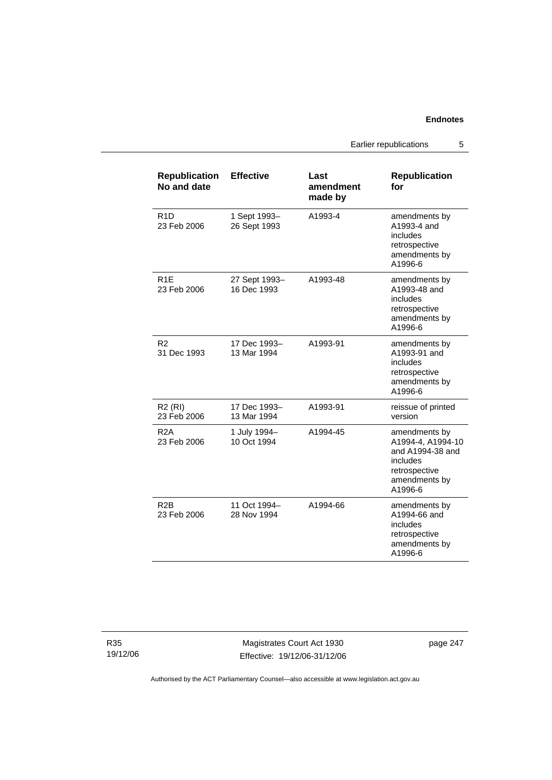Earlier republications 5

| <b>Republication</b><br>No and date | <b>Effective</b>             | Last<br>amendment<br>made by | <b>Republication</b><br>for                                                                                     |
|-------------------------------------|------------------------------|------------------------------|-----------------------------------------------------------------------------------------------------------------|
| R <sub>1</sub> D<br>23 Feb 2006     | 1 Sept 1993-<br>26 Sept 1993 | A1993-4                      | amendments by<br>A1993-4 and<br>includes<br>retrospective<br>amendments by<br>A1996-6                           |
| R <sub>1E</sub><br>23 Feb 2006      | 27 Sept 1993-<br>16 Dec 1993 | A1993-48                     | amendments by<br>A1993-48 and<br>includes<br>retrospective<br>amendments by<br>A1996-6                          |
| R <sub>2</sub><br>31 Dec 1993       | 17 Dec 1993-<br>13 Mar 1994  | A1993-91                     | amendments by<br>A1993-91 and<br>includes<br>retrospective<br>amendments by<br>A1996-6                          |
| $R2$ (RI)<br>23 Feb 2006            | 17 Dec 1993-<br>13 Mar 1994  | A1993-91                     | reissue of printed<br>version                                                                                   |
| R <sub>2</sub> A<br>23 Feb 2006     | 1 July 1994-<br>10 Oct 1994  | A1994-45                     | amendments by<br>A1994-4, A1994-10<br>and A1994-38 and<br>includes<br>retrospective<br>amendments by<br>A1996-6 |
| R <sub>2</sub> B<br>23 Feb 2006     | 11 Oct 1994-<br>28 Nov 1994  | A1994-66                     | amendments by<br>A1994-66 and<br>includes<br>retrospective<br>amendments by<br>A1996-6                          |

R35 19/12/06

Magistrates Court Act 1930 Effective: 19/12/06-31/12/06 page 247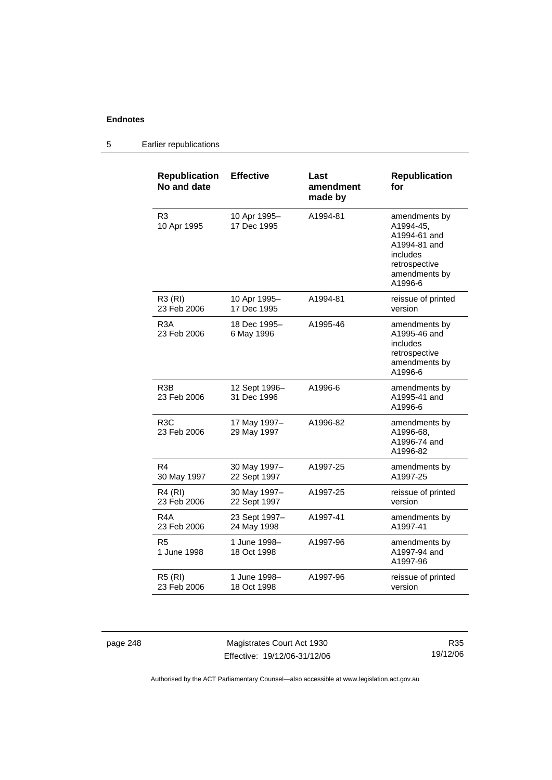| <b>Republication</b><br>No and date | <b>Effective</b>             | Last<br>amendment<br>made by | <b>Republication</b><br>for                                                                                         |
|-------------------------------------|------------------------------|------------------------------|---------------------------------------------------------------------------------------------------------------------|
| R <sub>3</sub><br>10 Apr 1995       | 10 Apr 1995-<br>17 Dec 1995  | A1994-81                     | amendments by<br>A1994-45,<br>A1994-61 and<br>A1994-81 and<br>includes<br>retrospective<br>amendments by<br>A1996-6 |
| R3 (RI)<br>23 Feb 2006              | 10 Apr 1995-<br>17 Dec 1995  | A1994-81                     | reissue of printed<br>version                                                                                       |
| R <sub>3</sub> A<br>23 Feb 2006     | 18 Dec 1995-<br>6 May 1996   | A1995-46                     | amendments by<br>A1995-46 and<br>includes<br>retrospective<br>amendments by<br>A1996-6                              |
| R <sub>3</sub> B<br>23 Feb 2006     | 12 Sept 1996-<br>31 Dec 1996 | A1996-6                      | amendments by<br>A1995-41 and<br>A1996-6                                                                            |
| R <sub>3</sub> C<br>23 Feb 2006     | 17 May 1997-<br>29 May 1997  | A1996-82                     | amendments by<br>A1996-68,<br>A1996-74 and<br>A1996-82                                                              |
| R4<br>30 May 1997                   | 30 May 1997-<br>22 Sept 1997 | A1997-25                     | amendments by<br>A1997-25                                                                                           |
| R4 (RI)<br>23 Feb 2006              | 30 May 1997-<br>22 Sept 1997 | A1997-25                     | reissue of printed<br>version                                                                                       |
| R4A<br>23 Feb 2006                  | 23 Sept 1997-<br>24 May 1998 | A1997-41                     | amendments by<br>A1997-41                                                                                           |
| R5<br>1 June 1998                   | 1 June 1998-<br>18 Oct 1998  | A1997-96                     | amendments by<br>A1997-94 and<br>A1997-96                                                                           |
| <b>R5 (RI)</b><br>23 Feb 2006       | 1 June 1998–<br>18 Oct 1998  | A1997-96                     | reissue of printed<br>version                                                                                       |

## 5 Earlier republications

page 248 Magistrates Court Act 1930 Effective: 19/12/06-31/12/06

R35 19/12/06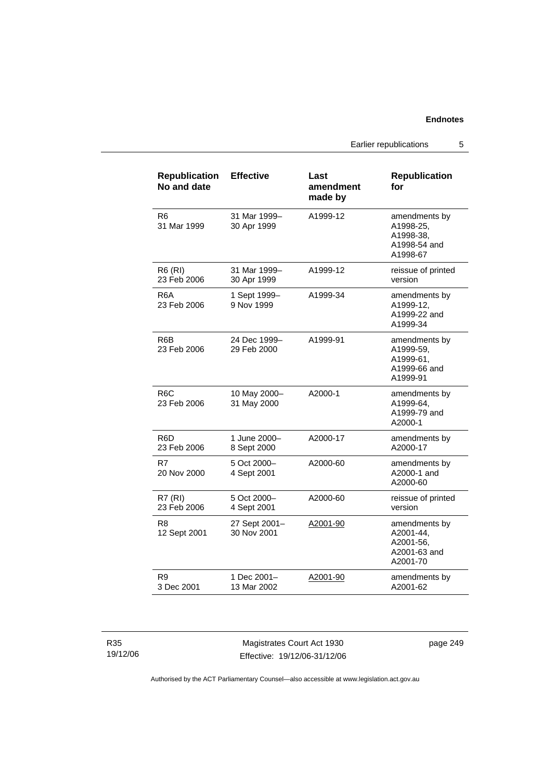Earlier republications 5

| <b>Republication</b><br>No and date | <b>Effective</b>             | Last<br>amendment<br>made by | <b>Republication</b><br>for                                         |
|-------------------------------------|------------------------------|------------------------------|---------------------------------------------------------------------|
| R6<br>31 Mar 1999                   | 31 Mar 1999-<br>30 Apr 1999  | A1999-12                     | amendments by<br>A1998-25,<br>A1998-38.<br>A1998-54 and<br>A1998-67 |
| R6 (RI)<br>23 Feb 2006              | 31 Mar 1999-<br>30 Apr 1999  | A1999-12                     | reissue of printed<br>version                                       |
| R6A<br>23 Feb 2006                  | 1 Sept 1999-<br>9 Nov 1999   | A1999-34                     | amendments by<br>A1999-12.<br>A1999-22 and<br>A1999-34              |
| R6B<br>23 Feb 2006                  | 24 Dec 1999-<br>29 Feb 2000  | A1999-91                     | amendments by<br>A1999-59,<br>A1999-61,<br>A1999-66 and<br>A1999-91 |
| R <sub>6</sub> C<br>23 Feb 2006     | 10 May 2000-<br>31 May 2000  | A2000-1                      | amendments by<br>A1999-64,<br>A1999-79 and<br>A2000-1               |
| R6D<br>23 Feb 2006                  | 1 June 2000-<br>8 Sept 2000  | A2000-17                     | amendments by<br>A2000-17                                           |
| R7<br>20 Nov 2000                   | 5 Oct 2000-<br>4 Sept 2001   | A2000-60                     | amendments by<br>A2000-1 and<br>A2000-60                            |
| <b>R7 (RI)</b><br>23 Feb 2006       | 5 Oct 2000-<br>4 Sept 2001   | A2000-60                     | reissue of printed<br>version                                       |
| R <sub>8</sub><br>12 Sept 2001      | 27 Sept 2001-<br>30 Nov 2001 | A2001-90                     | amendments by<br>A2001-44,<br>A2001-56,<br>A2001-63 and<br>A2001-70 |
| R9<br>3 Dec 2001                    | 1 Dec 2001-<br>13 Mar 2002   | A2001-90                     | amendments by<br>A2001-62                                           |

R35 19/12/06

Magistrates Court Act 1930 Effective: 19/12/06-31/12/06 page 249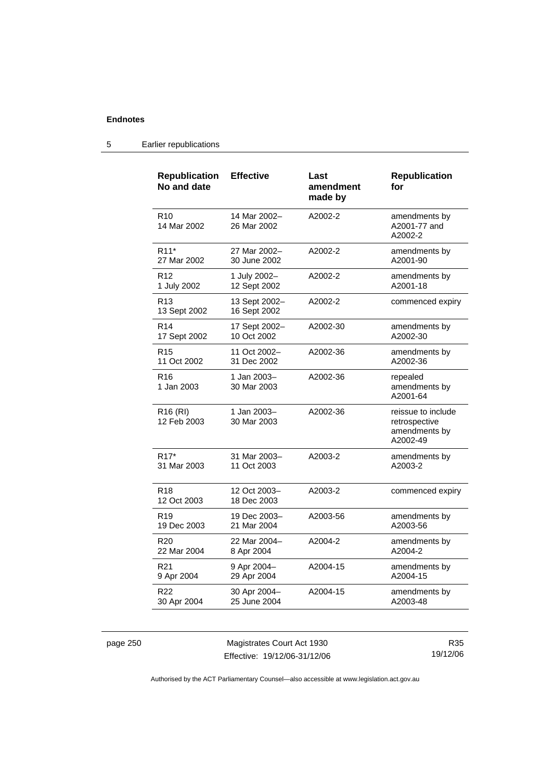| <b>Republication</b><br>No and date | <b>Effective</b>              | Last<br>amendment<br>made by | <b>Republication</b><br>for                                      |
|-------------------------------------|-------------------------------|------------------------------|------------------------------------------------------------------|
| R <sub>10</sub><br>14 Mar 2002      | 14 Mar 2002-<br>26 Mar 2002   | A2002-2                      | amendments by<br>A2001-77 and<br>A2002-2                         |
| R <sub>11</sub> *                   | 27 Mar 2002-                  | A2002-2                      | amendments by                                                    |
| 27 Mar 2002                         | 30 June 2002                  |                              | A2001-90                                                         |
| R <sub>12</sub>                     | 1 July 2002–                  | A2002-2                      | amendments by                                                    |
| 1 July 2002                         | 12 Sept 2002                  |                              | A2001-18                                                         |
| R <sub>13</sub><br>13 Sept 2002     | 13 Sept 2002-<br>16 Sept 2002 | A2002-2                      | commenced expiry                                                 |
| R <sub>14</sub>                     | 17 Sept 2002-                 | A2002-30                     | amendments by                                                    |
| 17 Sept 2002                        | 10 Oct 2002                   |                              | A2002-30                                                         |
| R <sub>15</sub>                     | 11 Oct 2002-                  | A2002-36                     | amendments by                                                    |
| 11 Oct 2002                         | 31 Dec 2002                   |                              | A2002-36                                                         |
| R <sub>16</sub><br>1 Jan 2003       | 1 Jan 2003-<br>30 Mar 2003    | A2002-36                     | repealed<br>amendments by<br>A2001-64                            |
| R <sub>16</sub> (RI)<br>12 Feb 2003 | 1 Jan 2003–<br>30 Mar 2003    | A2002-36                     | reissue to include<br>retrospective<br>amendments by<br>A2002-49 |
| R <sub>17</sub> *                   | 31 Mar 2003-                  | A2003-2                      | amendments by                                                    |
| 31 Mar 2003                         | 11 Oct 2003                   |                              | A2003-2                                                          |
| R <sub>18</sub><br>12 Oct 2003      | 12 Oct 2003-<br>18 Dec 2003   | A2003-2                      | commenced expiry                                                 |
| R <sub>19</sub>                     | 19 Dec 2003-                  | A2003-56                     | amendments by                                                    |
| 19 Dec 2003                         | 21 Mar 2004                   |                              | A2003-56                                                         |
| R <sub>20</sub>                     | 22 Mar 2004-                  | A2004-2                      | amendments by                                                    |
| 22 Mar 2004                         | 8 Apr 2004                    |                              | A2004-2                                                          |
| R <sub>21</sub>                     | 9 Apr 2004-                   | A2004-15                     | amendments by                                                    |
| 9 Apr 2004                          | 29 Apr 2004                   |                              | A2004-15                                                         |
| R22                                 | 30 Apr 2004-                  | A2004-15                     | amendments by                                                    |
| 30 Apr 2004                         | 25 June 2004                  |                              | A2003-48                                                         |

## 5 Earlier republications

page 250 Magistrates Court Act 1930 Effective: 19/12/06-31/12/06

R35 19/12/06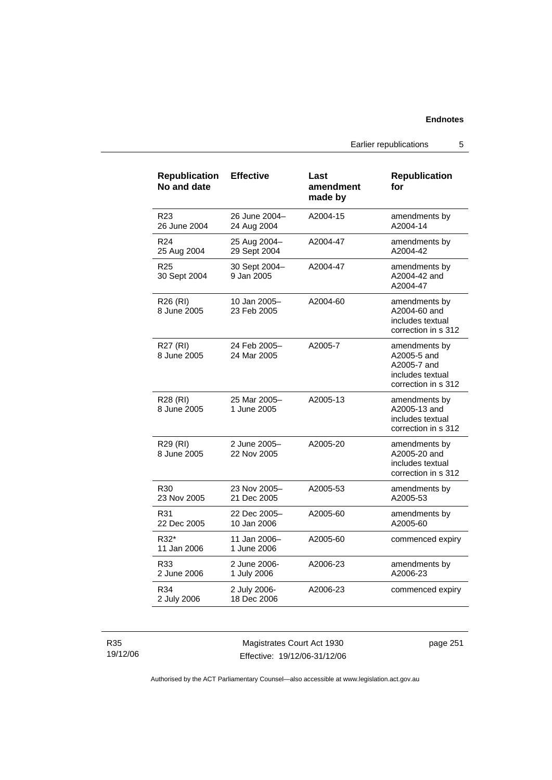Earlier republications 5

| <b>Republication</b><br>No and date | <b>Effective</b>             | Last<br>amendment<br>made by | <b>Republication</b><br>for                                                            |
|-------------------------------------|------------------------------|------------------------------|----------------------------------------------------------------------------------------|
| R <sub>23</sub><br>26 June 2004     | 26 June 2004-<br>24 Aug 2004 | A2004-15                     | amendments by<br>A2004-14                                                              |
| R <sub>24</sub><br>25 Aug 2004      | 25 Aug 2004-<br>29 Sept 2004 | A2004-47                     | amendments by<br>A2004-42                                                              |
| R25<br>30 Sept 2004                 | 30 Sept 2004-<br>9 Jan 2005  | A2004-47                     | amendments by<br>A2004-42 and<br>A2004-47                                              |
| R26 (RI)<br>8 June 2005             | 10 Jan 2005-<br>23 Feb 2005  | A2004-60                     | amendments by<br>A2004-60 and<br>includes textual<br>correction in s 312               |
| <b>R27 (RI)</b><br>8 June 2005      | 24 Feb 2005–<br>24 Mar 2005  | A2005-7                      | amendments by<br>A2005-5 and<br>A2005-7 and<br>includes textual<br>correction in s 312 |
| R28 (RI)<br>8 June 2005             | 25 Mar 2005-<br>1 June 2005  | A2005-13                     | amendments by<br>A2005-13 and<br>includes textual<br>correction in s 312               |
| R29 (RI)<br>8 June 2005             | 2 June 2005-<br>22 Nov 2005  | A2005-20                     | amendments by<br>A2005-20 and<br>includes textual<br>correction in s 312               |
| R30<br>23 Nov 2005                  | 23 Nov 2005-<br>21 Dec 2005  | A2005-53                     | amendments by<br>A2005-53                                                              |
| R31<br>22 Dec 2005                  | 22 Dec 2005-<br>10 Jan 2006  | A2005-60                     | amendments by<br>A2005-60                                                              |
| R32*<br>11 Jan 2006                 | 11 Jan 2006-<br>1 June 2006  | A2005-60                     | commenced expiry                                                                       |
| R33<br>2 June 2006                  | 2 June 2006-<br>1 July 2006  | A2006-23                     | amendments by<br>A2006-23                                                              |
| R34<br>2 July 2006                  | 2 July 2006-<br>18 Dec 2006  | A2006-23                     | commenced expiry                                                                       |

R35 19/12/06

Magistrates Court Act 1930 Effective: 19/12/06-31/12/06 page 251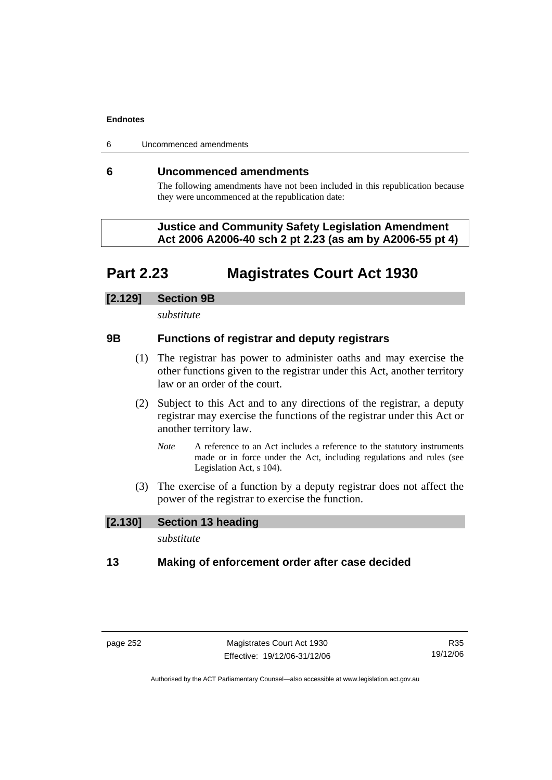6 Uncommenced amendments

## **6 Uncommenced amendments**

The following amendments have not been included in this republication because they were uncommenced at the republication date:

 **Justice and Community Safety Legislation Amendment Act 2006 A2006-40 sch 2 pt 2.23 (as am by A2006-55 pt 4)** 

# **Part 2.23 Magistrates Court Act 1930**

## **[2.129] Section 9B**

*substitute* 

## **9B Functions of registrar and deputy registrars**

- (1) The registrar has power to administer oaths and may exercise the other functions given to the registrar under this Act, another territory law or an order of the court.
- (2) Subject to this Act and to any directions of the registrar, a deputy registrar may exercise the functions of the registrar under this Act or another territory law.
	- *Note* A reference to an Act includes a reference to the statutory instruments made or in force under the Act, including regulations and rules (see Legislation Act, s 104).
- (3) The exercise of a function by a deputy registrar does not affect the power of the registrar to exercise the function.

# **[2.130] Section 13 heading**

*substitute* 

## **13 Making of enforcement order after case decided**

R35 19/12/06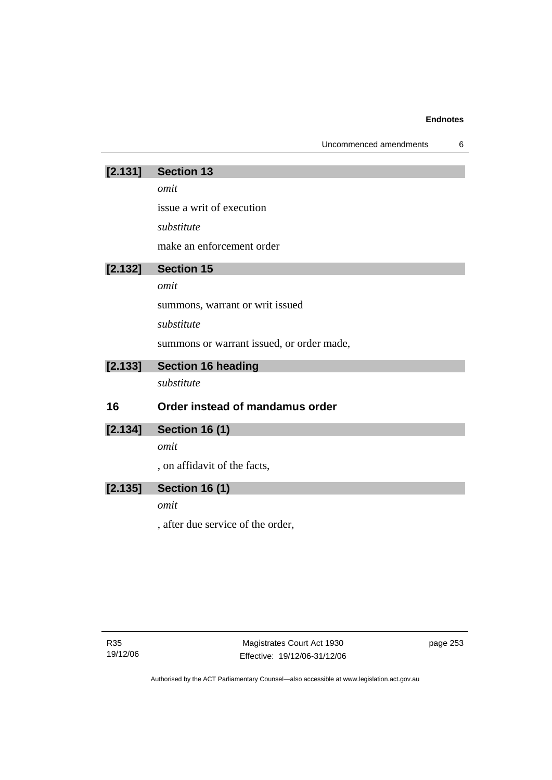| Uncommenced amendments |  |
|------------------------|--|
|------------------------|--|

| [2.131] | <b>Section 13</b>                         |
|---------|-------------------------------------------|
|         | omit                                      |
|         | issue a writ of execution                 |
|         | substitute                                |
|         | make an enforcement order                 |
| [2.132] | <b>Section 15</b>                         |
|         | omit                                      |
|         | summons, warrant or writ issued           |
|         | substitute                                |
|         | summons or warrant issued, or order made, |
| [2.133] | <b>Section 16 heading</b>                 |
|         | substitute                                |
| 16      | Order instead of mandamus order           |
| [2.134] | <b>Section 16 (1)</b>                     |
|         | omit                                      |
|         | , on affidavit of the facts,              |
| [2.135] | <b>Section 16 (1)</b>                     |
|         | omit                                      |
|         | , after due service of the order,         |

page 253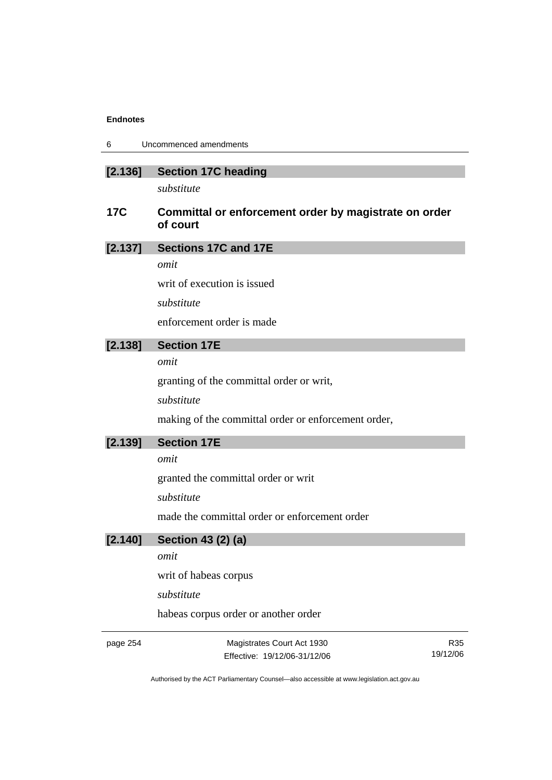| 6 | Uncommenced amendments |
|---|------------------------|
|---|------------------------|

| [2.136] |  | <b>Section 17C heading</b> |
|---------|--|----------------------------|
|---------|--|----------------------------|

*substitute* 

# **17C Committal or enforcement order by magistrate on order of court**

*omit* 

writ of execution is issued

*substitute* 

enforcement order is made

# **[2.138] Section 17E**

*omit* 

granting of the committal order or writ,

*substitute* 

making of the committal order or enforcement order,

# **[2.139] Section 17E**

*omit* 

granted the committal order or writ

*substitute* 

made the committal order or enforcement order

# **[2.140] Section 43 (2) (a)**

*omit* 

writ of habeas corpus

*substitute* 

habeas corpus order or another order

page 254 Magistrates Court Act 1930 Effective: 19/12/06-31/12/06

R35 19/12/06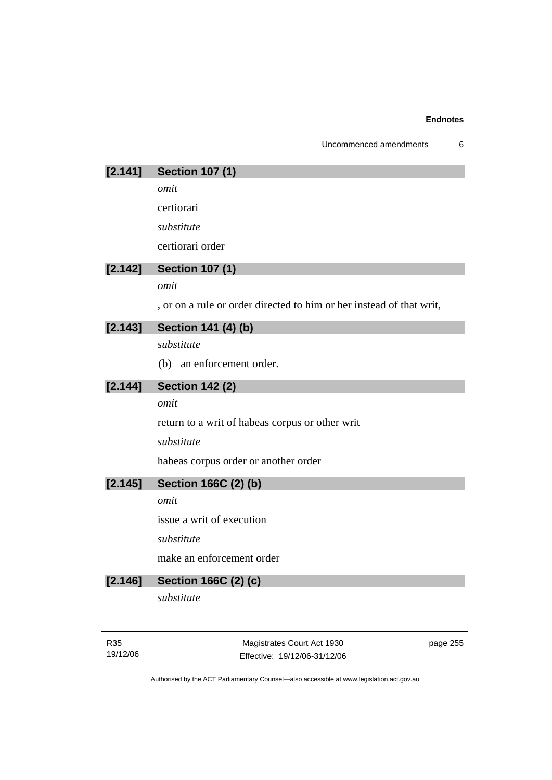| Uncommenced amendments |  |
|------------------------|--|
|                        |  |

# **[2.141] Section 107 (1)**

*omit* 

certiorari

*substitute* 

certiorari order

# **[2.142] Section 107 (1)**

*omit* 

, or on a rule or order directed to him or her instead of that writ,

## **[2.143] Section 141 (4) (b)**

*substitute* 

(b) an enforcement order.

| <b>Section 142 (2)</b> | [2.144] |  |  |  |
|------------------------|---------|--|--|--|
|------------------------|---------|--|--|--|

*omit* 

return to a writ of habeas corpus or other writ

*substitute* 

habeas corpus order or another order

# **[2.145] Section 166C (2) (b)**

*omit* 

issue a writ of execution

*substitute* 

make an enforcement order

# **[2.146] Section 166C (2) (c)**

*substitute* 

R35 19/12/06

Magistrates Court Act 1930 Effective: 19/12/06-31/12/06 page 255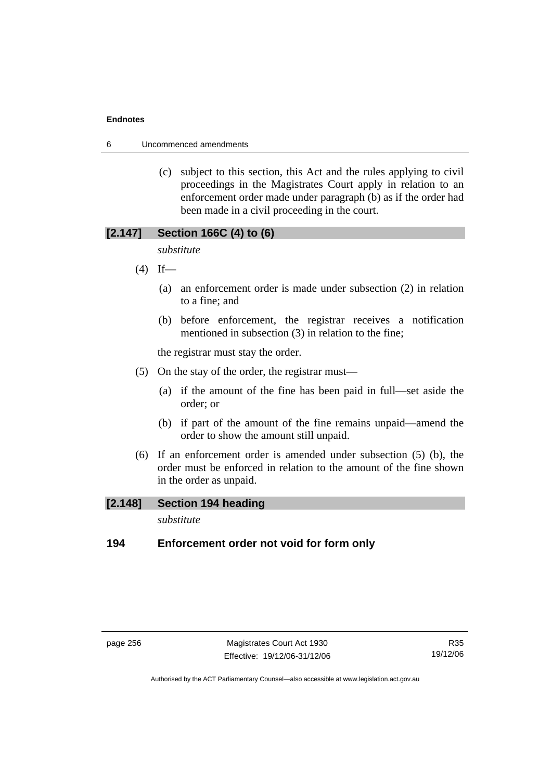6 Uncommenced amendments

 (c) subject to this section, this Act and the rules applying to civil proceedings in the Magistrates Court apply in relation to an enforcement order made under paragraph (b) as if the order had been made in a civil proceeding in the court.

# **[2.147] Section 166C (4) to (6)**

*substitute* 

- $(4)$  If—
	- (a) an enforcement order is made under subsection (2) in relation to a fine; and
	- (b) before enforcement, the registrar receives a notification mentioned in subsection (3) in relation to the fine;

the registrar must stay the order.

- (5) On the stay of the order, the registrar must—
	- (a) if the amount of the fine has been paid in full—set aside the order; or
	- (b) if part of the amount of the fine remains unpaid—amend the order to show the amount still unpaid.
- (6) If an enforcement order is amended under subsection (5) (b), the order must be enforced in relation to the amount of the fine shown in the order as unpaid.

## **[2.148] Section 194 heading**

*substitute* 

## **194 Enforcement order not void for form only**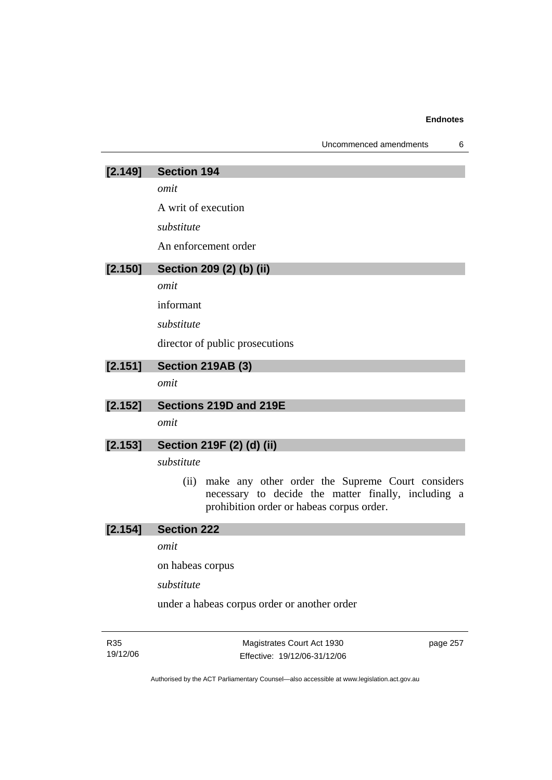| Uncommenced amendments |  |
|------------------------|--|
|------------------------|--|

| [2.149] | <b>Section 194</b>                                                                                                                                           |
|---------|--------------------------------------------------------------------------------------------------------------------------------------------------------------|
|         | omit                                                                                                                                                         |
|         | A writ of execution                                                                                                                                          |
|         | substitute                                                                                                                                                   |
|         | An enforcement order                                                                                                                                         |
| [2.150] | Section 209 (2) (b) (ii)                                                                                                                                     |
|         | omit                                                                                                                                                         |
|         | informant                                                                                                                                                    |
|         | substitute                                                                                                                                                   |
|         | director of public prosecutions                                                                                                                              |
| [2.151] | <b>Section 219AB (3)</b>                                                                                                                                     |
|         | omit                                                                                                                                                         |
| [2.152] | Sections 219D and 219E                                                                                                                                       |
|         | omit                                                                                                                                                         |
| [2.153] | Section 219F (2) (d) (ii)                                                                                                                                    |
|         | substitute                                                                                                                                                   |
|         | make any other order the Supreme Court considers<br>(ii)<br>necessary to decide the matter finally, including a<br>prohibition order or habeas corpus order. |
| [2.154] | <b>Section 222</b>                                                                                                                                           |
|         | omit                                                                                                                                                         |

on habeas corpus

*substitute* 

under a habeas corpus order or another order

R35 19/12/06

Magistrates Court Act 1930 Effective: 19/12/06-31/12/06 page 257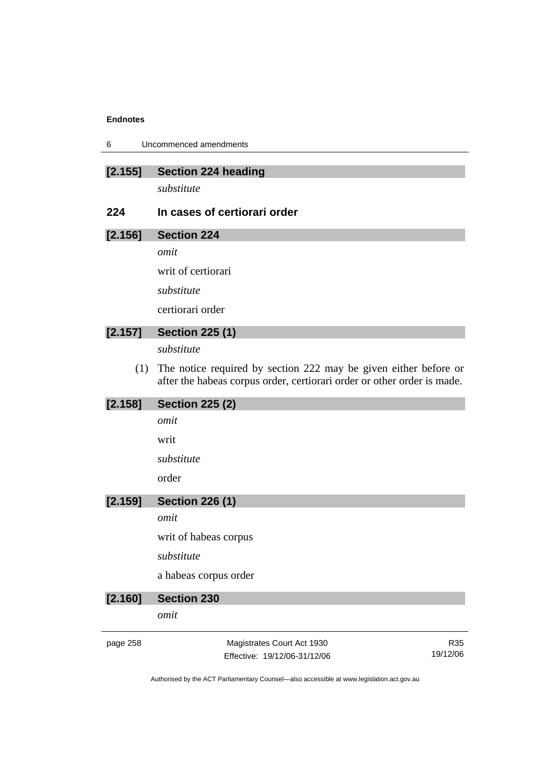| 6 | Uncommenced amendments |
|---|------------------------|
|---|------------------------|

| [2.155] |  | Section 224 heading |
|---------|--|---------------------|
|---------|--|---------------------|

*substitute* 

## **224 In cases of certiorari order**

# **[2.156] Section 224**

*omit* 

writ of certiorari

*substitute* 

certiorari order

# **[2.157] Section 225 (1)**

*substitute* 

 (1) The notice required by section 222 may be given either before or after the habeas corpus order, certiorari order or other order is made.

| [2.158]  | <b>Section 225 (2)</b>       |          |
|----------|------------------------------|----------|
|          | omit                         |          |
|          | writ                         |          |
|          | substitute                   |          |
|          | order                        |          |
| [2.159]  | <b>Section 226 (1)</b>       |          |
|          | omit                         |          |
|          | writ of habeas corpus        |          |
|          | substitute                   |          |
|          | a habeas corpus order        |          |
| [2.160]  | <b>Section 230</b>           |          |
|          | omit                         |          |
| page 258 | Magistrates Court Act 1930   | R35      |
|          | Effective: 19/12/06-31/12/06 | 19/12/06 |